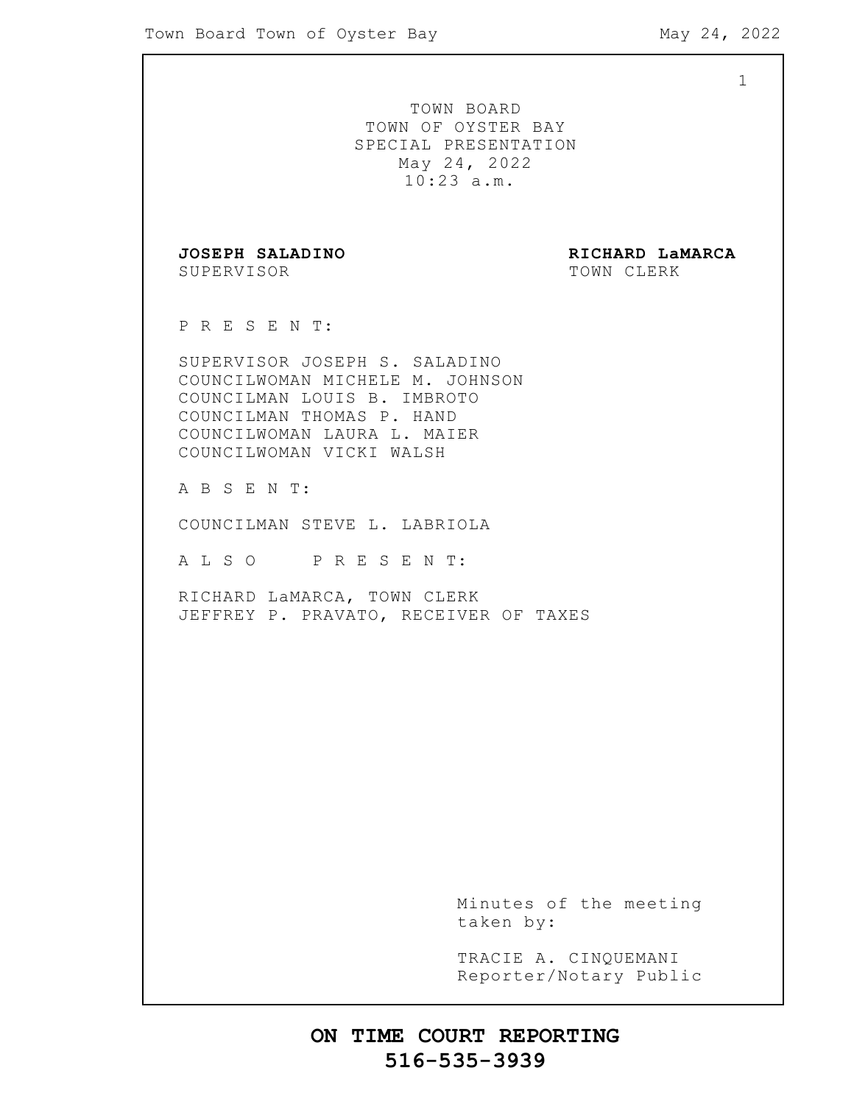1

TOWN BOARD TOWN OF OYSTER BAY SPECIAL PRESENTATION May 24, 2022 10:23 a.m. **JOSEPH SALADINO RICHARD LaMARCA** SUPERVISOR TOWN CLERK P R E S E N T: SUPERVISOR JOSEPH S. SALADINO COUNCILWOMAN MICHELE M. JOHNSON COUNCILMAN LOUIS B. IMBROTO COUNCILMAN THOMAS P. HAND COUNCILWOMAN LAURA L. MAIER COUNCILWOMAN VICKI WALSH A B S E N T: COUNCILMAN STEVE L. LABRIOLA A L S O P R E S E N T: RICHARD LaMARCA, TOWN CLERK JEFFREY P. PRAVATO, RECEIVER OF TAXES Minutes of the meeting taken by: TRACIE A. CINQUEMANI Reporter/Notary Public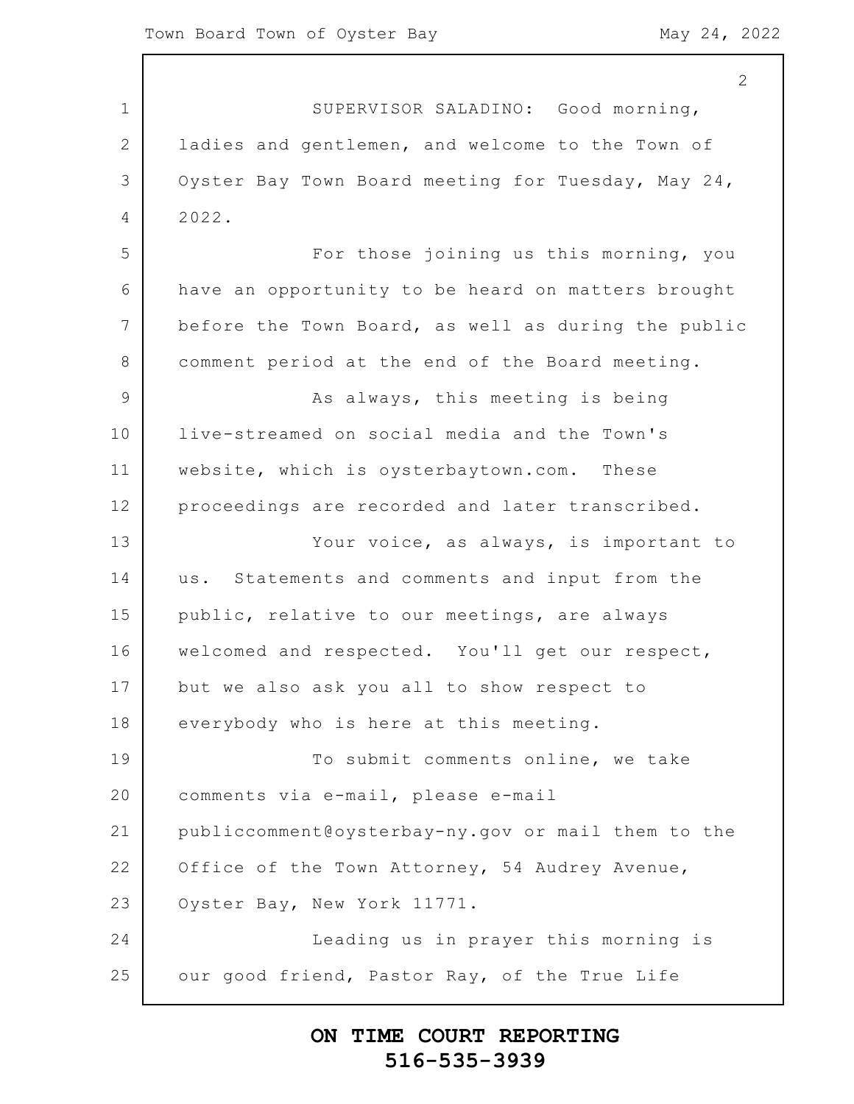1 2 3 4 5 6 7 8 9 10 11 12 13 14 15 16 17 18 19 20 21 22 23 24 25 2 SUPERVISOR SALADINO: Good morning, ladies and gentlemen, and welcome to the Town of Oyster Bay Town Board meeting for Tuesday, May 24, 2022. For those joining us this morning, you have an opportunity to be heard on matters brought before the Town Board, as well as during the public comment period at the end of the Board meeting. As always, this meeting is being live-streamed on social media and the Town's website, which is oysterbaytown.com. These proceedings are recorded and later transcribed. Your voice, as always, is important to us. Statements and comments and input from the public, relative to our meetings, are always welcomed and respected. You'll get our respect, but we also ask you all to show respect to everybody who is here at this meeting. To submit comments online, we take comments via e-mail, please e-mail publiccomment@oysterbay-ny.gov or mail them to the Office of the Town Attorney, 54 Audrey Avenue, Oyster Bay, New York 11771. Leading us in prayer this morning is our good friend, Pastor Ray, of the True Life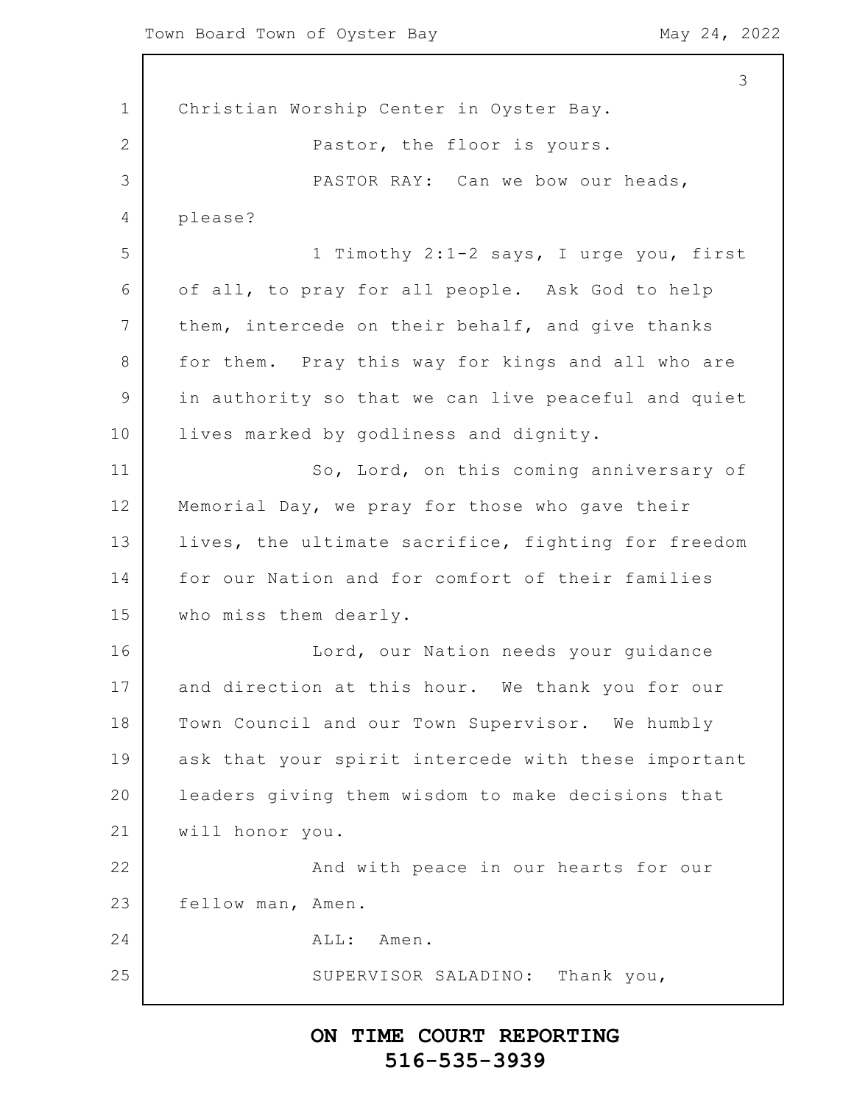1 2 3 4 5 6 7 8 9 10 11 12 13 14 15 16 17 18 19 20 21 22 23 24 25 3 Christian Worship Center in Oyster Bay. Pastor, the floor is yours. PASTOR RAY: Can we bow our heads, please? 1 Timothy 2:1-2 says, I urge you, first of all, to pray for all people. Ask God to help them, intercede on their behalf, and give thanks for them. Pray this way for kings and all who are in authority so that we can live peaceful and quiet lives marked by godliness and dignity. So, Lord, on this coming anniversary of Memorial Day, we pray for those who gave their lives, the ultimate sacrifice, fighting for freedom for our Nation and for comfort of their families who miss them dearly. Lord, our Nation needs your guidance and direction at this hour. We thank you for our Town Council and our Town Supervisor. We humbly ask that your spirit intercede with these important leaders giving them wisdom to make decisions that will honor you. And with peace in our hearts for our fellow man, Amen. ALL: Amen. SUPERVISOR SALADINO: Thank you,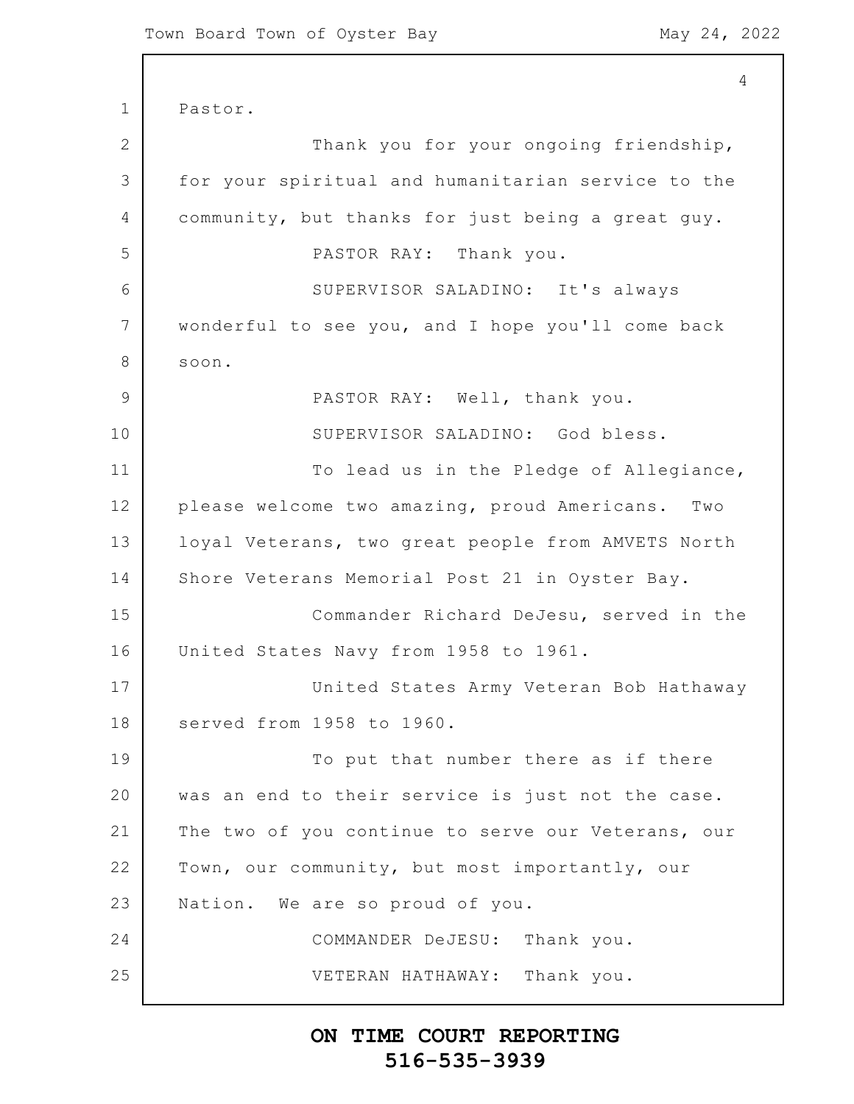1 2 3 4 5 6 7 8 9 10 11 12 13 14 15 16 17 18 19 20 21 22 23 24 25 4 Pastor. Thank you for your ongoing friendship, for your spiritual and humanitarian service to the community, but thanks for just being a great guy. PASTOR RAY: Thank you. SUPERVISOR SALADINO: It's always wonderful to see you, and I hope you'll come back soon. PASTOR RAY: Well, thank you. SUPERVISOR SALADINO: God bless. To lead us in the Pledge of Allegiance, please welcome two amazing, proud Americans. Two loyal Veterans, two great people from AMVETS North Shore Veterans Memorial Post 21 in Oyster Bay. Commander Richard DeJesu, served in the United States Navy from 1958 to 1961. United States Army Veteran Bob Hathaway served from 1958 to 1960. To put that number there as if there was an end to their service is just not the case. The two of you continue to serve our Veterans, our Town, our community, but most importantly, our Nation. We are so proud of you. COMMANDER DeJESU: Thank you. VETERAN HATHAWAY: Thank you.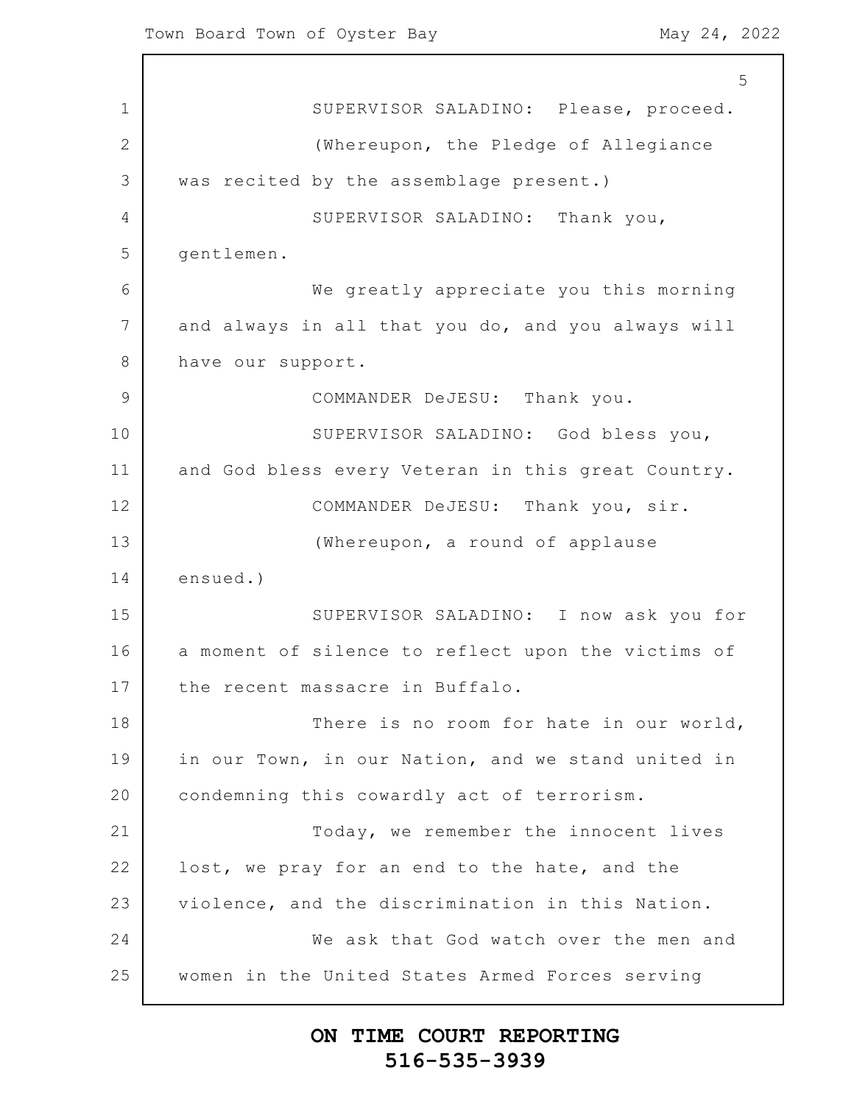1 2 3 4 5 6 7 8 9 10 11 12 13 14 15 16 17 18 19 20 21 22 23 24 25 5 SUPERVISOR SALADINO: Please, proceed. (Whereupon, the Pledge of Allegiance was recited by the assemblage present.) SUPERVISOR SALADINO: Thank you, gentlemen. We greatly appreciate you this morning and always in all that you do, and you always will have our support. COMMANDER DeJESU: Thank you. SUPERVISOR SALADINO: God bless you, and God bless every Veteran in this great Country. COMMANDER DeJESU: Thank you, sir. (Whereupon, a round of applause ensued.) SUPERVISOR SALADINO: I now ask you for a moment of silence to reflect upon the victims of the recent massacre in Buffalo. There is no room for hate in our world, in our Town, in our Nation, and we stand united in condemning this cowardly act of terrorism. Today, we remember the innocent lives lost, we pray for an end to the hate, and the violence, and the discrimination in this Nation. We ask that God watch over the men and women in the United States Armed Forces serving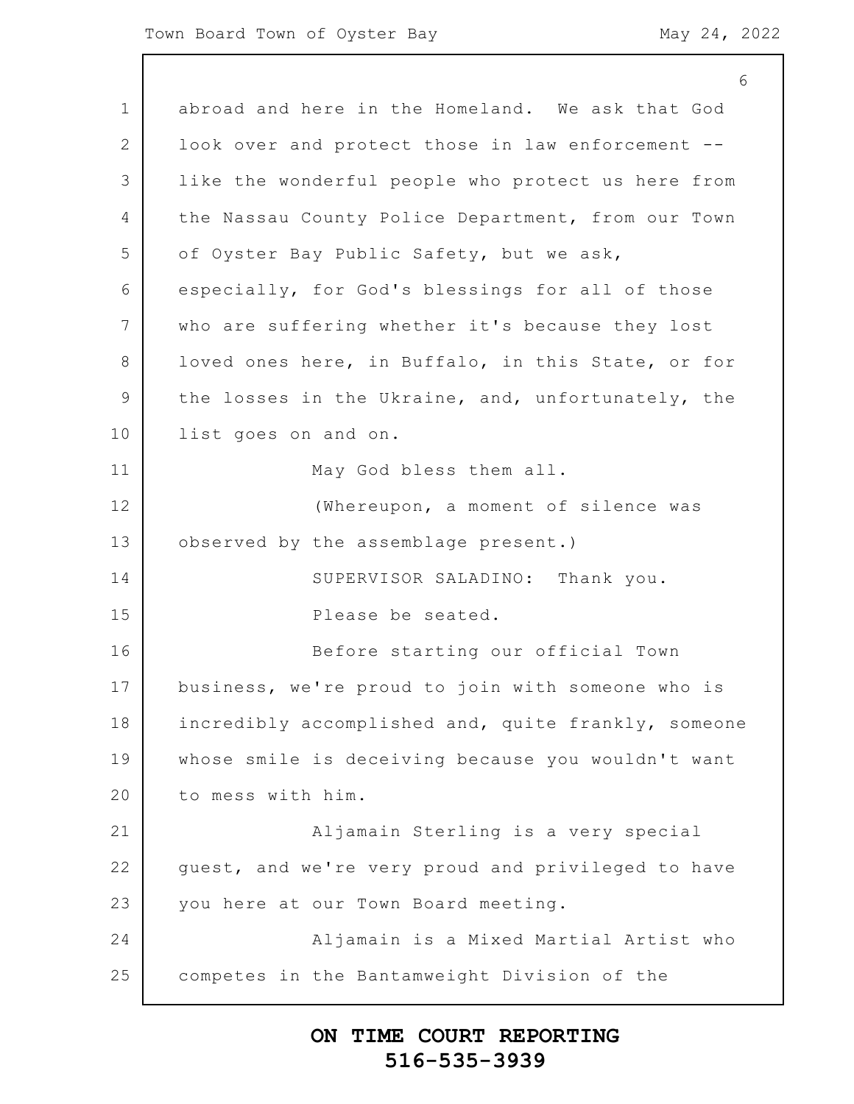1 2 3 4 5 6 7 8 9 10 11 12 13 14 15 16 17 18 19 20 21 22 23 24 25 6 abroad and here in the Homeland. We ask that God look over and protect those in law enforcement - like the wonderful people who protect us here from the Nassau County Police Department, from our Town of Oyster Bay Public Safety, but we ask, especially, for God's blessings for all of those who are suffering whether it's because they lost loved ones here, in Buffalo, in this State, or for the losses in the Ukraine, and, unfortunately, the list goes on and on. May God bless them all. (Whereupon, a moment of silence was observed by the assemblage present.) SUPERVISOR SALADINO: Thank you. Please be seated. Before starting our official Town business, we're proud to join with someone who is incredibly accomplished and, quite frankly, someone whose smile is deceiving because you wouldn't want to mess with him. Aljamain Sterling is a very special guest, and we're very proud and privileged to have you here at our Town Board meeting. Aljamain is a Mixed Martial Artist who competes in the Bantamweight Division of the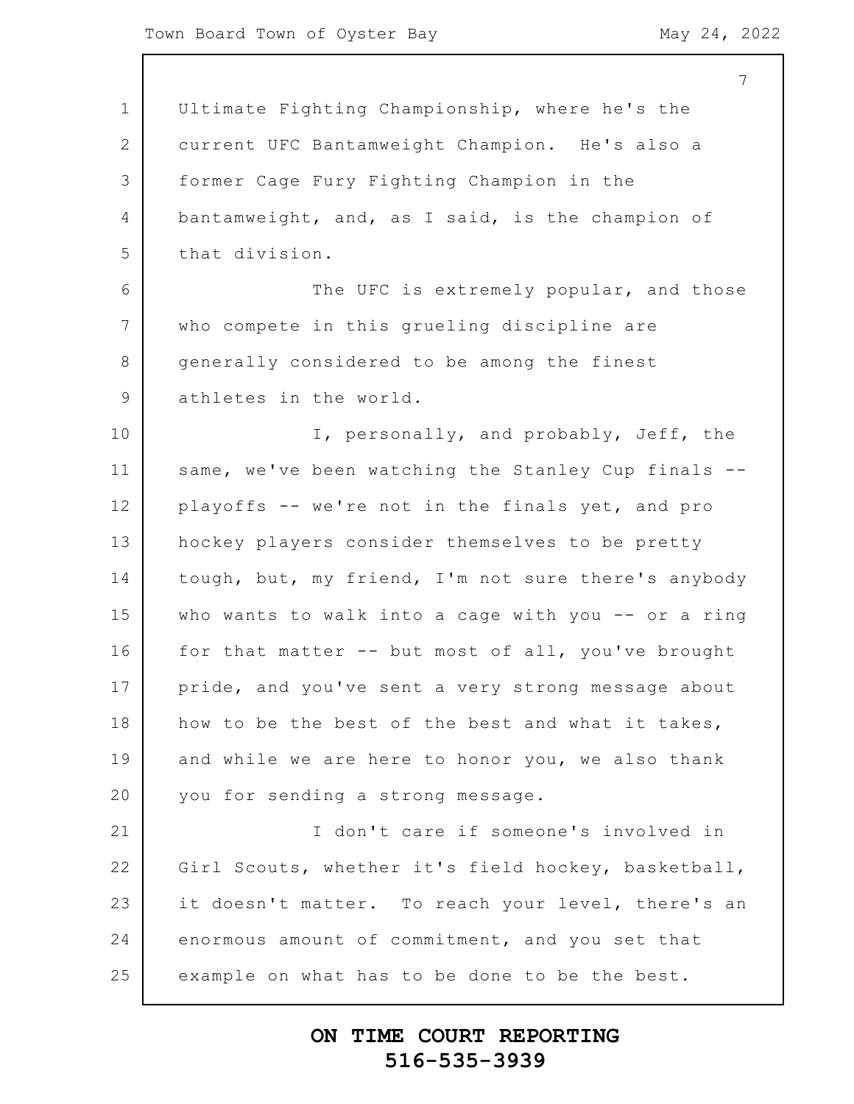1 2 3 4 5 6 7 8 9 10 11 12 13 14 15 16 17 18 19 20 21 22 23 24 25 7 Ultimate Fighting Championship, where he's the current UFC Bantamweight Champion. He's also a former Cage Fury Fighting Champion in the bantamweight, and, as I said, is the champion of that division. The UFC is extremely popular, and those who compete in this grueling discipline are generally considered to be among the finest athletes in the world. I, personally, and probably, Jeff, the same, we've been watching the Stanley Cup finals -playoffs -- we're not in the finals yet, and pro hockey players consider themselves to be pretty tough, but, my friend, I'm not sure there's anybody who wants to walk into a cage with you -- or a ring for that matter -- but most of all, you've brought pride, and you've sent a very strong message about how to be the best of the best and what it takes, and while we are here to honor you, we also thank you for sending a strong message. I don't care if someone's involved in Girl Scouts, whether it's field hockey, basketball, it doesn't matter. To reach your level, there's an enormous amount of commitment, and you set that example on what has to be done to be the best.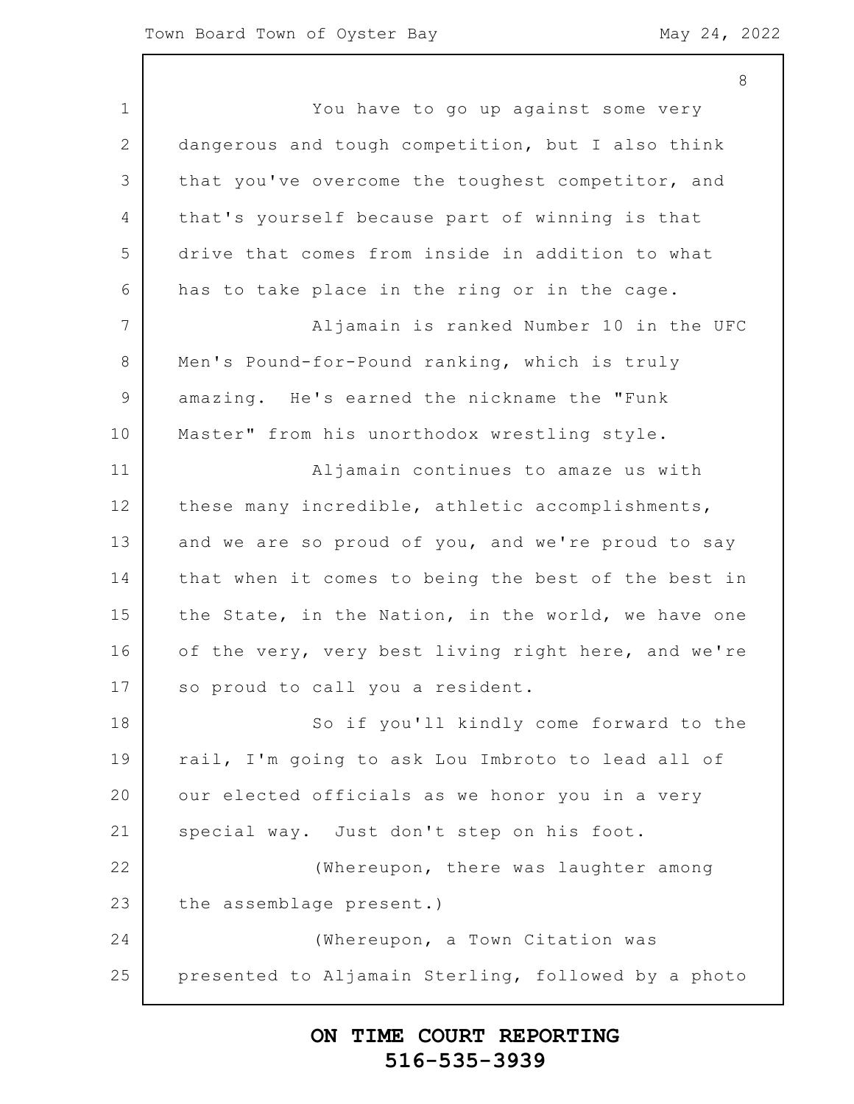8

1 2 3 4 5 6 7 8 9 10 11 12 13 14 15 16 17 18 19 20 21 22 23 24 25 You have to go up against some very dangerous and tough competition, but I also think that you've overcome the toughest competitor, and that's yourself because part of winning is that drive that comes from inside in addition to what has to take place in the ring or in the cage. Aljamain is ranked Number 10 in the UFC Men's Pound-for-Pound ranking, which is truly amazing. He's earned the nickname the "Funk Master" from his unorthodox wrestling style. Aljamain continues to amaze us with these many incredible, athletic accomplishments, and we are so proud of you, and we're proud to say that when it comes to being the best of the best in the State, in the Nation, in the world, we have one of the very, very best living right here, and we're so proud to call you a resident. So if you'll kindly come forward to the rail, I'm going to ask Lou Imbroto to lead all of our elected officials as we honor you in a very special way. Just don't step on his foot. (Whereupon, there was laughter among the assemblage present.) (Whereupon, a Town Citation was presented to Aljamain Sterling, followed by a photo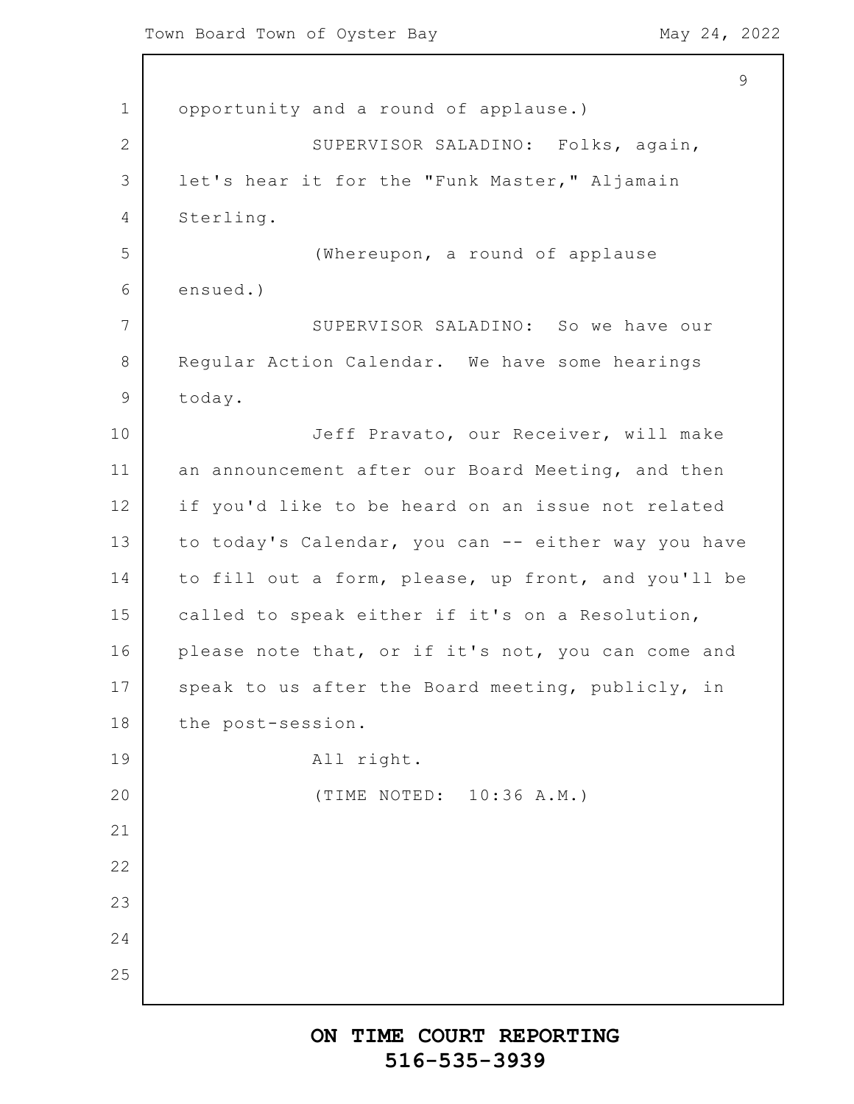```
1
2
3
4
5
6
7
8
9
10
11
12
13
14
15
16
17
18
19
20
21
22
23
24
25
                                                           9
      opportunity and a round of applause.)
                  SUPERVISOR SALADINO: Folks, again,
      let's hear it for the "Funk Master," Aljamain
      Sterling.
                   (Whereupon, a round of applause
      ensued.)
                  SUPERVISOR SALADINO: So we have our
      Regular Action Calendar. We have some hearings
      today.
                  Jeff Pravato, our Receiver, will make
      an announcement after our Board Meeting, and then
      if you'd like to be heard on an issue not related
      to today's Calendar, you can -- either way you have
      to fill out a form, please, up front, and you'll be
      called to speak either if it's on a Resolution,
      please note that, or if it's not, you can come and
      speak to us after the Board meeting, publicly, in
      the post-session.
                  All right.
                   (TIME NOTED: 10:36 A.M.)
```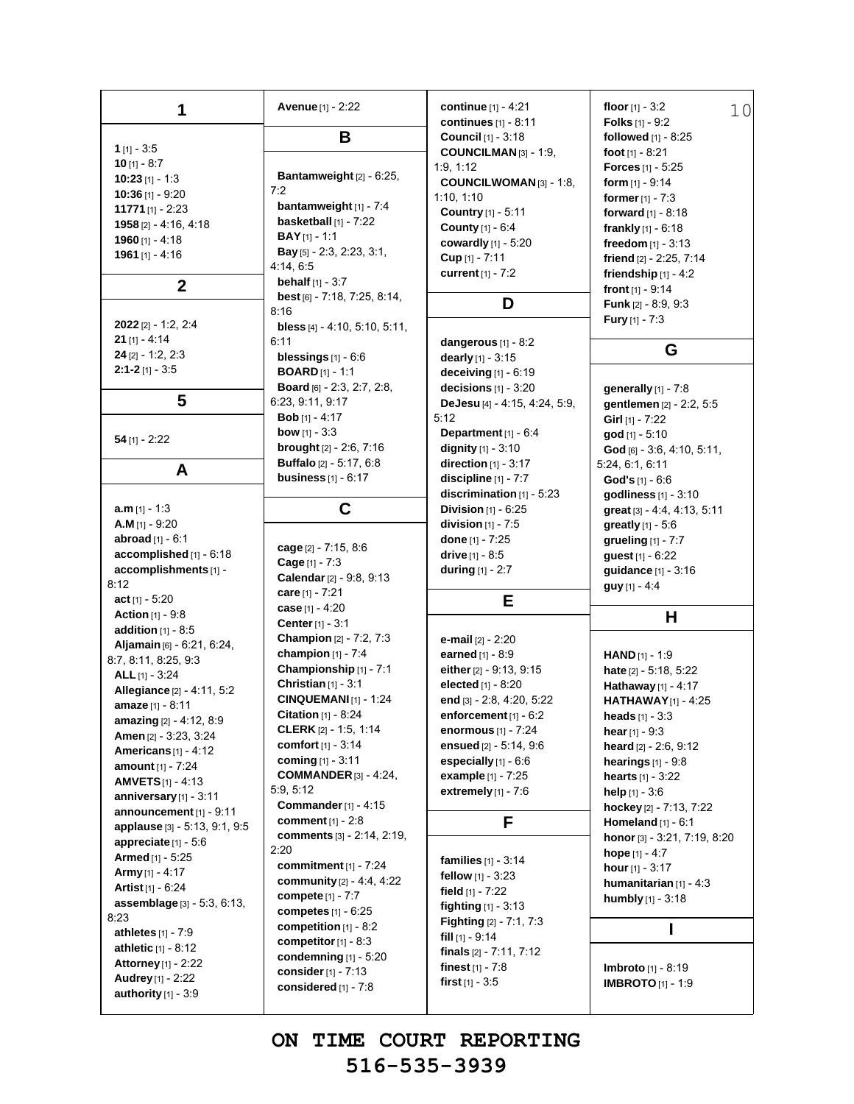| 1                                   | <b>Avenue</b> [1] - 2:22                          | <b>continue</b> $[1] - 4.21$                            | floor $[1] - 3.2$<br>10                         |
|-------------------------------------|---------------------------------------------------|---------------------------------------------------------|-------------------------------------------------|
|                                     | Β                                                 | continues $[1] - 8:11$<br><b>Council</b> [1] - 3:18     | <b>Folks</b> $[1] - 9:2$<br>followed [1] - 8:25 |
| $1$ [1] - 3:5                       |                                                   | COUNCILMAN [3] - 1:9,                                   | foot $[1] - 8:21$                               |
| $10$ [1] - 8:7                      |                                                   | 1:9, 1:12                                               | <b>Forces</b> $[1] - 5:25$                      |
| 10:23 [1] - 1:3                     | Bantamweight $[2] - 6:25$ ,                       | COUNCILWOMAN[3] - 1:8,                                  | form $[1] - 9.14$                               |
| 10:36 $[1] - 9:20$                  | 7:2                                               | 1:10, 1:10                                              | former $[1] - 7:3$                              |
| 11771 $[1] - 2:23$                  | <b>bantamweight</b> $[1]$ - 7:4                   | Country [1] - 5:11                                      | forward [1] - 8:18                              |
| $1958$ [2] - 4:16, 4:18             | basketball $[1]$ - $7:22$                         | County [1] - 6:4                                        | frankly $[1] - 6.18$                            |
| $1960$ [1] - 4:18                   | <b>BAY</b> $[1]$ - 1:1                            | cowardly [1] - 5:20                                     | freedom $[1] - 3:13$                            |
| 1961 $[1] - 4.16$                   | Bay [5] - 2:3, 2:23, 3:1,                         | Cup [1] - 7:11                                          | friend [2] - 2:25, 7:14                         |
|                                     | 4:14, 6:5                                         | current [1] - 7:2                                       | friendship $[1] - 4:2$                          |
| $\mathbf 2$                         | <b>behalf</b> $[1] - 3:7$                         |                                                         | front $[1] - 9.14$                              |
|                                     | best [6] - 7:18, 7:25, 8:14,                      | D                                                       | Funk [2] - 8:9, 9:3                             |
| $2022$ [2] - 1.2, 2.4               | 8:16                                              |                                                         | <b>Fury</b> $[1] - 7:3$                         |
| $21$ [1] - 4:14                     | <b>bless</b> $[4] - 4:10, 5:10, 5:11,$            |                                                         |                                                 |
| $24$ [2] - 1:2, 2:3                 | 6:11                                              | dangerous $[1] - 8.2$                                   | G                                               |
| $2:1-2$ [1] - 3:5                   | blessings $[1] - 6.6$                             | dearly [1] - 3:15                                       |                                                 |
|                                     | <b>BOARD</b> [1] - 1:1                            | deceiving $[1] - 6:19$                                  |                                                 |
| 5                                   | Board [6] - 2:3, 2:7, 2:8,                        | decisions $[1]$ - 3:20                                  | generally $[1]$ - 7:8                           |
|                                     | 6:23, 9:11, 9:17                                  | DeJesu [4] - 4:15, 4:24, 5:9,                           | gentlemen [2] - 2:2, 5:5                        |
|                                     | <b>Bob</b> $[1] - 4:17$<br><b>bow</b> [1] - $3:3$ | 5:12                                                    | Girl $[1]$ - 7:22                               |
| $54$ [1] - 2:22                     | brought $[2] - 2.6, 7.16$                         | Department [1] - 6:4                                    | god [1] - 5:10                                  |
|                                     | <b>Buffalo</b> [2] - 5:17, 6:8                    | dignity $[1] - 3:10$                                    | God [6] - 3:6, 4:10, 5:11,                      |
| A                                   | business $[1]$ - $6:17$                           | direction $[1]$ - 3:17                                  | 5:24, 6:1, 6:11                                 |
|                                     |                                                   | discipline $[1]$ - $7:7$<br>discrimination $[1] - 5:23$ | God's [1] - 6:6                                 |
|                                     | C                                                 |                                                         | godliness [1] - 3:10                            |
| $a.m$ [1] - 1:3<br>A.M $[1] - 9:20$ |                                                   | <b>Division</b> $[1] - 6:25$                            | great [3] - 4:4, 4:13, 5:11                     |
| abroad $[1] - 6:1$                  |                                                   | division $[1] - 7:5$                                    | <b>greatly</b> $[1] - 5:6$                      |
| accomplished [1] - 6:18             | cage [2] - 7:15, 8:6                              | <b>done</b> $[1]$ - 7:25                                | grueling [1] - 7:7                              |
| accomplishments [1] -               | Cage [1] - 7:3                                    | <b>drive</b> $[1] - 8:5$<br>during $[1] - 2:7$          | <b>guest</b> $[1] - 6:22$                       |
| 8:12                                | Calendar [2] - 9.8, 9:13                          |                                                         | guidance [1] - 3:16                             |
| $act$ [1] - 5:20                    | care $[1] - 7:21$                                 | Е                                                       | $guy[1] - 4.4$                                  |
| <b>Action</b> [1] - 9:8             | case $[1] - 4:20$                                 |                                                         | Н                                               |
| addition $[1]$ - 8:5                | Center [1] - 3:1                                  |                                                         |                                                 |
| Aljamain [6] - 6:21, 6:24,          | Champion [2] - 7:2, 7:3                           | e-mail [2] - 2:20                                       |                                                 |
| 8:7, 8:11, 8:25, 9:3                | champion $[1] - 7:4$                              | earned $[1] - 8:9$                                      | <b>HAND</b> $[1] - 1:9$                         |
| ALL $[1] - 3:24$                    | Championship [1] - 7:1                            | either [2] - 9:13, 9:15                                 | hate [2] - 5:18, 5:22                           |
| Allegiance [2] - 4:11, 5:2          | Christian $[1]$ - 3:1                             | elected [1] - 8:20                                      | Hathaway [1] - 4:17                             |
| amaze [1] - 8:11                    | <b>CINQUEMANI [1] - 1:24</b>                      | end [3] - 2:8, 4:20, 5:22                               | <b>HATHAWAY</b> [1] - 4:25                      |
| amazing [2] - 4:12, 8:9             | Citation [1] - 8:24                               | enforcement $[1] - 6:2$                                 | <b>heads</b> $[1] - 3.3$                        |
| Amen [2] - 3:23, 3:24               | <b>CLERK</b> [2] - 1:5, 1:14                      | enormous [1] - 7:24                                     | <b>hear</b> [1] - 9:3                           |
| Americans $[1] - 4.12$              | comfort [1] - 3:14                                | ensued [2] - 5:14, 9:6                                  | heard [2] - 2:6, 9:12                           |
| amount [1] - 7:24                   | coming $[1] - 3:11$                               | especially [1] - 6:6                                    | hearings $[1]$ - 9:8                            |
| <b>AMVETS</b> $[1] - 4.13$          | <b>COMMANDER</b> $[3] - 4:24$ ,                   | example [1] - 7:25                                      | <b>hearts</b> $[1] - 3:22$                      |
| anniversary $[1]$ - 3:11            | 5.9, 5.12                                         | extremely [1] - 7:6                                     | help $[1] - 3.6$                                |
| announcement [1] - 9:11             | Commander [1] - 4:15                              |                                                         | hockey [2] - 7:13, 7:22                         |
| applause [3] - 5:13, 9:1, 9:5       | comment [1] - 2:8                                 | F                                                       | Homeland $[1] - 6:1$                            |
| appreciate $[1]$ - 5:6              | comments [3] - 2:14, 2:19,                        |                                                         | honor [3] - 3:21, 7:19, 8:20                    |
| Armed [1] - 5:25                    | 2:20                                              | families $[1] - 3:14$                                   | <b>hope</b> $[1] - 4:7$                         |
| <b>Army</b> [1] - 4:17              | commitment [1] - 7:24                             | fellow $[1] - 3:23$                                     | hour $[1] - 3:17$                               |
| Artist [1] - 6:24                   | community [2] - 4:4, 4:22                         | field $[1] - 7:22$                                      | humanitarian [1] - 4:3                          |
| assemblage [3] - 5:3, 6:13,         | compete [1] - 7:7                                 | <b>fighting</b> $[1] - 3:13$                            | <b>humbly</b> $[1] - 3:18$                      |
| 8:23                                | competes $[1] - 6.25$                             | <b>Fighting</b> [2] - 7:1, 7:3                          |                                                 |
| athletes $[1] - 7:9$                | competition $[1] - 8:2$                           | fill $[1]$ - 9:14                                       |                                                 |
| athletic [1] - 8:12                 | competitor $[1] - 8.3$                            | finals $[2] - 7:11, 7:12$                               |                                                 |
| <b>Attorney</b> [1] - 2:22          | condemning $[1] - 5:20$                           | finest $[1] - 7:8$                                      | <b>Imbroto</b> [1] - 8:19                       |
| <b>Audrey</b> [1] - 2:22            | consider [1] - 7:13                               | first $[1] - 3.5$                                       | <b>IMBROTO</b> $[1]$ - 1:9                      |
| authority $[1]$ - 3:9               | considered $[1] - 7.8$                            |                                                         |                                                 |
|                                     |                                                   |                                                         |                                                 |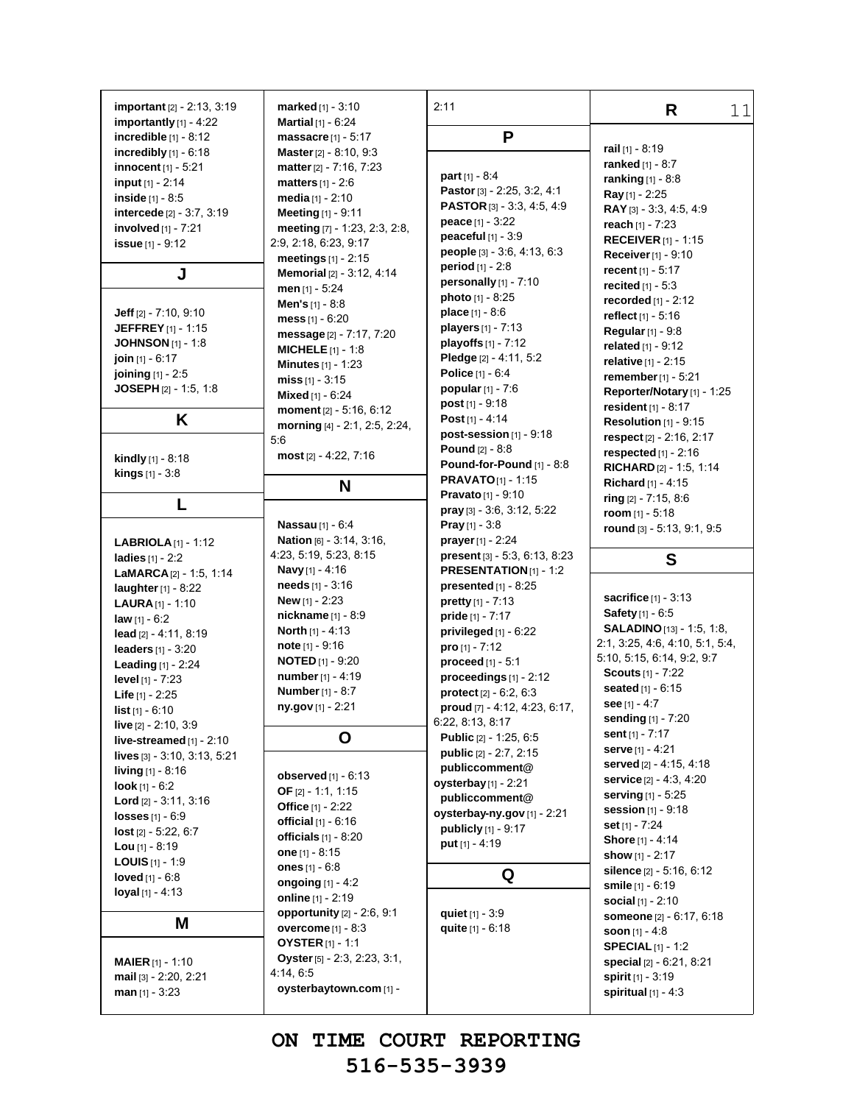| important [2] - 2:13, 3:19<br>importantly $[1] - 4.22$ | <b>marked</b> $[1] - 3:10$<br><b>Martial</b> $[1] - 6:24$ | 2:11                                                               | R<br>11                                       |
|--------------------------------------------------------|-----------------------------------------------------------|--------------------------------------------------------------------|-----------------------------------------------|
| incredible $[1]$ - 8:12                                | massacre $[1]$ - 5:17                                     | P                                                                  |                                               |
| incredibly $[1]$ - 6:18                                | Master [2] - 8:10, 9:3                                    |                                                                    | <b>rail</b> [1] - 8:19                        |
| innocent [1] - 5:21                                    | matter [2] - 7:16, 7:23                                   |                                                                    | ranked $[1] - 8:7$                            |
| input [1] - 2:14                                       | <b>matters</b> $[1] - 2:6$                                | part $[1] - 8.4$                                                   | ranking $[1]$ - 8:8                           |
| inside $[1] - 8.5$                                     | media $[1] - 2:10$                                        | Pastor [3] - 2:25, 3:2, 4:1                                        | Ray [1] - 2:25                                |
| intercede [2] - 3:7, 3:19                              | <b>Meeting</b> $[1] - 9:11$                               | <b>PASTOR</b> [3] - 3.3, 4:5, 4:9                                  | RAY [3] - 3:3, 4:5, 4:9                       |
| involved [1] - 7:21                                    | meeting [7] - 1:23, 2:3, 2:8,                             | <b>peace</b> [1] - 3:22<br>peaceful $[1] - 3.9$                    | reach $[1] - 7:23$                            |
| <b>issue</b> $[1] - 9:12$                              | 2.9, 2.18, 6.23, 9.17                                     | people [3] - 3.6, 4:13, 6:3                                        | <b>RECEIVER</b> [1] - 1:15                    |
|                                                        | meetings $[1]$ - 2:15                                     | period [1] - 2:8                                                   | Receiver [1] - 9:10                           |
| J                                                      | Memorial [2] - 3:12, 4:14                                 | personally $[1]$ - 7:10                                            | recent [1] - 5:17                             |
|                                                        | men $[1] - 5:24$                                          | <b>photo</b> [1] - 8:25                                            | recited $[1] - 5:3$                           |
| Jeff [2] - 7:10, 9:10                                  | <b>Men's</b> $[1] - 8:8$                                  | <b>place</b> $[1] - 8.6$                                           | recorded $[1] - 2:12$<br>reflect $[1] - 5:16$ |
| <b>JEFFREY</b> [1] - 1:15                              | mess $[1] - 6:20$                                         | players [1] - 7:13                                                 | <b>Regular</b> [1] - 9:8                      |
| <b>JOHNSON</b> [1] - 1:8                               | message [2] - 7:17, 7:20                                  | playoffs [1] - 7:12                                                | related [1] - 9:12                            |
| join [1] - 6:17                                        | <b>MICHELE</b> $[1] - 1.8$                                | Pledge [2] - 4:11, 5:2                                             | relative $[1] - 2:15$                         |
| joining [1] - 2:5                                      | <b>Minutes</b> $[1]$ - 1:23<br>miss [1] - 3:15            | Police [1] - 6:4                                                   | remember [1] - 5:21                           |
| JOSEPH [2] - 1:5, 1:8                                  | Mixed [1] - 6:24                                          | <b>popular</b> $[1] - 7:6$                                         | Reporter/Notary [1] - 1:25                    |
|                                                        | moment [2] - 5:16, 6:12                                   | <b>post</b> $[1]$ - 9:18                                           | resident $[1] - 8:17$                         |
| Κ                                                      | morning [4] - 2:1, 2:5, 2:24,                             | <b>Post</b> [1] - 4:14                                             | Resolution [1] - 9:15                         |
|                                                        | 5:6                                                       | post-session [1] - 9:18                                            | respect [2] - 2:16, 2:17                      |
| <b>kindly</b> $[1]$ - 8:18                             | most [2] - 4:22, 7:16                                     | <b>Pound [2] - 8:8</b>                                             | respected $[1]$ - 2:16                        |
| kings [1] - 3:8                                        |                                                           | Pound-for-Pound [1] - 8:8                                          | RICHARD [2] - 1:5, 1:14                       |
|                                                        | N                                                         | <b>PRAVATO</b> [1] - 1:15                                          | Richard [1] - 4:15                            |
| L                                                      |                                                           | Pravato [1] - 9:10                                                 | $ring$ $[2] - 7:15, 8:6$                      |
|                                                        |                                                           | pray [3] - 3:6, 3:12, 5:22                                         | room [1] - 5:18                               |
|                                                        | Nassau [1] - 6:4                                          | <b>Pray</b> [1] - 3:8                                              | round $[3] - 5:13, 9:1, 9:5$                  |
| <b>LABRIOLA</b> $[1]$ - 1:12                           | Nation [6] - 3.14, 3.16,<br>4:23, 5:19, 5:23, 8:15        | <b>prayer</b> [1] - 2:24<br><b>present</b> $[3] - 5.3, 6.13, 8.23$ |                                               |
| <b>ladies</b> $[1] - 2:2$                              | <b>Navy</b> [1] - 4:16                                    | PRESENTATION[1] - 1:2                                              | S                                             |
| LaMARCA[2] - 1:5, 1:14<br>laughter $[1] - 8:22$        | <b>needs</b> $[1] - 3:16$                                 | presented $[1]$ - 8:25                                             |                                               |
| <b>LAURA</b> $[1]$ - 1:10                              | <b>New</b> [1] - 2:23                                     | $pretry$ [1] - 7:13                                                | sacrifice [1] - 3:13                          |
| <b>law</b> $[1] - 6:2$                                 | nickname [1] - 8:9                                        | pride $[1] - 7:17$                                                 | Safety [1] - 6:5                              |
| $lead$ $[2] - 4.11, 8.19$                              | <b>North</b> $[1] - 4:13$                                 | privileged $[1]$ - $6.22$                                          | <b>SALADINO</b> [13] - 1:5, 1:8,              |
| leaders $[1] - 3:20$                                   | <b>note</b> $[1]$ - 9:16                                  | <b>pro</b> [1] - 7:12                                              | 2:1, 3:25, 4:6, 4:10, 5:1, 5:4,               |
| <b>Leading</b> $[1]$ - 2:24                            | <b>NOTED</b> $[1]$ - 9:20                                 | proceed $[1] - 5:1$                                                | 5:10, 5:15, 6:14, 9:2, 9:7                    |
| <b>level</b> [1] - 7:23                                | number [1] - 4:19                                         | proceedings $[1] - 2:12$                                           | <b>Scouts</b> $[1] - 7:22$                    |
| <b>Life</b> $[1] - 2:25$                               | <b>Number</b> [1] - 8:7                                   | protect $[2] - 6.2, 6.3$                                           | seated [1] - 6:15                             |
| <b>list</b> $[1] - 6:10$                               | ny.gov [1] - 2:21                                         | proud [7] - 4:12, 4:23, 6:17,                                      | see $[1] - 4:7$                               |
| live [2] - 2:10, 3:9                                   |                                                           | 6:22, 8:13, 8:17                                                   | <b>sending</b> [1] - 7:20                     |
| live-streamed $[1]$ - 2:10                             | O                                                         | Public [2] - 1:25, 6:5                                             | sent $[1]$ - 7:17<br><b>serve</b> [1] - 4:21  |
| lives [3] - 3:10, 3:13, 5:21                           |                                                           | <b>public</b> [2] - 2:7, 2:15                                      | served [2] - 4:15, 4:18                       |
| <b>living</b> $[1] - 8:16$                             | observed $[1]$ - $6:13$                                   | publiccomment@                                                     | <b>service</b> $[2] - 4:3, 4:20$              |
| <b>look</b> $[1] - 6:2$                                | OF $[2] - 1:1, 1:15$                                      | oysterbay $[1]$ - 2:21<br>publiccomment@                           | serving [1] - 5:25                            |
| <b>Lord</b> $[2] - 3.11, 3.16$                         | Office [1] - 2:22                                         | oysterbay-ny.gov [1] - 2:21                                        | session [1] - 9:18                            |
| $losses$ [1] - 6:9                                     | <b>official</b> $[1] - 6:16$                              | publicly [1] - 9:17                                                | set $[1] - 7:24$                              |
| $lost [2] - 5:22, 6:7$<br><b>Lou</b> $[1] - 8:19$      | officials $[1] - 8:20$                                    | put [1] - 4:19                                                     | Shore [1] - 4:14                              |
| <b>LOUIS</b> $[1] - 1:9$                               | one $[1] - 8:15$                                          |                                                                    | show $[1] - 2:17$                             |
| loved $[1] - 6.8$                                      | ones $[1] - 6.8$                                          | Q                                                                  | silence $[2] - 5.16, 6.12$                    |
| loyal $[1] - 4:13$                                     | ongoing $[1] - 4:2$                                       |                                                                    | <b>smile</b> $[1] - 6:19$                     |
|                                                        | online [1] - 2:19                                         |                                                                    | social $[1] - 2:10$                           |
| Μ                                                      | opportunity [2] - 2:6, 9:1<br>overcome $[1] - 8:3$        | quiet [1] - 3:9                                                    | someone [2] - 6:17, 6:18                      |
|                                                        | <b>OYSTER</b> [1] - 1:1                                   | quite [1] - 6:18                                                   | <b>soon</b> $[1] - 4:8$                       |
|                                                        | Oyster [5] - 2:3, 2:23, 3:1,                              |                                                                    | <b>SPECIAL</b> $[1]$ - 1:2                    |
| <b>MAIER</b> $[1] - 1:10$                              | 4:14, 6:5                                                 |                                                                    | special [2] - 6:21, 8:21                      |
| mail [3] - 2:20, 2:21<br>man $[1] - 3:23$              | oysterbaytown.com [1] -                                   |                                                                    | spirit [1] - 3:19<br>spiritual $[1] - 4:3$    |
|                                                        |                                                           |                                                                    |                                               |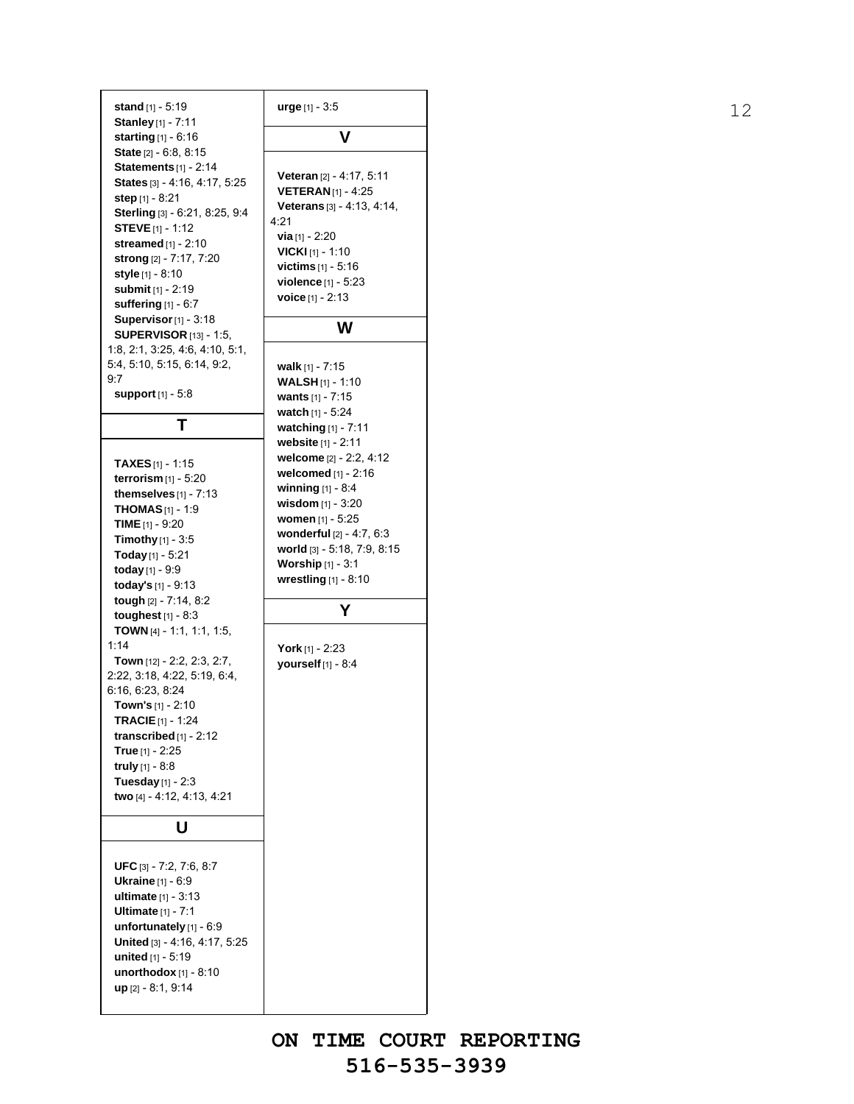**stand** [ 1 ] - 5:19 **Stanley** [1] - 7:11 **starting** [1] - 6:16 **State** [2] - 6:8, 8:15 **Statements** [1] - 2:14 **States** [3] - 4:16, 4:17, 5:25 **step** [ 1 ] - 8:21 **Sterling** [3] - 6:21, 8:25, 9:4 **STEVE** [ 1 ] - 1 :12 **streamed** [1] - 2:10 **strong** [2] - 7:17, 7:20 **style** [ 1 ] - 8:10 **submit** [ 1 ] - 2 :19 **suffering** [1] - 6:7 **Supervisor** [1] - 3:18 **SUPERVISOR** [13] - 1:5, 1:8, 2:1, 3:25, 4:6, 4:10, 5:1, 5:4, 5:10, 5:15, 6:14, 9:2, 9:7 **support** [ 1 ] - 5 : 8 **T TAXES** [ 1 ] - 1 :15 **terrorism** [ 1 ] - 5 :20 **themselves** [ 1 ] - 7 :13 **THOMAS** [ 1 ] - 1 : 9 **TIME** [ 1 ] - 9:20 **Timothy** [ 1 ] - 3 : 5 **Today** [ 1 ] - 5:21 **today** [ 1 ] - 9:9 **today ' s** [ 1 ] - 9 :13 **tough** [2] - 7:14, 8:2 **toughest** [ 1 ] - 8 : 3 **TOWN** [4] - 1:1, 1:1, 1:5, 1:14 **Town** [12] - 2:2, 2:3, 2:7, 2:22 , 3:18 , 4:22 , 5 :19 , 6 : 4 , 6:16 , 6:23 , 8:24 **Town ' s** [ 1 ] - 2 :10 **TRACIE** [ 1 ] - 1 :24 **transcribed** [ 1 ] - 2 :12 **True** [ 1 ] - 2:25 **truly** [ 1 ] - 8:8 **Tuesday** [ 1 ] - 2 : 3 **two** [4] - 4:12, 4:13, 4:21 **U UFC** [3] - 7:2, 7:6, 8:7 **Ukraine** [1] - 6:9 **ultimate** [1] - 3:13 **Ultimate** [1] - 7:1 unfortunately [1] - 6:9 **United** [3] - 4:16, 4:17, 5:25 **united** [ 1 ] - 5:19 **unorthodox** [1] - 8:10 **up** [ 2 ] - 8:1 , 9:14

**urge** [1] - 3:5 **1** 2 **V Veteran** [2] - 4:17, 5:11 **VETERAN** [ 1 ] - 4:25 **Veterans** [3] - 4:13, 4:14, 4 :21 **via** [1] - 2:20 **VICKI** [1] - 1:10 **victims** [ 1 ] - 5 :16 **violence** [ 1 ] - 5 :23 **voice** [1] - 2:13 **W walk** [ 1 ] - 7 :15 **WALSH** [1] - 1:10 **wants** [ 1 ] - 7 :15 **watch** [ 1 ] - 5 :24 **watching** [ 1 ] - 7 :11 **website** [ 1 ] - 2 :11 **welcome** [ 2 ] - 2 : 2 , 4:12 **welcomed** [ 1 ] - 2:16

**winning** [1] - 8:4 **wisdom** [1] - 3:20 **women** [ 1 ] - 5 :25 **wonderful** [ 2 ] - 4:7 , 6:3 **world** [ 3 ] - 5 :18 , 7:9 , 8:15 **Worship** [1] - 3:1 **wrestling** [1] - 8:10

**York** [ 1 ] - 2 :23 **yourself** [ 1 ] - 8 : 4

**Y**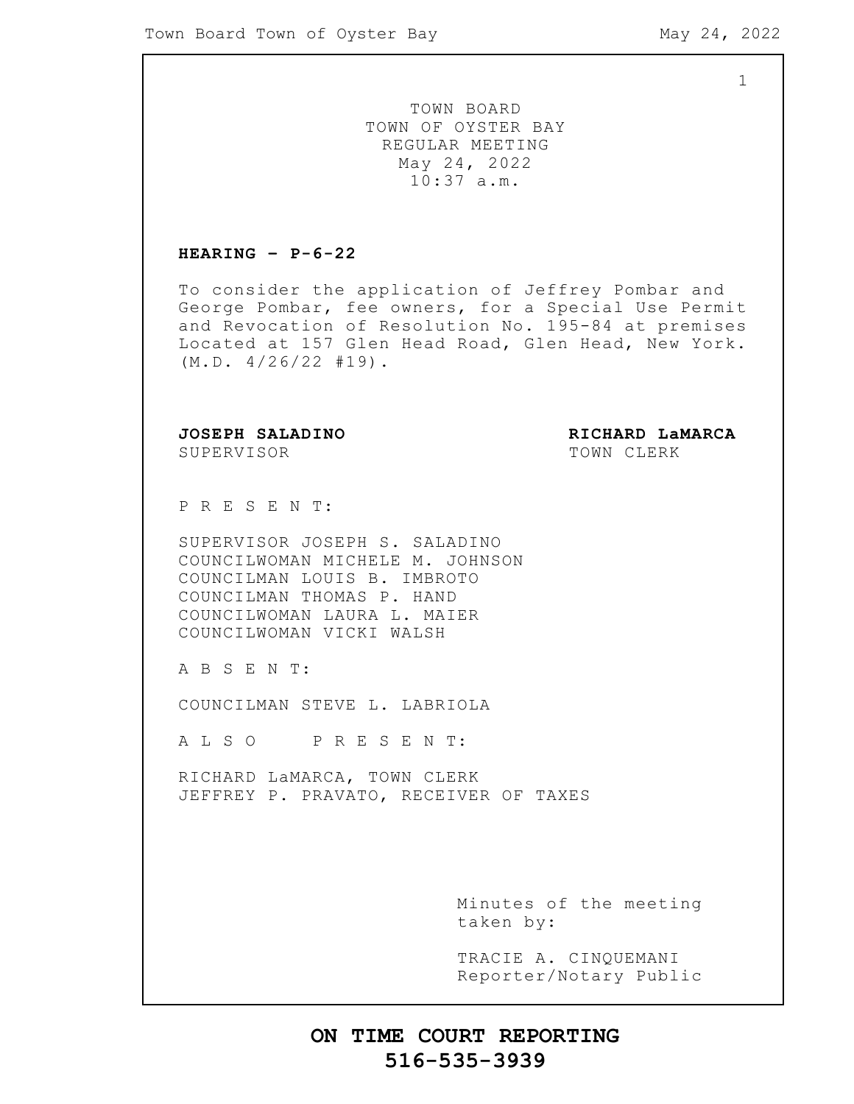1

TOWN BOARD TOWN OF OYSTER BAY REGULAR MEETING May 24, 2022 10:37 a.m.

#### **HEARING – P-6-22**

To consider the application of Jeffrey Pombar and George Pombar, fee owners, for a Special Use Permit and Revocation of Resolution No. 195-84 at premises Located at 157 Glen Head Road, Glen Head, New York.  $(M.D. 4/26/22 #19)$ .

SUPERVISOR TOWN CLERK

**JOSEPH SALADINO RICHARD LaMARCA**

P R E S E N T:

SUPERVISOR JOSEPH S. SALADINO COUNCILWOMAN MICHELE M. JOHNSON COUNCILMAN LOUIS B. IMBROTO COUNCILMAN THOMAS P. HAND COUNCILWOMAN LAURA L. MAIER COUNCILWOMAN VICKI WALSH

A B S E N T:

COUNCILMAN STEVE L. LABRIOLA

A L S O P R E S E N T:

RICHARD LaMARCA, TOWN CLERK JEFFREY P. PRAVATO, RECEIVER OF TAXES

> Minutes of the meeting taken by:

> TRACIE A. CINQUEMANI Reporter/Notary Public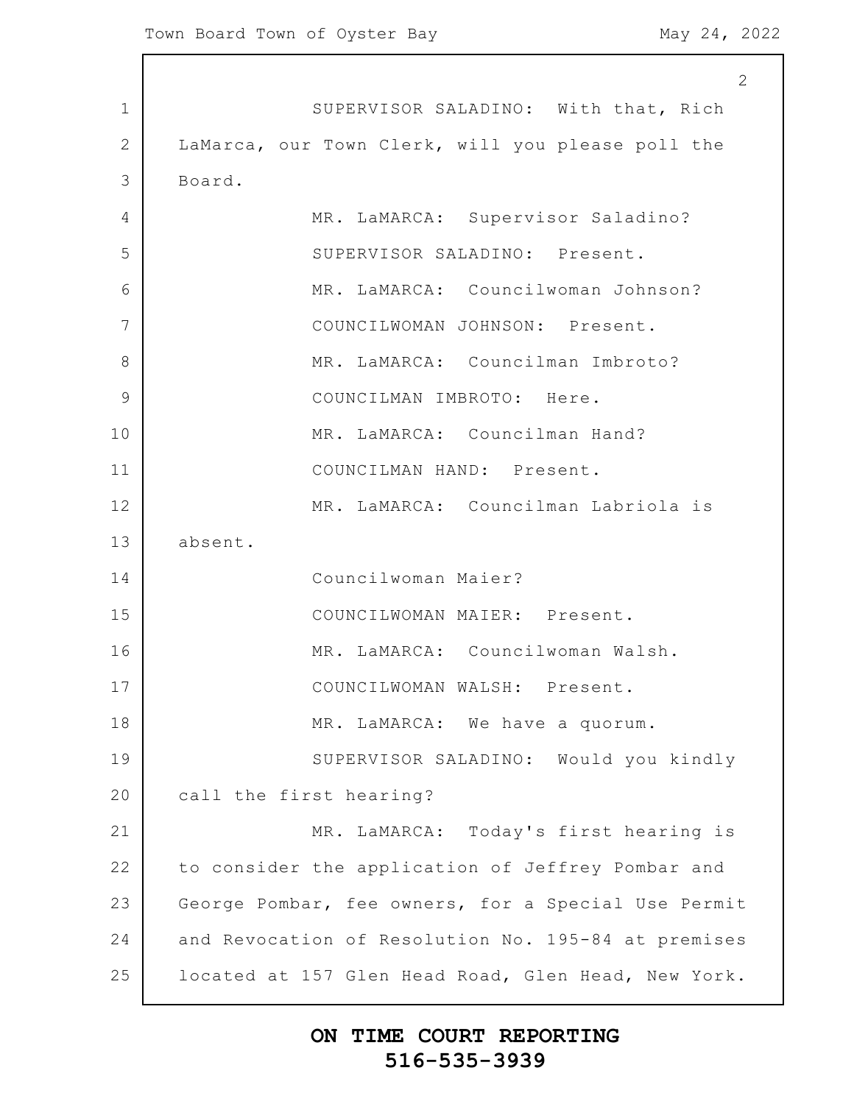1 2 3 4 5 6 7 8 9 10 11 12 13 14 15 16 17 18 19 20 21 22 23 24 25 2 SUPERVISOR SALADINO: With that, Rich LaMarca, our Town Clerk, will you please poll the Board. MR. LaMARCA: Supervisor Saladino? SUPERVISOR SALADINO: Present. MR. LaMARCA: Councilwoman Johnson? COUNCILWOMAN JOHNSON: Present. MR. LaMARCA: Councilman Imbroto? COUNCILMAN IMBROTO: Here. MR. LaMARCA: Councilman Hand? COUNCILMAN HAND: Present. MR. LaMARCA: Councilman Labriola is absent. Councilwoman Maier? COUNCILWOMAN MAIER: Present. MR. LaMARCA: Councilwoman Walsh. COUNCILWOMAN WALSH: Present. MR. LaMARCA: We have a quorum. SUPERVISOR SALADINO: Would you kindly call the first hearing? MR. LaMARCA: Today's first hearing is to consider the application of Jeffrey Pombar and George Pombar, fee owners, for a Special Use Permit and Revocation of Resolution No. 195-84 at premises located at 157 Glen Head Road, Glen Head, New York.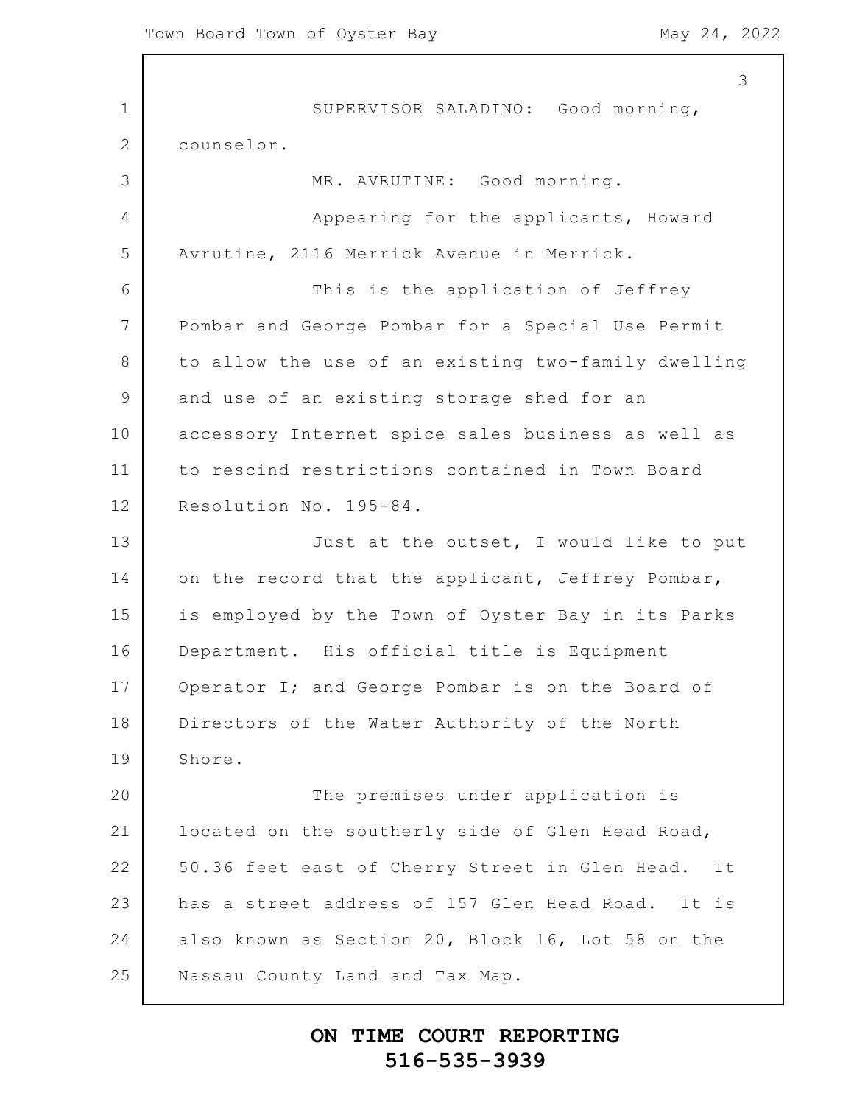1 2 3 4 5 6 7 8 9 10 11 12 13 14 15 16 17 18 19 20 21 22 23 24 25 3 SUPERVISOR SALADINO: Good morning, counselor. MR. AVRUTINE: Good morning. Appearing for the applicants, Howard Avrutine, 2116 Merrick Avenue in Merrick. This is the application of Jeffrey Pombar and George Pombar for a Special Use Permit to allow the use of an existing two-family dwelling and use of an existing storage shed for an accessory Internet spice sales business as well as to rescind restrictions contained in Town Board Resolution No. 195-84. Just at the outset, I would like to put on the record that the applicant, Jeffrey Pombar, is employed by the Town of Oyster Bay in its Parks Department. His official title is Equipment Operator I; and George Pombar is on the Board of Directors of the Water Authority of the North Shore. The premises under application is located on the southerly side of Glen Head Road, 50.36 feet east of Cherry Street in Glen Head. It has a street address of 157 Glen Head Road. It is also known as Section 20, Block 16, Lot 58 on the Nassau County Land and Tax Map.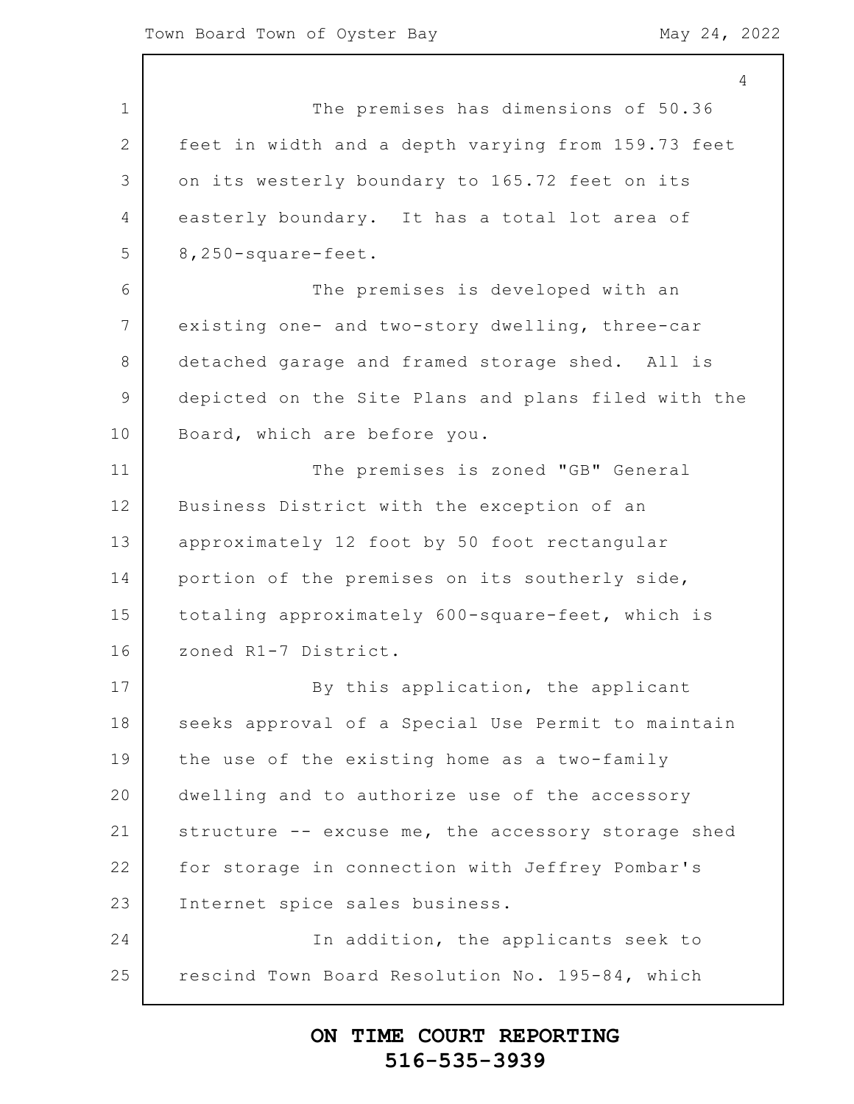1 2 3 4 5 6 7 8 9 10 11 12 13 14 15 16 17 18 19 20 21 22 23 24 25 4 The premises has dimensions of 50.36 feet in width and a depth varying from 159.73 feet on its westerly boundary to 165.72 feet on its easterly boundary. It has a total lot area of 8,250-square-feet. The premises is developed with an existing one- and two-story dwelling, three-car detached garage and framed storage shed. All is depicted on the Site Plans and plans filed with the Board, which are before you. The premises is zoned "GB" General Business District with the exception of an approximately 12 foot by 50 foot rectangular portion of the premises on its southerly side, totaling approximately 600-square-feet, which is zoned R1-7 District. By this application, the applicant seeks approval of a Special Use Permit to maintain the use of the existing home as a two-family dwelling and to authorize use of the accessory structure -- excuse me, the accessory storage shed for storage in connection with Jeffrey Pombar's Internet spice sales business. In addition, the applicants seek to rescind Town Board Resolution No. 195-84, which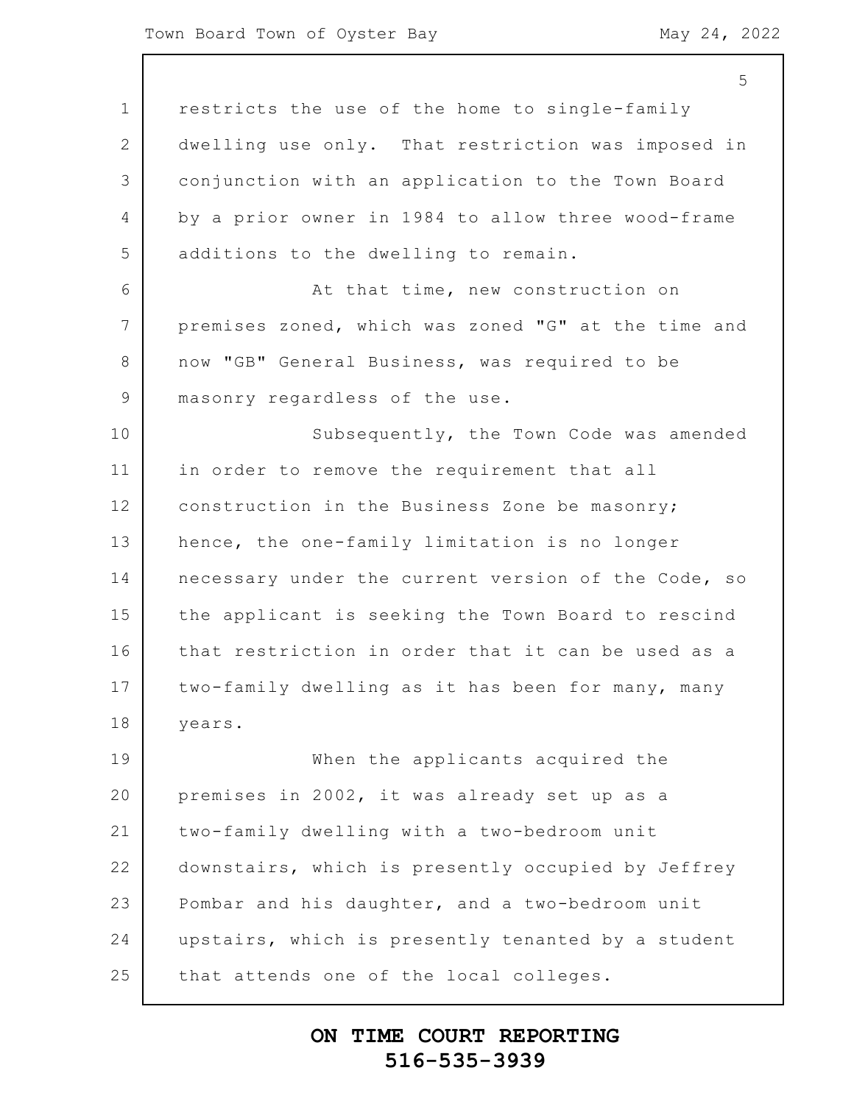|                | 5                                                   |
|----------------|-----------------------------------------------------|
| $\mathbf 1$    | restricts the use of the home to single-family      |
| $\overline{2}$ | dwelling use only. That restriction was imposed in  |
| 3              | conjunction with an application to the Town Board   |
| 4              | by a prior owner in 1984 to allow three wood-frame  |
| 5              | additions to the dwelling to remain.                |
| 6              | At that time, new construction on                   |
| 7              | premises zoned, which was zoned "G" at the time and |
| 8              | now "GB" General Business, was required to be       |
| $\overline{9}$ | masonry regardless of the use.                      |
| 10             | Subsequently, the Town Code was amended             |
| 11             | in order to remove the requirement that all         |
| 12             | construction in the Business Zone be masonry;       |
| 13             | hence, the one-family limitation is no longer       |
| 14             | necessary under the current version of the Code, so |
| 15             | the applicant is seeking the Town Board to rescind  |
| 16             | that restriction in order that it can be used as a  |
| 17             | two-family dwelling as it has been for many, many   |
| 18             | years.                                              |
| 19             | When the applicants acquired the                    |
| 20             | premises in 2002, it was already set up as a        |
| 21             | two-family dwelling with a two-bedroom unit         |
| 22             | downstairs, which is presently occupied by Jeffrey  |
| 23             | Pombar and his daughter, and a two-bedroom unit     |
| 24             | upstairs, which is presently tenanted by a student  |
| 25             | that attends one of the local colleges.             |
|                |                                                     |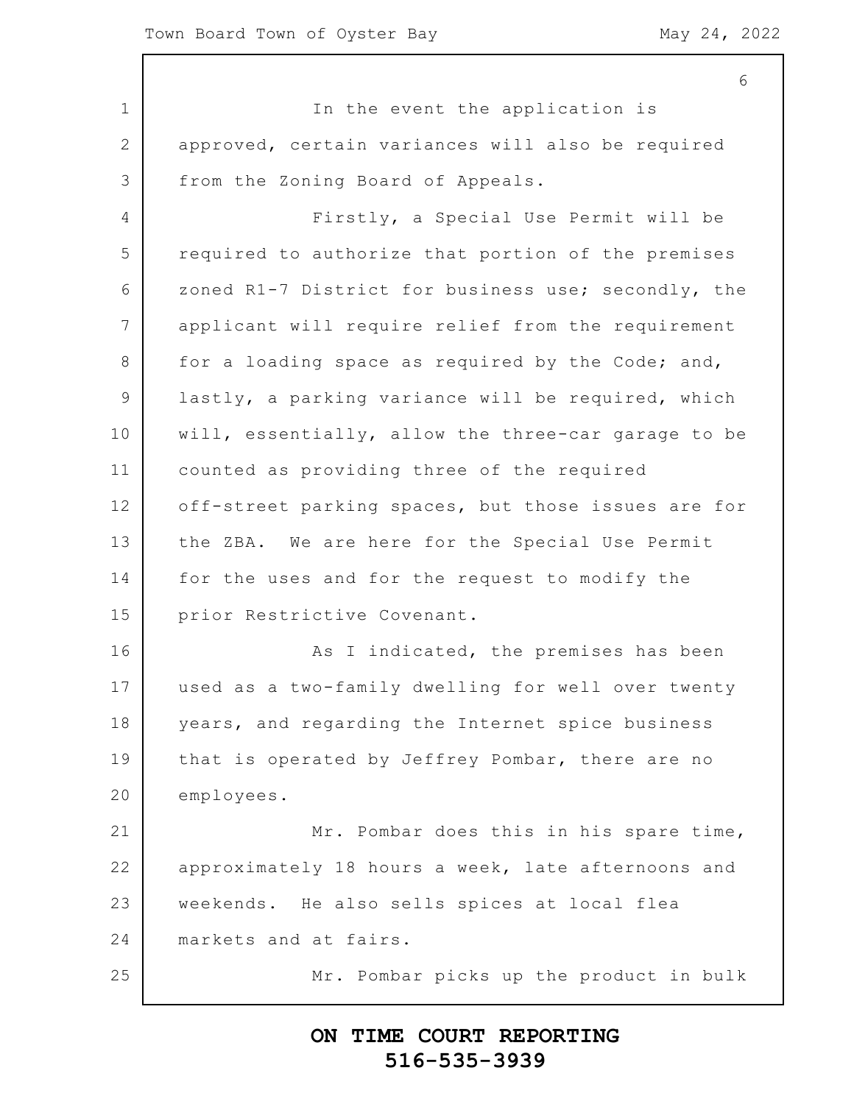1 2 3 4 5 6 7 8 9 10 11 12 13 14 15 16 17 18 19 20 21 22 23 24 25 6 In the event the application is approved, certain variances will also be required from the Zoning Board of Appeals. Firstly, a Special Use Permit will be required to authorize that portion of the premises zoned R1-7 District for business use; secondly, the applicant will require relief from the requirement for a loading space as required by the Code; and, lastly, a parking variance will be required, which will, essentially, allow the three-car garage to be counted as providing three of the required off-street parking spaces, but those issues are for the ZBA. We are here for the Special Use Permit for the uses and for the request to modify the prior Restrictive Covenant. As I indicated, the premises has been used as a two-family dwelling for well over twenty years, and regarding the Internet spice business that is operated by Jeffrey Pombar, there are no employees. Mr. Pombar does this in his spare time, approximately 18 hours a week, late afternoons and weekends. He also sells spices at local flea markets and at fairs. Mr. Pombar picks up the product in bulk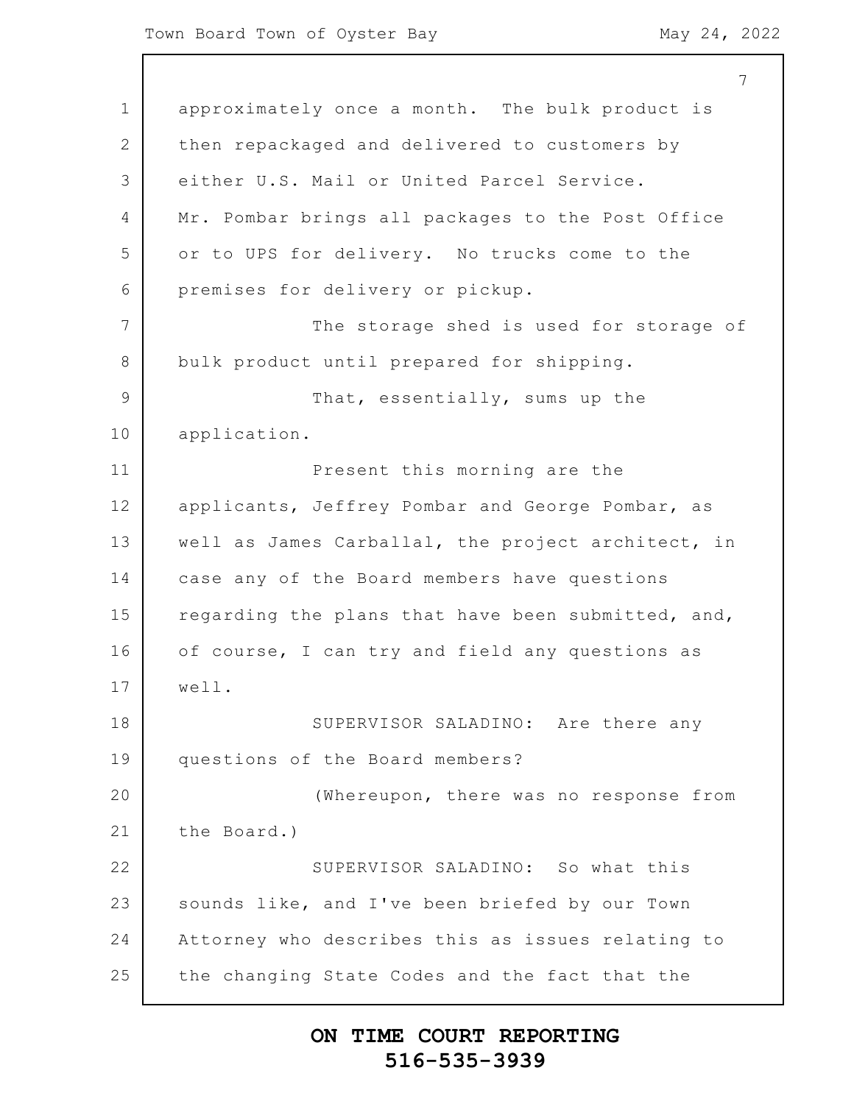1 2 3 4 5 6 7 8 9 10 11 12 13 14 15 16 17 18 19 20 21 22 23 24 25 7 approximately once a month. The bulk product is then repackaged and delivered to customers by either U.S. Mail or United Parcel Service. Mr. Pombar brings all packages to the Post Office or to UPS for delivery. No trucks come to the premises for delivery or pickup. The storage shed is used for storage of bulk product until prepared for shipping. That, essentially, sums up the application. Present this morning are the applicants, Jeffrey Pombar and George Pombar, as well as James Carballal, the project architect, in case any of the Board members have questions regarding the plans that have been submitted, and, of course, I can try and field any questions as well. SUPERVISOR SALADINO: Are there any questions of the Board members? (Whereupon, there was no response from the Board.) SUPERVISOR SALADINO: So what this sounds like, and I've been briefed by our Town Attorney who describes this as issues relating to the changing State Codes and the fact that the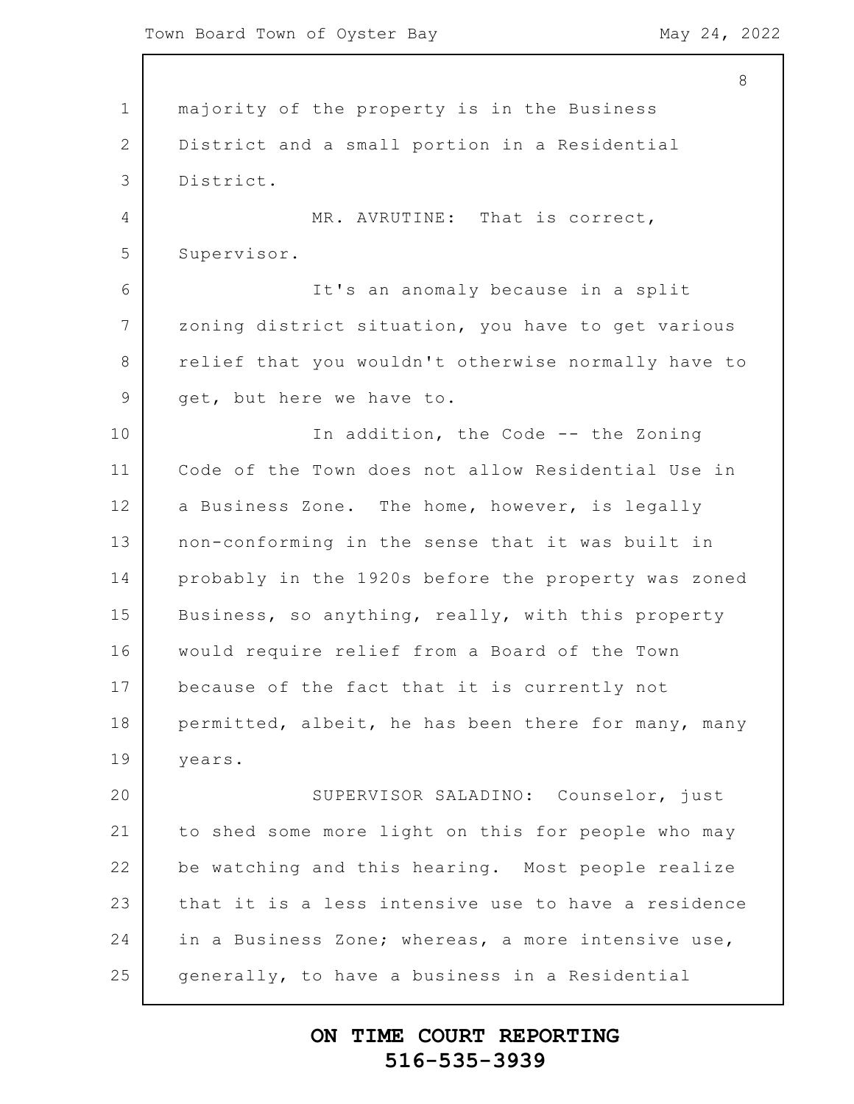$\mathsf{l}$ 

|                | 8                                                   |
|----------------|-----------------------------------------------------|
| 1              | majority of the property is in the Business         |
| $\mathbf{2}$   | District and a small portion in a Residential       |
| 3              | District.                                           |
| $\overline{4}$ | MR. AVRUTINE: That is correct,                      |
| 5              | Supervisor.                                         |
| 6              | It's an anomaly because in a split                  |
| $7\phantom{.}$ | zoning district situation, you have to get various  |
| 8              | relief that you wouldn't otherwise normally have to |
| $\mathsf 9$    | get, but here we have to.                           |
| 10             | In addition, the Code -- the Zoning                 |
| 11             | Code of the Town does not allow Residential Use in  |
| 12             | a Business Zone. The home, however, is legally      |
| 13             | non-conforming in the sense that it was built in    |
| 14             | probably in the 1920s before the property was zoned |
| 15             | Business, so anything, really, with this property   |
| 16             | would require relief from a Board of the Town       |
| 17             | because of the fact that it is currently not        |
| 18             | permitted, albeit, he has been there for many, many |
| 19             | years.                                              |
| 20             | SUPERVISOR SALADINO: Counselor, just                |
| 21             | to shed some more light on this for people who may  |
| 22             | be watching and this hearing. Most people realize   |
| 23             | that it is a less intensive use to have a residence |
| 24             | in a Business Zone; whereas, a more intensive use,  |
| 25             | generally, to have a business in a Residential      |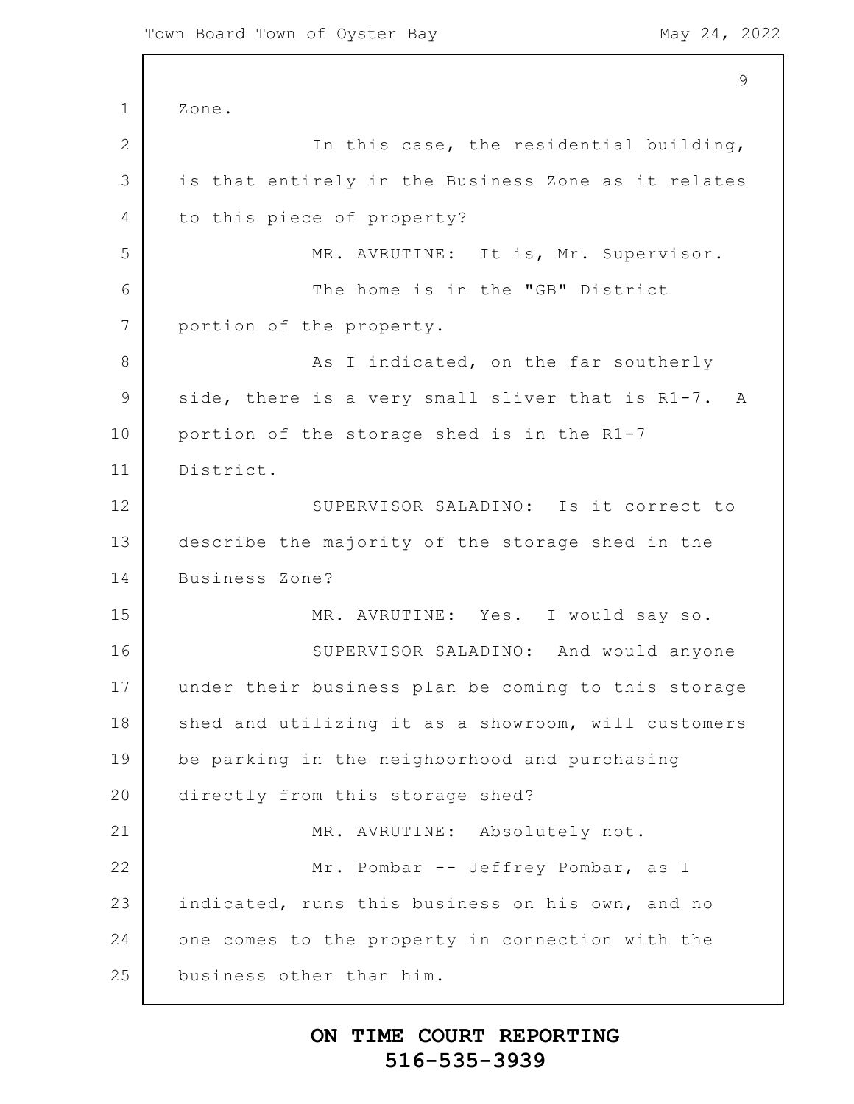1 2 3 4 5 6 7 8 9 10 11 12 13 14 15 16 17 18 19 20 21 22 23 24 25 9 Zone. In this case, the residential building, is that entirely in the Business Zone as it relates to this piece of property? MR. AVRUTINE: It is, Mr. Supervisor. The home is in the "GB" District portion of the property. As I indicated, on the far southerly side, there is a very small sliver that is R1-7. A portion of the storage shed is in the R1-7 District. SUPERVISOR SALADINO: Is it correct to describe the majority of the storage shed in the Business Zone? MR. AVRUTINE: Yes. I would say so. SUPERVISOR SALADINO: And would anyone under their business plan be coming to this storage shed and utilizing it as a showroom, will customers be parking in the neighborhood and purchasing directly from this storage shed? MR. AVRUTINE: Absolutely not. Mr. Pombar -- Jeffrey Pombar, as I indicated, runs this business on his own, and no one comes to the property in connection with the business other than him.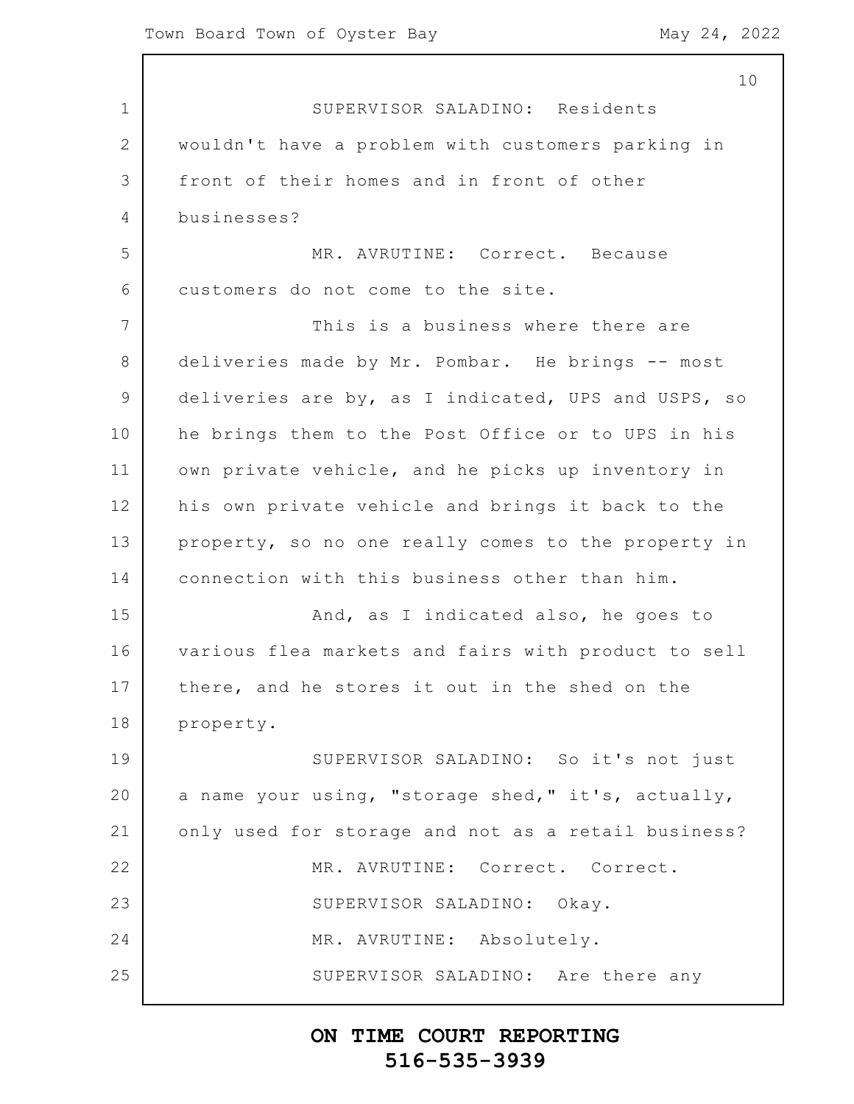1 2 3 4 5 6 7 8 9 10 11 12 13 14 15 16 17 18 19 20 21 22 23 24 25 10 SUPERVISOR SALADINO: Residents wouldn't have a problem with customers parking in front of their homes and in front of other businesses? MR. AVRUTINE: Correct. Because customers do not come to the site. This is a business where there are deliveries made by Mr. Pombar. He brings -- most deliveries are by, as I indicated, UPS and USPS, so he brings them to the Post Office or to UPS in his own private vehicle, and he picks up inventory in his own private vehicle and brings it back to the property, so no one really comes to the property in connection with this business other than him. And, as I indicated also, he goes to various flea markets and fairs with product to sell there, and he stores it out in the shed on the property. SUPERVISOR SALADINO: So it's not just a name your using, "storage shed," it's, actually, only used for storage and not as a retail business? MR. AVRUTINE: Correct. Correct. SUPERVISOR SALADINO: Okay. MR. AVRUTINE: Absolutely. SUPERVISOR SALADINO: Are there any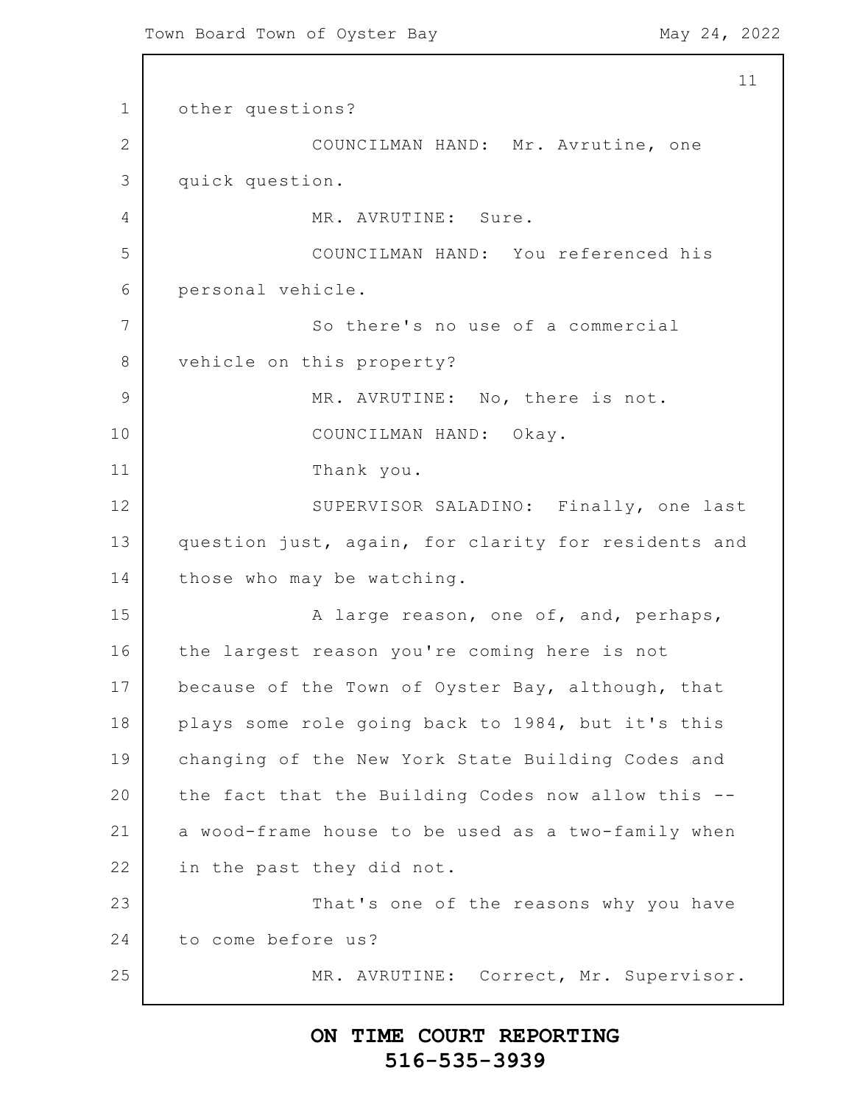1 2 3 4 5 6 7 8 9 10 11 12 13 14 15 16 17 18 19 20 21 22 23 24 25 11 other questions? COUNCILMAN HAND: Mr. Avrutine, one quick question. MR. AVRUTINE: Sure. COUNCILMAN HAND: You referenced his personal vehicle. So there's no use of a commercial vehicle on this property? MR. AVRUTINE: No, there is not. COUNCILMAN HAND: Okay. Thank you. SUPERVISOR SALADINO: Finally, one last question just, again, for clarity for residents and those who may be watching. A large reason, one of, and, perhaps, the largest reason you're coming here is not because of the Town of Oyster Bay, although, that plays some role going back to 1984, but it's this changing of the New York State Building Codes and the fact that the Building Codes now allow this - a wood-frame house to be used as a two-family when in the past they did not. That's one of the reasons why you have to come before us? MR. AVRUTINE: Correct, Mr. Supervisor.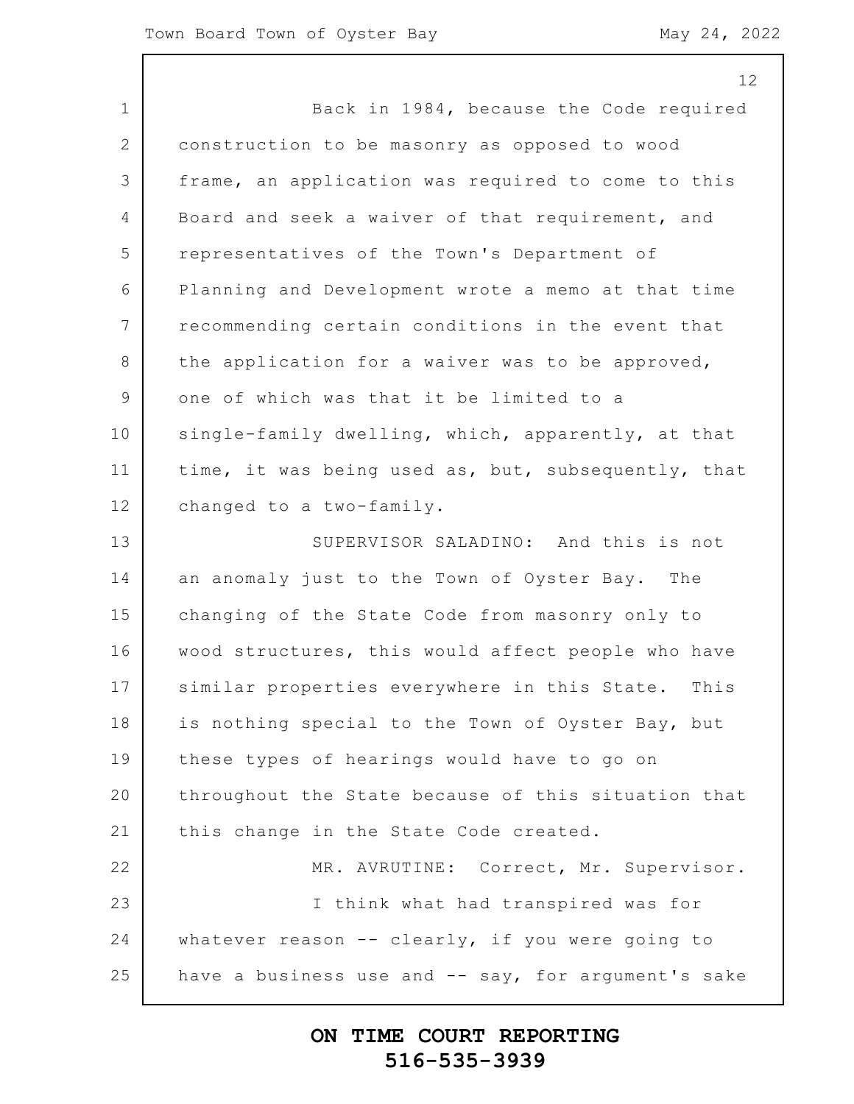1 2 3 4 5 6 7 8 9 10 11 12 13 14 15 16 17 18 19 20 21 22 23 24 25 12 Back in 1984, because the Code required construction to be masonry as opposed to wood frame, an application was required to come to this Board and seek a waiver of that requirement, and representatives of the Town's Department of Planning and Development wrote a memo at that time recommending certain conditions in the event that the application for a waiver was to be approved, one of which was that it be limited to a single-family dwelling, which, apparently, at that time, it was being used as, but, subsequently, that changed to a two-family. SUPERVISOR SALADINO: And this is not an anomaly just to the Town of Oyster Bay. The changing of the State Code from masonry only to wood structures, this would affect people who have similar properties everywhere in this State. This is nothing special to the Town of Oyster Bay, but these types of hearings would have to go on throughout the State because of this situation that this change in the State Code created. MR. AVRUTINE: Correct, Mr. Supervisor. I think what had transpired was for whatever reason -- clearly, if you were going to have a business use and  $-$  say, for argument's sake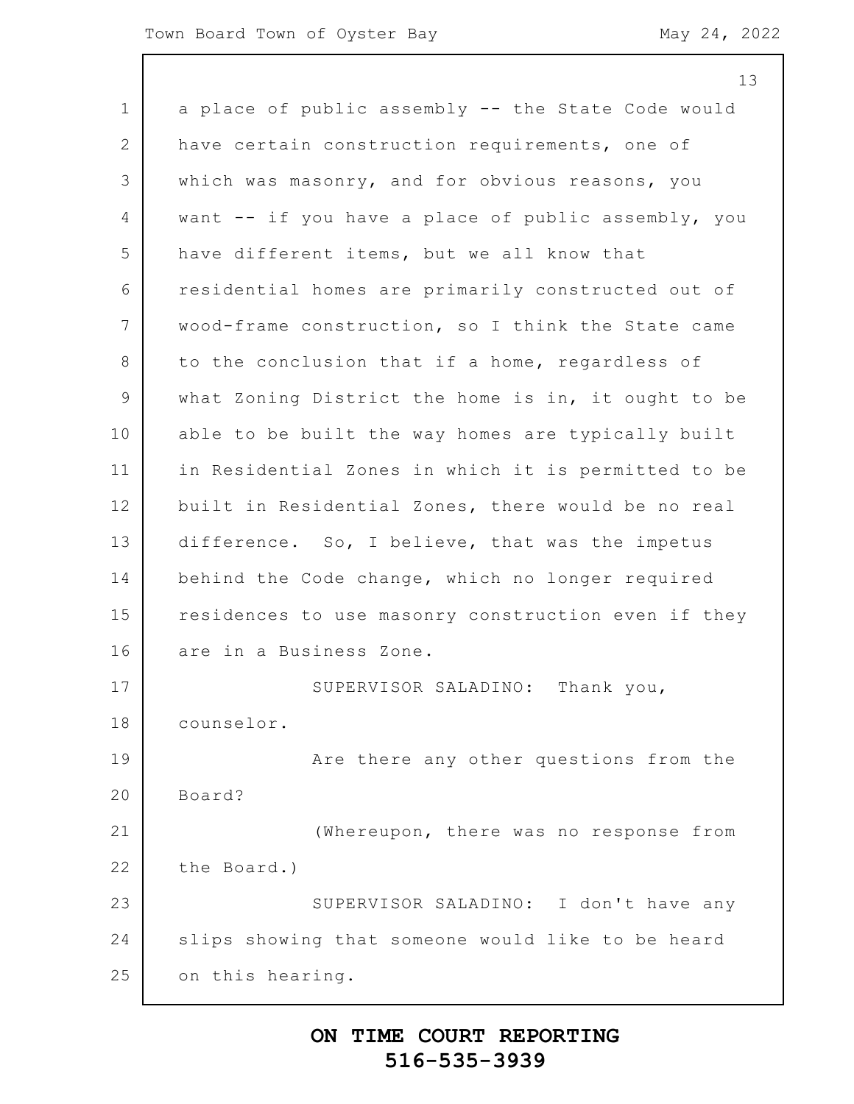13

1 2 3 4 5 6 7 8 9 10 11 12 13 14 15 16 17 18 19 20 21 22 23 24 25 a place of public assembly -- the State Code would have certain construction requirements, one of which was masonry, and for obvious reasons, you want -- if you have a place of public assembly, you have different items, but we all know that residential homes are primarily constructed out of wood-frame construction, so I think the State came to the conclusion that if a home, regardless of what Zoning District the home is in, it ought to be able to be built the way homes are typically built in Residential Zones in which it is permitted to be built in Residential Zones, there would be no real difference. So, I believe, that was the impetus behind the Code change, which no longer required residences to use masonry construction even if they are in a Business Zone. SUPERVISOR SALADINO: Thank you, counselor. Are there any other questions from the Board? (Whereupon, there was no response from the Board.) SUPERVISOR SALADINO: I don't have any slips showing that someone would like to be heard on this hearing.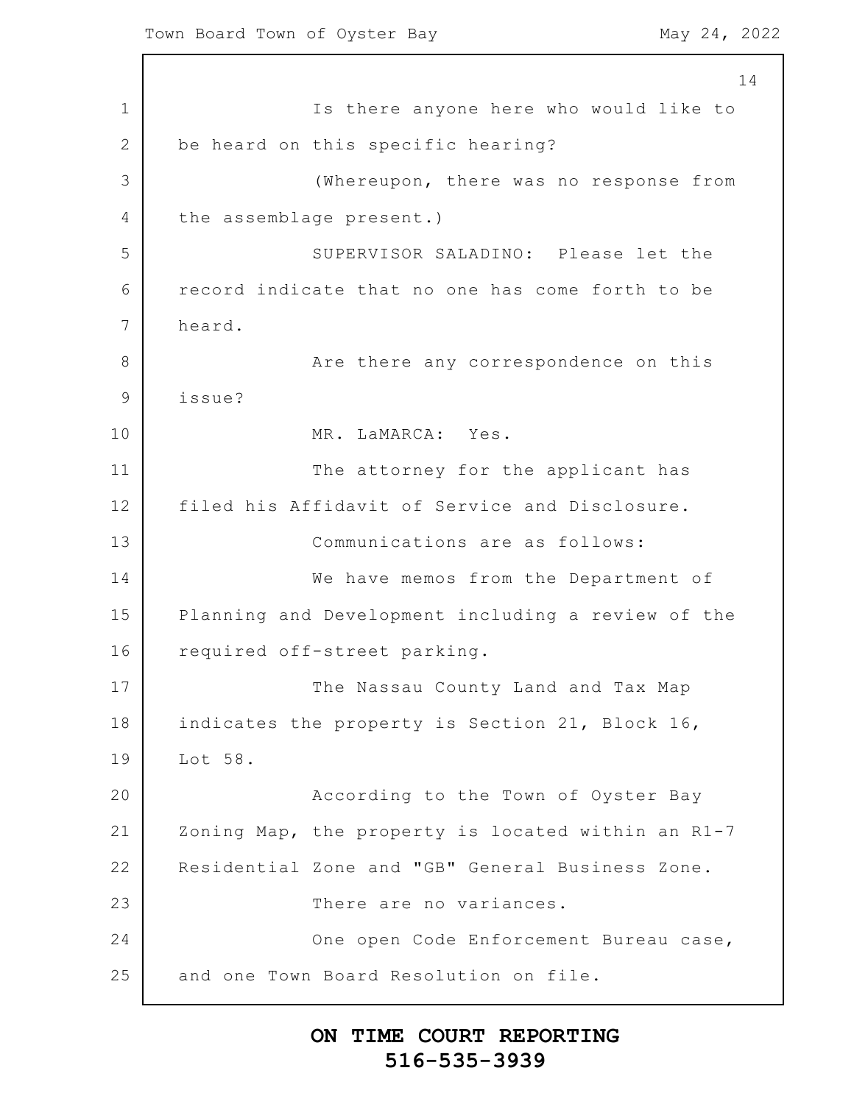1 2 3 4 5 6 7 8 9 10 11 12 13 14 15 16 17 18 19 20 21 22 23 24 25 14 Is there anyone here who would like to be heard on this specific hearing? (Whereupon, there was no response from the assemblage present.) SUPERVISOR SALADINO: Please let the record indicate that no one has come forth to be heard. Are there any correspondence on this issue? MR. LaMARCA: Yes. The attorney for the applicant has filed his Affidavit of Service and Disclosure. Communications are as follows: We have memos from the Department of Planning and Development including a review of the required off-street parking. The Nassau County Land and Tax Map indicates the property is Section 21, Block 16, Lot 58. According to the Town of Oyster Bay Zoning Map, the property is located within an R1-7 Residential Zone and "GB" General Business Zone. There are no variances. One open Code Enforcement Bureau case, and one Town Board Resolution on file.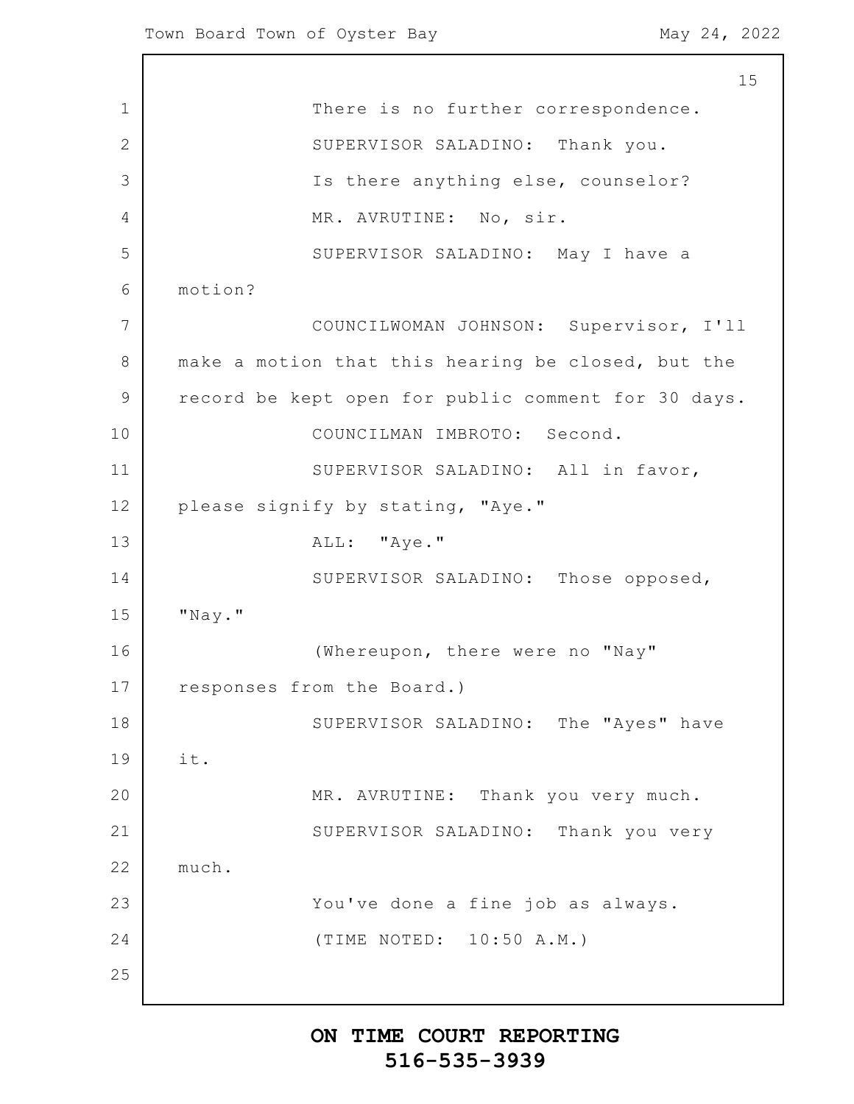1 2 3 4 5 6 7 8 9 10 11 12 13 14 15 16 17 18 19 20 21 22 23 24 25 15 There is no further correspondence. SUPERVISOR SALADINO: Thank you. Is there anything else, counselor? MR. AVRUTINE: No, sir. SUPERVISOR SALADINO: May I have a motion? COUNCILWOMAN JOHNSON: Supervisor, I'll make a motion that this hearing be closed, but the record be kept open for public comment for 30 days. COUNCILMAN IMBROTO: Second. SUPERVISOR SALADINO: All in favor, please signify by stating, "Aye." ALL: "Aye." SUPERVISOR SALADINO: Those opposed, "Nay." (Whereupon, there were no "Nay" responses from the Board.) SUPERVISOR SALADINO: The "Ayes" have it. MR. AVRUTINE: Thank you very much. SUPERVISOR SALADINO: Thank you very much. You've done a fine job as always. (TIME NOTED: 10:50 A.M.)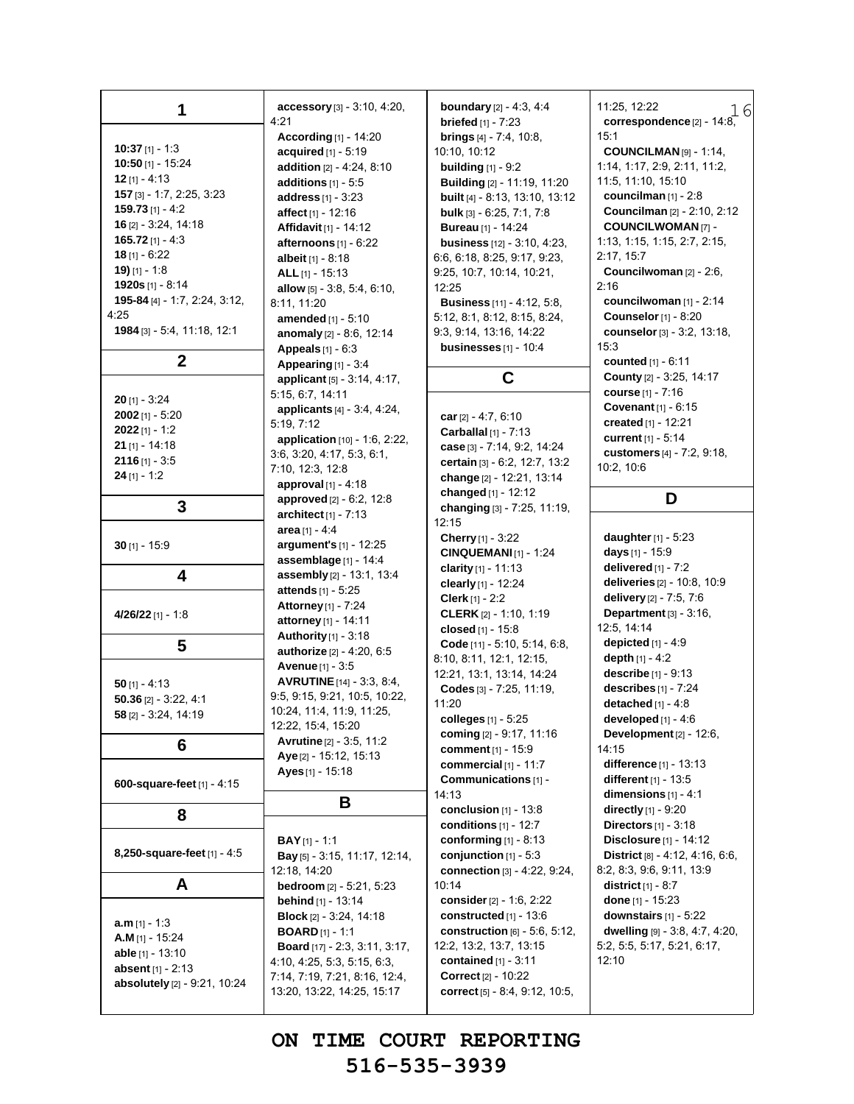| accessory [3] - 3:10, 4:20,<br>4:21<br>According [1] - 14:20<br>acquired [1] - 5:19<br>addition [2] - 4:24, 8:10<br>additions $[1] - 5.5$<br><b>address</b> $[1] - 3:23$<br><b>affect</b> [1] - 12:16<br>Affidavit [1] - 14:12<br>afternoons [1] - 6:22<br>albeit $[1] - 8:18$<br>ALL $[1]$ - 15:13<br>allow [5] - 3:8, 5:4, 6:10,<br>8:11, 11:20<br>amended $[1] - 5:10$<br>anomaly [2] - 8:6, 12:14<br><b>Appeals</b> $[1] - 6:3$                                                          | <b>boundary</b> $[2] - 4:3, 4:4$<br><b>briefed</b> $[1] - 7:23$<br><b>brings</b> $[4]$ - 7:4, 10:8,<br>10:10, 10:12<br>building $[1]$ - $9:2$<br>Building [2] - 11:19, 11:20<br><b>built</b> $[4] - 8.13, 13.10, 13.12$<br><b>bulk</b> $[3] - 6.25, 7.1, 7.8$<br><b>Bureau</b> [1] - 14:24<br><b>business</b> $[12] - 3.10, 4.23,$<br>6.6, 6.18, 8.25, 9.17, 9.23,<br>9:25, 10:7, 10:14, 10:21,<br>12:25<br><b>Business</b> [11] - 4:12, 5:8,<br>5.12, 8.1, 8.12, 8.15, 8.24,<br>9:3, 9:14, 13:16, 14:22<br>businesses $[1]$ - 10:4 | 11:25, 12:22<br>16<br>correspondence $[2] - 14:8$ ,<br>15:1<br>COUNCILMAN $[9] - 1.14$ ,<br>1:14, 1:17, 2:9, 2:11, 11:2,<br>11:5, 11:10, 15:10<br>councilman [1] - 2:8<br>Councilman [2] - 2:10, 2:12<br><b>COUNCILWOMAN [7] -</b><br>1:13, 1:15, 1:15, 2:7, 2:15,<br>2:17, 15:7<br>Councilwoman [2] - 2:6,<br>2:16<br>councilwoman [1] - 2:14<br><b>Counselor</b> [1] - 8:20<br>counselor [3] - 3:2, 13:18,<br>15:3                                        |
|----------------------------------------------------------------------------------------------------------------------------------------------------------------------------------------------------------------------------------------------------------------------------------------------------------------------------------------------------------------------------------------------------------------------------------------------------------------------------------------------|-------------------------------------------------------------------------------------------------------------------------------------------------------------------------------------------------------------------------------------------------------------------------------------------------------------------------------------------------------------------------------------------------------------------------------------------------------------------------------------------------------------------------------------|-------------------------------------------------------------------------------------------------------------------------------------------------------------------------------------------------------------------------------------------------------------------------------------------------------------------------------------------------------------------------------------------------------------------------------------------------------------|
|                                                                                                                                                                                                                                                                                                                                                                                                                                                                                              |                                                                                                                                                                                                                                                                                                                                                                                                                                                                                                                                     | <b>counted</b> $[1] - 6:11$<br>County [2] - 3:25, 14:17                                                                                                                                                                                                                                                                                                                                                                                                     |
| 5:15, 6:7, 14:11<br>applicants [4] - 3:4, 4:24,<br>5:19, 7:12<br>application [10] - 1:6, 2:22,<br>3.6, 3:20, 4:17, 5:3, 6:1,<br>7:10, 12:3, 12:8                                                                                                                                                                                                                                                                                                                                             | car $[2] - 4.7, 6.10$<br><b>Carballal</b> $[1] - 7:13$<br>case [3] - 7:14, 9:2, 14:24<br>certain [3] - 6.2, 12:7, 13:2<br>change [2] - 12:21, 13:14                                                                                                                                                                                                                                                                                                                                                                                 | <b>course</b> $[1] - 7:16$<br><b>Covenant</b> $[1] - 6:15$<br>created $[1] - 12:21$<br>current $[1] - 5:14$<br>customers [4] - 7:2, 9:18,<br>10:2, 10:6                                                                                                                                                                                                                                                                                                     |
| approved [2] - 6:2, 12:8                                                                                                                                                                                                                                                                                                                                                                                                                                                                     | changed [1] - 12:12                                                                                                                                                                                                                                                                                                                                                                                                                                                                                                                 | D                                                                                                                                                                                                                                                                                                                                                                                                                                                           |
| architect $[1]$ - 7:13<br>area $[1] - 4.4$<br>argument's [1] - 12:25<br>assemblage [1] - 14:4<br>assembly [2] - 13:1, 13:4<br>attends [1] - 5:25<br><b>Attorney</b> [1] - 7:24<br>attorney [1] - 14:11<br>Authority [1] - 3:18<br>authorize [2] - 4:20, 6:5<br><b>Avenue</b> $[1] - 3:5$<br><b>AVRUTINE</b> [14] - 3:3, 8:4,<br>9.5, 9.15, 9.21, 10.5, 10.22,<br>10.24, 11.4, 11.9, 11.25,<br>12:22, 15:4, 15:20<br>Avrutine [2] - 3:5, 11:2<br>Aye [2] - 15:12, 15:13<br>Ayes $[1] - 15:18$ | 12:15<br><b>Cherry</b> $[1] - 3:22$<br><b>CINQUEMANI [1] - 1:24</b><br>clarity $[1] - 11:13$<br>clearly [1] - 12:24<br><b>Clerk</b> $[1] - 2:2$<br><b>CLERK</b> $[2] - 1:10, 1:19$<br>closed [1] - 15:8<br>Code [11] - 5:10, 5:14, 6:8,<br>8:10, 8:11, 12:1, 12:15,<br>12:21, 13:1, 13:14, 14:24<br><b>Codes</b> $[3] - 7:25, 11:19,$<br>11:20<br>colleges [1] - 5:25<br>coming $[2] - 9.17, 11.16$<br><b>comment</b> [1] - 15:9<br>commercial $[1]$ - 11:7<br>Communications [1] -<br>14:13                                        | daughter $[1] - 5:23$<br>days $[1]$ - 15:9<br>delivered [1] - 7:2<br>deliveries [2] - 10:8, 10:9<br>delivery [2] - 7:5, 7:6<br>Department $[3] - 3.16$ ,<br>12:5, 14:14<br>depicted $[1] - 4.9$<br>depth $[1] - 4:2$<br><b>describe</b> $[1] - 9:13$<br>describes $[1]$ - $7:24$<br>detached $[1] - 4.8$<br>developed [1] - 4:6<br>Development $[2] - 12:6$ ,<br>14:15<br><b>difference</b> $[1]$ - 13:13<br>different [1] - 13:5<br>dimensions $[1] - 4:1$ |
|                                                                                                                                                                                                                                                                                                                                                                                                                                                                                              | conclusion $[1]$ - 13:8                                                                                                                                                                                                                                                                                                                                                                                                                                                                                                             | directly $[1] - 9:20$                                                                                                                                                                                                                                                                                                                                                                                                                                       |
| <b>BAY</b> [1] - 1:1<br><b>Bay</b> [5] - 3.15, 11:17, 12:14,<br>12:18, 14:20<br>bedroom [2] - 5:21, 5:23<br><b>behind</b> [1] - 13:14<br><b>Block</b> [2] - 3:24, 14:18<br><b>BOARD</b> $[1] - 1:1$<br>Board [17] - 2:3, 3:11, 3:17,<br>4:10, 4:25, 5:3, 5:15, 6:3,<br>7:14, 7:19, 7:21, 8:16, 12:4,                                                                                                                                                                                         | conforming [1] - 8:13<br>conjunction $[1]$ - 5:3<br>connection [3] - 4:22, 9:24,<br>10:14<br>consider [2] - 1:6, 2:22<br>constructed $[1]$ - 13:6<br>construction [6] - 5:6, 5:12,<br>12:2, 13:2, 13:7, 13:15<br>contained $[1] - 3:11$<br><b>Correct</b> [2] - 10:22                                                                                                                                                                                                                                                               | Directors $[1]$ - 3:18<br>Disclosure [1] - 14:12<br><b>District</b> $[8] - 4.12, 4.16, 6.6,$<br>8:2, 8:3, 9:6, 9:11, 13:9<br><b>district</b> $[1] - 8:7$<br><b>done</b> $[1]$ - 15:23<br>downstairs $[1]$ - 5:22<br>dwelling [9] - 3.8, 4:7, 4:20,<br>5:2, 5:5, 5:17, 5:21, 6:17,<br>12:10                                                                                                                                                                  |
|                                                                                                                                                                                                                                                                                                                                                                                                                                                                                              | Appearing $[1] - 3.4$<br>applicant [5] - 3:14, 4:17,<br>approval [1] - 4:18<br>B<br>13.20, 13.22, 14.25, 15:17                                                                                                                                                                                                                                                                                                                                                                                                                      | C<br>changing [3] - 7:25, 11:19,<br>conditions $[1]$ - 12:7<br>correct $[5] - 8.4, 9.12, 10.5,$                                                                                                                                                                                                                                                                                                                                                             |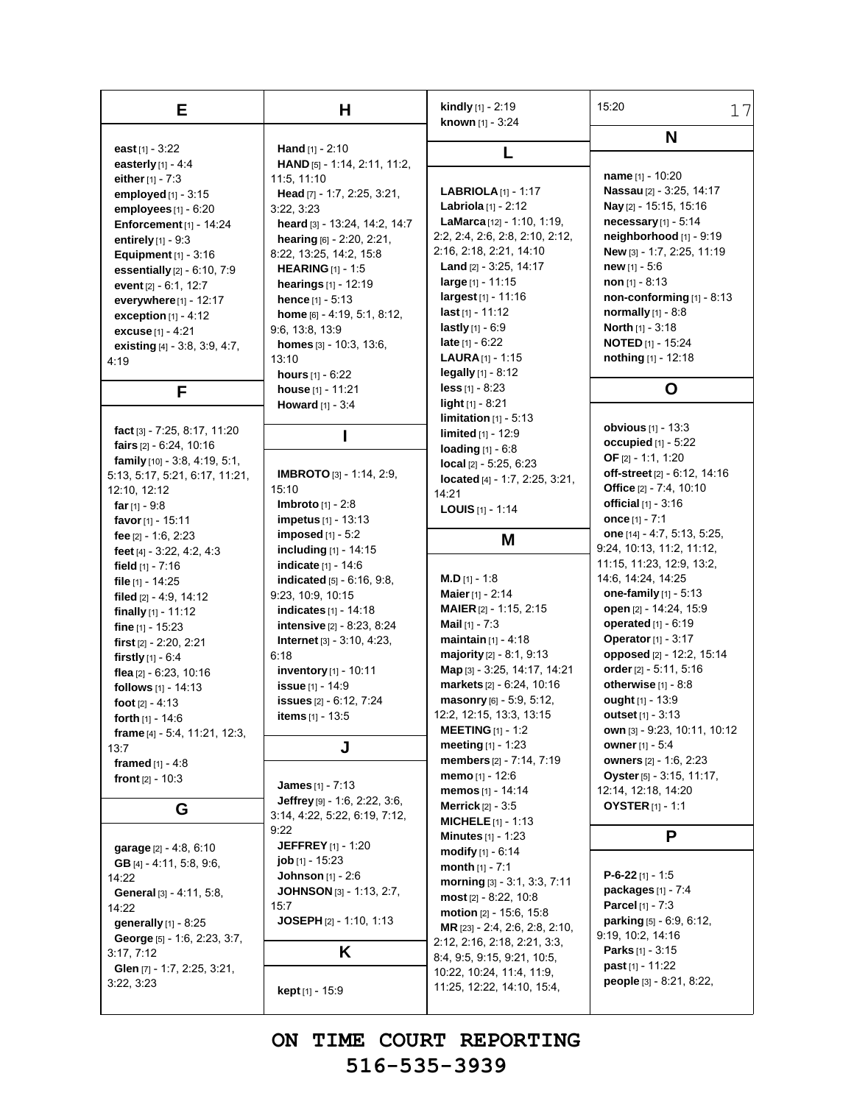| Е                                 | н                                   | kindly [1] - 2:19                   | 15:20<br>17                     |
|-----------------------------------|-------------------------------------|-------------------------------------|---------------------------------|
|                                   |                                     | <b>known</b> [1] - 3:24             |                                 |
| east $[1] - 3:22$                 | <b>Hand</b> $[1]$ - 2:10            |                                     | N                               |
| easterly $[1] - 4.4$              | HAND [5] - 1:14, 2:11, 11:2,        |                                     |                                 |
| either $[1] - 7:3$                | 11:5, 11:10                         |                                     | <b>name</b> [1] - 10:20         |
| employed [1] - 3:15               | Head [7] - 1:7, 2:25, 3:21,         | <b>LABRIOLA</b> $[1]$ - 1:17        | <b>Nassau</b> [2] - 3:25, 14:17 |
| employees [1] - 6:20              | 3:22, 3:23                          | <b>Labriola</b> $[1] - 2:12$        | Nay [2] - 15:15, 15:16          |
| <b>Enforcement</b> [1] - 14:24    | heard [3] - 13:24, 14:2, 14:7       | <b>LaMarca</b> $[12] - 1:10, 1:19,$ | necessary $[1]$ - 5:14          |
| entirely $[1]$ - 9:3              | hearing $[6] - 2.20, 2.21$ ,        | 2.2, 2.4, 2.6, 2.8, 2.10, 2.12,     | <b>neighborhood</b> [1] - 9:19  |
| Equipment $[1] - 3.16$            | 8:22, 13:25, 14:2, 15:8             | 2:16, 2:18, 2:21, 14:10             | New [3] - 1:7, 2:25, 11:19      |
| essentially [2] - 6:10, 7:9       | <b>HEARING</b> $[1] - 1.5$          | Land [2] - 3:25, 14:17              | <b>new</b> [1] - 5:6            |
| event [2] - 6:1, 12:7             | <b>hearings</b> $[1] - 12:19$       | <b>large</b> $[1] - 11:15$          | non $[1] - 8:13$                |
| everywhere[1] - 12:17             | <b>hence</b> $[1] - 5:13$           | largest [1] - 11:16                 | non-conforming [1] - 8:13       |
| exception $[1] - 4:12$            | $home_{[6]} - 4:19, 5:1, 8:12,$     | <b>last</b> [1] - 11:12             | <b>normally</b> $[1]$ - 8:8     |
| excuse [1] - 4:21                 | 9.6, 13.8, 13.9                     | <b>lastly</b> $[1]$ - 6:9           | <b>North</b> $[1] - 3:18$       |
| existing [4] - 3:8, 3:9, 4:7,     | <b>homes</b> $[3] - 10.3, 13.6,$    | <b>late</b> $[1] - 6:22$            | <b>NOTED</b> [1] - 15:24        |
| 4:19                              | 13:10                               | <b>LAURA</b> $[1]$ - 1:15           | nothing $[1] - 12:18$           |
|                                   | <b>hours</b> $[1] - 6:22$           | <b>legally</b> $[1] - 8:12$         |                                 |
| F                                 | house [1] - 11:21                   | <b>less</b> $[1]$ - 8:23            | O                               |
|                                   | <b>Howard</b> [1] - 3:4             | light $[1] - 8:21$                  |                                 |
|                                   |                                     | limitation $[1] - 5:13$             |                                 |
| fact [3] - 7:25, 8:17, 11:20      |                                     | limited [1] - 12:9                  | <b>obvious</b> $[1] - 13.3$     |
| fairs $[2] - 6.24, 10.16$         |                                     | <b>loading</b> $[1] - 6.8$          | occupied $[1] - 5:22$           |
| family $[10] - 3.8, 4.19, 5.1,$   |                                     | local [2] - 5:25, 6:23              | <b>OF</b> [2] $- 1:1, 1:20$     |
| 5:13, 5:17, 5:21, 6:17, 11:21,    | <b>IMBROTO</b> [3] - 1:14, 2:9,     | located [4] - 1:7, 2:25, 3:21,      | off-street [2] - 6:12, 14:16    |
| 12:10, 12:12                      | 15:10                               | 14:21                               | Office [2] - 7:4, 10:10         |
| far $[1]$ - 9:8                   | <b>Imbroto</b> $[1]$ - 2:8          | <b>LOUIS</b> $[1]$ - 1:14           | official $[1] - 3:16$           |
| favor $[1]$ - 15:11               | <b>impetus</b> $[1] - 13:13$        |                                     | once $[1] - 7:1$                |
| fee $[2] - 1.6, 2.23$             | <b>imposed</b> $[1] - 5:2$          | M                                   | one [14] - 4:7, 5:13, 5:25,     |
| feet [4] - 3:22, 4:2, 4:3         | <b>including</b> $[1] - 14:15$      |                                     | 9.24, 10.13, 11.2, 11.12,       |
| field $[1] - 7:16$                | indicate [1] - 14:6                 |                                     | 11:15, 11:23, 12:9, 13:2,       |
| file $[1]$ - 14:25                | indicated [5] - 6:16, 9:8,          | <b>M.D</b> [1] - 1:8                | 14:6, 14:24, 14:25              |
| filed $[2] - 4.9, 14.12$          | 9:23, 10:9, 10:15                   | Maier [1] - 2:14                    | <b>one-family</b> $[1] - 5:13$  |
| finally $[1]$ - 11:12             | <b>indicates</b> $[1] - 14:18$      | MAIER [2] - 1:15, 2:15              | open [2] - 14:24, 15:9          |
| fine $[1]$ - 15:23                | <b>intensive [2] - 8:23, 8:24</b>   | <b>Mail</b> $[1] - 7:3$             | operated $[1] - 6:19$           |
| first $[2] - 2:20, 2:21$          | <b>Internet</b> $[3] - 3:10, 4:23,$ | <b>maintain</b> $[1] - 4.18$        | <b>Operator</b> [1] - 3:17      |
| firstly $[1] - 6.4$               | 6:18                                | <b>majority</b> $[2] - 8:1, 9:13$   | opposed [2] - 12:2, 15:14       |
| flea [2] - 6.23, 10:16            | inventory [1] - 10:11               | Map [3] - 3:25, 14:17, 14:21        | order $[2] - 5:11, 5:16$        |
| <b>follows</b> $[1] - 14:13$      | <b>issue</b> $[1] - 14.9$           | markets [2] - 6:24, 10:16           | otherwise $[1] - 8.8$           |
| foot $[2] - 4:13$                 | <b>issues</b> $[2] - 6.12, 7.24$    | masonry $[6] - 5:9, 5:12,$          | ought [1] - 13:9                |
| <b>forth</b> $[1] - 14.6$         | items [1] - 13:5                    | 12:2, 12:15, 13:3, 13:15            | <b>outset</b> $[1] - 3.13$      |
| frame [4] - 5:4, 11:21, 12:3,     |                                     | <b>MEETING</b> [1] - 1:2            | own [3] - 9:23, 10:11, 10:12    |
| 13:7                              | J                                   | <b>meeting</b> $[1] - 1.23$         | owner [1] - 5:4                 |
| framed $[1] - 4:8$                |                                     | members [2] - 7:14, 7:19            | <b>owners</b> [2] - 1:6, 2:23   |
| front $[2] - 10:3$                | <b>James</b> $[1] - 7:13$           | <b>memo</b> $[1] - 12:6$            | Oyster [5] - 3:15, 11:17,       |
|                                   | Jeffrey [9] - 1:6, 2:22, 3:6,       | memos [1] - 14:14                   | 12:14, 12:18, 14:20             |
| G                                 | 3:14, 4:22, 5:22, 6:19, 7:12,       | Merrick $[2] - 3.5$                 | <b>OYSTER</b> [1] - 1:1         |
|                                   | 9:22                                | <b>MICHELE</b> $[1] - 1:13$         |                                 |
| garage $[2] - 4.8, 6.10$          | <b>JEFFREY</b> [1] - 1:20           | <b>Minutes</b> [1] - 1:23           | P                               |
| GB $[4] - 4.11, 5.8, 9.6,$        | <b>job</b> [1] - 15:23              | modify $[1] - 6.14$                 |                                 |
| 14:22                             | Johnson [1] - 2:6                   | month $[1] - 7:1$                   | $P-6-22$ [1] - 1:5              |
| <b>General</b> $[3] - 4:11, 5:8,$ | JOHNSON [3] - 1:13, 2:7,            | morning [3] - 3:1, 3:3, 7:11        | packages [1] - 7:4              |
| 14:22                             | 15:7                                | $most$ [2] - 8:22, 10:8             | Parcel [1] - 7:3                |
| generally $[1]$ - 8:25            | JOSEPH [2] - 1:10, 1:13             | motion [2] - 15:6, 15:8             | parking [5] - 6:9, 6:12,        |
| George [5] - 1:6, 2:23, 3:7,      |                                     | MR [23] - 2:4, 2:6, 2:8, 2:10,      | 9:19, 10:2, 14:16               |
| 3:17, 7:12                        | Κ                                   | 2.12, 2.16, 2.18, 2.21, 3.3,        | <b>Parks</b> [1] - $3:15$       |
| Glen [7] - 1:7, 2:25, 3:21,       |                                     | 8:4, 9:5, 9:15, 9:21, 10:5,         | <b>past</b> $[1] - 11:22$       |
| 3:22, 3:23                        |                                     | 10:22, 10:24, 11:4, 11:9,           | people [3] - 8:21, 8:22,        |
|                                   | <b>kept</b> $[1]$ - 15:9            | 11:25, 12:22, 14:10, 15:4,          |                                 |
|                                   |                                     |                                     |                                 |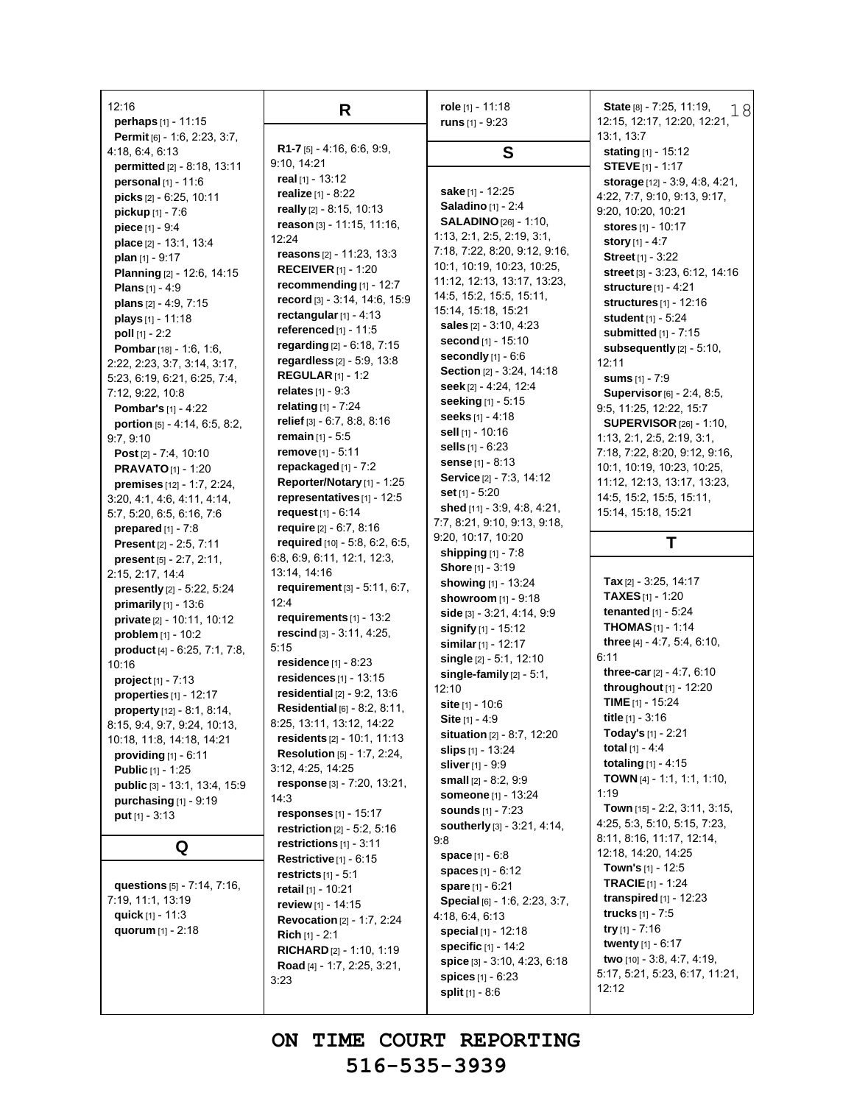| 12:16                          | R                                      | role [1] - 11:18                                           | State [8] - 7:25, 11:19,<br>18      |
|--------------------------------|----------------------------------------|------------------------------------------------------------|-------------------------------------|
| perhaps $[1] - 11:15$          |                                        | $runs [1] - 9:23$                                          | 12:15, 12:17, 12:20, 12:21,         |
| Permit [6] - 1:6, 2:23, 3:7,   |                                        |                                                            | 13:1, 13:7                          |
| 4:18, 6:4, 6:13                | <b>R1-7</b> [5] - 4:16, 6:6, 9:9,      | S                                                          | stating [1] - 15:12                 |
| permitted [2] - 8:18, 13:11    | 9:10, 14:21                            |                                                            | <b>STEVE</b> $[1]$ - 1:17           |
| <b>personal</b> $[1] - 11.6$   | real [1] - 13:12                       | sake [1] - 12:25                                           | storage [12] - 3.9, 4.8, 4.21,      |
| picks $[2] - 6.25, 10.11$      | <b>realize</b> $[1]$ - 8:22            |                                                            | 4.22, 7:7, 9:10, 9:13, 9:17,        |
| <b>pickup</b> $[1] - 7.6$      | really [2] - 8:15, 10:13               | <b>Saladino</b> [1] - 2:4                                  | 9:20, 10:20, 10:21                  |
| piece [1] - 9:4                | reason [3] - 11:15, 11:16,             | <b>SALADINO</b> [26] - 1:10,<br>1:13, 2:1, 2:5, 2:19, 3:1, | <b>stores</b> [1] - 10:17           |
| place [2] - 13:1, 13:4         | 12:24                                  | 7:18, 7:22, 8:20, 9:12, 9:16,                              | <b>story</b> $[1] - 4:7$            |
| <b>plan</b> [1] - 9:17         | <b>reasons</b> $[2] - 11:23, 13:3$     | 10:1, 10:19, 10:23, 10:25,                                 | <b>Street</b> [1] - $3:22$          |
| Planning [2] - 12:6, 14:15     | <b>RECEIVER</b> [1] - 1:20             |                                                            | street [3] - 3:23, 6:12, 14:16      |
| <b>Plans</b> $[1] - 4.9$       | recommending $[1]$ - 12:7              | 11:12, 12:13, 13:17, 13:23,<br>14:5, 15:2, 15:5, 15:11,    | structure [1] - 4:21                |
| <b>plans</b> $[2] - 4.9, 7.15$ | <b>record</b> [3] $-3.14$ , 14.6, 15.9 |                                                            | structures $[1] - 12:16$            |
| <b>plays</b> $[1]$ - 11:18     | rectangular $[1] - 4:13$               | 15:14, 15:18, 15:21                                        | <b>student</b> $[1] - 5:24$         |
| poll $[1] - 2:2$               | referenced $[1]$ - 11:5                | sales $[2] - 3.10, 4.23$                                   | submitted $[1]$ - 7:15              |
| <b>Pombar</b> [18] - 1:6, 1:6, | regarding [2] - 6:18, 7:15             | second [1] - 15:10                                         | subsequently $[2] - 5:10$ ,         |
| 2.22, 2.23, 3.7, 3.14, 3.17,   | regardless [2] - 5:9, 13:8             | secondly $[1] - 6.6$                                       | 12:11                               |
| 5:23, 6:19, 6:21, 6:25, 7:4,   | <b>REGULAR</b> [1] - 1:2               | Section [2] - 3:24, 14:18                                  | <b>sums</b> $[1] - 7:9$             |
| 7:12, 9:22, 10:8               | relates $[1] - 9.3$                    | seek [2] - 4:24, 12:4                                      | Supervisor [6] - 2:4, 8:5,          |
| <b>Pombar's [1] - 4:22</b>     | relating $[1] - 7:24$                  | seeking [1] - 5:15                                         | 9:5, 11:25, 12:22, 15:7             |
| portion [5] - 4:14, 6:5, 8:2,  | relief [3] - 6:7, 8:8, 8:16            | seeks $[1] - 4:18$                                         | <b>SUPERVISOR</b> [26] - 1:10,      |
| 9:7, 9:10                      | <b>remain</b> $[1] - 5.5$              | sell [1] - 10:16                                           | 1:13, 2:1, 2:5, 2:19, 3:1,          |
| <b>Post</b> $[2] - 7:4, 10:10$ | <b>remove</b> $[1] - 5:11$             | sells $[1]$ - $6:23$                                       | 7:18, 7:22, 8:20, 9:12, 9:16,       |
| <b>PRAVATO</b> [1] - 1:20      | repackaged $[1]$ - $7:2$               | sense $[1] - 8:13$                                         | 10:1, 10:19, 10:23, 10:25,          |
| premises [12] - 1:7, 2:24,     | Reporter/Notary [1] - 1:25             | Service [2] - 7:3, 14:12                                   | 11:12, 12:13, 13:17, 13:23,         |
| 3.20, 4.1, 4.6, 4.11, 4.14,    | representatives $[1]$ - 12:5           | set $[1] - 5:20$                                           | 14:5, 15:2, 15:5, 15:11,            |
| 5:7, 5:20, 6:5, 6:16, 7:6      | <b>request</b> $[1] - 6.14$            | shed [11] - 3:9, 4:8, 4:21,                                | 15:14, 15:18, 15:21                 |
| prepared $[1] - 7:8$           | require $[2] - 6:7, 8:16$              | 7:7, 8:21, 9:10, 9:13, 9:18,                               |                                     |
| Present [2] - 2:5, 7:11        | required [10] - 5:8, 6:2, 6:5,         | 9:20, 10:17, 10:20                                         | Т                                   |
| present [5] - 2:7, 2:11,       | 6:8, 6:9, 6:11, 12:1, 12:3,            | <b>shipping</b> $[1] - 7:8$                                |                                     |
| 2:15, 2:17, 14:4               | 13:14, 14:16                           | <b>Shore</b> $[1]$ - 3:19                                  |                                     |
| presently [2] - 5:22, 5:24     | <b>requirement</b> $[3] - 5.11, 6.7$ , | <b>showing</b> [1] - 13:24                                 | Tax $[2] - 3:25, 14:17$             |
| primarily $[1]$ - 13:6         | 12:4                                   | showroom [1] - 9:18                                        | <b>TAXES</b> $[1]$ - 1:20           |
| private [2] - 10:11, 10:12     | requirements $[1]$ - 13:2              | side $[3] - 3.21, 4.14, 9.9$                               | <b>tenanted</b> $[1] - 5:24$        |
| problem [1] - 10:2             | rescind $[3] - 3.11, 4.25,$            | signify $[1]$ - 15:12                                      | <b>THOMAS</b> $[1]$ - 1:14          |
| product [4] - 6:25, 7:1, 7:8,  | 5:15                                   | <b>similar</b> $[1] - 12:17$                               | three $[4] - 4.7, 5.4, 6.10,$       |
| 10:16                          | <b>residence</b> $[1] - 8:23$          | single [2] - 5:1, 12:10                                    | 6:11                                |
| $project[1] - 7:13$            | residences $[1]$ - 13:15               | single-family $[2] - 5:1$ ,                                | three-car $[2] - 4:7, 6:10$         |
| properties $[1]$ - 12:17       | residential [2] - 9:2, 13:6            | 12:10                                                      | <b>throughout</b> $[1]$ - 12:20     |
| property [12] - 8:1, 8:14,     | Residential [6] - 8:2, 8:11,           | site $[1] - 10.6$                                          | TIME $[1]$ - 15:24                  |
| 8.15, 9.4, 9.7, 9.24, 10.13,   | 8:25, 13:11, 13:12, 14:22              | Site [1] - 4:9                                             | title $[1]$ - 3:16                  |
| 10:18, 11:8, 14:18, 14:21      | residents [2] - 10:1, 11:13            | <b>situation</b> [2] - 8:7, 12:20                          | <b>Today's</b> $[1]$ - 2:21         |
| providing $[1]$ - 6:11         | <b>Resolution</b> [5] - 1:7, 2:24,     | slips [1] - 13:24                                          | total $[1] - 4.4$                   |
| <b>Public [1] - 1:25</b>       | 3:12, 4:25, 14:25                      | <b>sliver</b> $[1] - 9.9$                                  | totaling $[1] - 4:15$               |
| public [3] - 13:1, 13:4, 15:9  | response [3] - 7:20, 13:21,            | small $[2] - 8.2, 9.9$                                     | <b>TOWN</b> [4] - 1:1, 1:1, 1:10,   |
| purchasing $[1]$ - $9:19$      | 14:3                                   | <b>someone</b> [1] - 13:24                                 | 1:19                                |
| $put$ [1] - 3:13               | responses $[1] - 15:17$                | <b>sounds</b> $[1] - 7:23$                                 | <b>Town</b> [15] - 2:2, 3:11, 3:15, |
|                                | <b>restriction</b> $[2] - 5.2, 5.16$   | southerly [3] - 3:21, 4:14,                                | 4.25, 5.3, 5.10, 5.15, 7:23,        |
| Q                              | restrictions $[1] - 3:11$              | 9.8                                                        | 8:11, 8:16, 11:17, 12:14,           |
|                                | <b>Restrictive</b> [1] - 6:15          | <b>space</b> $[1] - 6:8$                                   | 12:18, 14:20, 14:25                 |
|                                | restricts $[1] - 5:1$                  | <b>spaces</b> $[1] - 6:12$                                 | <b>Town's</b> $[1]$ - 12:5          |
| questions [5] - 7:14, 7:16,    | retail [1] - 10:21                     | spare $[1] - 6.21$                                         | <b>TRACIE</b> $[1]$ - 1:24          |
| 7:19, 11:1, 13:19              | review [1] - 14:15                     | Special [6] - 1.6, 2:23, 3:7,                              | <b>transpired</b> $[1]$ - 12:23     |
| quick $[1] - 11:3$             | Revocation [2] - 1:7, 2:24             | 4:18, 6:4, 6:13                                            | <b>trucks</b> $[1] - 7:5$           |
| quorum $[1] - 2:18$            | <b>Rich</b> $[1] - 2:1$                | special [1] - 12:18                                        | try $[1] - 7:16$                    |
|                                | <b>RICHARD</b> $[2] - 1.10, 1.19$      | specific $[1] - 14:2$                                      | twenty $[1] - 6:17$                 |
|                                | Road [4] - 1:7, 2:25, 3:21,            | spice [3] - 3:10, 4:23, 6:18                               | two $[10] - 3.8, 4.7, 4.19,$        |
|                                | 3:23                                   | spices $[1] - 6:23$                                        | 5:17, 5:21, 5:23, 6:17, 11:21,      |
|                                |                                        | split [1] - 8:6                                            | 12:12                               |
|                                |                                        |                                                            |                                     |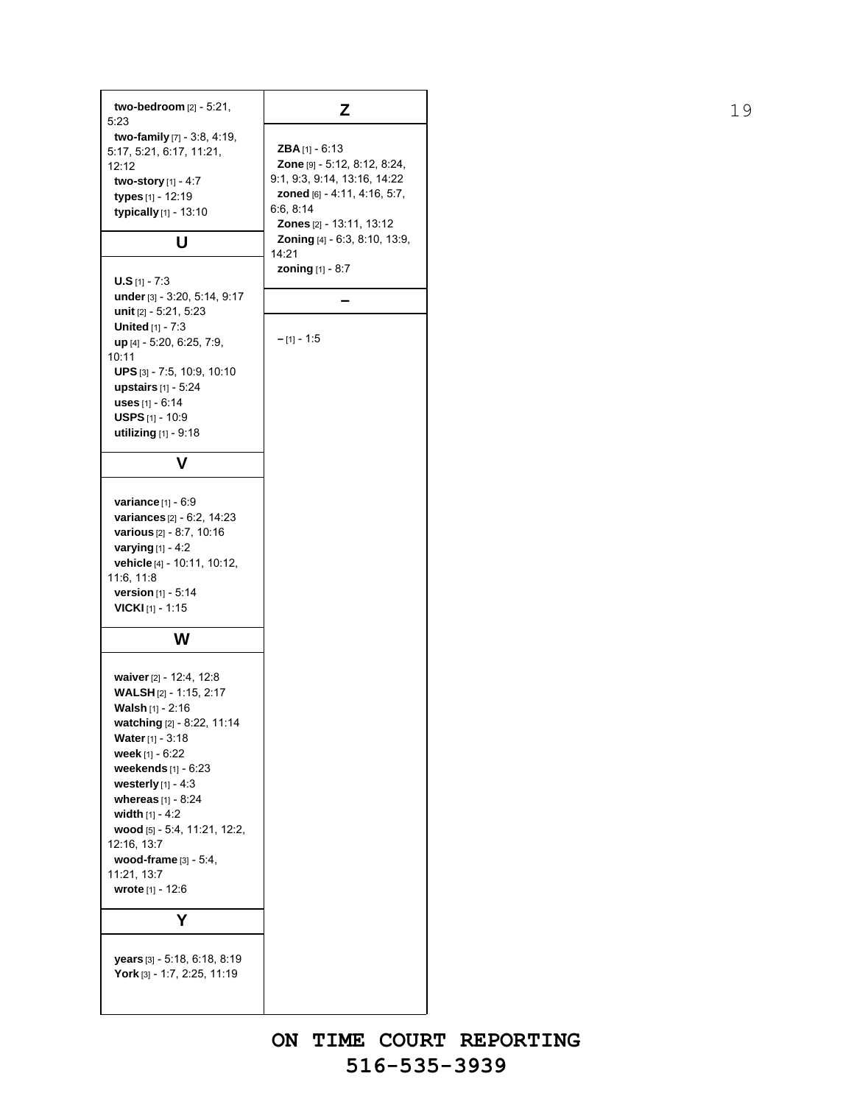| two-bedroom [2] - 5:21,                                                                                                                                                                                                                                                                                                                                     | Z                                                                                                                                                                | 19 |
|-------------------------------------------------------------------------------------------------------------------------------------------------------------------------------------------------------------------------------------------------------------------------------------------------------------------------------------------------------------|------------------------------------------------------------------------------------------------------------------------------------------------------------------|----|
| 5:23<br>two-family [7] - 3:8, 4:19,<br>5:17, 5:21, 6:17, 11:21,<br>12:12<br>two-story [1] - 4:7<br>types [1] - 12:19<br>typically [1] - 13:10                                                                                                                                                                                                               | <b>ZBA</b> $[1]$ - 6:13<br>Zone [9] - 5:12, 8:12, 8:24,<br>9:1, 9:3, 9:14, 13:16, 14:22<br>zoned [6] - 4:11, 4:16, 5:7,<br>6.6, 8.14<br>Zones [2] - 13:11, 13:12 |    |
| U                                                                                                                                                                                                                                                                                                                                                           | Zoning [4] - 6:3, 8:10, 13:9,<br>14:21                                                                                                                           |    |
| $U.S$ [1] - 7:3                                                                                                                                                                                                                                                                                                                                             | <b>zoning</b> [1] - 8:7                                                                                                                                          |    |
| under [3] - 3:20, 5:14, 9:17<br>unit [2] - 5:21, 5:23<br><b>United</b> [1] - 7:3                                                                                                                                                                                                                                                                            |                                                                                                                                                                  |    |
| up [4] - 5:20, 6:25, 7:9,<br>10:11<br>UPS [3] - 7:5, 10:9, 10:10                                                                                                                                                                                                                                                                                            | $-[1] - 1.5$                                                                                                                                                     |    |
| upstairs [1] - 5:24<br>uses $[1] - 6:14$                                                                                                                                                                                                                                                                                                                    |                                                                                                                                                                  |    |
| <b>USPS</b> $[1]$ - 10:9                                                                                                                                                                                                                                                                                                                                    |                                                                                                                                                                  |    |
| utilizing [1] - 9:18                                                                                                                                                                                                                                                                                                                                        |                                                                                                                                                                  |    |
| V                                                                                                                                                                                                                                                                                                                                                           |                                                                                                                                                                  |    |
| variance [1] - 6:9<br>variances [2] - 6:2, 14:23<br>various [2] - 8:7, 10:16<br>varying $[1]$ - 4:2<br>vehicle [4] - 10:11, 10:12,<br>11:6, 11:8<br><b>version</b> $[1] - 5:14$<br><b>VICKI</b> [1] - 1:15                                                                                                                                                  |                                                                                                                                                                  |    |
| W                                                                                                                                                                                                                                                                                                                                                           |                                                                                                                                                                  |    |
| waiver [2] - 12:4, 12:8<br>WALSH [2] - 1:15, 2:17<br><b>Walsh</b> [1] - 2:16<br>watching [2] - 8:22, 11:14<br>Water [1] - 3:18<br>week [1] - 6:22<br>weekends [1] - 6:23<br>westerly $[1] - 4:3$<br>whereas [1] - 8:24<br>width $[1] - 4:2$<br>wood [5] - 5:4, 11:21, 12:2,<br>12:16, 13:7<br>wood-frame [3] - 5:4,<br>11:21, 13:7<br>wrote [1] - 12:6<br>Y |                                                                                                                                                                  |    |
| years [3] - 5:18, 6:18, 8:19<br>York [3] - 1:7, 2:25, 11:19                                                                                                                                                                                                                                                                                                 |                                                                                                                                                                  |    |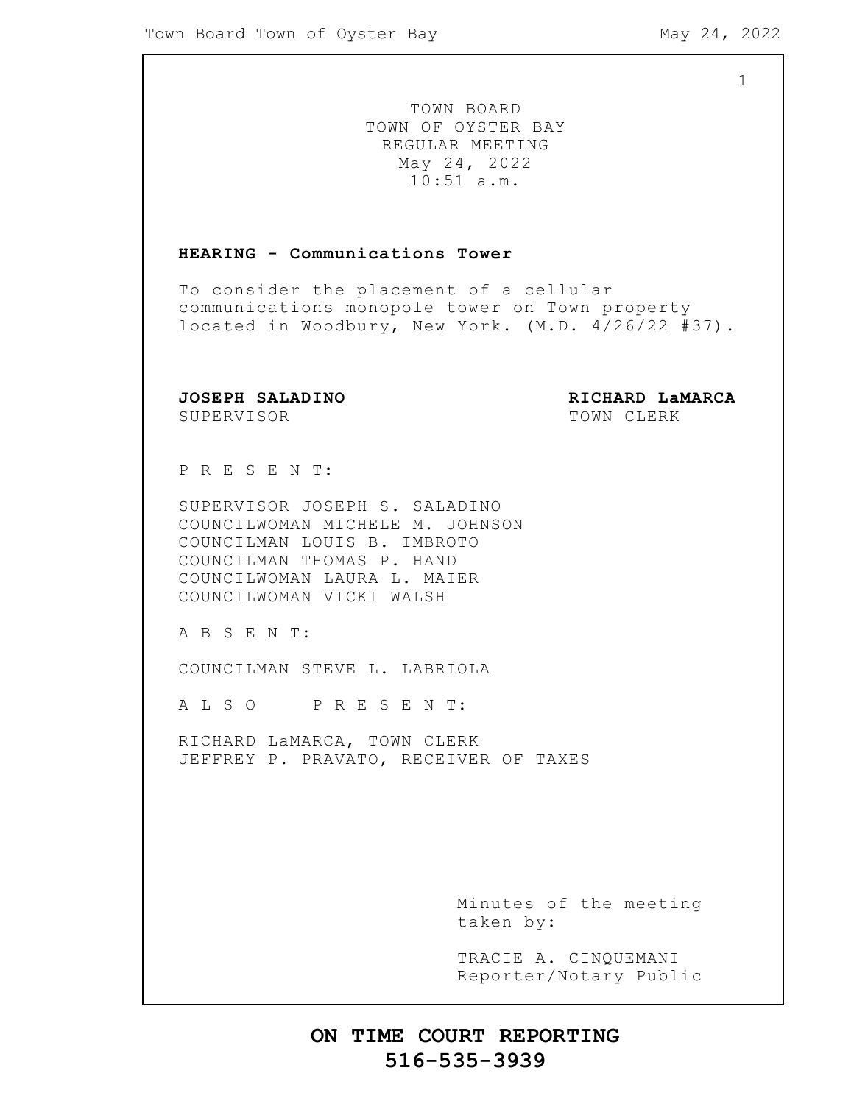1

TOWN BOARD TOWN OF OYSTER BAY REGULAR MEETING May 24, 2022 10:51 a.m.

#### **HEARING - Communications Tower**

To consider the placement of a cellular communications monopole tower on Town property located in Woodbury, New York. (M.D. 4/26/22 #37).

SUPERVISOR TOWN CLERK

**JOSEPH SALADINO RICHARD LaMARCA**

P R E S E N T:

SUPERVISOR JOSEPH S. SALADINO COUNCILWOMAN MICHELE M. JOHNSON COUNCILMAN LOUIS B. IMBROTO COUNCILMAN THOMAS P. HAND COUNCILWOMAN LAURA L. MAIER COUNCILWOMAN VICKI WALSH

A B S E N T:

COUNCILMAN STEVE L. LABRIOLA

A L S O P R E S E N T:

RICHARD LaMARCA, TOWN CLERK JEFFREY P. PRAVATO, RECEIVER OF TAXES

> Minutes of the meeting taken by:

> TRACIE A. CINQUEMANI Reporter/Notary Public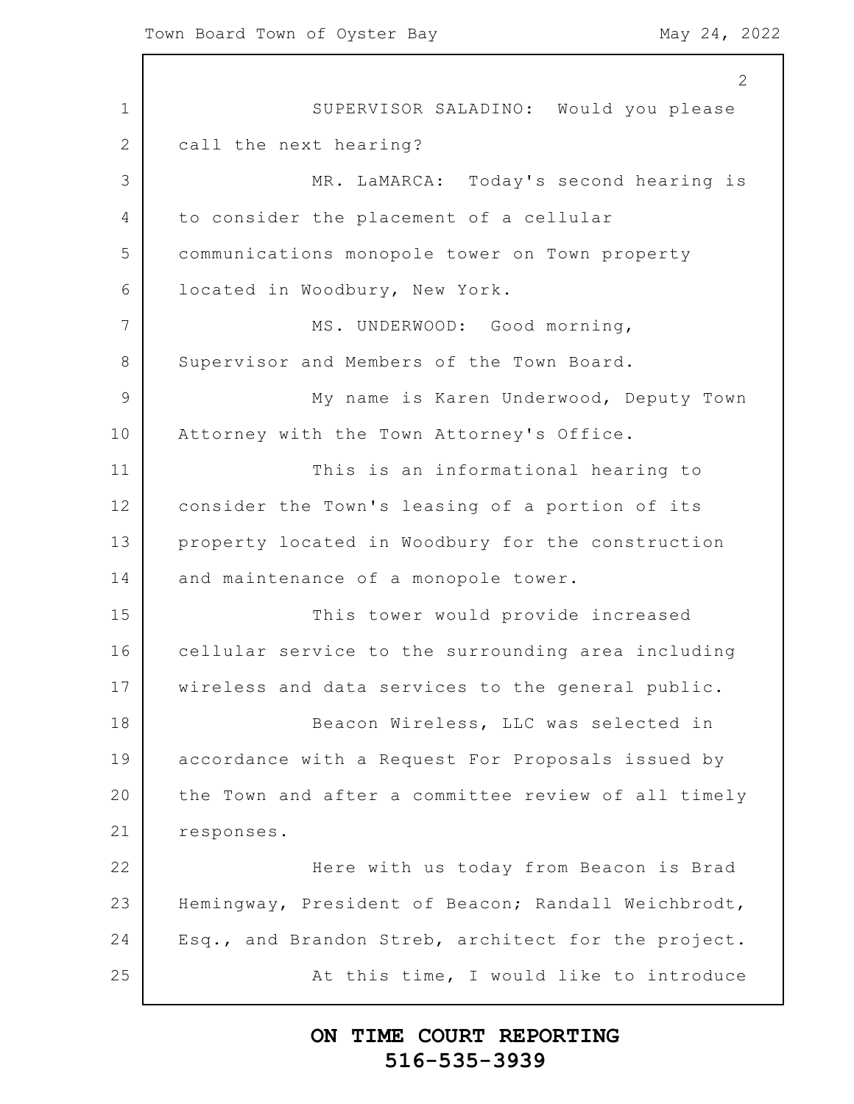1 2 3 4 5 6 7 8 9 10 11 12 13 14 15 16 17 18 19 20 21 22 23 24 25 2 SUPERVISOR SALADINO: Would you please call the next hearing? MR. LaMARCA: Today's second hearing is to consider the placement of a cellular communications monopole tower on Town property located in Woodbury, New York. MS. UNDERWOOD: Good morning, Supervisor and Members of the Town Board. My name is Karen Underwood, Deputy Town Attorney with the Town Attorney's Office. This is an informational hearing to consider the Town's leasing of a portion of its property located in Woodbury for the construction and maintenance of a monopole tower. This tower would provide increased cellular service to the surrounding area including wireless and data services to the general public. Beacon Wireless, LLC was selected in accordance with a Request For Proposals issued by the Town and after a committee review of all timely responses. Here with us today from Beacon is Brad Hemingway, President of Beacon; Randall Weichbrodt, Esq., and Brandon Streb, architect for the project. At this time, I would like to introduce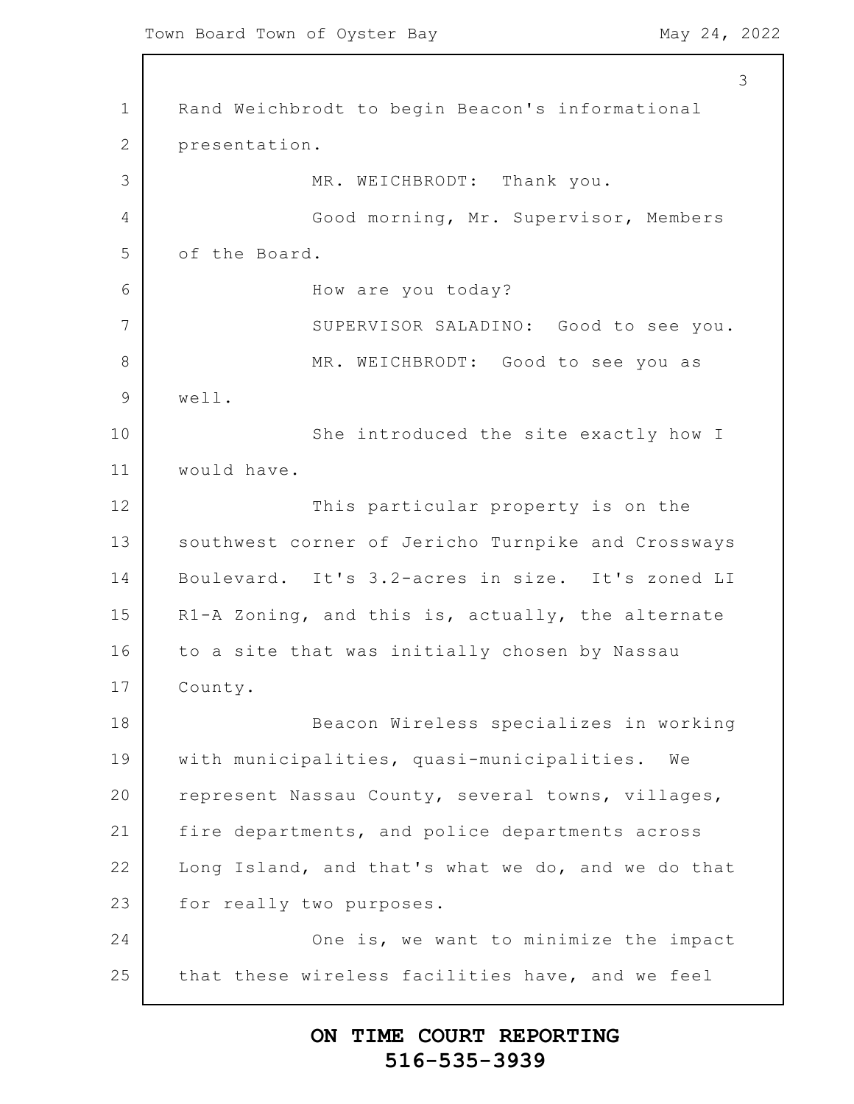1 2 3 4 5 6 7 8 9 10 11 12 13 14 15 16 17 18 19 20 21 22 23 24 25 3 Rand Weichbrodt to begin Beacon's informational presentation. MR. WEICHBRODT: Thank you. Good morning, Mr. Supervisor, Members of the Board. How are you today? SUPERVISOR SALADINO: Good to see you. MR. WEICHBRODT: Good to see you as well. She introduced the site exactly how I would have. This particular property is on the southwest corner of Jericho Turnpike and Crossways Boulevard. It's 3.2-acres in size. It's zoned LI R1-A Zoning, and this is, actually, the alternate to a site that was initially chosen by Nassau County. Beacon Wireless specializes in working with municipalities, quasi-municipalities. We represent Nassau County, several towns, villages, fire departments, and police departments across Long Island, and that's what we do, and we do that for really two purposes. One is, we want to minimize the impact that these wireless facilities have, and we feel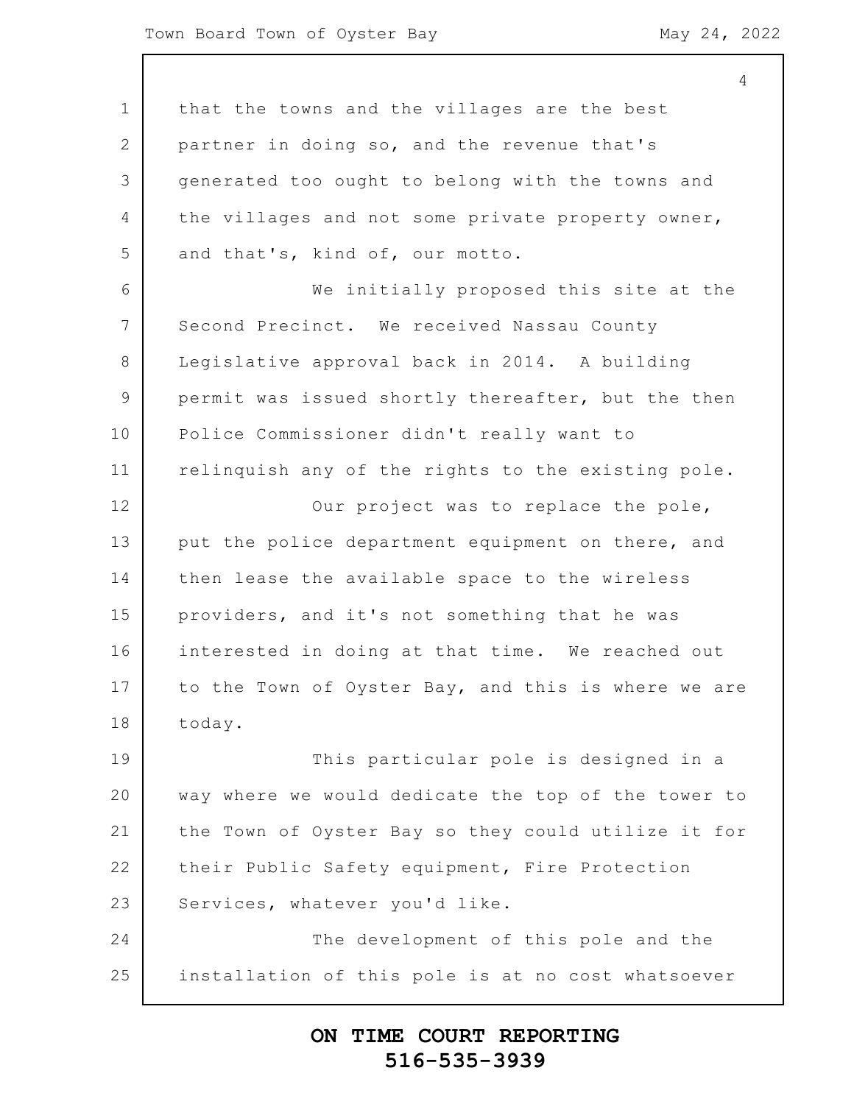4

1 2 3 4 5 6 7 8 9 10 11 12 13 14 15 16 17 18 19 20 21 22 23 24 25 that the towns and the villages are the best partner in doing so, and the revenue that's generated too ought to belong with the towns and the villages and not some private property owner, and that's, kind of, our motto. We initially proposed this site at the Second Precinct. We received Nassau County Legislative approval back in 2014. A building permit was issued shortly thereafter, but the then Police Commissioner didn't really want to relinquish any of the rights to the existing pole. Our project was to replace the pole, put the police department equipment on there, and then lease the available space to the wireless providers, and it's not something that he was interested in doing at that time. We reached out to the Town of Oyster Bay, and this is where we are today. This particular pole is designed in a way where we would dedicate the top of the tower to the Town of Oyster Bay so they could utilize it for their Public Safety equipment, Fire Protection Services, whatever you'd like. The development of this pole and the installation of this pole is at no cost whatsoever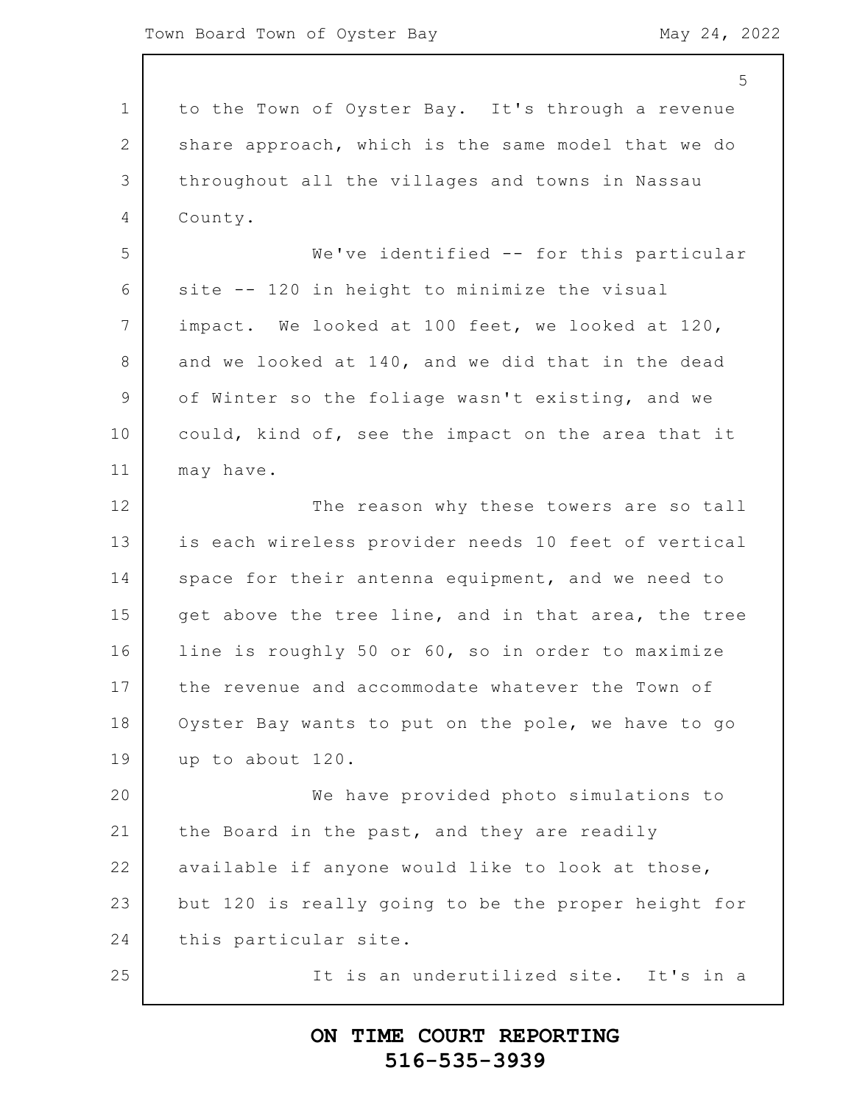1 2 3 4 5 6 7 8 9 10 11 12 13 14 15 16 17 18 19 20 21 22 23 24 25 5 to the Town of Oyster Bay. It's through a revenue share approach, which is the same model that we do throughout all the villages and towns in Nassau County. We've identified -- for this particular site -- 120 in height to minimize the visual impact. We looked at 100 feet, we looked at 120, and we looked at 140, and we did that in the dead of Winter so the foliage wasn't existing, and we could, kind of, see the impact on the area that it may have. The reason why these towers are so tall is each wireless provider needs 10 feet of vertical space for their antenna equipment, and we need to get above the tree line, and in that area, the tree line is roughly 50 or 60, so in order to maximize the revenue and accommodate whatever the Town of Oyster Bay wants to put on the pole, we have to go up to about 120. We have provided photo simulations to the Board in the past, and they are readily available if anyone would like to look at those, but 120 is really going to be the proper height for this particular site. It is an underutilized site. It's in a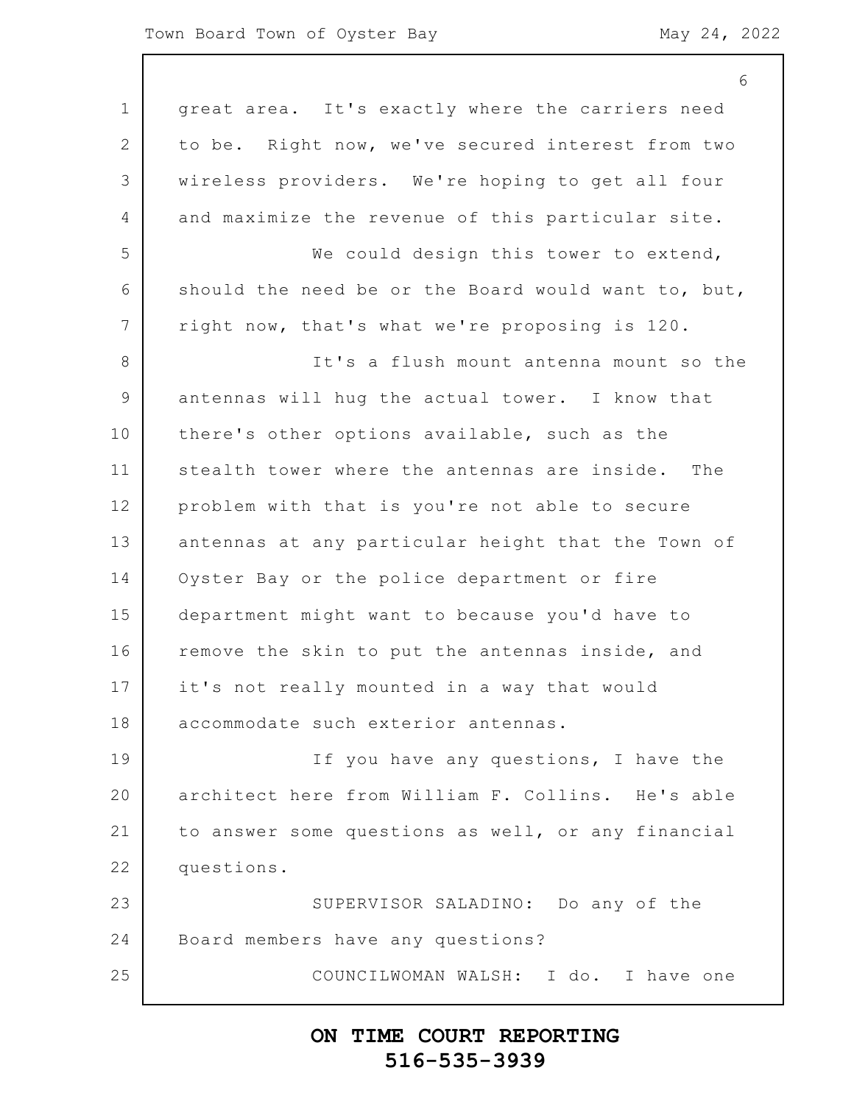#### Town Board Town of Oyster Bay May 24, 2022

|                | 6                                                   |
|----------------|-----------------------------------------------------|
| $\mathbf 1$    | great area. It's exactly where the carriers need    |
| $\mathbf{2}$   | to be. Right now, we've secured interest from two   |
| 3              | wireless providers. We're hoping to get all four    |
| $\overline{4}$ | and maximize the revenue of this particular site.   |
| 5              | We could design this tower to extend,               |
| 6              | should the need be or the Board would want to, but, |
| 7              | right now, that's what we're proposing is 120.      |
| 8              | It's a flush mount antenna mount so the             |
| 9              | antennas will hug the actual tower. I know that     |
| 10             | there's other options available, such as the        |
| 11             | stealth tower where the antennas are inside.<br>The |
| 12             | problem with that is you're not able to secure      |
| 13             | antennas at any particular height that the Town of  |
| 14             | Oyster Bay or the police department or fire         |
| 15             | department might want to because you'd have to      |
| 16             | remove the skin to put the antennas inside, and     |
| 17             | it's not really mounted in a way that would         |
| 18             | accommodate such exterior antennas.                 |
| 19             | If you have any questions, I have the               |
| 20             | architect here from William F. Collins. He's able   |
| 21             | to answer some questions as well, or any financial  |
| 22             | questions.                                          |
| 23             | SUPERVISOR SALADINO: Do any of the                  |
| 24             | Board members have any questions?                   |
| 25             | COUNCILWOMAN WALSH: I do. I have one                |
|                |                                                     |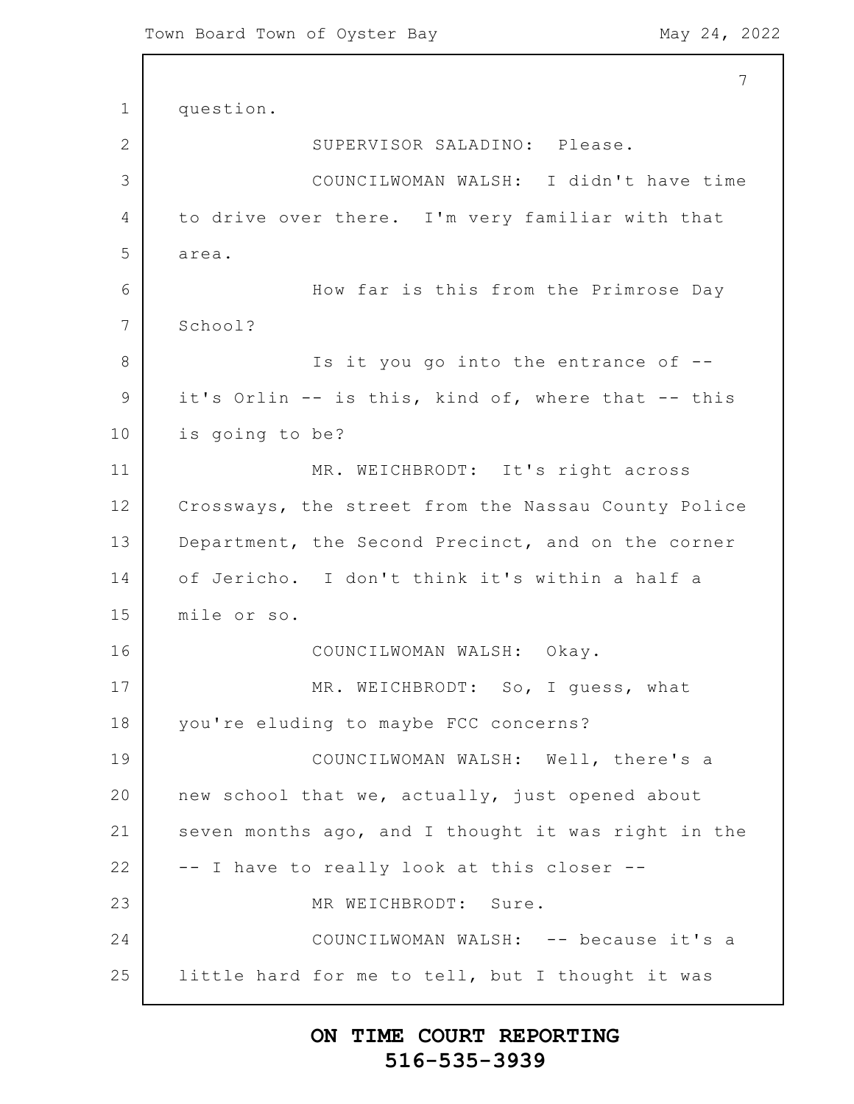```
1
2
3
4
5
6
7
8
9
10
11
12
13
14
15
16
17
18
19
20
21
22
23
24
25
                                                          7
      question.
                  SUPERVISOR SALADINO: Please.
                  COUNCILWOMAN WALSH: I didn't have time
      to drive over there. I'm very familiar with that
      area.
                  How far is this from the Primrose Day
      School?
                  Is it you go into the entrance of --
      it's Orlin -- is this, kind of, where that -- this
      is going to be?
                  MR. WEICHBRODT: It's right across
      Crossways, the street from the Nassau County Police
      Department, the Second Precinct, and on the corner
      of Jericho. I don't think it's within a half a
      mile or so.
                  COUNCILWOMAN WALSH: Okay.
                  MR. WEICHBRODT: So, I guess, what
      you're eluding to maybe FCC concerns?
                  COUNCILWOMAN WALSH: Well, there's a
      new school that we, actually, just opened about
      seven months ago, and I thought it was right in the
      -- I have to really look at this closer --
                  MR WEICHBRODT: Sure.
                  COUNCILWOMAN WALSH: -- because it's a
      little hard for me to tell, but I thought it was
```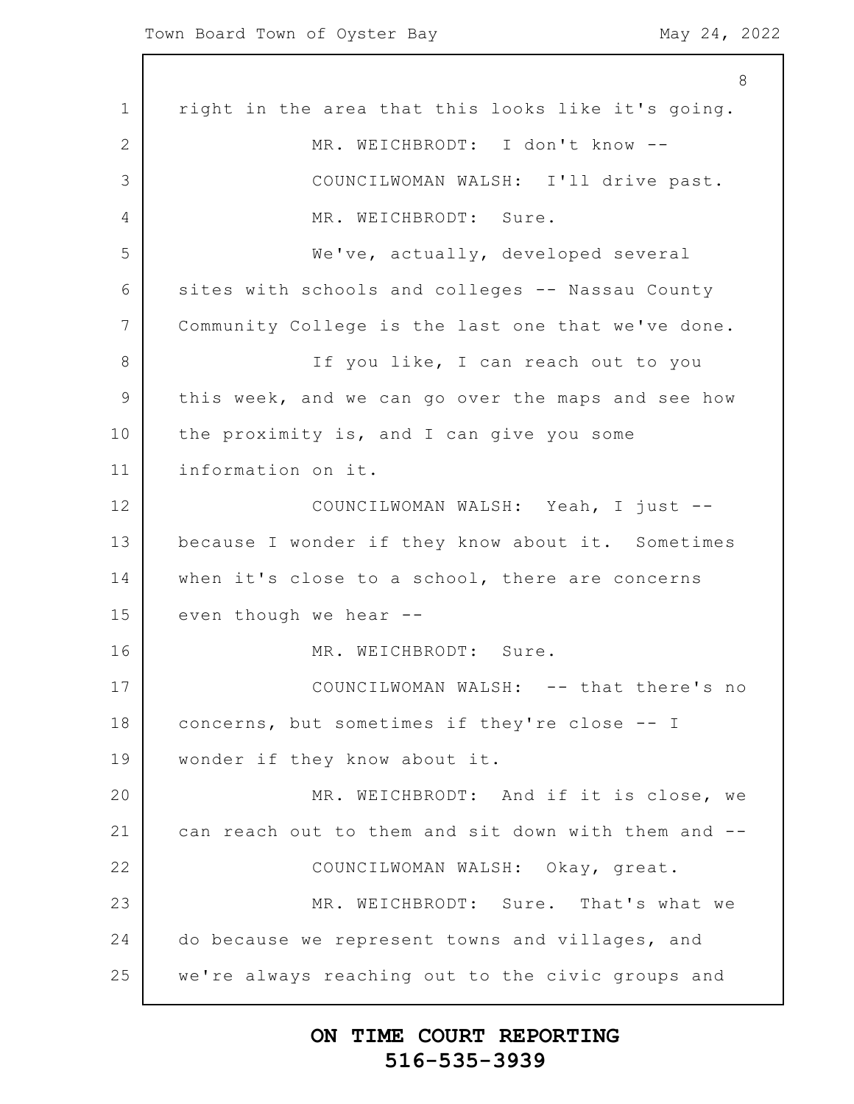|                 | 8                                                   |
|-----------------|-----------------------------------------------------|
| $\mathbf 1$     | right in the area that this looks like it's going.  |
| 2               | MR. WEICHBRODT: I don't know --                     |
| 3               | COUNCILWOMAN WALSH: I'll drive past.                |
| 4               | MR. WEICHBRODT: Sure.                               |
| 5               | We've, actually, developed several                  |
| 6               | sites with schools and colleges -- Nassau County    |
| $7\phantom{.0}$ | Community College is the last one that we've done.  |
| 8               | If you like, I can reach out to you                 |
| $\overline{9}$  | this week, and we can go over the maps and see how  |
| 10              | the proximity is, and I can give you some           |
| 11              | information on it.                                  |
| 12              | COUNCILWOMAN WALSH: Yeah, I just --                 |
| 13              | because I wonder if they know about it. Sometimes   |
| 14              | when it's close to a school, there are concerns     |
| 15              | even though we hear --                              |
| 16              | MR. WEICHBRODT: Sure.                               |
| 17              | COUNCILWOMAN WALSH: -- that there's no              |
| 18              | concerns, but sometimes if they're close -- I       |
| 19              | wonder if they know about it.                       |
| 20              | MR. WEICHBRODT: And if it is close, we              |
| 21              | can reach out to them and sit down with them and -- |
| 22              | COUNCILWOMAN WALSH: Okay, great.                    |
| 23              | MR. WEICHBRODT: Sure. That's what we                |
| 24              | do because we represent towns and villages, and     |
| 25              | we're always reaching out to the civic groups and   |
|                 |                                                     |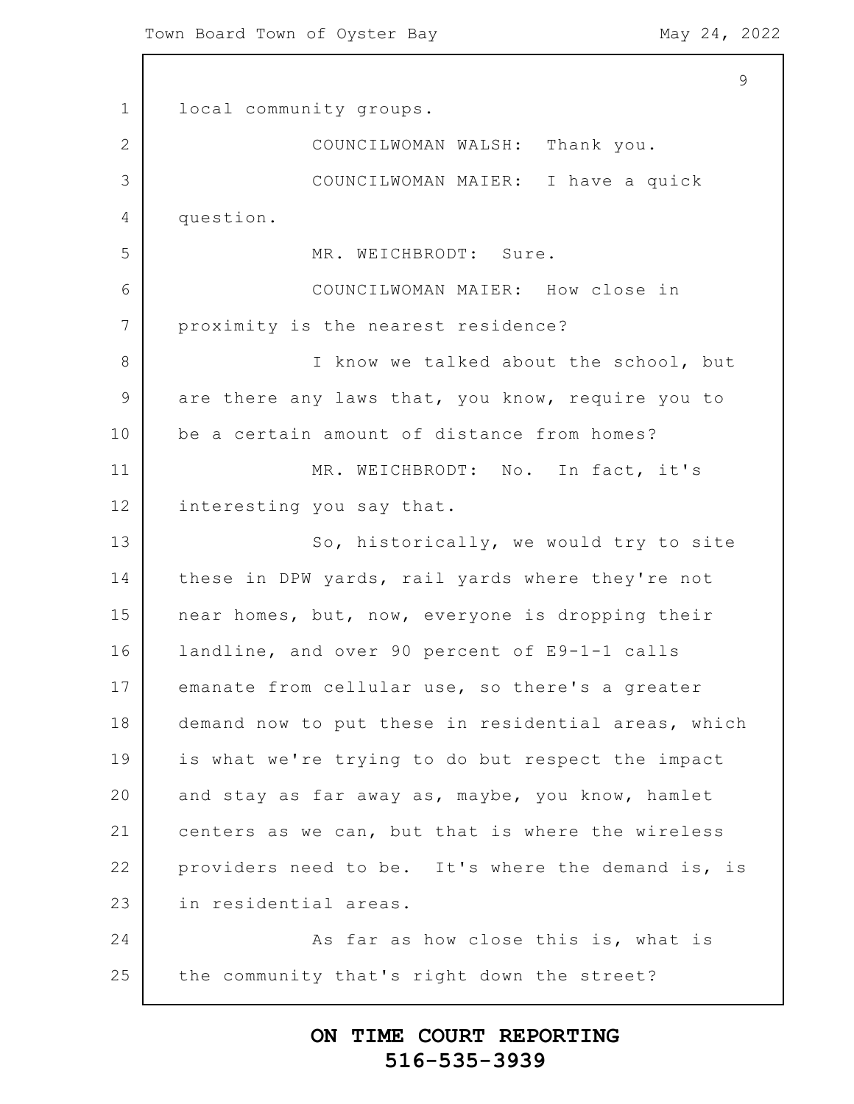Town Board Town of Oyster Bay May 24, 2022

1 2 3 4 5 6 7 8 9 10 11 12 13 14 15 16 17 18 19 20 21 22 23 24 25 9 local community groups. COUNCILWOMAN WALSH: Thank you. COUNCILWOMAN MAIER: I have a quick question. MR. WEICHBRODT: Sure. COUNCILWOMAN MAIER: How close in proximity is the nearest residence? I know we talked about the school, but are there any laws that, you know, require you to be a certain amount of distance from homes? MR. WEICHBRODT: No. In fact, it's interesting you say that. So, historically, we would try to site these in DPW yards, rail yards where they're not near homes, but, now, everyone is dropping their landline, and over 90 percent of E9-1-1 calls emanate from cellular use, so there's a greater demand now to put these in residential areas, which is what we're trying to do but respect the impact and stay as far away as, maybe, you know, hamlet centers as we can, but that is where the wireless providers need to be. It's where the demand is, is in residential areas. As far as how close this is, what is the community that's right down the street?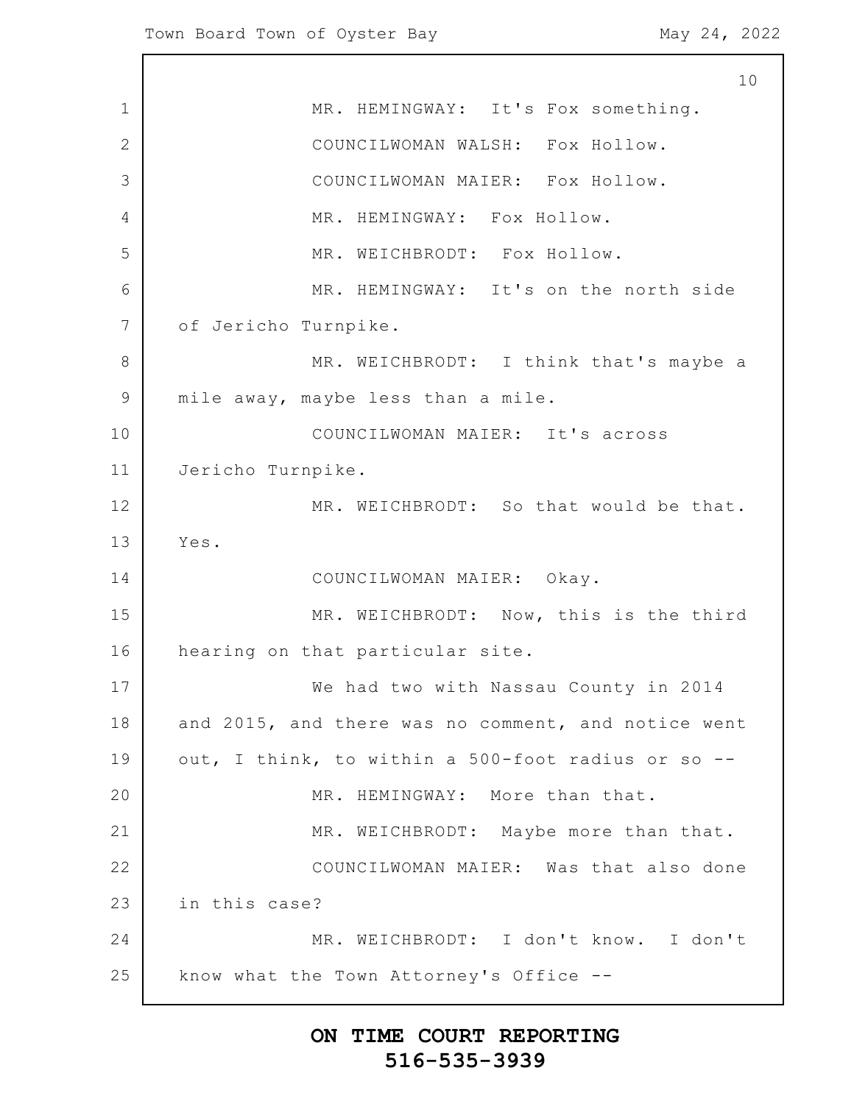1 2 3 4 5 6 7 8 9 10 11 12 13 14 15 16 17 18 19 20 21 22 23 24 25 10 MR. HEMINGWAY: It's Fox something. COUNCILWOMAN WALSH: Fox Hollow. COUNCILWOMAN MAIER: Fox Hollow. MR. HEMINGWAY: Fox Hollow. MR. WEICHBRODT: Fox Hollow. MR. HEMINGWAY: It's on the north side of Jericho Turnpike. MR. WEICHBRODT: I think that's maybe a mile away, maybe less than a mile. COUNCILWOMAN MAIER: It's across Jericho Turnpike. MR. WEICHBRODT: So that would be that. Yes. COUNCILWOMAN MAIER: Okay. MR. WEICHBRODT: Now, this is the third hearing on that particular site. We had two with Nassau County in 2014 and 2015, and there was no comment, and notice went out, I think, to within a 500-foot radius or so -- MR. HEMINGWAY: More than that. MR. WEICHBRODT: Maybe more than that. COUNCILWOMAN MAIER: Was that also done in this case? MR. WEICHBRODT: I don't know. I don't know what the Town Attorney's Office --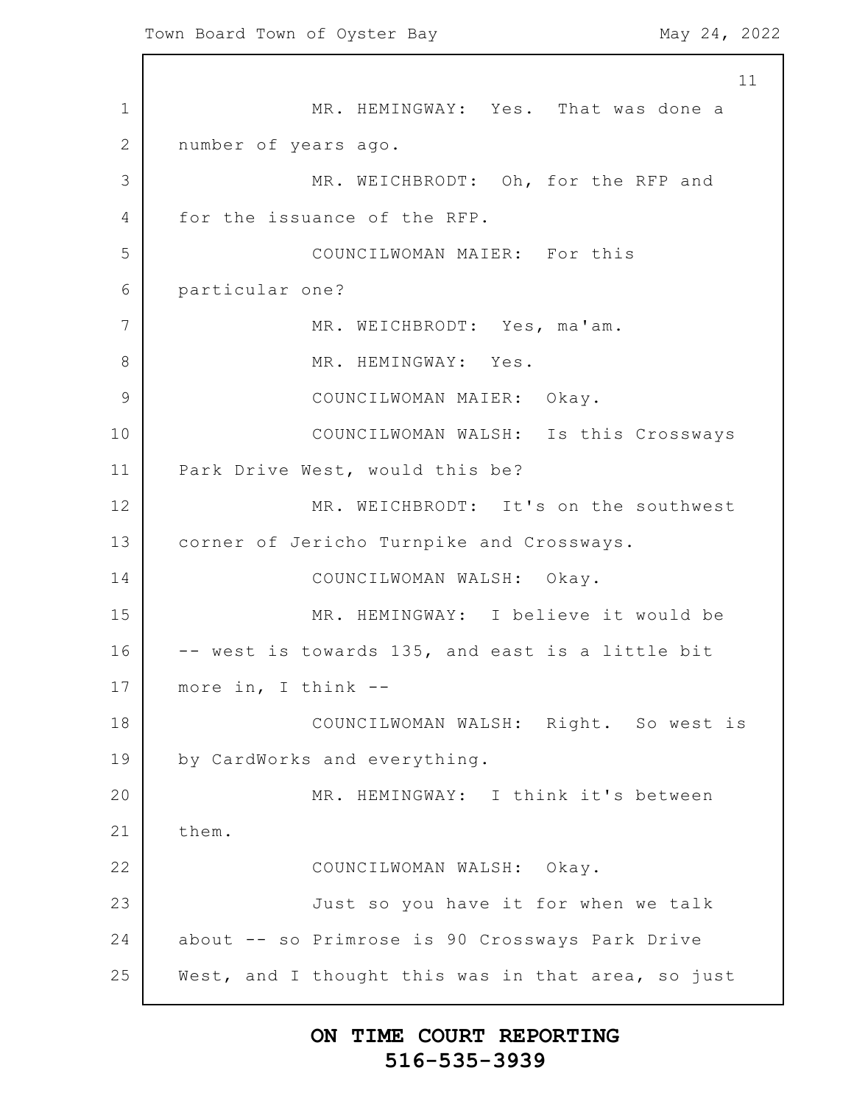1 2 3 4 5 6 7 8 9 10 11 12 13 14 15 16 17 18 19 20 21 22 23 24 25 11 MR. HEMINGWAY: Yes. That was done a number of years ago. MR. WEICHBRODT: Oh, for the RFP and for the issuance of the RFP. COUNCILWOMAN MAIER: For this particular one? MR. WEICHBRODT: Yes, ma'am. MR. HEMINGWAY: Yes. COUNCILWOMAN MAIER: Okay. COUNCILWOMAN WALSH: Is this Crossways Park Drive West, would this be? MR. WEICHBRODT: It's on the southwest corner of Jericho Turnpike and Crossways. COUNCILWOMAN WALSH: Okay. MR. HEMINGWAY: I believe it would be -- west is towards 135, and east is a little bit more in, I think -- COUNCILWOMAN WALSH: Right. So west is by CardWorks and everything. MR. HEMINGWAY: I think it's between them. COUNCILWOMAN WALSH: Okay. Just so you have it for when we talk about -- so Primrose is 90 Crossways Park Drive West, and I thought this was in that area, so just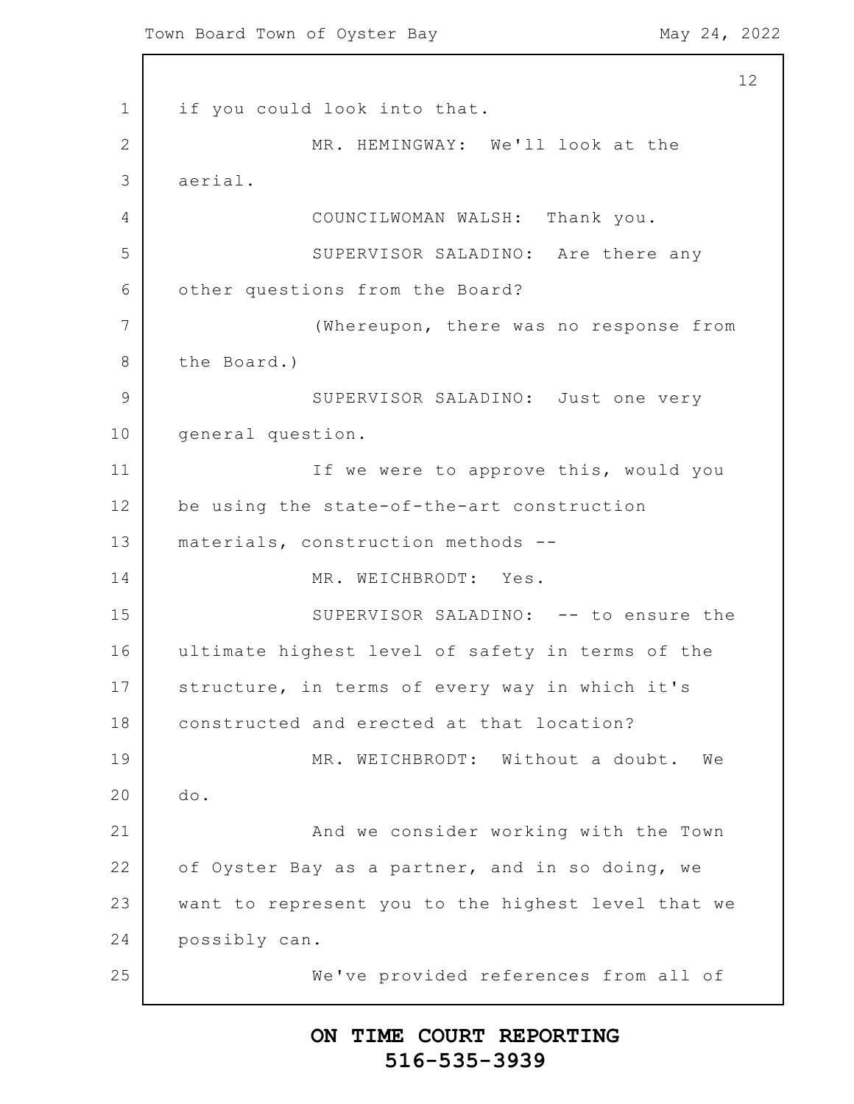1 2 3 4 5 6 7 8 9 10 11 12 13 14 15 16 17 18 19 20 21 22 23 24 25 12 if you could look into that. MR. HEMINGWAY: We'll look at the aerial. COUNCILWOMAN WALSH: Thank you. SUPERVISOR SALADINO: Are there any other questions from the Board? (Whereupon, there was no response from the Board.) SUPERVISOR SALADINO: Just one very general question. If we were to approve this, would you be using the state-of-the-art construction materials, construction methods -- MR. WEICHBRODT: Yes. SUPERVISOR SALADINO: -- to ensure the ultimate highest level of safety in terms of the structure, in terms of every way in which it's constructed and erected at that location? MR. WEICHBRODT: Without a doubt. We do. And we consider working with the Town of Oyster Bay as a partner, and in so doing, we want to represent you to the highest level that we possibly can. We've provided references from all of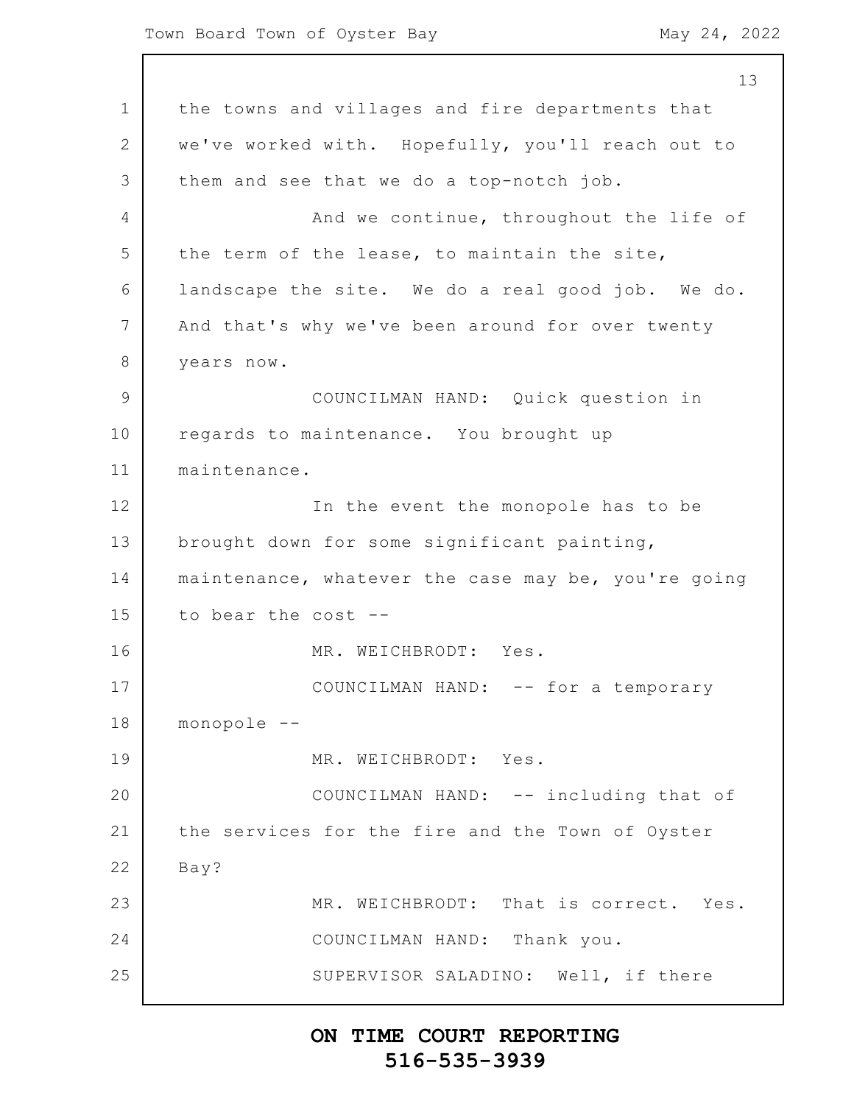#### Town Board Town of Oyster Bay May 24, 2022

1 2 3 4 5 6 7 8 9 10 11 12 13 14 15 16 17 18 19 20 21 22 23 24 25 13 the towns and villages and fire departments that we've worked with. Hopefully, you'll reach out to them and see that we do a top-notch job. And we continue, throughout the life of the term of the lease, to maintain the site, landscape the site. We do a real good job. We do. And that's why we've been around for over twenty years now. COUNCILMAN HAND: Quick question in regards to maintenance. You brought up maintenance. In the event the monopole has to be brought down for some significant painting, maintenance, whatever the case may be, you're going to bear the cost -- MR. WEICHBRODT: Yes. COUNCILMAN HAND: -- for a temporary monopole -- MR. WEICHBRODT: Yes. COUNCILMAN HAND: -- including that of the services for the fire and the Town of Oyster Bay? MR. WEICHBRODT: That is correct. Yes. COUNCILMAN HAND: Thank you. SUPERVISOR SALADINO: Well, if there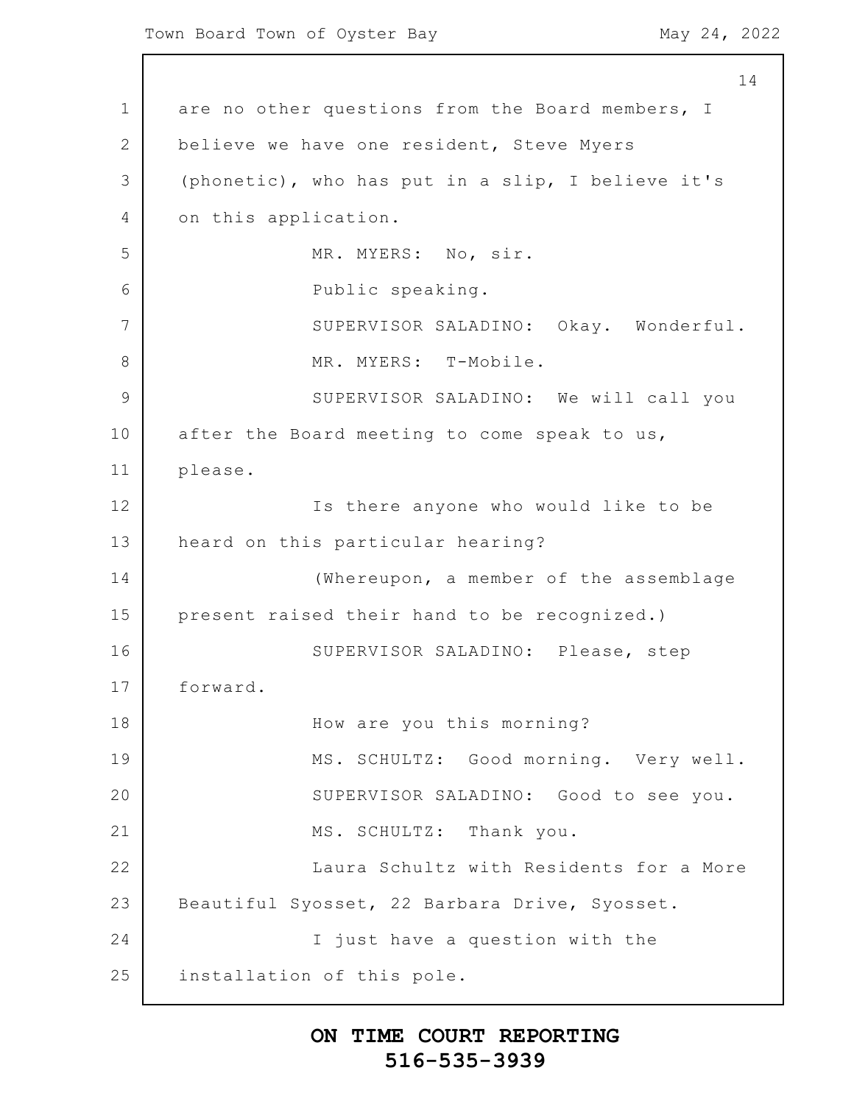```
Town Board Town of Oyster Bay May 24, 2022
```
1 2 3 4 5 6 7 8 9 10 11 12 13 14 15 16 17 18 19 20 21 22 23 24 25 14 are no other questions from the Board members, I believe we have one resident, Steve Myers (phonetic), who has put in a slip, I believe it's on this application. MR. MYERS: No, sir. Public speaking. SUPERVISOR SALADINO: Okay. Wonderful. MR. MYERS: T-Mobile. SUPERVISOR SALADINO: We will call you after the Board meeting to come speak to us, please. Is there anyone who would like to be heard on this particular hearing? (Whereupon, a member of the assemblage present raised their hand to be recognized.) SUPERVISOR SALADINO: Please, step forward. How are you this morning? MS. SCHULTZ: Good morning. Very well. SUPERVISOR SALADINO: Good to see you. MS. SCHULTZ: Thank you. Laura Schultz with Residents for a More Beautiful Syosset, 22 Barbara Drive, Syosset. I just have a question with the installation of this pole.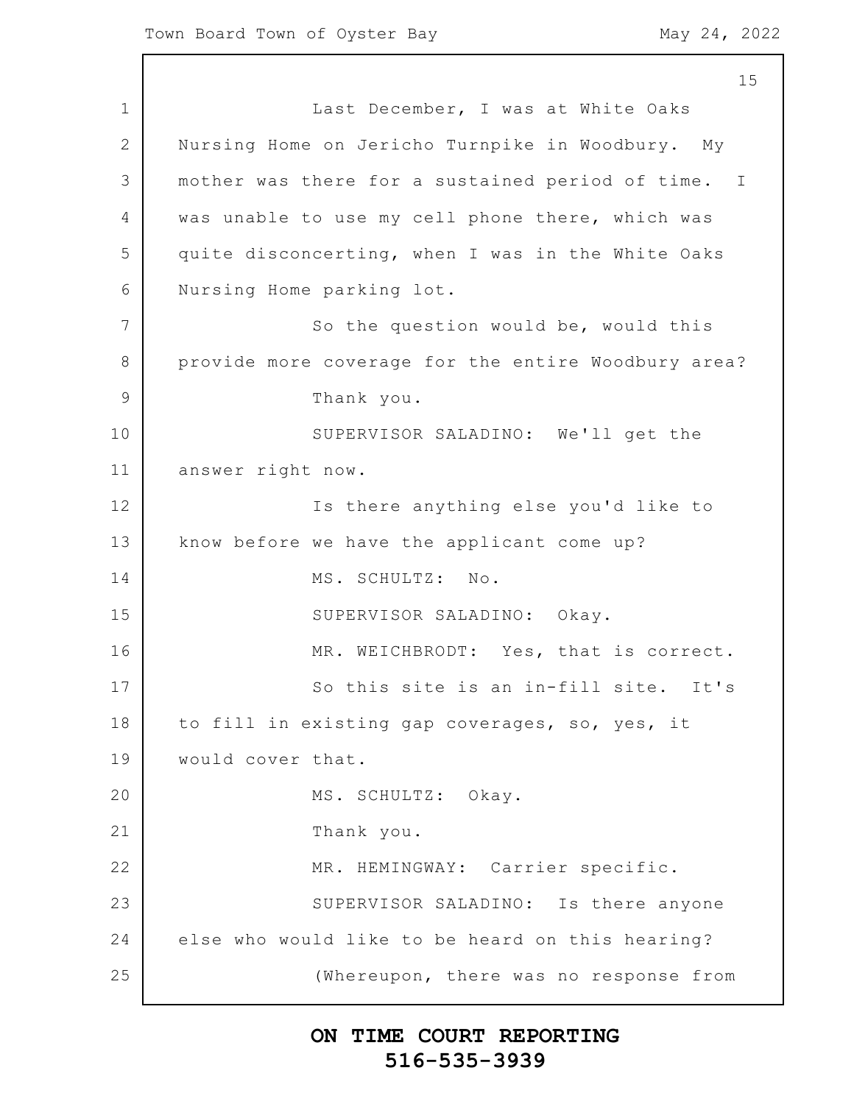1 2 3 4 5 6 7 8 9 10 11 12 13 14 15 16 17 18 19 20 21 22 23 24 25 15 Last December, I was at White Oaks Nursing Home on Jericho Turnpike in Woodbury. My mother was there for a sustained period of time. I was unable to use my cell phone there, which was quite disconcerting, when I was in the White Oaks Nursing Home parking lot. So the question would be, would this provide more coverage for the entire Woodbury area? Thank you. SUPERVISOR SALADINO: We'll get the answer right now. Is there anything else you'd like to know before we have the applicant come up? MS. SCHULTZ: No. SUPERVISOR SALADINO: Okay. MR. WEICHBRODT: Yes, that is correct. So this site is an in-fill site. It's to fill in existing gap coverages, so, yes, it would cover that. MS. SCHULTZ: Okay. Thank you. MR. HEMINGWAY: Carrier specific. SUPERVISOR SALADINO: Is there anyone else who would like to be heard on this hearing? (Whereupon, there was no response from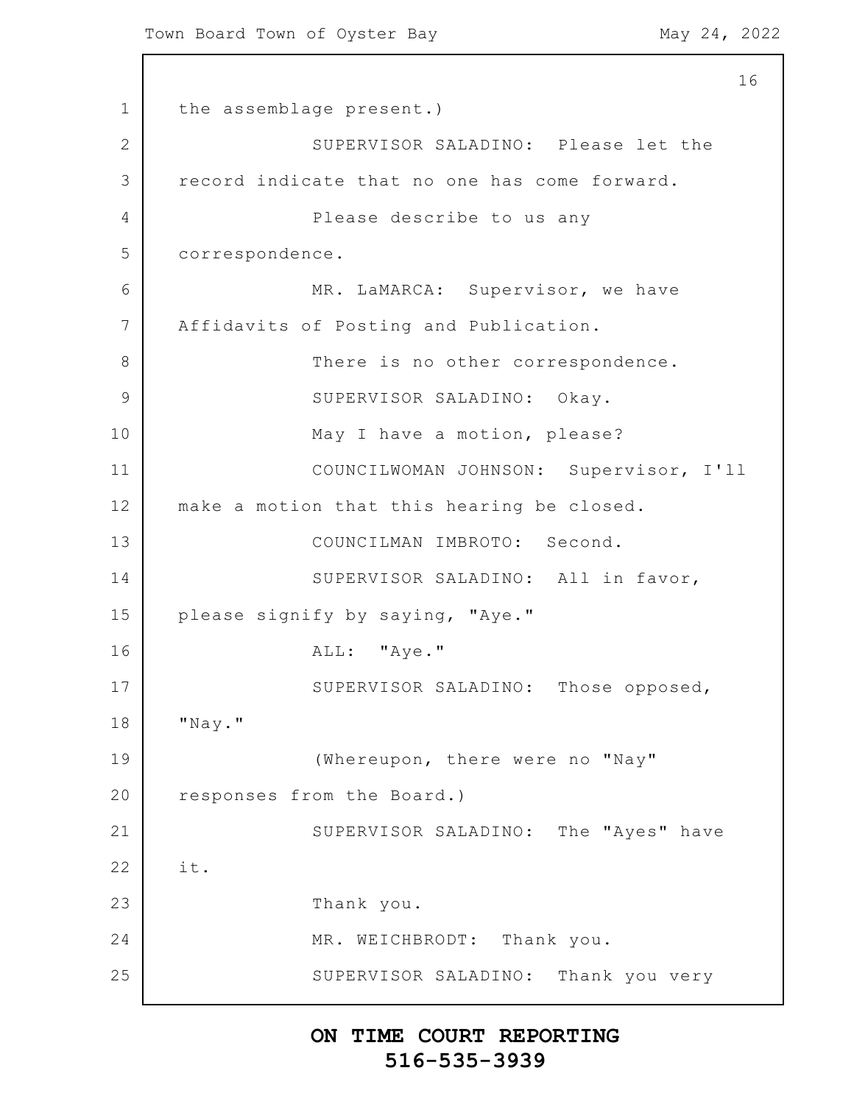Town Board Town of Oyster Bay May 24, 2022

1 2 3 4 5 6 7 8 9 10 11 12 13 14 15 16 17 18 19 20 21 22 23 24 25 16 the assemblage present.) SUPERVISOR SALADINO: Please let the record indicate that no one has come forward. Please describe to us any correspondence. MR. LaMARCA: Supervisor, we have Affidavits of Posting and Publication. There is no other correspondence. SUPERVISOR SALADINO: Okay. May I have a motion, please? COUNCILWOMAN JOHNSON: Supervisor, I'll make a motion that this hearing be closed. COUNCILMAN IMBROTO: Second. SUPERVISOR SALADINO: All in favor, please signify by saying, "Aye." ALL: "Aye." SUPERVISOR SALADINO: Those opposed, "Nay." (Whereupon, there were no "Nay" responses from the Board.) SUPERVISOR SALADINO: The "Ayes" have it. Thank you. MR. WEICHBRODT: Thank you. SUPERVISOR SALADINO: Thank you very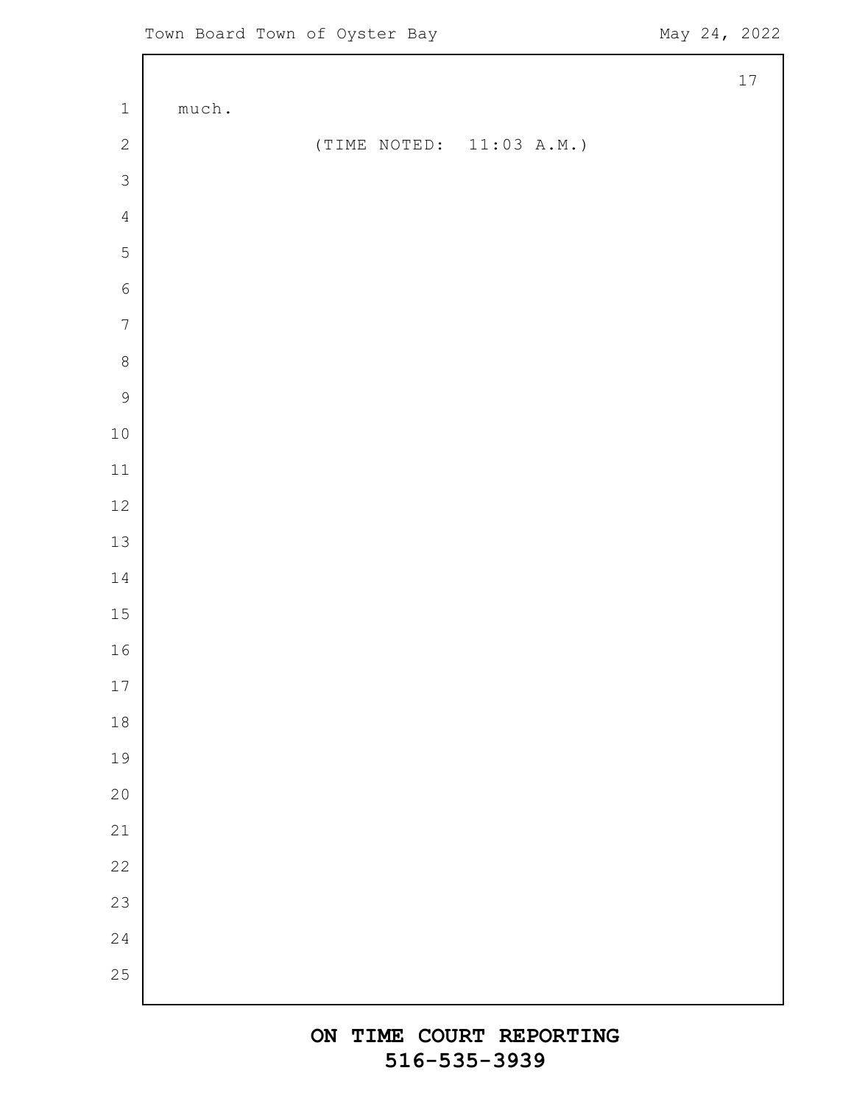|                            |                |                          |  | $17\,$ |
|----------------------------|----------------|--------------------------|--|--------|
| $\ensuremath{\mathbbm{1}}$ | $\verb much .$ |                          |  |        |
| $\sqrt{2}$                 |                | (TIME NOTED: 11:03 A.M.) |  |        |
| $\mathcal{S}$              |                |                          |  |        |
| $\sqrt{4}$                 |                |                          |  |        |
| $\overline{5}$             |                |                          |  |        |
| $\sqrt{6}$                 |                |                          |  |        |
| $\sqrt{ }$                 |                |                          |  |        |
| $\,8\,$                    |                |                          |  |        |
| $\overline{9}$             |                |                          |  |        |
| $10$                       |                |                          |  |        |
| 11                         |                |                          |  |        |
| $12\,$                     |                |                          |  |        |
| $13$                       |                |                          |  |        |
| $1\,4$                     |                |                          |  |        |
| 15                         |                |                          |  |        |
| 16                         |                |                          |  |        |
| $17$                       |                |                          |  |        |
| $1\,8$                     |                |                          |  |        |
| 19                         |                |                          |  |        |
| 20                         |                |                          |  |        |
| 21                         |                |                          |  |        |
| 22                         |                |                          |  |        |
| 23                         |                |                          |  |        |
| 24                         |                |                          |  |        |
| 25                         |                |                          |  |        |
|                            |                |                          |  |        |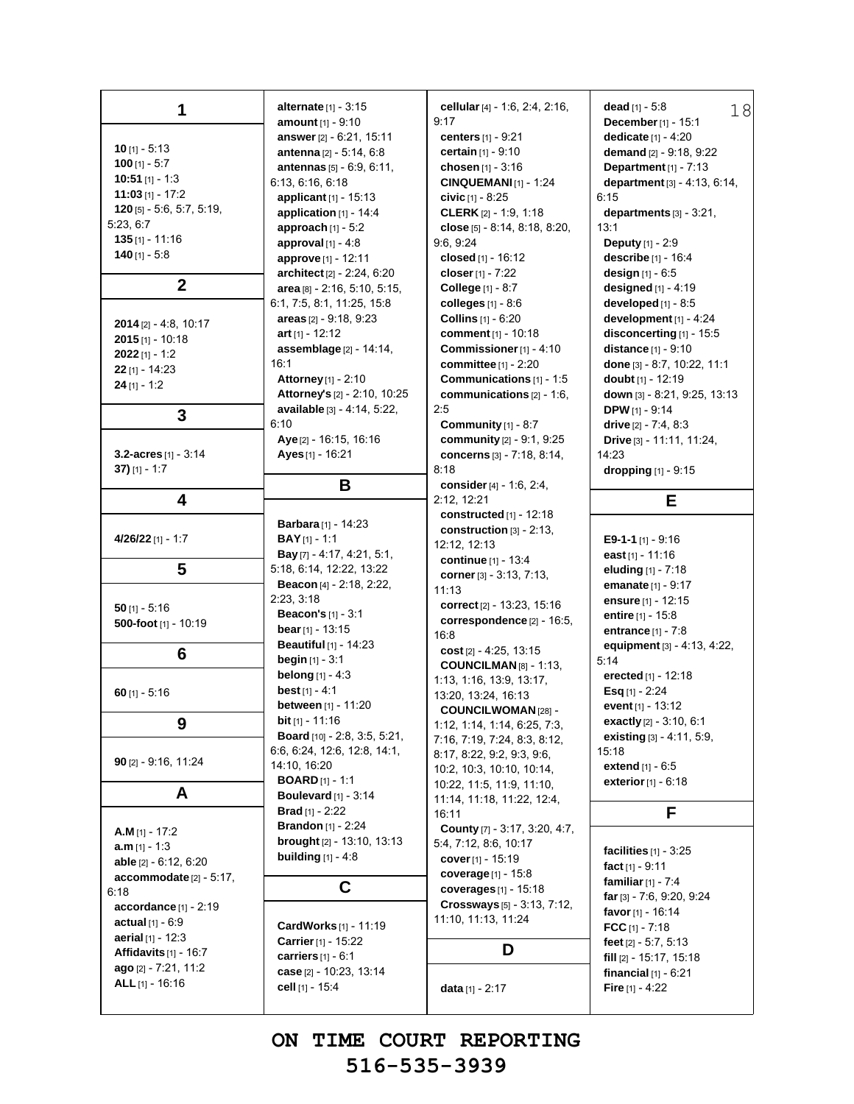| 1<br>$10$ [1] - 5:13<br>100 $[1] - 5:7$<br><b>10:51</b> [1] - 1:3<br>11:03 [1] - 17:2<br>$120$ [5] - 5:6, 5:7, 5:19,<br>5:23, 6:7<br>$135$ [1] - 11:16<br>$140$ [1] - 5:8<br>$\overline{2}$ | <b>alternate</b> $[1] - 3.15$<br>amount [1] - 9:10<br>answer [2] - 6:21, 15:11<br>antenna [2] - 5:14, 6:8<br><b>antennas</b> $[5] - 6:9, 6:11,$<br>6:13, 6:16, 6:18<br>applicant $[1]$ - 15:13<br>application [1] - 14:4<br>approach $[1]$ - 5:2<br>approval $[1] - 4:8$<br>approve [1] - 12:11<br>architect [2] - 2:24, 6:20<br>$area$ [8] - 2:16, 5:10, 5:15,<br>6:1, 7:5, 8:1, 11:25, 15:8<br>areas $[2] - 9.18, 9.23$ | cellular $[4]$ - 1.6, 2.4, 2.16,<br>9:17<br>centers $[1] - 9:21$<br>certain $[1] - 9:10$<br>chosen [1] - 3:16<br><b>CINQUEMANI [1] - 1:24</b><br>civic [1] - 8:25<br><b>CLERK</b> $[2] - 1:9, 1:18$<br>close [5] - 8:14, 8:18, 8:20,<br>9.6, 9.24<br>closed [1] - 16:12<br>closer [1] - 7:22<br><b>College</b> [1] - 8:7<br>colleges [1] - 8:6<br><b>Collins</b> $[1] - 6:20$ | <b>dead</b> $[1] - 5.8$<br>18<br><b>December</b> $[1] - 15:1$<br>dedicate $[1] - 4:20$<br><b>demand</b> [2] - 9:18, 9:22<br>Department $[1]$ - $7:13$<br>department [3] - 4:13, 6:14,<br>6:15<br>departments $[3] - 3.21$ ,<br>13:1<br>Deputy [1] - 2:9<br>describe [1] - 16:4<br>design $[1] - 6.5$<br>designed $[1] - 4:19$<br>developed [1] - 8:5<br>development [1] - 4:24 |
|---------------------------------------------------------------------------------------------------------------------------------------------------------------------------------------------|---------------------------------------------------------------------------------------------------------------------------------------------------------------------------------------------------------------------------------------------------------------------------------------------------------------------------------------------------------------------------------------------------------------------------|-------------------------------------------------------------------------------------------------------------------------------------------------------------------------------------------------------------------------------------------------------------------------------------------------------------------------------------------------------------------------------|--------------------------------------------------------------------------------------------------------------------------------------------------------------------------------------------------------------------------------------------------------------------------------------------------------------------------------------------------------------------------------|
| $2014$ [2] - 4:8, 10:17<br>$2015$ [1] - 10:18<br>$2022$ [1] - 1:2<br>22 [1] - 14:23<br>$24$ [1] - 1:2<br>3                                                                                  | art $[1] - 12:12$<br>assemblage [2] - 14:14,<br>16:1<br>Attorney [1] - 2:10<br>Attorney's [2] - 2:10, 10:25<br>available [3] - 4:14, 5:22,                                                                                                                                                                                                                                                                                | comment [1] - 10:18<br>Commissioner [1] - 4:10<br>committee [1] - 2:20<br>Communications [1] - 1:5<br>communications $[2] - 1.6$ ,<br>2:5                                                                                                                                                                                                                                     | disconcerting $[1]$ - 15:5<br>distance [1] - 9:10<br>done [3] - 8:7, 10:22, 11:1<br>doubt [1] - 12:19<br>down [3] - 8:21, 9:25, 13:13<br><b>DPW</b> [1] - 9:14                                                                                                                                                                                                                 |
| 3.2-acres $[1] - 3.14$<br>37) $[1] - 1:7$<br>$\overline{\mathbf{4}}$                                                                                                                        | 6:10<br>Aye [2] - 16:15, 16:16<br>Ayes [1] - 16:21<br>В                                                                                                                                                                                                                                                                                                                                                                   | Community $[1] - 8.7$<br>community [2] - 9:1, 9:25<br>concerns [3] - 7:18, 8:14,<br>8:18<br>consider [4] - 1:6, 2:4,<br>2:12, 12:21                                                                                                                                                                                                                                           | drive $[2] - 7.4, 8.3$<br>Drive [3] - 11:11, 11:24,<br>14:23<br>dropping [1] - 9:15<br>Е                                                                                                                                                                                                                                                                                       |
| $4/26/22$ [1] - 1:7                                                                                                                                                                         | Barbara [1] - 14:23<br>$BAY[1] - 1:1$<br>Bay [7] - 4:17, 4:21, 5:1,                                                                                                                                                                                                                                                                                                                                                       | constructed [1] - 12:18<br>construction $[3] - 2:13$ ,<br>12:12, 12:13                                                                                                                                                                                                                                                                                                        | E9-1-1 [1] - 9:16                                                                                                                                                                                                                                                                                                                                                              |
| 5<br>$50$ [1] - 5:16<br>500-foot [1] - 10:19                                                                                                                                                | 5:18, 6:14, 12:22, 13:22<br><b>Beacon</b> [4] - 2:18, 2:22,<br>2:23, 3:18<br>Beacon's [1] - 3:1                                                                                                                                                                                                                                                                                                                           | continue [1] - 13:4<br>corner [3] - 3:13, 7:13,<br>11:13<br>correct [2] - 13:23, 15:16<br>correspondence <sup>[2]</sup> - 16:5,                                                                                                                                                                                                                                               | east $[1] - 11:16$<br>eluding [1] - 7:18<br>emanate $[1] - 9:17$<br><b>ensure</b> $[1]$ - 12:15<br><b>entire</b> $[1]$ - 15:8                                                                                                                                                                                                                                                  |
| 6                                                                                                                                                                                           | <b>bear</b> $[1]$ - 13:15<br><b>Beautiful</b> $[1] - 14:23$<br><b>begin</b> $[1] - 3:1$<br><b>belong</b> $[1] - 4:3$                                                                                                                                                                                                                                                                                                      | 16:8<br>cost $[2] - 4:25, 13:15$<br>COUNCILMAN $[8] - 1:13$ ,<br>1:13, 1:16, 13:9, 13:17,                                                                                                                                                                                                                                                                                     | <b>entrance</b> $[1] - 7:8$<br>equipment $[3] - 4.13, 4.22,$<br>5:14<br>erected [1] - 12:18                                                                                                                                                                                                                                                                                    |
| 60 $[1] - 5:16$<br>9                                                                                                                                                                        | <b>best</b> $[1] - 4:1$<br><b>between</b> $[1]$ - 11:20<br><b>bit</b> $[1] - 11:16$<br>Board [10] - 2:8, 3:5, 5:21,                                                                                                                                                                                                                                                                                                       | 13:20, 13:24, 16:13<br><b>COUNCILWOMAN [28] -</b><br>1:12, 1:14, 1:14, 6:25, 7:3,<br>7:16, 7:19, 7:24, 8:3, 8:12,                                                                                                                                                                                                                                                             | <b>Esq</b> [1] - 2:24<br>event $[1] - 13:12$<br><b>exactly</b> $[2] - 3:10, 6:1$<br><b>existing</b> $[3] - 4.11, 5.9,$                                                                                                                                                                                                                                                         |
| $90$ [2] - 9:16, 11:24<br>A                                                                                                                                                                 | 6.6, 6.24, 12:6, 12:8, 14:1,<br>14:10, 16:20<br><b>BOARD</b> [1] - 1:1                                                                                                                                                                                                                                                                                                                                                    | 8:17, 8:22, 9:2, 9:3, 9:6,<br>10.2, 10:3, 10:10, 10:14,<br>10.22, 11:5, 11:9, 11:10,                                                                                                                                                                                                                                                                                          | 15:18<br>extend [1] - 6:5<br>exterior [1] - 6:18                                                                                                                                                                                                                                                                                                                               |
| A.M $[1] - 17:2$<br>$a.m$ [1] - 1:3                                                                                                                                                         | Boulevard $[1]$ - 3:14<br><b>Brad</b> [1] - 2:22<br><b>Brandon</b> [1] - 2:24<br>brought $[2] - 13.10, 13.13$                                                                                                                                                                                                                                                                                                             | 11:14, 11:18, 11:22, 12:4,<br>16:11<br>County [7] - 3:17, 3:20, 4:7,<br>5.4, 7:12, 8.6, 10:17                                                                                                                                                                                                                                                                                 | F                                                                                                                                                                                                                                                                                                                                                                              |
| able [2] - 6:12, 6:20<br>$accommodate$ [2] - 5:17,<br>6:18<br>accordance [1] - 2:19<br><b>actual</b> $[1] - 6:9$                                                                            | building $[1] - 4.8$<br>C<br>CardWorks [1] - 11:19                                                                                                                                                                                                                                                                                                                                                                        | cover $[1]$ - 15:19<br>coverage [1] - 15:8<br>coverages [1] - 15:18<br>Crossways [5] - 3:13, 7:12,<br>11:10, 11:13, 11:24                                                                                                                                                                                                                                                     | facilities $[1]$ - 3:25<br>fact [1] - 9:11<br>familiar $[1] - 7.4$<br>far [3] - 7:6, 9:20, 9:24<br>favor [1] - 16:14<br>FCC $[1] - 7:18$                                                                                                                                                                                                                                       |
| aerial $[1] - 12:3$<br>Affidavits $[1]$ - 16:7<br>ago [2] - 7:21, 11:2<br>ALL $[1] - 16:16$                                                                                                 | Carrier [1] - 15:22<br>carriers $[1] - 6.1$<br>case [2] - 10:23, 13:14<br>cell [1] - 15:4                                                                                                                                                                                                                                                                                                                                 | D<br>data [1] - $2:17$                                                                                                                                                                                                                                                                                                                                                        | feet $[2] - 5:7, 5:13$<br>fill [2] - 15:17, 15:18<br>financial $[1] - 6.21$<br>Fire $[1] - 4:22$                                                                                                                                                                                                                                                                               |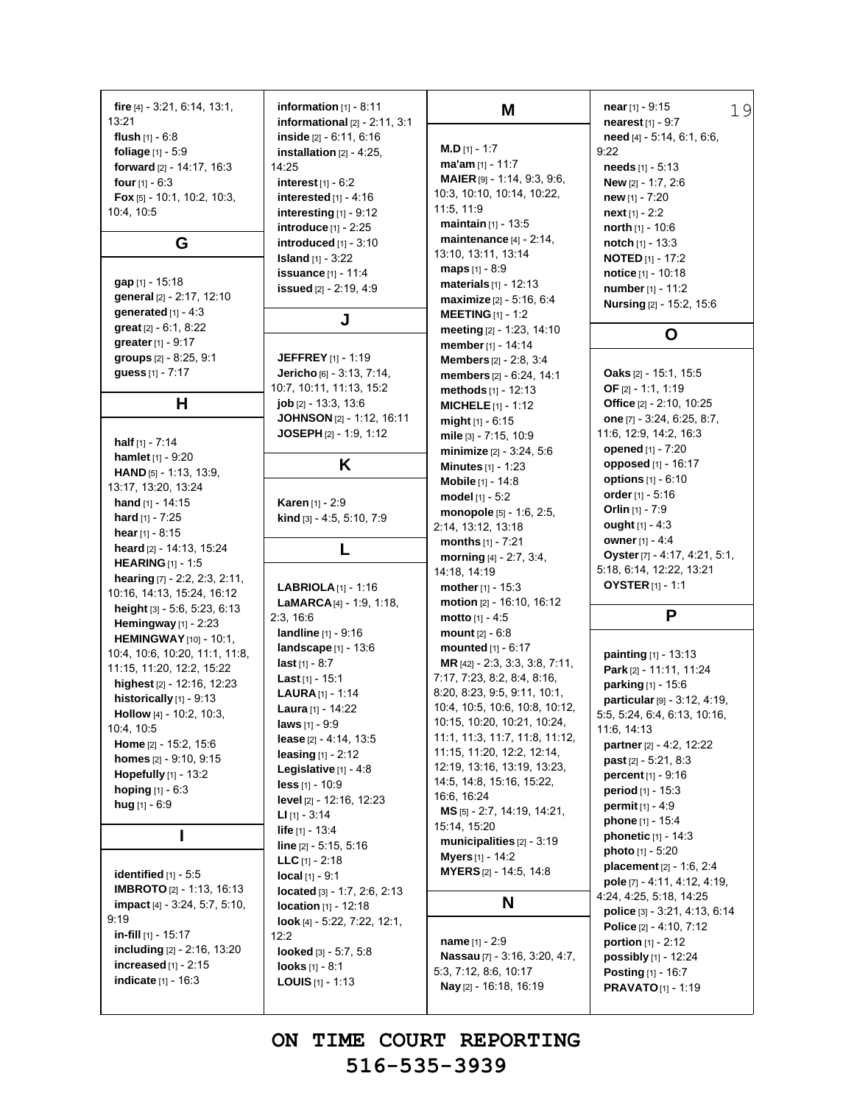**fire** [4] - 3:21, 6:14, 13:1, 13:21 **flush** [1] - 6:8 **foliage** [1] - 5:9 **forward** [2] - 14:17, 16:3 **four** [1] - 6:3 **Fox** [5] - 10:1, 10:2, 10:3, 10:4, 10:5 **G gap** [1] - 15:18 **general** [2] - 2:17, 12:10 **generated** [1] - 4:3 **great** [2] - 6:1, 8:22 **greater**[1] - 9:17 **groups** [2] - 8:25, 9:1 **guess** [1] - 7:17 **H half** [1] - 7:14 **hamlet** [1] - 9:20 **HAND** [5] - 1:13, 13:9, 13:17, 13:20, 13:24 **hand** [1] - 14:15 **hard** [1] - 7:25 **hear**[1] - 8:15 **heard** [2] - 14:13, 15:24 **HEARING** [1] - 1:5 **hearing** [7] - 2:2, 2:3, 2:11, 10:16, 14:13, 15:24, 16:12 **height** [3] - 5:6, 5:23, 6:13 **Hemingway** [1] - 2:23 **HEMINGWAY**[10] - 10:1, 10:4, 10:6, 10:20, 11:1, 11:8, 11:15, 11:20, 12:2, 15:22 **highest** [2] - 12:16, 12:23 **historically** [1] - 9:13 **Hollow** [4] - 10:2, 10:3, 10:4, 10:5 **Home** [2] - 15:2, 15:6 **homes** [2] - 9:10, 9:15 **Hopefully** [1] - 13:2 **hoping** [1] - 6:3 **hug** [1] - 6:9 **I identified** [1] - 5:5 **IMBROTO** [2] - 1:13, 16:13 **impact** [4] - 3:24, 5:7, 5:10, 9:19 **in-fill** [1] - 15:17 **including** [2] - 2:16, 13:20 **increased** [1] - 2:15 **indicate** [1] - 16:3 14:25 **level** [2] - 12:16, 12:23 **LI** [1] - 3:14 **life** [1] - 13:4 **line** [2] - 5:15, 5:16 **LLC** [1] - 2:18 **local** [1] - 9:1 **located** [3] - 1:7, 2:6, 2:13 **location** [1] - 12:18 **look** [4] - 5:22, 7:22, 12:1, 12:2 **looked** [3] - 5:7, 5:8 **looks** [1] - 8:1

**information** [1] - 8:11 **informational** [2] - 2:11, 3:1 **inside** [2] - 6:11, 6:16 **installation** [2] - 4:25, **interest** [1] - 6:2 **interested** [1] - 4:16 **interesting** [1] - 9:12 **introduce** [1] - 2:25 **introduced** [1] - 3:10 **Island** [1] - 3:22 **issuance** [1] - 11:4 **issued** [2] - 2:19, 4:9 **J JEFFREY** [1] - 1:19 **Jericho** [6] - 3:13, 7:14, 10:7, 10:11, 11:13, 15:2 **job** [2] - 13:3, 13:6 **JOHNSON** [2] - 1:12, 16:11 **JOSEPH** [2] - 1:9, 1:12 **K Karen** [1] - 2:9 **kind** [3] - 4:5, 5:10, 7:9 **L LABRIOLA** [1] - 1:16 **LaMARCA**[4] - 1:9, 1:18, 2:3, 16:6 **landline** [1] - 9:16 **landscape** [1] - 13:6 **last** [1] - 8:7 **Last** [1] - 15:1 **LAURA** [1] - 1:14 **Laura** [1] - 14:22 **laws** [1] - 9:9 **lease** [2] - 4:14, 13:5 **leasing** [1] - 2:12 **Legislative** [1] - 4:8 **less** [1] - 10:9

**M.D** [1] - 1:7 **ma'am** [1] - 11:7 **MAIER** [9] - 1:14, 9:3, 9:6, 10:3, 10:10, 10:14, 10:22, 11:5, 11:9 **maintain** [1] - 13:5 **maintenance** [4] - 2:14, 13:10, 13:11, 13:14 **maps** [1] - 8:9 **materials** [1] - 12:13 **maximize** [2] - 5:16, 6:4 **MEETING** [1] - 1:2 **meeting** [2] - 1:23, 14:10 **member**[1] - 14:14 **Members** [2] - 2:8, 3:4 **members** [2] - 6:24, 14:1 **methods** [1] - 12:13 **MICHELE** [1] - 1:12 **might** [1] - 6:15 **mile** [3] - 7:15, 10:9 **minimize** [2] - 3:24, 5:6 **Minutes** [1] - 1:23 **Mobile** [1] - 14:8 **model** [1] - 5:2 **monopole** [5] - 1:6, 2:5, 2:14, 13:12, 13:18 **months** [1] - 7:21 **morning** [4] - 2:7, 3:4, 14:18, 14:19 **mother**[1] - 15:3 **motion** [2] - 16:10, 16:12 **motto** [1] - 4:5 **mount** [2] - 6:8 **mounted** [1] - 6:17 **MR** [42] - 2:3, 3:3, 3:8, 7:11, 7:17, 7:23, 8:2, 8:4, 8:16, 8:20, 8:23, 9:5, 9:11, 10:1, 10:4, 10:5, 10:6, 10:8, 10:12, 10:15, 10:20, 10:21, 10:24, 11:1, 11:3, 11:7, 11:8, 11:12, 11:15, 11:20, 12:2, 12:14, 12:19, 13:16, 13:19, 13:23, 14:5, 14:8, 15:16, 15:22, 16:6, 16:24 **MS** [5] - 2:7, 14:19, 14:21, 15:14, 15:20 **municipalities** [2] - 3:19 **Myers** [1] - 14:2 **MYERS** [2] - 14:5, 14:8 **N**

**M**

**name** [1] - 2:9 **Nassau** [7] - 3:16, 3:20, 4:7, 5:3, 7:12, 8:6, 10:17 **Nay** [2] - 16:18, 16:19

**near** [1] - 9:15 19 **nearest** [1] - 9:7 **need** [4] - 5:14, 6:1, 6:6, 9:22 **needs** [1] - 5:13 **New** [2] - 1:7, 2:6 **new** [1] - 7:20 **next** [1] - 2:2 **north** [1] - 10:6 **notch** [1] - 13:3 **NOTED** [1] - 17:2 **notice** [1] - 10:18 **number**[1] - 11:2 **Nursing** [2] - 15:2, 15:6 **O Oaks** [2] - 15:1, 15:5 **OF** [2] - 1:1, 1:19 **Office** [2] - 2:10, 10:25 **one** [7] - 3:24, 6:25, 8:7, 11:6, 12:9, 14:2, 16:3 **opened** [1] - 7:20 **opposed** [1] - 16:17 **options** [1] - 6:10 **order**[1] - 5:16 **Orlin** [1] - 7:9 **ought** [1] - 4:3 **owner** [1] - 4:4 **Oyster**[7] - 4:17, 4:21, 5:1, 5:18, 6:14, 12:22, 13:21 **OYSTER** [1] - 1:1 **P painting** [1] - 13:13 **Park** [2] - 11:11, 11:24 **parking** [1] - 15:6 **particular**[9] - 3:12, 4:19, 5:5, 5:24, 6:4, 6:13, 10:16, 11:6, 14:13 **partner**[2] - 4:2, 12:22 **past** [2] - 5:21, 8:3 **percent** [1] - 9:16 **period** [1] - 15:3 **permit** [1] - 4:9 **phone** [1] - 15:4 **phonetic** [1] - 14:3 **photo** [1] - 5:20 **placement** [2] - 1:6, 2:4 **pole** [7] - 4:11, 4:12, 4:19, 4:24, 4:25, 5:18, 14:25 **police** [3] - 3:21, 4:13, 6:14

**Police** [2] - 4:10, 7:12 **portion** [1] - 2:12 **possibly** [1] - 12:24 **Posting** [1] - 16:7 **PRAVATO**[1] - 1:19

**ON TIME COURT REPORTING 516-535-3939**

**LOUIS** [1] - 1:13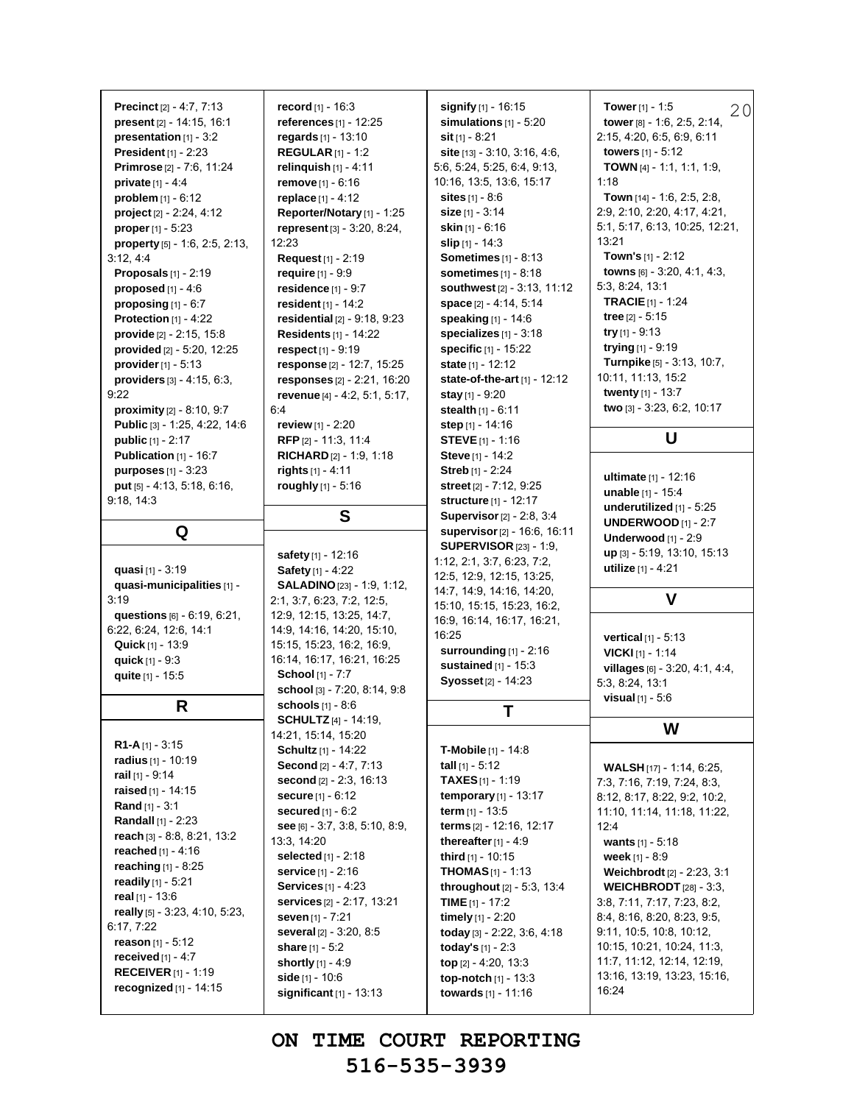**Precinct** [2] - 4:7, 7:13 **present** [2] - 14:15, 16:1 **presentation** [1] - 3:2 **President** [1] - 2:23 **Primrose** [2] - 7:6, 11:24 **private** [1] - 4:4 **problem** [1] - 6:12 **project** [2] - 2:24, 4:12 **proper**[1] - 5:23 **property** [5] - 1:6, 2:5, 2:13, 3:12, 4:4 **Proposals** [1] - 2:19 **proposed** [1] - 4:6 **proposing** [1] - 6:7 **Protection** [1] - 4:22 **provide** [2] - 2:15, 15:8 **provided** [2] - 5:20, 12:25 **provider**[1] - 5:13 **providers** [3] - 4:15, 6:3, 9:22 **proximity** [2] - 8:10, 9:7 **Public** [3] - 1:25, 4:22, 14:6 **public** [1] - 2:17 **Publication** [1] - 16:7 **purposes** [1] - 3:23 **put** [5] - 4:13, 5:18, 6:16, 9:18, 14:3 **Q quasi** [1] - 3:19 **quasi-municipalities** [1] - 3:19 **questions** [6] - 6:19, 6:21, 6:22, 6:24, 12:6, 14:1 **Quick** [1] - 13:9 **quick** [1] - 9:3 **quite** [1] - 15:5 **R R1-A** [1] - 3:15 **radius** [1] - 10:19 **rail** [1] - 9:14 **raised** [1] - 14:15 **Rand** [1] - 3:1 **Randall** [1] - 2:23 **reach** [3] - 8:8, 8:21, 13:2 **reached** [1] - 4:16 **reaching** [1] - 8:25 **readily** [1] - 5:21 **real** [1] - 13:6 **really** [5] - 3:23, 4:10, 5:23, 6:17, 7:22 **reason** [1] - 5:12 **received** [1] - 4:7 **RECEIVER** [1] - 1:19 **recognized** [1] - 14:15 6:4

**record** [1] - 16:3 **references** [1] - 12:25 **regards** [1] - 13:10 **REGULAR** [1] - 1:2 **relinquish** [1] - 4:11 **remove** [1] - 6:16 **replace** [1] - 4:12 **Reporter/Notary** [1] - 1:25 **represent** [3] - 3:20, 8:24, 12:23 **Request** [1] - 2:19 **require** [1] - 9:9 **residence** [1] - 9:7 **resident** [1] - 14:2 **residential** [2] - 9:18, 9:23 **Residents** [1] - 14:22 **respect** [1] - 9:19 **response** [2] - 12:7, 15:25 **responses** [2] - 2:21, 16:20 **revenue** [4] - 4:2, 5:1, 5:17, **review** [1] - 2:20 **RFP** [2] - 11:3, 11:4 **RICHARD** [2] - 1:9, 1:18 **rights** [1] - 4:11 **roughly** [1] - 5:16

#### **S**

**safety** [1] - 12:16 **Safety** [1] - 4:22 **SALADINO**[23] - 1:9, 1:12, 2:1, 3:7, 6:23, 7:2, 12:5, 12:9, 12:15, 13:25, 14:7, 14:9, 14:16, 14:20, 15:10, 15:15, 15:23, 16:2, 16:9, 16:14, 16:17, 16:21, 16:25 **School** [1] - 7:7 **school** [3] - 7:20, 8:14, 9:8 **schools** [1] - 8:6 **SCHULTZ** [4] - 14:19, 14:21, 15:14, 15:20 **Schultz** [1] - 14:22 **Second** [2] - 4:7, 7:13 **second** [2] - 2:3, 16:13 **secure** [1] - 6:12 **secured** [1] - 6:2 **see** [6] - 3:7, 3:8, 5:10, 8:9, 13:3, 14:20 **selected** [1] - 2:18 **service** [1] - 2:16 **Services** [1] - 4:23 **services** [2] - 2:17, 13:21 **seven** [1] - 7:21 **several** [2] - 3:20, 8:5 **share** [1] - 5:2 **shortly** [1] - 4:9 **side** [1] - 10:6 **significant** [1] - 13:13

**signify** [1] - 16:15 **simulations** [1] - 5:20 **sit** [1] - 8:21 **site** [13] - 3:10, 3:16, 4:6, 5:6, 5:24, 5:25, 6:4, 9:13, 10:16, 13:5, 13:6, 15:17 **sites** [1] - 8:6 **size** [1] - 3:14 **skin** [1] - 6:16 **slip** [1] - 14:3 **Sometimes** [1] - 8:13 **sometimes** [1] - 8:18 **southwest** [2] - 3:13, 11:12 **space** [2] - 4:14, 5:14 **speaking** [1] - 14:6 **specializes** [1] - 3:18 **specific** [1] - 15:22 **state** [1] - 12:12 **state-of-the-art** [1] - 12:12 **stay** [1] - 9:20 **stealth** [1] - 6:11 **step** [1] - 14:16 **STEVE** [1] - 1:16 **Steve** [1] - 14:2 **Streb** [1] - 2:24 **street** [2] - 7:12, 9:25 **structure** [1] - 12:17 **Supervisor**[2] - 2:8, 3:4 **supervisor**[2] - 16:6, 16:11 **SUPERVISOR** [23] - 1:9, 1:12, 2:1, 3:7, 6:23, 7:2, 12:5, 12:9, 12:15, 13:25, 14:7, 14:9, 14:16, 14:20, 15:10, 15:15, 15:23, 16:2, 16:9, 16:14, 16:17, 16:21, 16:25 **surrounding** [1] - 2:16 **sustained** [1] - 15:3 **Syosset**[2] - 14:23 **T T-Mobile** [1] - 14:8 **tall** [1] - 5:12 **TAXES**[1] - 1:19 **temporary** [1] - 13:17 **term** [1] - 13:5 **terms** [2] - 12:16, 12:17 **thereafter**[1] - 4:9

20 **Tower**[1] - 1:5 **tower** [8] - 1:6, 2:5, 2:14, 2:15, 4:20, 6:5, 6:9, 6:11 **towers** [1] - 5:12 **TOWN** [4] - 1:1, 1:1, 1:9, 1:18 **Town** [14] - 1:6, 2:5, 2:8, 2:9, 2:10, 2:20, 4:17, 4:21, 5:1, 5:17, 6:13, 10:25, 12:21, 13:21 **Town's** [1] - 2:12 **towns** [6] - 3:20, 4:1, 4:3, 5:3, 8:24, 13:1 **TRACIE**[1] - 1:24 **tree** [2] - 5:15 **try** [1] - 9:13 **trying** [1] - 9:19 **Turnpike** [5] - 3:13, 10:7, 10:11, 11:13, 15:2 **twenty** [1] - 13:7 **two** [3] - 3:23, 6:2, 10:17 **U ultimate** [1] - 12:16 **unable** [1] - 15:4 **underutilized** [1] - 5:25 **UNDERWOOD** [1] - 2:7 **Underwood** [1] - 2:9 **up** [3] - 5:19, 13:10, 15:13 **utilize** [1] - 4:21 **V vertical** [1] - 5:13 **VICKI** [1] - 1:14 **villages** [6] - 3:20, 4:1, 4:4, 5:3, 8:24, 13:1 **visual** [1] - 5:6 **W WALSH** [17] - 1:14, 6:25, 7:3, 7:16, 7:19, 7:24, 8:3, 8:12, 8:17, 8:22, 9:2, 10:2, 11:10, 11:14, 11:18, 11:22, 12:4 **wants** [1] - 5:18 **week** [1] - 8:9 **Weichbrodt** [2] - 2:23, 3:1 **WEICHBRODT** [28] - 3:3, 3:8, 7:11, 7:17, 7:23, 8:2, 8:4, 8:16, 8:20, 8:23, 9:5, 9:11, 10:5, 10:8, 10:12, 10:15, 10:21, 10:24, 11:3, 11:7, 11:12, 12:14, 12:19, 13:16, 13:19, 13:23, 15:16, 16:24

**ON TIME COURT REPORTING 516-535-3939**

**third** [1] - 10:15 **THOMAS**[1] - 1:13 **throughout** [2] - 5:3, 13:4

**TIME** [1] - 17:2 **timely** [1] - 2:20 **today** [3] - 2:22, 3:6, 4:18 **today's** [1] - 2:3 **top** [2] - 4:20, 13:3 **top-notch** [1] - 13:3 **towards** [1] - 11:16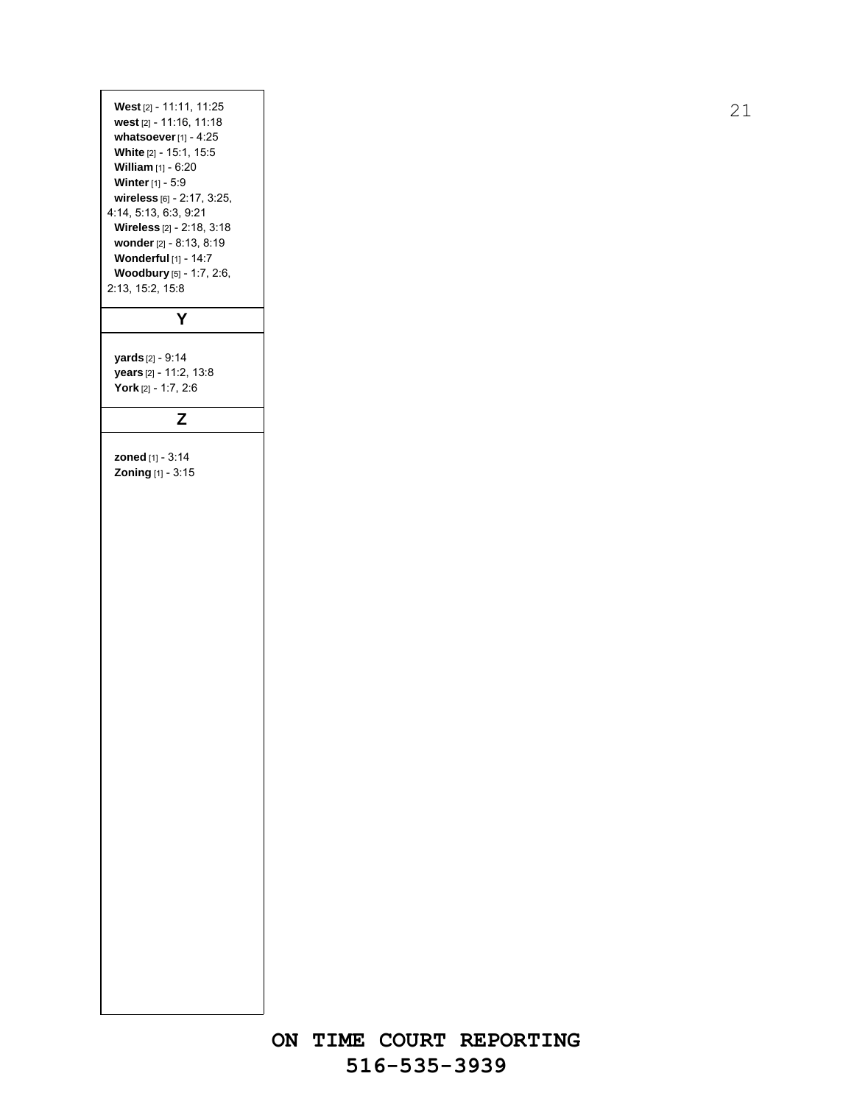| West [2] - 11:11, 11:25<br>west [2] - 11:16, 11:18 |
|----------------------------------------------------|
| whatsoever $[1]$ - 4:25                            |
| White [2] - 15:1, 15:5                             |
| <b>William</b> $[1] - 6:20$                        |
| <b>Winter</b> [1] - 5:9                            |
|                                                    |
| wireless [6] - 2:17, 3:25,                         |
| 4:14, 5:13, 6:3, 9:21                              |
| Wireless [2] - 2:18, 3:18                          |
| wonder [2] - 8:13, 8:19                            |
| <b>Wonderful</b> [1] - 14:7                        |
| Woodbury [5] - 1:7, 2:6,                           |
| 2:13, 15:2, 15:8                                   |
|                                                    |
| Y                                                  |
|                                                    |
|                                                    |
| yards [2] - 9:14                                   |
| years [2] - 11:2, 13:8                             |
| York [2] - 1:7, 2:6                                |
|                                                    |
| $\mathsf{Z}$                                       |
|                                                    |
|                                                    |
| zoned [1] - 3:14                                   |
| Zoning [1] - 3:15                                  |
|                                                    |
|                                                    |
|                                                    |
|                                                    |
|                                                    |
|                                                    |
|                                                    |
|                                                    |
|                                                    |
|                                                    |
|                                                    |
|                                                    |
|                                                    |
|                                                    |
|                                                    |
|                                                    |
|                                                    |
|                                                    |
|                                                    |
|                                                    |
|                                                    |
|                                                    |
|                                                    |
|                                                    |
|                                                    |
|                                                    |
|                                                    |
|                                                    |
|                                                    |
|                                                    |
|                                                    |
|                                                    |
|                                                    |
|                                                    |
|                                                    |
|                                                    |
|                                                    |
|                                                    |
|                                                    |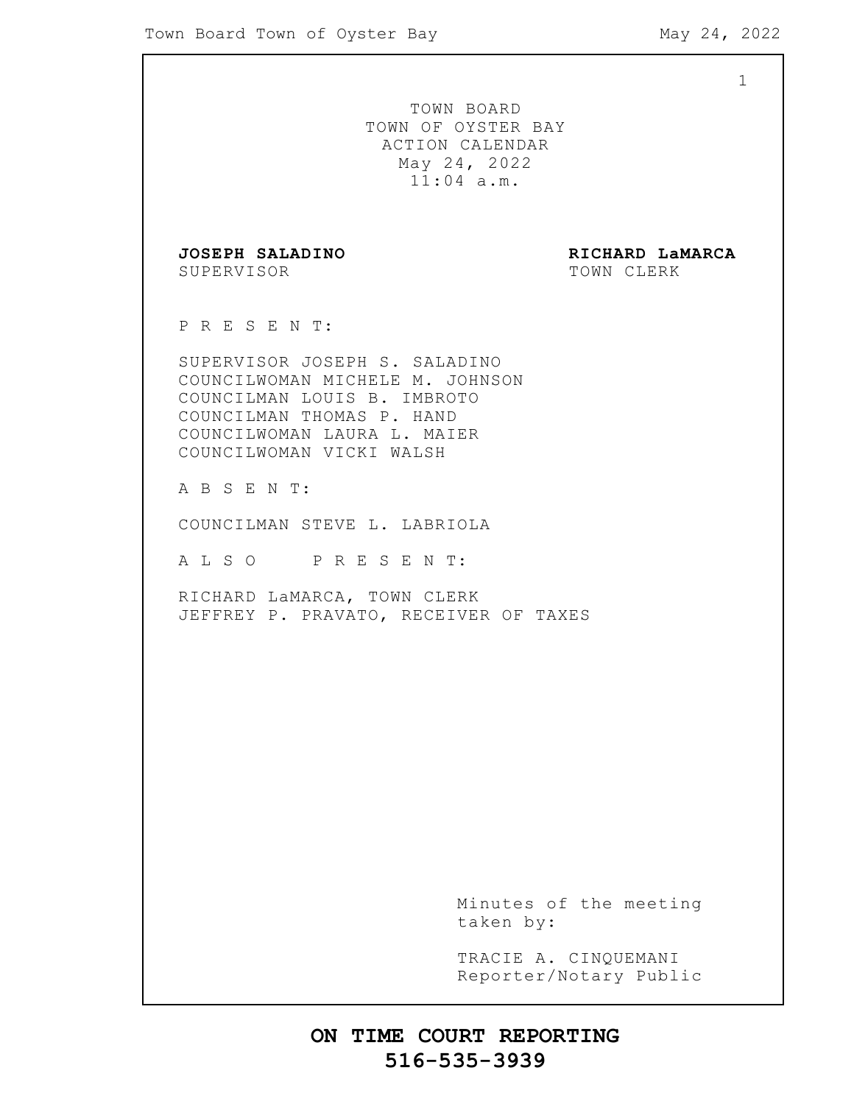1

TOWN BOARD TOWN OF OYSTER BAY ACTION CALENDAR May 24, 2022 11:04 a.m. **JOSEPH SALADINO RICHARD LaMARCA** SUPERVISOR TOWN CLERK P R E S E N T: SUPERVISOR JOSEPH S. SALADINO COUNCILWOMAN MICHELE M. JOHNSON COUNCILMAN LOUIS B. IMBROTO COUNCILMAN THOMAS P. HAND COUNCILWOMAN LAURA L. MAIER COUNCILWOMAN VICKI WALSH A B S E N T: COUNCILMAN STEVE L. LABRIOLA A L S O P R E S E N T: RICHARD LaMARCA, TOWN CLERK JEFFREY P. PRAVATO, RECEIVER OF TAXES Minutes of the meeting taken by: TRACIE A. CINQUEMANI Reporter/Notary Public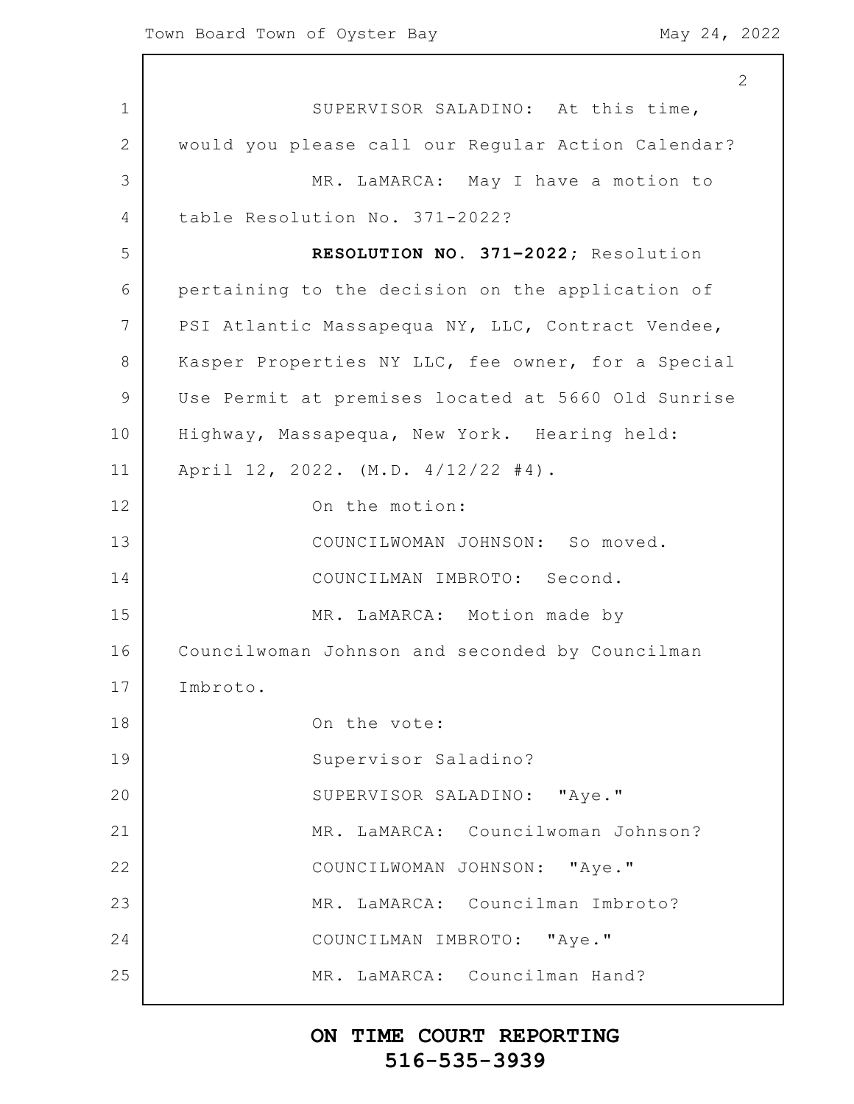1 2 3 4 5 6 7 8 9 10 11 12 13 14 15 16 17 18 19 20 21 22 23 24 25 2 SUPERVISOR SALADINO: At this time, would you please call our Regular Action Calendar? MR. LaMARCA: May I have a motion to table Resolution No. 371-2022? **RESOLUTION NO. 371–2022;** Resolution pertaining to the decision on the application of PSI Atlantic Massapequa NY, LLC, Contract Vendee, Kasper Properties NY LLC, fee owner, for a Special Use Permit at premises located at 5660 Old Sunrise Highway, Massapequa, New York. Hearing held: April 12, 2022. (M.D. 4/12/22 #4). On the motion: COUNCILWOMAN JOHNSON: So moved. COUNCILMAN IMBROTO: Second. MR. LaMARCA: Motion made by Councilwoman Johnson and seconded by Councilman Imbroto. On the vote: Supervisor Saladino? SUPERVISOR SALADINO: "Aye." MR. LaMARCA: Councilwoman Johnson? COUNCILWOMAN JOHNSON: "Aye." MR. LaMARCA: Councilman Imbroto? COUNCILMAN IMBROTO: "Aye." MR. LaMARCA: Councilman Hand?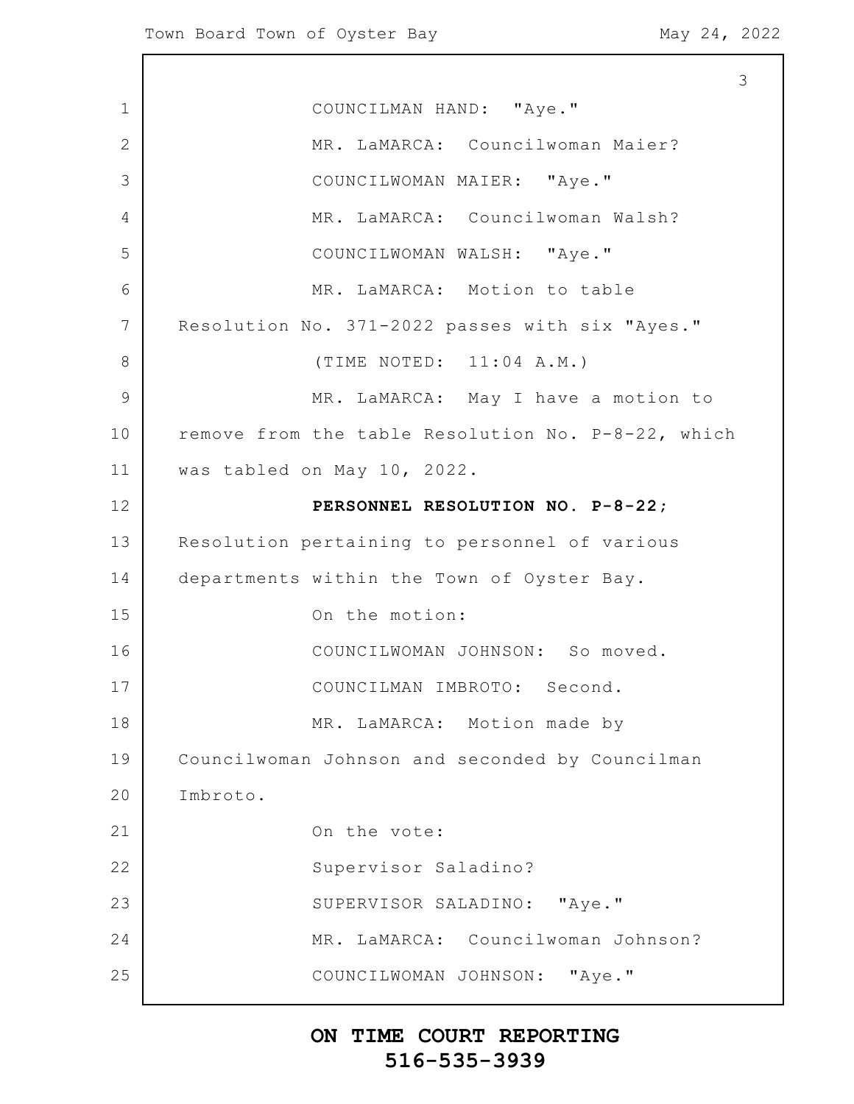1 2 3 4 5 6 7 8 9 10 11 12 13 14 15 16 17 18 19 20 21 22 23 24 25 3 COUNCILMAN HAND: "Aye." MR. LaMARCA: Councilwoman Maier? COUNCILWOMAN MAIER: "Aye." MR. LaMARCA: Councilwoman Walsh? COUNCILWOMAN WALSH: "Aye." MR. LaMARCA: Motion to table Resolution No. 371-2022 passes with six "Ayes." (TIME NOTED: 11:04 A.M.) MR. LaMARCA: May I have a motion to remove from the table Resolution No. P-8-22, which was tabled on May 10, 2022. **PERSONNEL RESOLUTION NO. P-8-22;** Resolution pertaining to personnel of various departments within the Town of Oyster Bay. On the motion: COUNCILWOMAN JOHNSON: So moved. COUNCILMAN IMBROTO: Second. MR. LaMARCA: Motion made by Councilwoman Johnson and seconded by Councilman Imbroto. On the vote: Supervisor Saladino? SUPERVISOR SALADINO: "Aye." MR. LaMARCA: Councilwoman Johnson? COUNCILWOMAN JOHNSON: "Aye."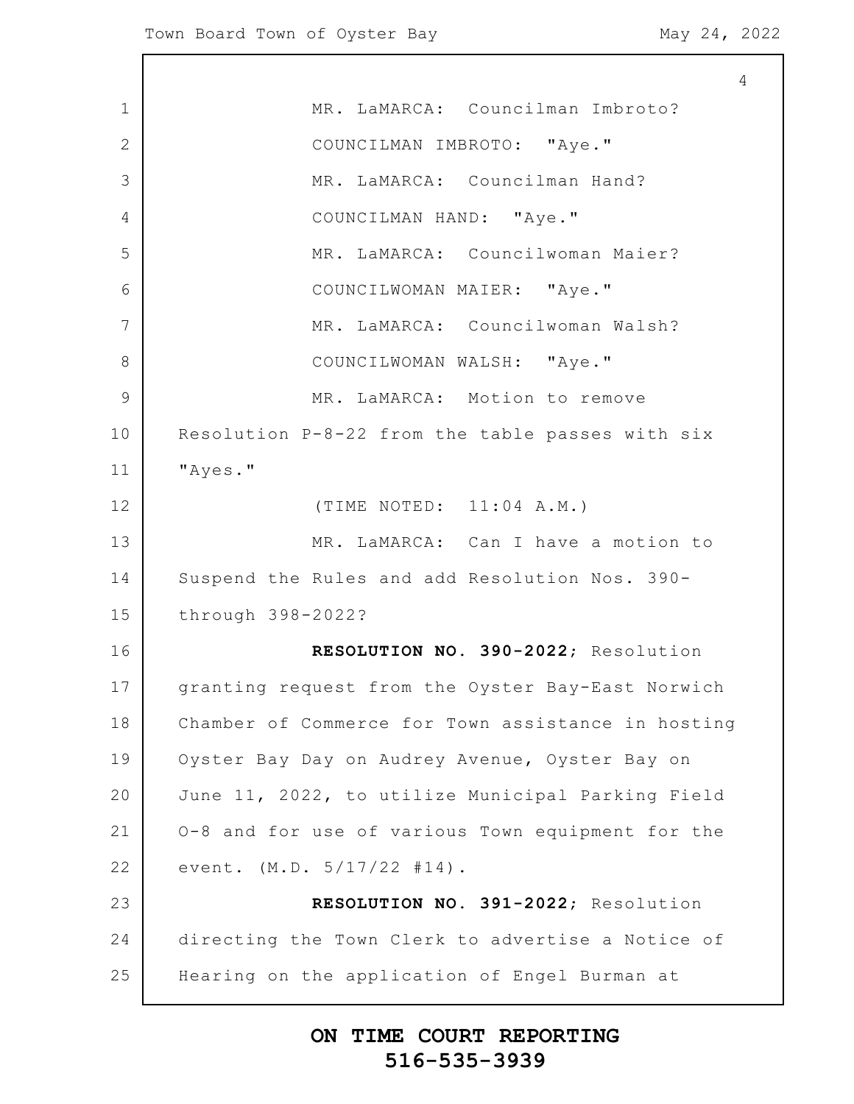$\Gamma$ 

|              | $\overline{4}$                                     |
|--------------|----------------------------------------------------|
| 1            | MR. LaMARCA: Councilman Imbroto?                   |
| $\mathbf{2}$ | COUNCILMAN IMBROTO: "Aye."                         |
| 3            | MR. LaMARCA: Councilman Hand?                      |
| 4            | COUNCILMAN HAND: "Aye."                            |
| 5            | MR. LaMARCA: Councilwoman Maier?                   |
| 6            | COUNCILWOMAN MAIER: "Aye."                         |
| 7            | MR. LaMARCA: Councilwoman Walsh?                   |
| 8            | COUNCILWOMAN WALSH: "Aye."                         |
| 9            | MR. LaMARCA: Motion to remove                      |
| 10           | Resolution P-8-22 from the table passes with six   |
| 11           | "Ayes."                                            |
| 12           | (TIME NOTED: 11:04 A.M.)                           |
| 13           | MR. LaMARCA: Can I have a motion to                |
| 14           | Suspend the Rules and add Resolution Nos. 390-     |
| 15           | through 398-2022?                                  |
| 16           | RESOLUTION NO. 390-2022; Resolution                |
| 17           | granting request from the Oyster Bay-East Norwich  |
| 18           | Chamber of Commerce for Town assistance in hosting |
| 19           | Oyster Bay Day on Audrey Avenue, Oyster Bay on     |
| 20           | June 11, 2022, to utilize Municipal Parking Field  |
| 21           | 0-8 and for use of various Town equipment for the  |
| 22           | event. (M.D. 5/17/22 #14).                         |
| 23           | RESOLUTION NO. 391-2022; Resolution                |
| 24           | directing the Town Clerk to advertise a Notice of  |
| 25           | Hearing on the application of Engel Burman at      |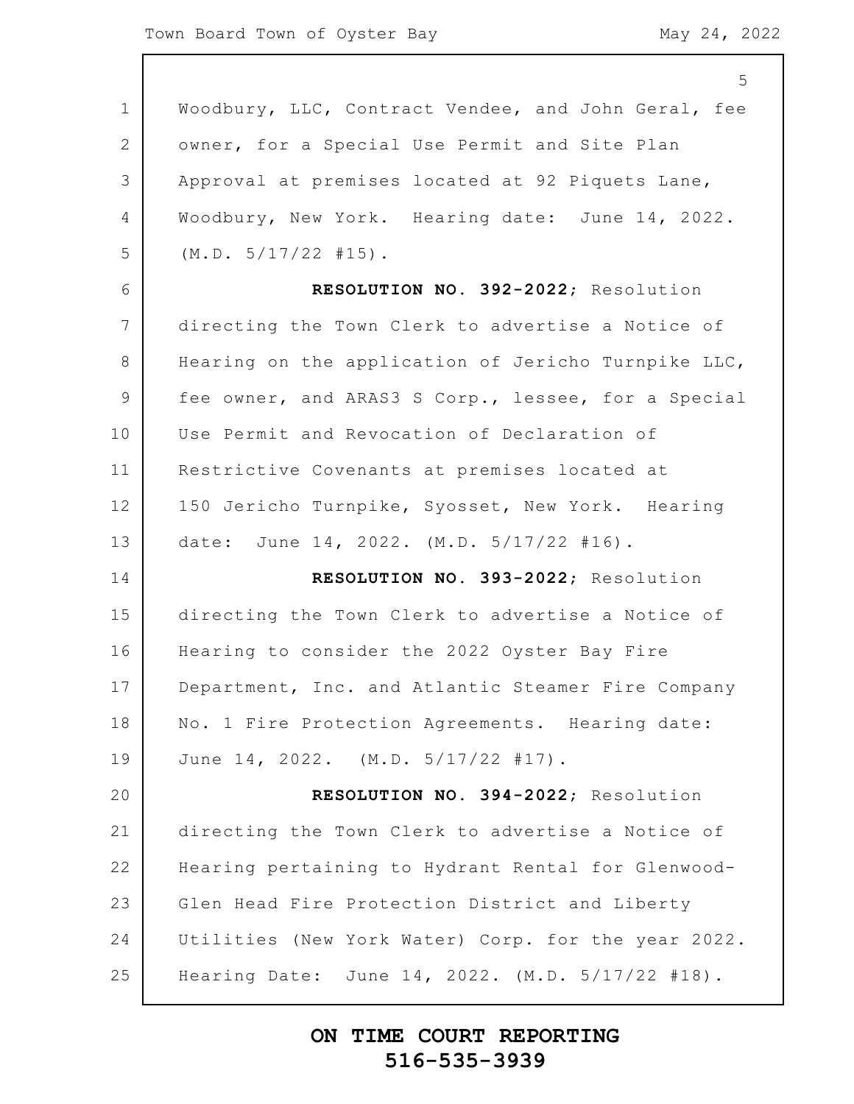|                 | 5                                                   |
|-----------------|-----------------------------------------------------|
| $\mathbf 1$     | Woodbury, LLC, Contract Vendee, and John Geral, fee |
| 2               | owner, for a Special Use Permit and Site Plan       |
| 3               | Approval at premises located at 92 Piquets Lane,    |
| 4               | Woodbury, New York. Hearing date: June 14, 2022.    |
| 5               | $(M.D. 5/17/22 #15)$ .                              |
| 6               | RESOLUTION NO. 392-2022; Resolution                 |
| $7\phantom{.0}$ | directing the Town Clerk to advertise a Notice of   |
| 8               | Hearing on the application of Jericho Turnpike LLC, |
| $\mathcal{G}$   | fee owner, and ARAS3 S Corp., lessee, for a Special |
| 10              | Use Permit and Revocation of Declaration of         |
| 11              | Restrictive Covenants at premises located at        |
| 12              | 150 Jericho Turnpike, Syosset, New York. Hearing    |
| 13              | date: June 14, 2022. (M.D. 5/17/22 #16).            |
| 14              | RESOLUTION NO. 393-2022; Resolution                 |
| 15              | directing the Town Clerk to advertise a Notice of   |
| 16              | Hearing to consider the 2022 Oyster Bay Fire        |
| 17              | Department, Inc. and Atlantic Steamer Fire Company  |
| 18              | No. 1 Fire Protection Agreements. Hearing date:     |
| 19              | June 14, 2022. (M.D. 5/17/22 #17).                  |
| 20              | RESOLUTION NO. 394-2022; Resolution                 |
| 21              | directing the Town Clerk to advertise a Notice of   |
| 22              | Hearing pertaining to Hydrant Rental for Glenwood-  |
| 23              | Glen Head Fire Protection District and Liberty      |
| 24              | Utilities (New York Water) Corp. for the year 2022. |
| 25              | Hearing Date: June 14, 2022. (M.D. 5/17/22 #18).    |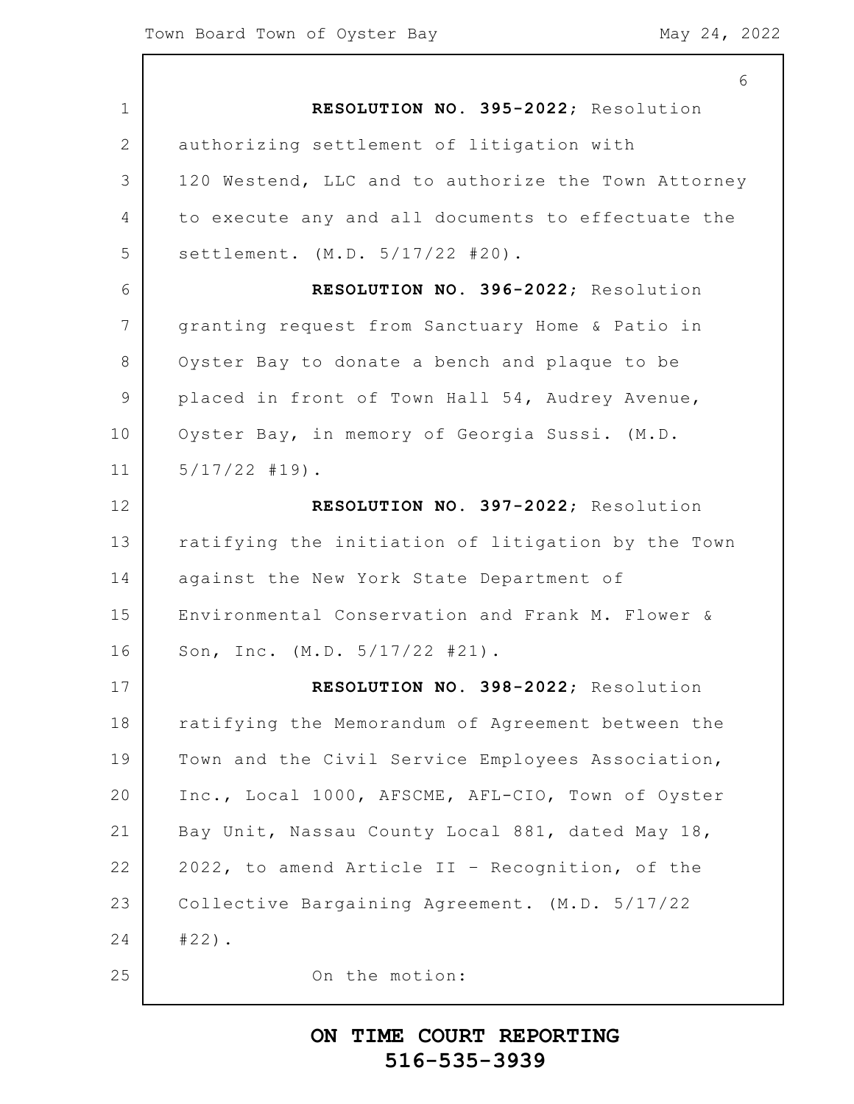|                 | 6                                                   |
|-----------------|-----------------------------------------------------|
| $\mathbf 1$     | RESOLUTION NO. 395-2022; Resolution                 |
| $\mathbf{2}$    | authorizing settlement of litigation with           |
| 3               | 120 Westend, LLC and to authorize the Town Attorney |
| 4               | to execute any and all documents to effectuate the  |
| 5               | settlement. (M.D. 5/17/22 #20).                     |
| 6               | RESOLUTION NO. 396-2022; Resolution                 |
| $7\phantom{.0}$ | granting request from Sanctuary Home & Patio in     |
| 8               | Oyster Bay to donate a bench and plaque to be       |
| $\mathcal{G}$   | placed in front of Town Hall 54, Audrey Avenue,     |
| 10              | Oyster Bay, in memory of Georgia Sussi. (M.D.       |
| 11              | $5/17/22$ #19).                                     |
| 12              | RESOLUTION NO. 397-2022; Resolution                 |
| 13              | ratifying the initiation of litigation by the Town  |
| 14              | against the New York State Department of            |
| 15              | Environmental Conservation and Frank M. Flower &    |
| 16              | Son, Inc. (M.D. 5/17/22 #21).                       |
| 17              | RESOLUTION NO. 398-2022; Resolution                 |
| 18              | ratifying the Memorandum of Agreement between the   |
| 19              | Town and the Civil Service Employees Association,   |
| 20              | Inc., Local 1000, AFSCME, AFL-CIO, Town of Oyster   |
| 21              | Bay Unit, Nassau County Local 881, dated May 18,    |
| 22              | 2022, to amend Article II - Recognition, of the     |
| 23              | Collective Bargaining Agreement. (M.D. 5/17/22      |
| 24              | $#22)$ .                                            |
| 25              | On the motion:                                      |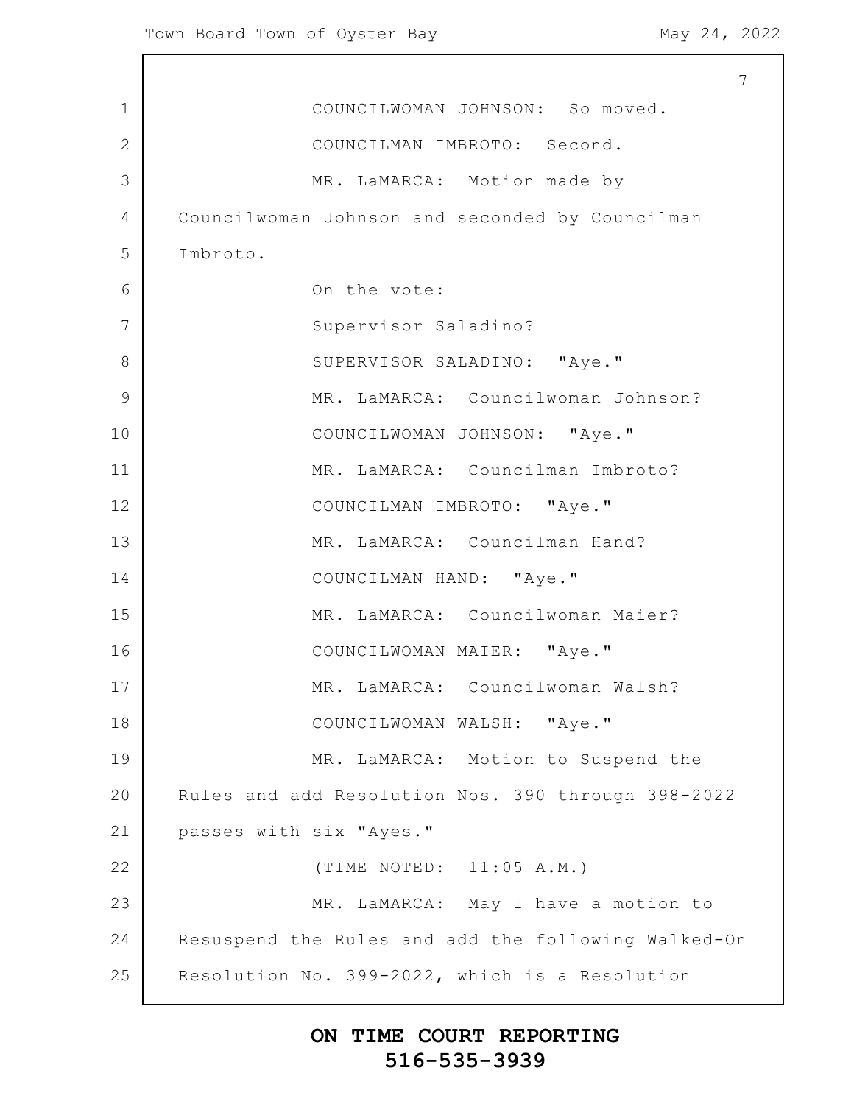$\mathsf{l}$ 

|                 | 7                                                   |
|-----------------|-----------------------------------------------------|
| 1               | COUNCILWOMAN JOHNSON: So moved.                     |
| $\mathbf{2}$    | COUNCILMAN IMBROTO: Second.                         |
| 3               | MR. LaMARCA: Motion made by                         |
| 4               | Councilwoman Johnson and seconded by Councilman     |
| 5               | Imbroto.                                            |
| 6               | On the vote:                                        |
| $7\phantom{.0}$ | Supervisor Saladino?                                |
| 8               | SUPERVISOR SALADINO: "Aye."                         |
| 9               | MR. LaMARCA: Councilwoman Johnson?                  |
| 10              | COUNCILWOMAN JOHNSON: "Aye."                        |
| 11              | MR. LaMARCA: Councilman Imbroto?                    |
| 12              | COUNCILMAN IMBROTO: "Aye."                          |
| 13              | MR. LaMARCA: Councilman Hand?                       |
| 14              | COUNCILMAN HAND: "Aye."                             |
| 15              | MR. LaMARCA: Councilwoman Maier?                    |
| 16              | COUNCILWOMAN MAIER: "Aye."                          |
| 17              | MR. LaMARCA: Councilwoman Walsh?                    |
| 18              | COUNCILWOMAN WALSH: "Aye."                          |
| 19              | MR. LaMARCA: Motion to Suspend the                  |
| 20              | Rules and add Resolution Nos. 390 through 398-2022  |
| 21              | passes with six "Ayes."                             |
| 22              | (TIME NOTED: 11:05 A.M.)                            |
| 23              | MR. LaMARCA: May I have a motion to                 |
| 24              | Resuspend the Rules and add the following Walked-On |
| 25              | Resolution No. 399-2022, which is a Resolution      |
|                 |                                                     |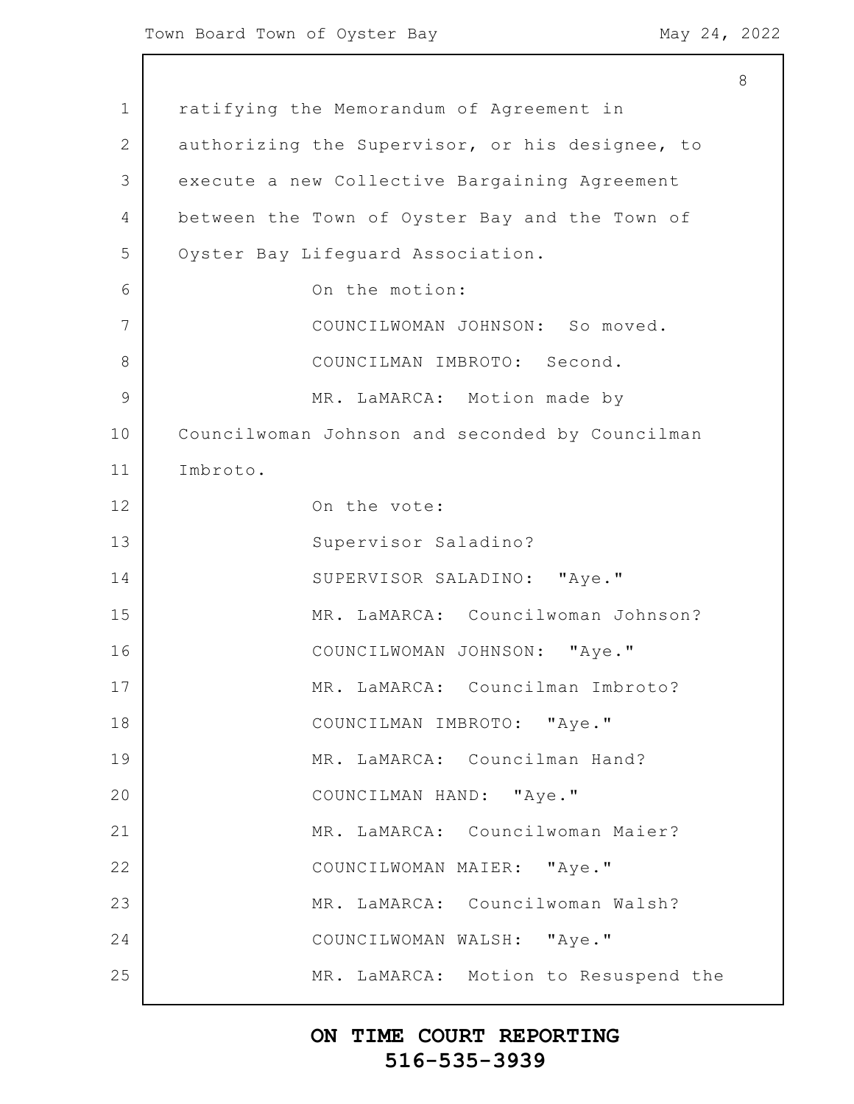8

1 2 3 4 5 6 7 8 9 10 11 12 13 14 15 16 17 18 19 20 21 22 23 24 25 ratifying the Memorandum of Agreement in authorizing the Supervisor, or his designee, to execute a new Collective Bargaining Agreement between the Town of Oyster Bay and the Town of Oyster Bay Lifeguard Association. On the motion: COUNCILWOMAN JOHNSON: So moved. COUNCILMAN IMBROTO: Second. MR. LaMARCA: Motion made by Councilwoman Johnson and seconded by Councilman Imbroto. On the vote: Supervisor Saladino? SUPERVISOR SALADINO: "Aye." MR. LaMARCA: Councilwoman Johnson? COUNCILWOMAN JOHNSON: "Aye." MR. LaMARCA: Councilman Imbroto? COUNCILMAN IMBROTO: "Aye." MR. LaMARCA: Councilman Hand? COUNCILMAN HAND: "Aye." MR. LaMARCA: Councilwoman Maier? COUNCILWOMAN MAIER: "Aye." MR. LaMARCA: Councilwoman Walsh? COUNCILWOMAN WALSH: "Aye." MR. LaMARCA: Motion to Resuspend the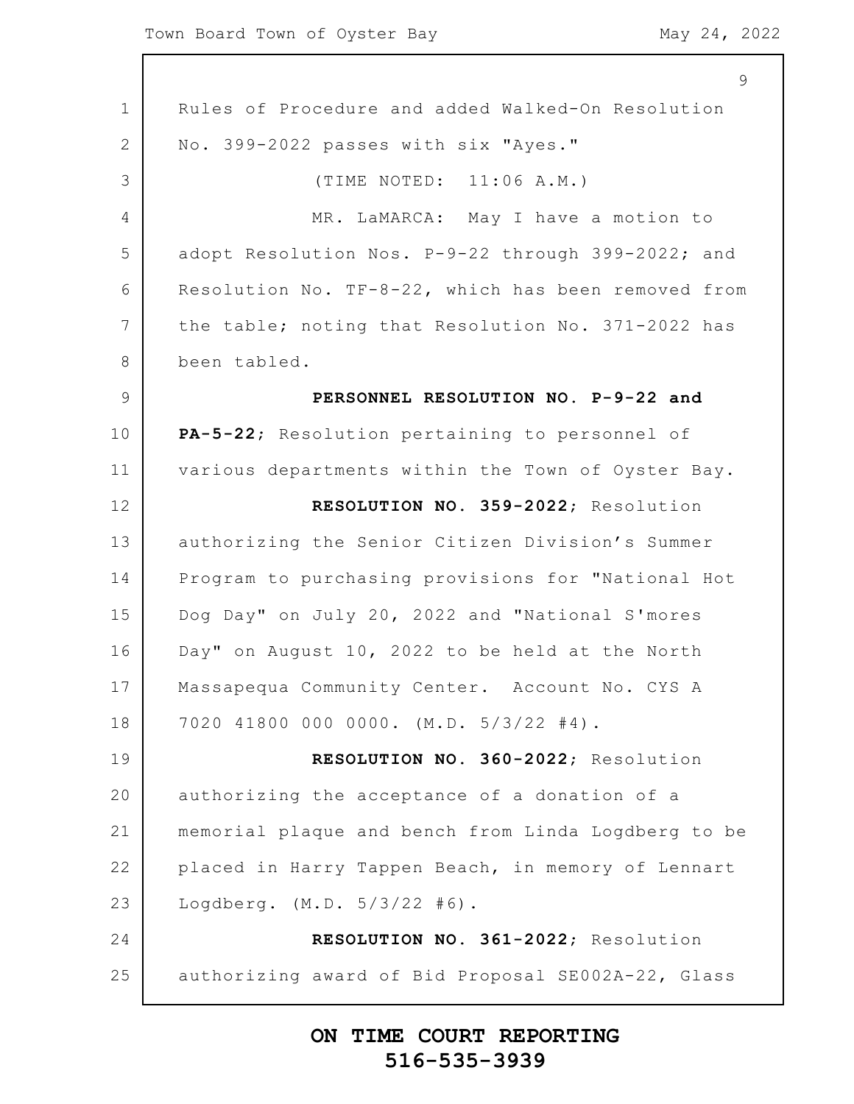$\mathbf{I}$ 

|                | 9                                                   |
|----------------|-----------------------------------------------------|
| $\mathbf 1$    | Rules of Procedure and added Walked-On Resolution   |
| 2              | No. 399-2022 passes with six "Ayes."                |
| 3              | (TIME NOTED: 11:06 A.M.)                            |
| 4              | MR. LaMARCA: May I have a motion to                 |
| 5              | adopt Resolution Nos. P-9-22 through 399-2022; and  |
| 6              | Resolution No. TF-8-22, which has been removed from |
| $7\phantom{.}$ | the table; noting that Resolution No. 371-2022 has  |
| 8              | been tabled.                                        |
| $\mathcal{G}$  | PERSONNEL RESOLUTION NO. P-9-22 and                 |
| 10             | PA-5-22; Resolution pertaining to personnel of      |
| 11             | various departments within the Town of Oyster Bay.  |
| 12             | RESOLUTION NO. 359-2022; Resolution                 |
| 13             | authorizing the Senior Citizen Division's Summer    |
| 14             | Program to purchasing provisions for "National Hot  |
| 15             | Dog Day" on July 20, 2022 and "National S'mores     |
| 16             | Day" on August 10, 2022 to be held at the North     |
| 17             | Massapequa Community Center. Account No. CYS A      |
| 18             | 7020 41800 000 0000. (M.D. 5/3/22 #4).              |
| 19             | RESOLUTION NO. 360-2022; Resolution                 |
| 20             | authorizing the acceptance of a donation of a       |
| 21             | memorial plaque and bench from Linda Logdberg to be |
| 22             | placed in Harry Tappen Beach, in memory of Lennart  |
| 23             | Logdberg. $(M.D. 5/3/22  #6)$ .                     |
| 24             | RESOLUTION NO. 361-2022; Resolution                 |
| 25             | authorizing award of Bid Proposal SE002A-22, Glass  |
|                |                                                     |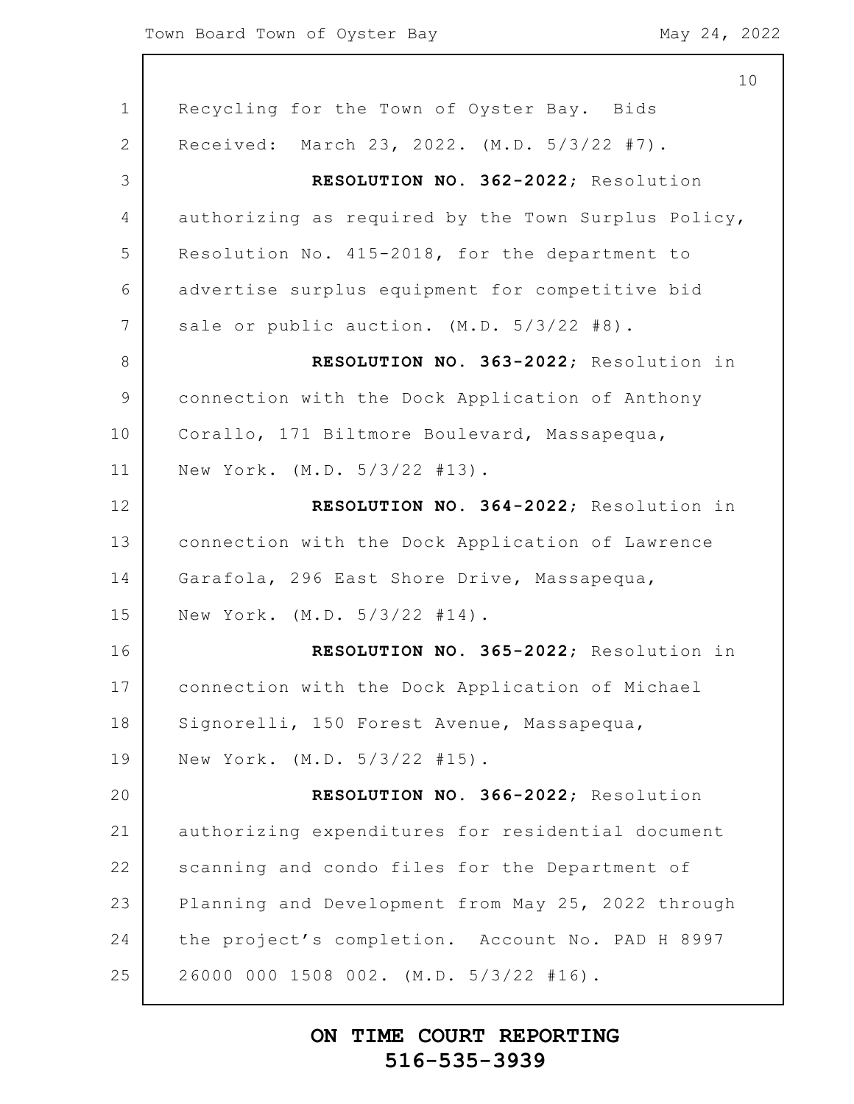|                | 10                                                  |
|----------------|-----------------------------------------------------|
| $\mathbf 1$    | Recycling for the Town of Oyster Bay. Bids          |
| $\mathbf{2}$   | Received: March 23, 2022. (M.D. 5/3/22 #7).         |
| 3              | RESOLUTION NO. 362-2022; Resolution                 |
| $\overline{4}$ | authorizing as required by the Town Surplus Policy, |
| 5              | Resolution No. 415-2018, for the department to      |
| 6              | advertise surplus equipment for competitive bid     |
| 7              | sale or public auction. (M.D. 5/3/22 #8).           |
| 8              | RESOLUTION NO. 363-2022; Resolution in              |
| $\overline{9}$ | connection with the Dock Application of Anthony     |
| 10             | Corallo, 171 Biltmore Boulevard, Massapequa,        |
| 11             | New York. (M.D. 5/3/22 #13).                        |
| 12             | RESOLUTION NO. 364-2022; Resolution in              |
| 13             | connection with the Dock Application of Lawrence    |
| 14             | Garafola, 296 East Shore Drive, Massapequa,         |
| 15             | New York. (M.D. 5/3/22 #14).                        |
| 16             | RESOLUTION NO. 365-2022; Resolution in              |
| 17             | connection with the Dock Application of Michael     |
| 18             | Signorelli, 150 Forest Avenue, Massapequa,          |
| 19             | New York. (M.D. 5/3/22 #15).                        |
| 20             | RESOLUTION NO. 366-2022; Resolution                 |
| 21             | authorizing expenditures for residential document   |
| 22             | scanning and condo files for the Department of      |
| 23             | Planning and Development from May 25, 2022 through  |
| 24             | the project's completion. Account No. PAD H 8997    |
| 25             | 26000 000 1508 002. (M.D. 5/3/22 #16).              |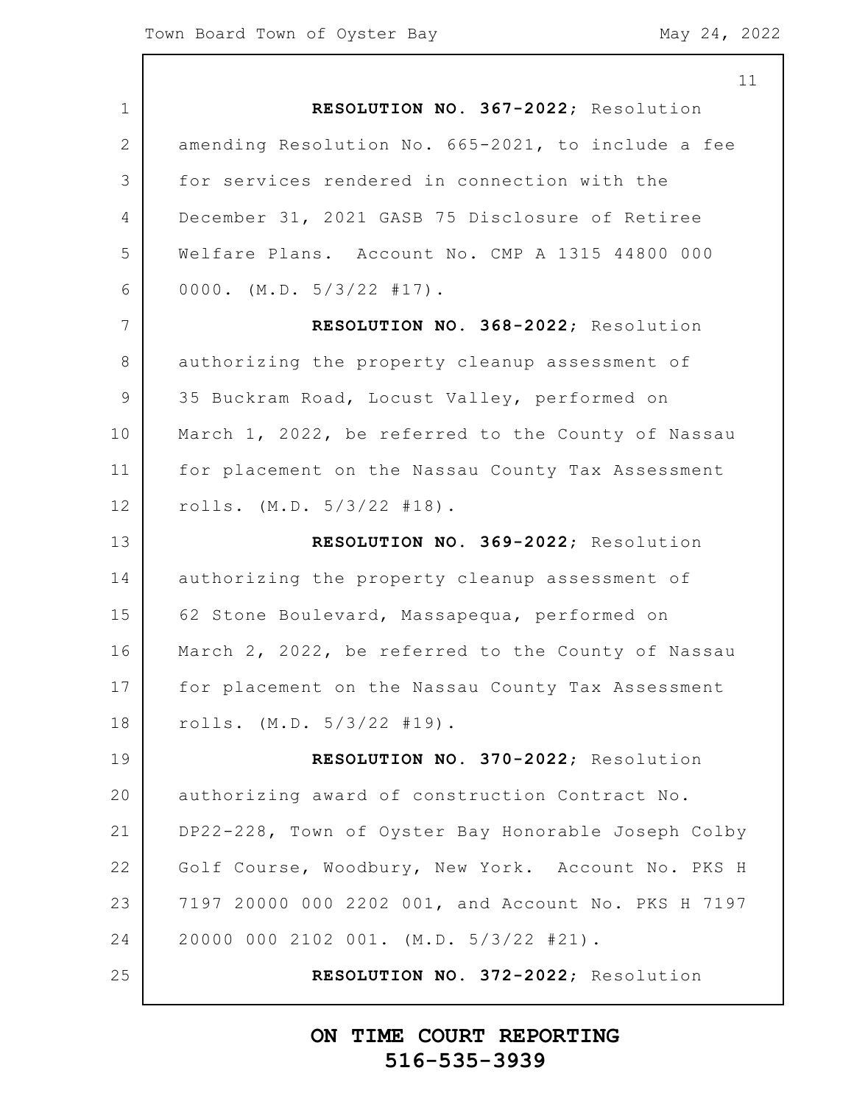|             | 11                                                  |
|-------------|-----------------------------------------------------|
| 1           | RESOLUTION NO. 367-2022; Resolution                 |
| 2           | amending Resolution No. 665-2021, to include a fee  |
| 3           | for services rendered in connection with the        |
| 4           | December 31, 2021 GASB 75 Disclosure of Retiree     |
| 5           | Welfare Plans. Account No. CMP A 1315 44800 000     |
| 6           | $0000.$ (M.D. $5/3/22$ #17).                        |
| 7           | RESOLUTION NO. 368-2022; Resolution                 |
| $8\,$       | authorizing the property cleanup assessment of      |
| $\mathsf 9$ | 35 Buckram Road, Locust Valley, performed on        |
| 10          | March 1, 2022, be referred to the County of Nassau  |
| 11          | for placement on the Nassau County Tax Assessment   |
| 12          | rolls. $(M.D. 5/3/22 #18)$ .                        |
| 13          | RESOLUTION NO. 369-2022; Resolution                 |
| 14          | authorizing the property cleanup assessment of      |
| 15          | 62 Stone Boulevard, Massapequa, performed on        |
| 16          | March 2, 2022, be referred to the County of Nassau  |
| 17          | for placement on the Nassau County Tax Assessment   |
| 18          | rolls. (M.D. 5/3/22 #19).                           |
| 19          | RESOLUTION NO. 370-2022; Resolution                 |
| 20          | authorizing award of construction Contract No.      |
| 21          | DP22-228, Town of Oyster Bay Honorable Joseph Colby |
| 22          | Golf Course, Woodbury, New York. Account No. PKS H  |
| 23          | 7197 20000 000 2202 001, and Account No. PKS H 7197 |
| 24          | 20000 000 2102 001. (M.D. 5/3/22 #21).              |
| 25          | RESOLUTION NO. 372-2022; Resolution                 |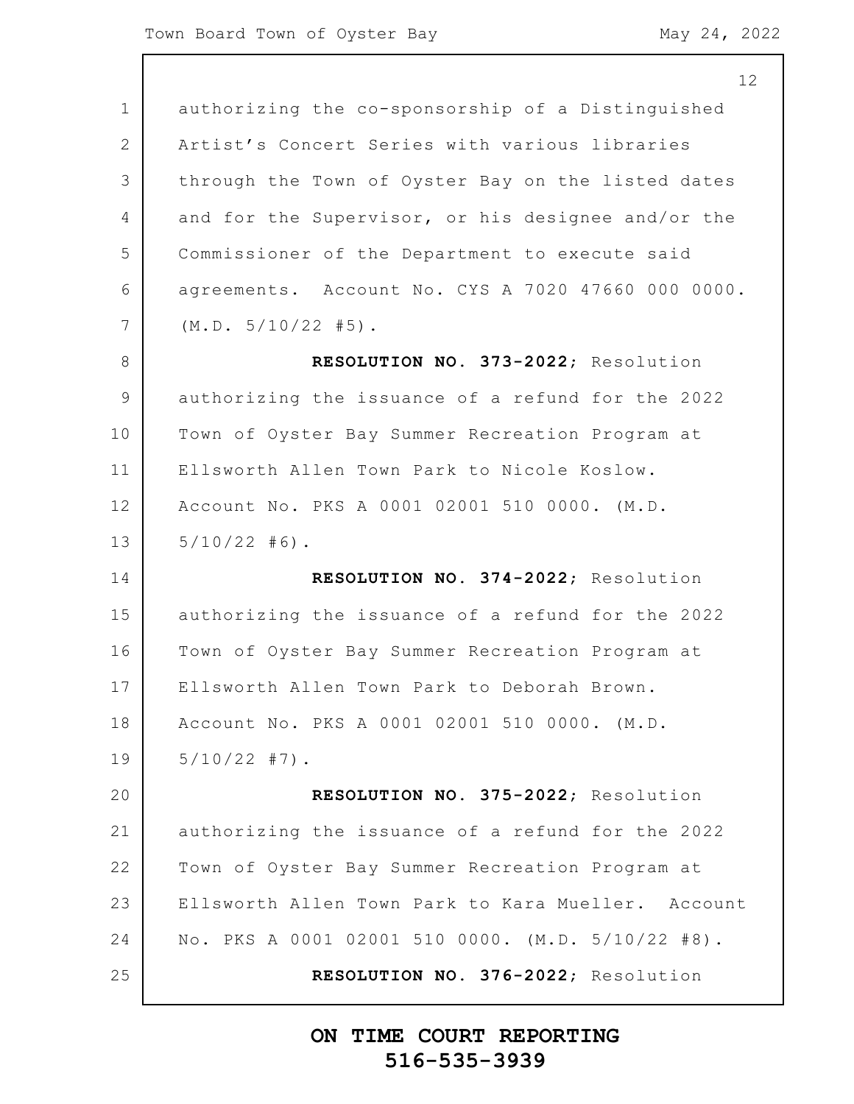$\mathsf{l}$ 

|                | 12                                                 |
|----------------|----------------------------------------------------|
| $\mathbf 1$    | authorizing the co-sponsorship of a Distinguished  |
| $\mathbf{2}$   | Artist's Concert Series with various libraries     |
| 3              | through the Town of Oyster Bay on the listed dates |
| 4              | and for the Supervisor, or his designee and/or the |
| 5              | Commissioner of the Department to execute said     |
| 6              | agreements. Account No. CYS A 7020 47660 000 0000. |
| 7              | (M.D. 5/10/22  #5).                                |
| 8              | RESOLUTION NO. 373-2022; Resolution                |
| $\overline{9}$ | authorizing the issuance of a refund for the 2022  |
| 10             | Town of Oyster Bay Summer Recreation Program at    |
| 11             | Ellsworth Allen Town Park to Nicole Koslow.        |
| 12             | Account No. PKS A 0001 02001 510 0000. (M.D.       |
| 13             | $5/10/22$ #6).                                     |
| 14             | RESOLUTION NO. 374-2022; Resolution                |
| 15             | authorizing the issuance of a refund for the 2022  |
| 16             | Town of Oyster Bay Summer Recreation Program at    |
| 17             | Ellsworth Allen Town Park to Deborah Brown.        |
| 18             | Account No. PKS A 0001 02001 510 0000. (M.D.       |
| 19             | $5/10/22$ #7).                                     |
| 20             | RESOLUTION NO. 375-2022; Resolution                |
| 21             | authorizing the issuance of a refund for the 2022  |
| 22             | Town of Oyster Bay Summer Recreation Program at    |
| 23             | Ellsworth Allen Town Park to Kara Mueller. Account |
| 24             | No. PKS A 0001 02001 510 0000. (M.D. 5/10/22 #8).  |
| 25             | RESOLUTION NO. 376-2022; Resolution                |
|                |                                                    |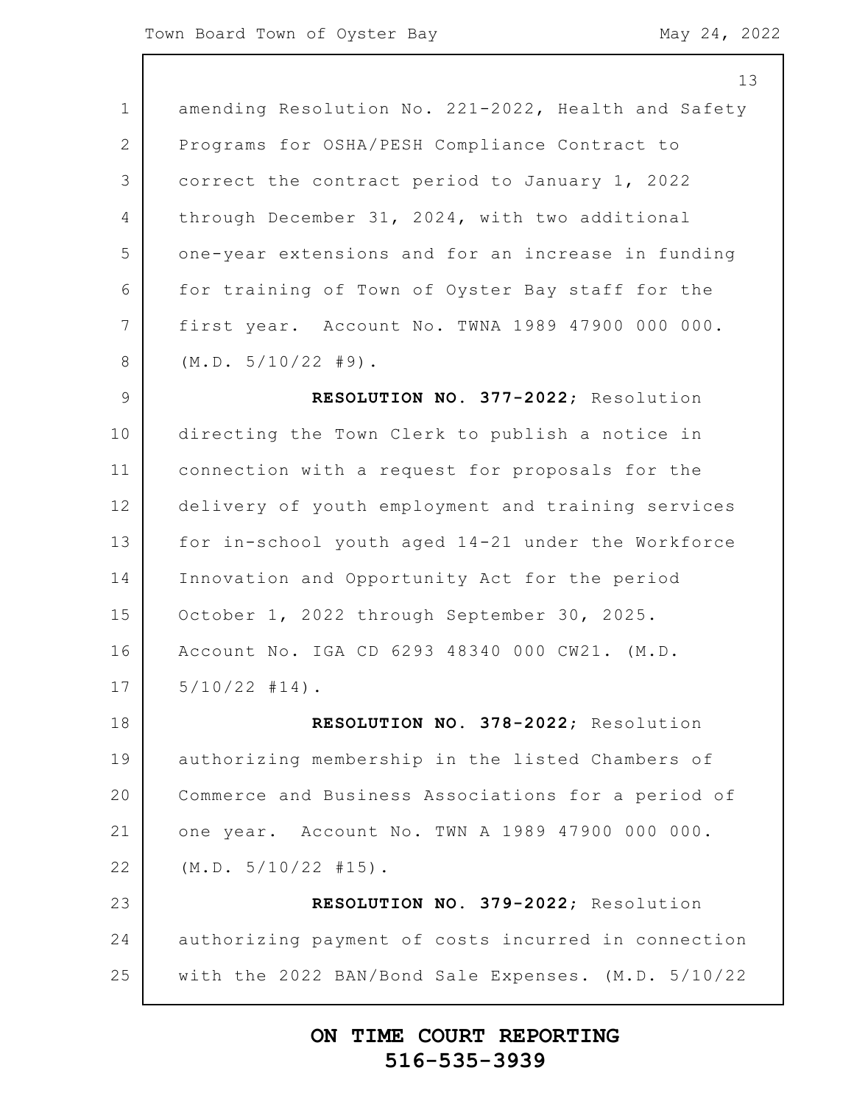|               | 13                                                  |
|---------------|-----------------------------------------------------|
| $\mathbf 1$   | amending Resolution No. 221-2022, Health and Safety |
| 2             | Programs for OSHA/PESH Compliance Contract to       |
| 3             | correct the contract period to January 1, 2022      |
| 4             | through December 31, 2024, with two additional      |
| 5             | one-year extensions and for an increase in funding  |
| 6             | for training of Town of Oyster Bay staff for the    |
| 7             | first year. Account No. TWNA 1989 47900 000 000.    |
| $8\,$         | (M.D. 5/10/22  #9).                                 |
| $\mathcal{G}$ | RESOLUTION NO. 377-2022; Resolution                 |
| 10            | directing the Town Clerk to publish a notice in     |
| 11            | connection with a request for proposals for the     |
| 12            | delivery of youth employment and training services  |
| 13            | for in-school youth aged 14-21 under the Workforce  |
| 14            | Innovation and Opportunity Act for the period       |
| 15            | October 1, 2022 through September 30, 2025.         |
| 16            | Account No. IGA CD 6293 48340 000 CW21. (M.D.       |
| 17            | $5/10/22$ #14).                                     |
| 18            | RESOLUTION NO. 378-2022; Resolution                 |
| 19            | authorizing membership in the listed Chambers of    |
| 20            | Commerce and Business Associations for a period of  |
| 21            | one year. Account No. TWN A 1989 47900 000 000.     |
| 22            | (M.D. 5/10/22  #15).                                |
| 23            | RESOLUTION NO. 379-2022; Resolution                 |
| 24            | authorizing payment of costs incurred in connection |
| 25            | with the 2022 BAN/Bond Sale Expenses. (M.D. 5/10/22 |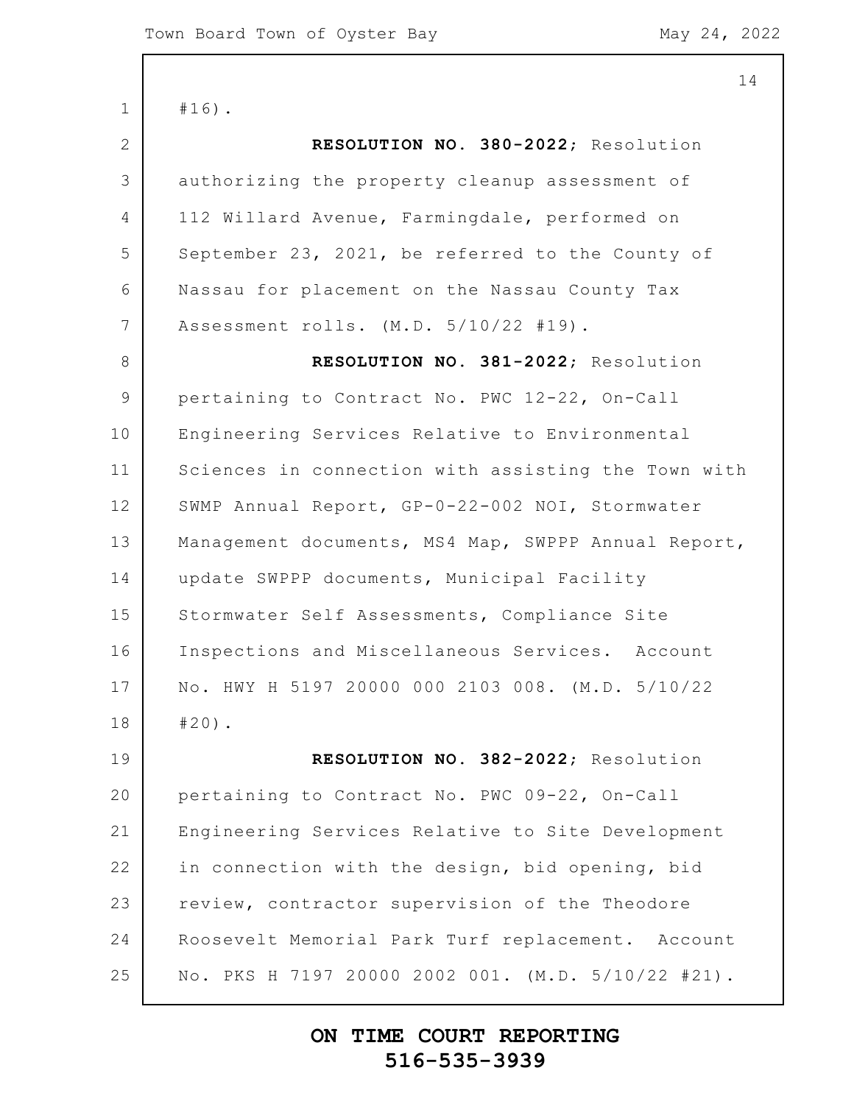14

```
#16).
```
 $1 \mid$ 

| 2              | RESOLUTION NO. 380-2022; Resolution                 |
|----------------|-----------------------------------------------------|
| 3              | authorizing the property cleanup assessment of      |
| 4              | 112 Willard Avenue, Farmingdale, performed on       |
| 5              | September 23, 2021, be referred to the County of    |
| 6              | Nassau for placement on the Nassau County Tax       |
| $7\phantom{.}$ | Assessment rolls. (M.D. 5/10/22 #19).               |
| 8              | RESOLUTION NO. 381-2022; Resolution                 |
| $\mathsf 9$    | pertaining to Contract No. PWC 12-22, On-Call       |
| 10             | Engineering Services Relative to Environmental      |
| 11             | Sciences in connection with assisting the Town with |
| 12             | SWMP Annual Report, GP-0-22-002 NOI, Stormwater     |
| 13             | Management documents, MS4 Map, SWPPP Annual Report, |
| 14             | update SWPPP documents, Municipal Facility          |
| 15             | Stormwater Self Assessments, Compliance Site        |
| 16             | Inspections and Miscellaneous Services. Account     |
| 17             | No. HWY H 5197 20000 000 2103 008. (M.D. 5/10/22    |
| 18             | $#20$ ).                                            |
| 19             | RESOLUTION NO. 382-2022; Resolution                 |
| 20             | pertaining to Contract No. PWC 09-22, On-Call       |
| 21             | Engineering Services Relative to Site Development   |
| 22             | in connection with the design, bid opening, bid     |
| 23             | review, contractor supervision of the Theodore      |
| 24             | Roosevelt Memorial Park Turf replacement. Account   |
| 25             | No. PKS H 7197 20000 2002 001. (M.D. 5/10/22 #21).  |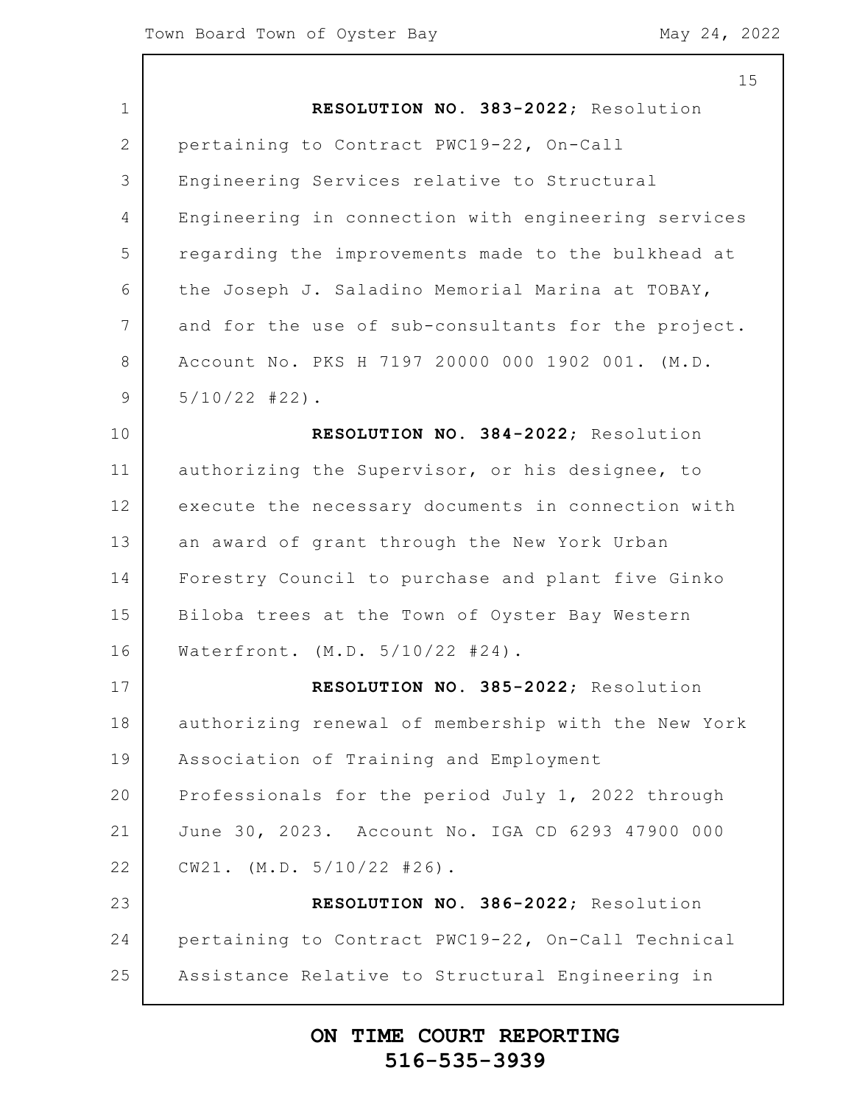|                | 15                                                  |
|----------------|-----------------------------------------------------|
| $\mathbf 1$    | RESOLUTION NO. 383-2022; Resolution                 |
| 2              | pertaining to Contract PWC19-22, On-Call            |
| 3              | Engineering Services relative to Structural         |
| $\overline{4}$ | Engineering in connection with engineering services |
| 5              | regarding the improvements made to the bulkhead at  |
| 6              | the Joseph J. Saladino Memorial Marina at TOBAY,    |
| 7              | and for the use of sub-consultants for the project. |
| 8              | Account No. PKS H 7197 20000 000 1902 001. (M.D.    |
| $\overline{9}$ | $5/10/22$ #22).                                     |
| 10             | RESOLUTION NO. 384-2022; Resolution                 |
| 11             | authorizing the Supervisor, or his designee, to     |
| 12             | execute the necessary documents in connection with  |
| 13             | an award of grant through the New York Urban        |
| 14             | Forestry Council to purchase and plant five Ginko   |
| 15             | Biloba trees at the Town of Oyster Bay Western      |
| 16             | Waterfront. (M.D. 5/10/22 #24).                     |
| 17             | RESOLUTION NO. 385-2022; Resolution                 |
| 18             | authorizing renewal of membership with the New York |
| 19             | Association of Training and Employment              |
| 20             | Professionals for the period July 1, 2022 through   |
| 21             | June 30, 2023. Account No. IGA CD 6293 47900 000    |
| 22             | CW21. (M.D. 5/10/22 #26).                           |
| 23             | RESOLUTION NO. 386-2022; Resolution                 |
| 24             | pertaining to Contract PWC19-22, On-Call Technical  |
| 25             | Assistance Relative to Structural Engineering in    |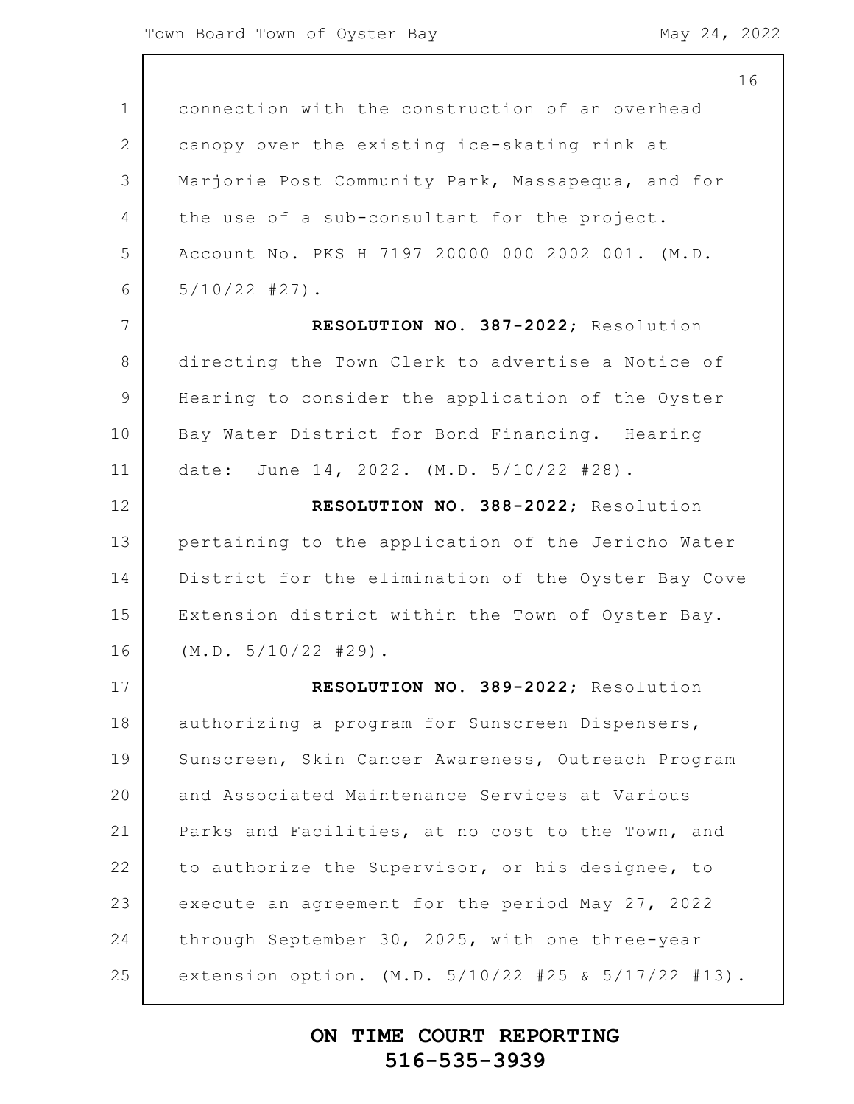1 2 3 4 5 6 7 8 9 10 11 12 13 14 15 16 17 18 19 20 21 22 23 24 25 connection with the construction of an overhead canopy over the existing ice-skating rink at Marjorie Post Community Park, Massapequa, and for the use of a sub-consultant for the project. Account No. PKS H 7197 20000 000 2002 001. (M.D. 5/10/22 #27). **RESOLUTION NO. 387-2022**; Resolution directing the Town Clerk to advertise a Notice of Hearing to consider the application of the Oyster Bay Water District for Bond Financing. Hearing date: June 14, 2022. (M.D. 5/10/22 #28). **RESOLUTION NO. 388-2022**; Resolution pertaining to the application of the Jericho Water District for the elimination of the Oyster Bay Cove Extension district within the Town of Oyster Bay. (M.D. 5/10/22 #29). **RESOLUTION NO. 389-2022**; Resolution authorizing a program for Sunscreen Dispensers, Sunscreen, Skin Cancer Awareness, Outreach Program and Associated Maintenance Services at Various Parks and Facilities, at no cost to the Town, and to authorize the Supervisor, or his designee, to execute an agreement for the period May 27, 2022 through September 30, 2025, with one three-year extension option. (M.D. 5/10/22 #25 & 5/17/22 #13).

#### **ON TIME COURT REPORTING 516-535-3939**

#### 16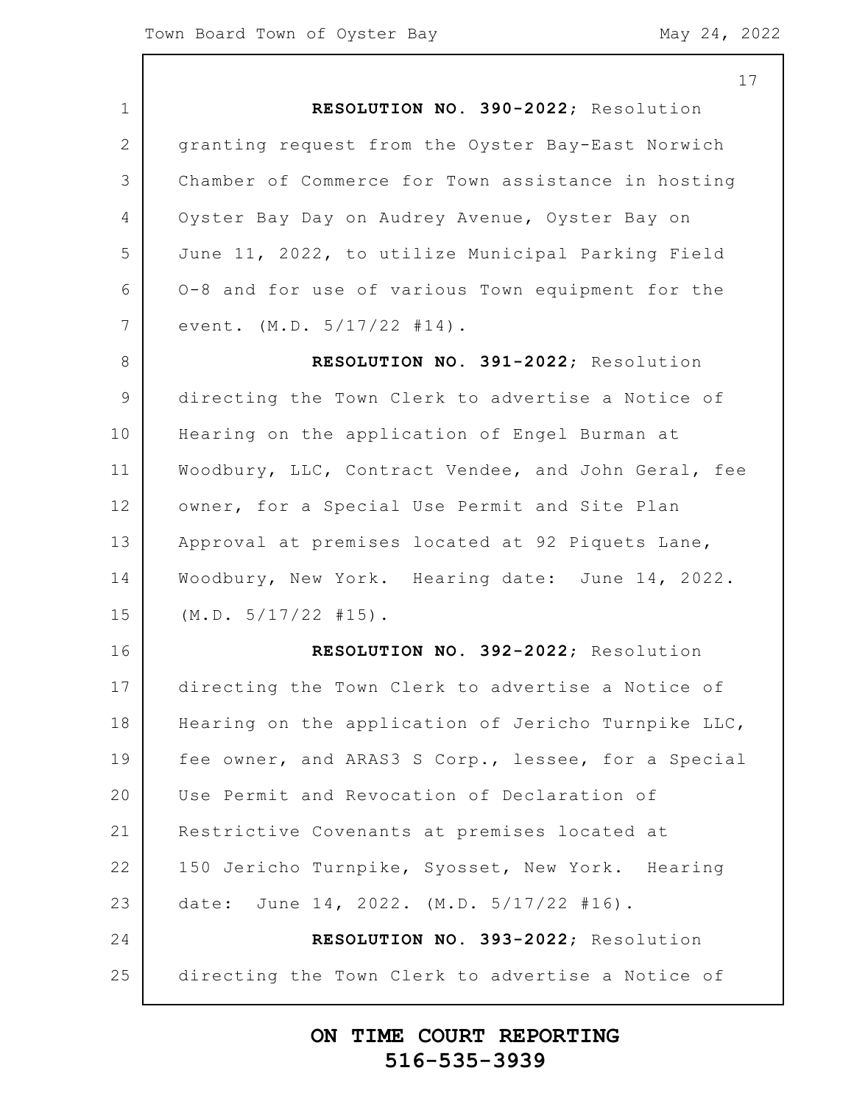$\mathbf{I}$ 

|                | 17                                                  |
|----------------|-----------------------------------------------------|
| $\mathbf 1$    | RESOLUTION NO. 390-2022; Resolution                 |
| $\overline{2}$ | granting request from the Oyster Bay-East Norwich   |
| 3              | Chamber of Commerce for Town assistance in hosting  |
| 4              | Oyster Bay Day on Audrey Avenue, Oyster Bay on      |
| 5              | June 11, 2022, to utilize Municipal Parking Field   |
| 6              | 0-8 and for use of various Town equipment for the   |
| 7              | event. (M.D. 5/17/22 #14).                          |
| 8              | RESOLUTION NO. 391-2022; Resolution                 |
| $\mathsf 9$    | directing the Town Clerk to advertise a Notice of   |
| 10             | Hearing on the application of Engel Burman at       |
| 11             | Woodbury, LLC, Contract Vendee, and John Geral, fee |
| 12             | owner, for a Special Use Permit and Site Plan       |
| 13             | Approval at premises located at 92 Piquets Lane,    |
| 14             | Woodbury, New York. Hearing date: June 14, 2022.    |
| 15             | (M.D. 5/17/22 #15).                                 |
| 16             | RESOLUTION NO. 392-2022; Resolution                 |
| 17             | directing the Town Clerk to advertise a Notice of   |
| 18             | Hearing on the application of Jericho Turnpike LLC, |
| 19             | fee owner, and ARAS3 S Corp., lessee, for a Special |
| 20             | Use Permit and Revocation of Declaration of         |
| 21             | Restrictive Covenants at premises located at        |
| 22             | 150 Jericho Turnpike, Syosset, New York. Hearing    |
| 23             | date: June 14, 2022. (M.D. 5/17/22 #16).            |
| 24             | RESOLUTION NO. 393-2022; Resolution                 |
| 25             | directing the Town Clerk to advertise a Notice of   |
|                |                                                     |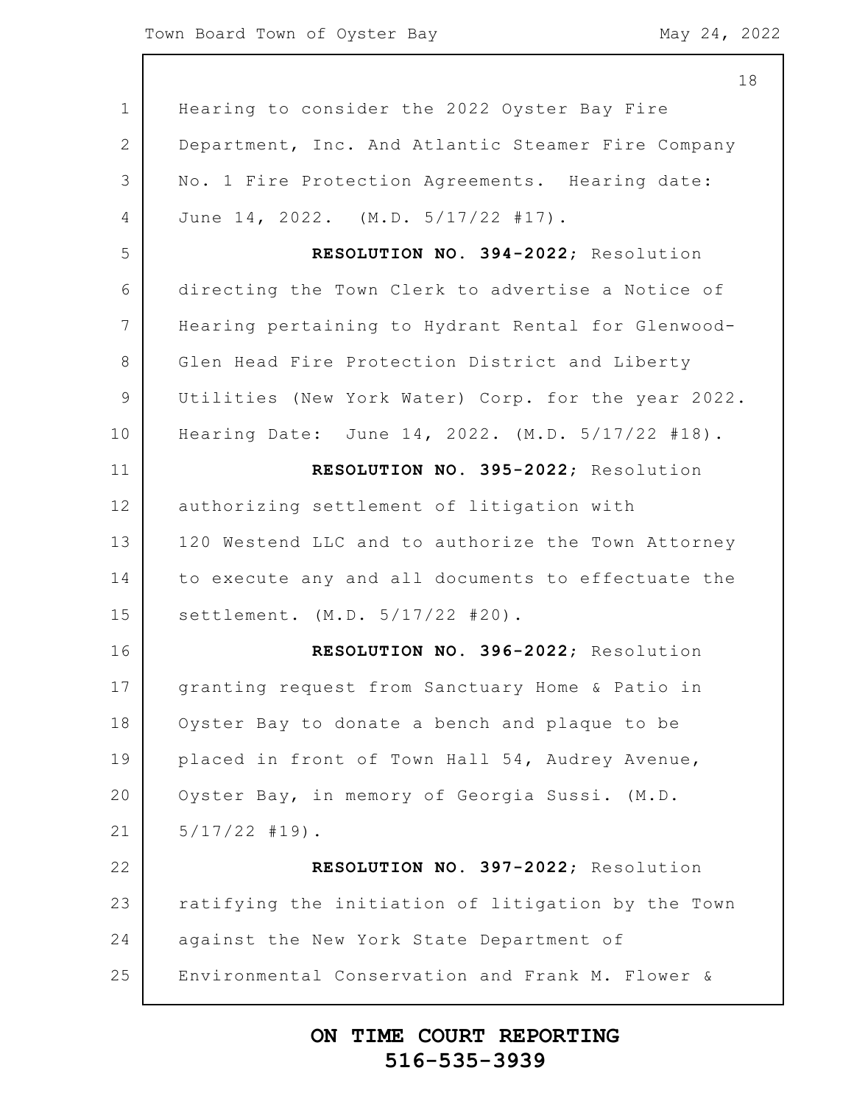|                 | 18                                                  |
|-----------------|-----------------------------------------------------|
| $\mathbf 1$     | Hearing to consider the 2022 Oyster Bay Fire        |
| 2               | Department, Inc. And Atlantic Steamer Fire Company  |
| 3               | No. 1 Fire Protection Agreements. Hearing date:     |
| 4               | June 14, 2022. (M.D. 5/17/22 #17).                  |
| 5               | RESOLUTION NO. 394-2022; Resolution                 |
| 6               | directing the Town Clerk to advertise a Notice of   |
| $7\phantom{.0}$ | Hearing pertaining to Hydrant Rental for Glenwood-  |
| 8               | Glen Head Fire Protection District and Liberty      |
| $\overline{9}$  | Utilities (New York Water) Corp. for the year 2022. |
| 10              | Hearing Date: June 14, 2022. (M.D. 5/17/22 #18).    |
| 11              | RESOLUTION NO. 395-2022; Resolution                 |
| 12              | authorizing settlement of litigation with           |
| 13              | 120 Westend LLC and to authorize the Town Attorney  |
| 14              | to execute any and all documents to effectuate the  |
| 15              | settlement. (M.D. 5/17/22 #20).                     |
| 16              | RESOLUTION NO. 396-2022; Resolution                 |
| 17              | granting request from Sanctuary Home & Patio in     |
| 18              | Oyster Bay to donate a bench and plaque to be       |
| 19              | placed in front of Town Hall 54, Audrey Avenue,     |
| 20              | Oyster Bay, in memory of Georgia Sussi. (M.D.       |
| 21              | $5/17/22$ #19).                                     |
| 22              | RESOLUTION NO. 397-2022; Resolution                 |
| 23              | ratifying the initiation of litigation by the Town  |
| 24              | against the New York State Department of            |
| 25              | Environmental Conservation and Frank M. Flower &    |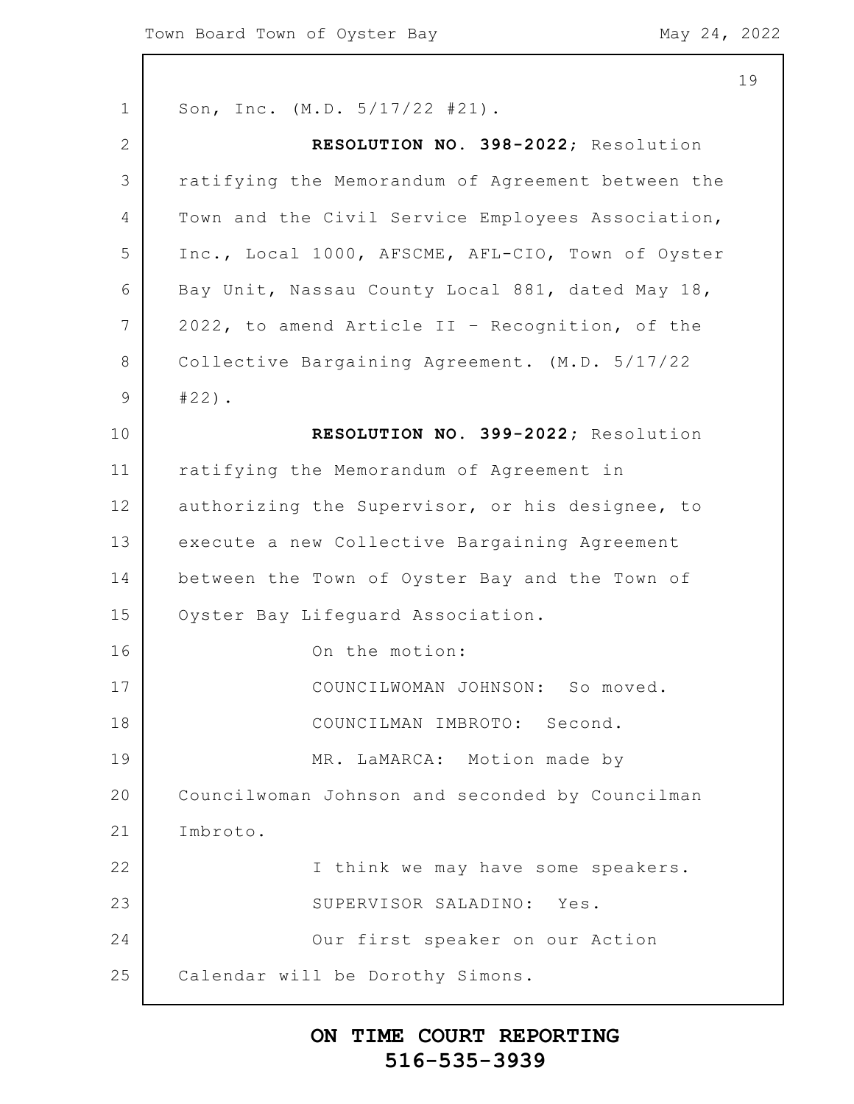1 2 3 4 5 6 7 8 9 10 11 12 13 14 15 16 17 18 19 20 21 22 23 24 25 Son, Inc. (M.D. 5/17/22 #21). **RESOLUTION NO. 398-2022**; Resolution ratifying the Memorandum of Agreement between the Town and the Civil Service Employees Association, Inc., Local 1000, AFSCME, AFL-CIO, Town of Oyster Bay Unit, Nassau County Local 881, dated May 18, 2022, to amend Article II – Recognition, of the Collective Bargaining Agreement. (M.D. 5/17/22 #22). **RESOLUTION NO. 399-2022;** Resolution ratifying the Memorandum of Agreement in authorizing the Supervisor, or his designee, to execute a new Collective Bargaining Agreement between the Town of Oyster Bay and the Town of Oyster Bay Lifeguard Association. On the motion: COUNCILWOMAN JOHNSON: So moved. COUNCILMAN IMBROTO: Second. MR. LaMARCA: Motion made by Councilwoman Johnson and seconded by Councilman Imbroto. I think we may have some speakers. SUPERVISOR SALADINO: Yes. Our first speaker on our Action Calendar will be Dorothy Simons.

### **ON TIME COURT REPORTING 516-535-3939**

19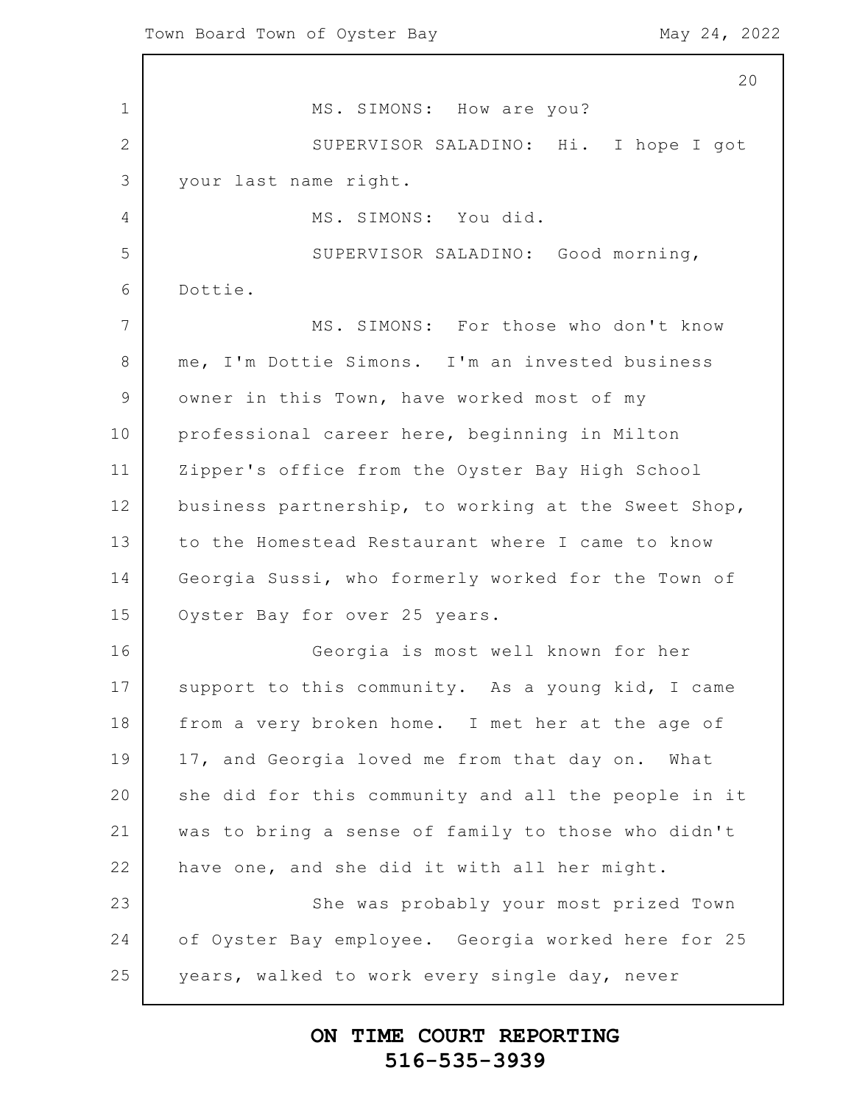1 2 3 4 5 6 7 8 9 10 11 12 13 14 15 16 17 18 19 20 21 22 23 24 25 20 MS. SIMONS: How are you? SUPERVISOR SALADINO: Hi. I hope I got your last name right. MS. SIMONS: You did. SUPERVISOR SALADINO: Good morning, Dottie. MS. SIMONS: For those who don't know me, I'm Dottie Simons. I'm an invested business owner in this Town, have worked most of my professional career here, beginning in Milton Zipper's office from the Oyster Bay High School business partnership, to working at the Sweet Shop, to the Homestead Restaurant where I came to know Georgia Sussi, who formerly worked for the Town of Oyster Bay for over 25 years. Georgia is most well known for her support to this community. As a young kid, I came from a very broken home. I met her at the age of 17, and Georgia loved me from that day on. What she did for this community and all the people in it was to bring a sense of family to those who didn't have one, and she did it with all her might. She was probably your most prized Town of Oyster Bay employee. Georgia worked here for 25 years, walked to work every single day, never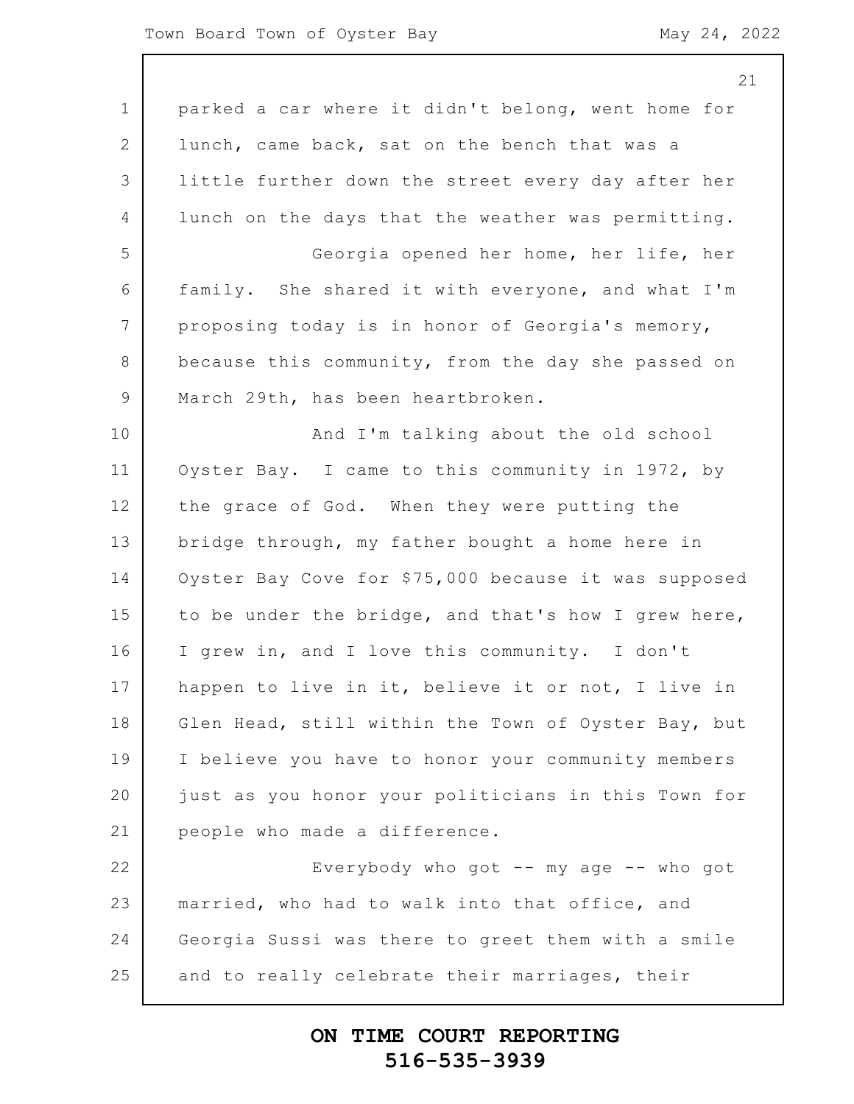#### Town Board Town of Oyster Bay May 24, 2022

|                | 21                                                   |
|----------------|------------------------------------------------------|
| $\mathbf 1$    | parked a car where it didn't belong, went home for   |
| $\overline{2}$ | lunch, came back, sat on the bench that was a        |
| 3              | little further down the street every day after her   |
| 4              | lunch on the days that the weather was permitting.   |
| 5              | Georgia opened her home, her life, her               |
| 6              | family. She shared it with everyone, and what I'm    |
| 7              | proposing today is in honor of Georgia's memory,     |
| $8\,$          | because this community, from the day she passed on   |
| $\overline{9}$ | March 29th, has been heartbroken.                    |
| 10             | And I'm talking about the old school                 |
| 11             | Oyster Bay. I came to this community in 1972, by     |
| 12             | the grace of God. When they were putting the         |
| 13             | bridge through, my father bought a home here in      |
| 14             | Oyster Bay Cove for \$75,000 because it was supposed |
| 15             | to be under the bridge, and that's how I grew here,  |
| 16             | I grew in, and I love this community. I don't        |
| 17             | happen to live in it, believe it or not, I live in   |
| 18             | Glen Head, still within the Town of Oyster Bay, but  |
| 19             | I believe you have to honor your community members   |
| 20             | just as you honor your politicians in this Town for  |
| 21             | people who made a difference.                        |
| 22             | Everybody who got $--$ my age $--$ who got           |
| 23             | married, who had to walk into that office, and       |
| 24             | Georgia Sussi was there to greet them with a smile   |
| 25             | and to really celebrate their marriages, their       |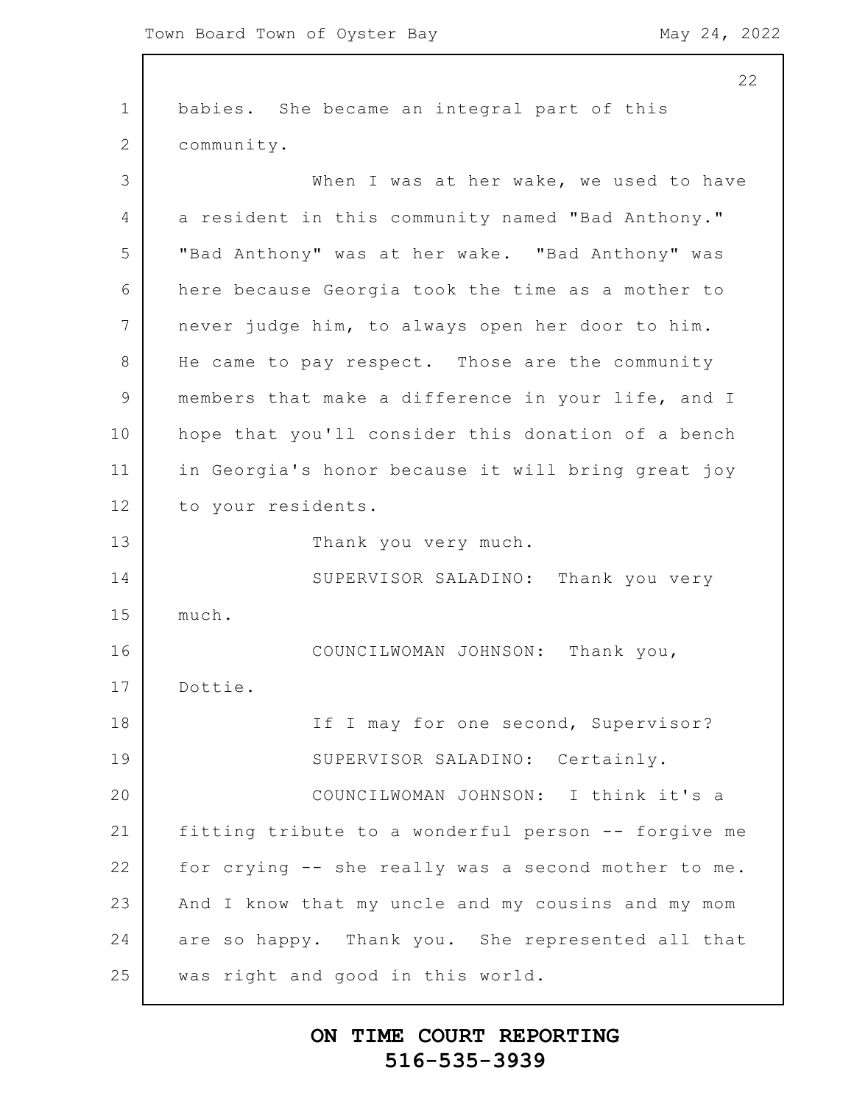1 2 3 4 5 6 7 8 9 10 11 12 13 14 15 16 17 18 19 20 21 22 23 24 25 22 babies. She became an integral part of this community. When I was at her wake, we used to have a resident in this community named "Bad Anthony." "Bad Anthony" was at her wake. "Bad Anthony" was here because Georgia took the time as a mother to never judge him, to always open her door to him. He came to pay respect. Those are the community members that make a difference in your life, and I hope that you'll consider this donation of a bench in Georgia's honor because it will bring great joy to your residents. Thank you very much. SUPERVISOR SALADINO: Thank you very much. COUNCILWOMAN JOHNSON: Thank you, Dottie. If I may for one second, Supervisor? SUPERVISOR SALADINO: Certainly. COUNCILWOMAN JOHNSON: I think it's a fitting tribute to a wonderful person -- forgive me for crying -- she really was a second mother to me. And I know that my uncle and my cousins and my mom are so happy. Thank you. She represented all that was right and good in this world.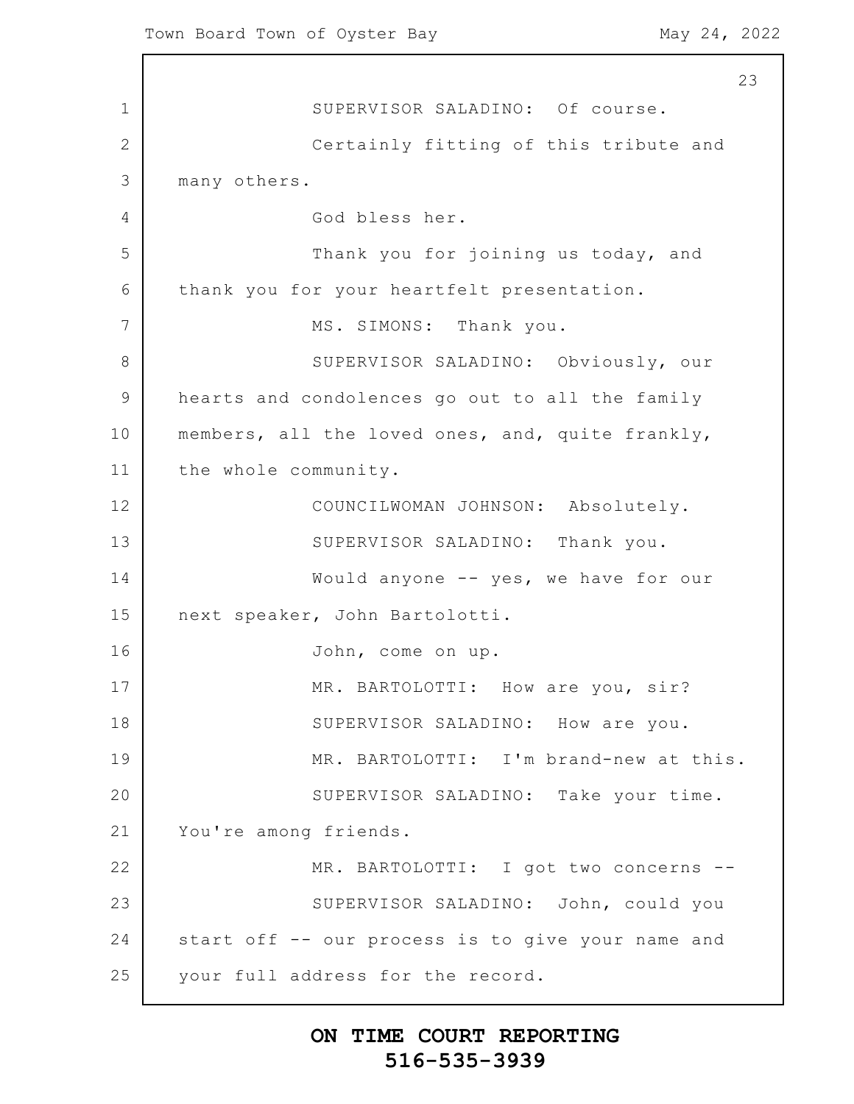1 2 3 4 5 6 7 8 9 10 11 12 13 14 15 16 17 18 19 20 21 22 23 24 25 23 SUPERVISOR SALADINO: Of course. Certainly fitting of this tribute and many others. God bless her. Thank you for joining us today, and thank you for your heartfelt presentation. MS. SIMONS: Thank you. SUPERVISOR SALADINO: Obviously, our hearts and condolences go out to all the family members, all the loved ones, and, quite frankly, the whole community. COUNCILWOMAN JOHNSON: Absolutely. SUPERVISOR SALADINO: Thank you. Would anyone -- yes, we have for our next speaker, John Bartolotti. John, come on up. MR. BARTOLOTTI: How are you, sir? SUPERVISOR SALADINO: How are you. MR. BARTOLOTTI: I'm brand-new at this. SUPERVISOR SALADINO: Take your time. You're among friends. MR. BARTOLOTTI: I got two concerns --SUPERVISOR SALADINO: John, could you start off -- our process is to give your name and your full address for the record.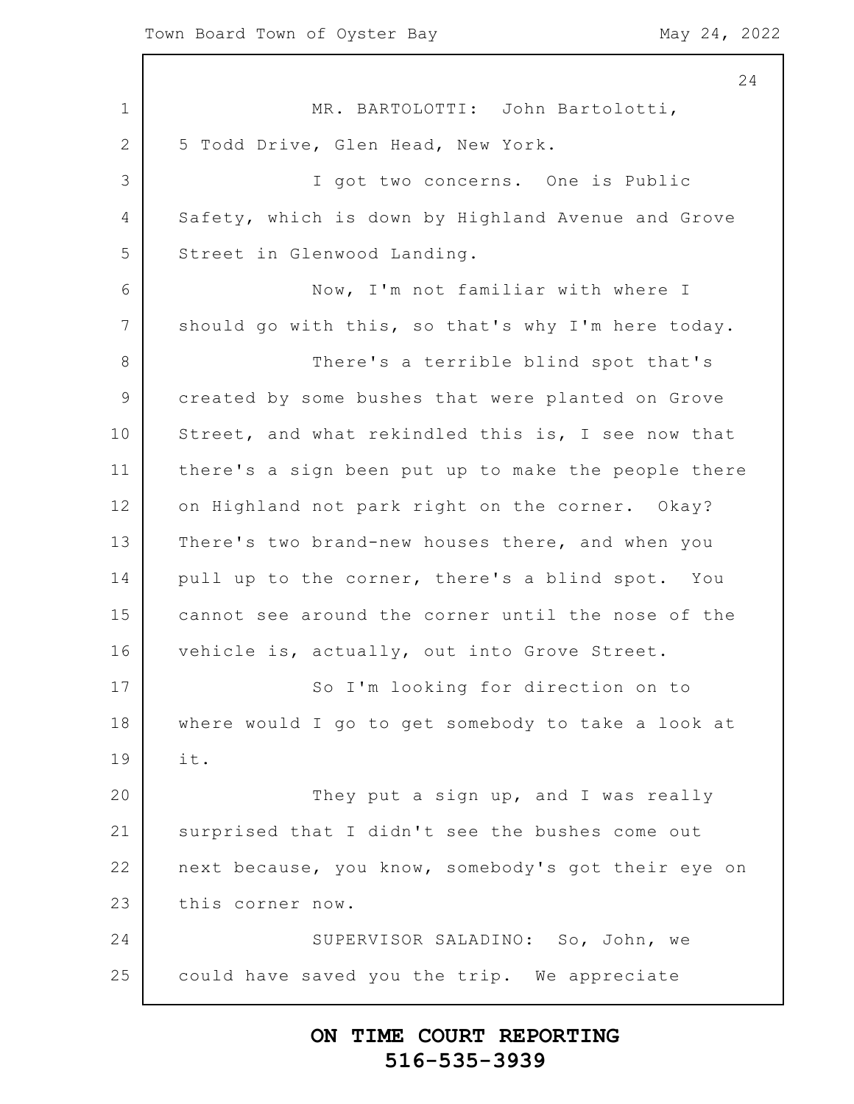1 2 3 4 5 6 7 8 9 10 11 12 13 14 15 16 17 18 19 20 21 22 23 24 25 24 MR. BARTOLOTTI: John Bartolotti, 5 Todd Drive, Glen Head, New York. I got two concerns. One is Public Safety, which is down by Highland Avenue and Grove Street in Glenwood Landing. Now, I'm not familiar with where I should go with this, so that's why I'm here today. There's a terrible blind spot that's created by some bushes that were planted on Grove Street, and what rekindled this is, I see now that there's a sign been put up to make the people there on Highland not park right on the corner. Okay? There's two brand-new houses there, and when you pull up to the corner, there's a blind spot. You cannot see around the corner until the nose of the vehicle is, actually, out into Grove Street. So I'm looking for direction on to where would I go to get somebody to take a look at it. They put a sign up, and I was really surprised that I didn't see the bushes come out next because, you know, somebody's got their eye on this corner now. SUPERVISOR SALADINO: So, John, we could have saved you the trip. We appreciate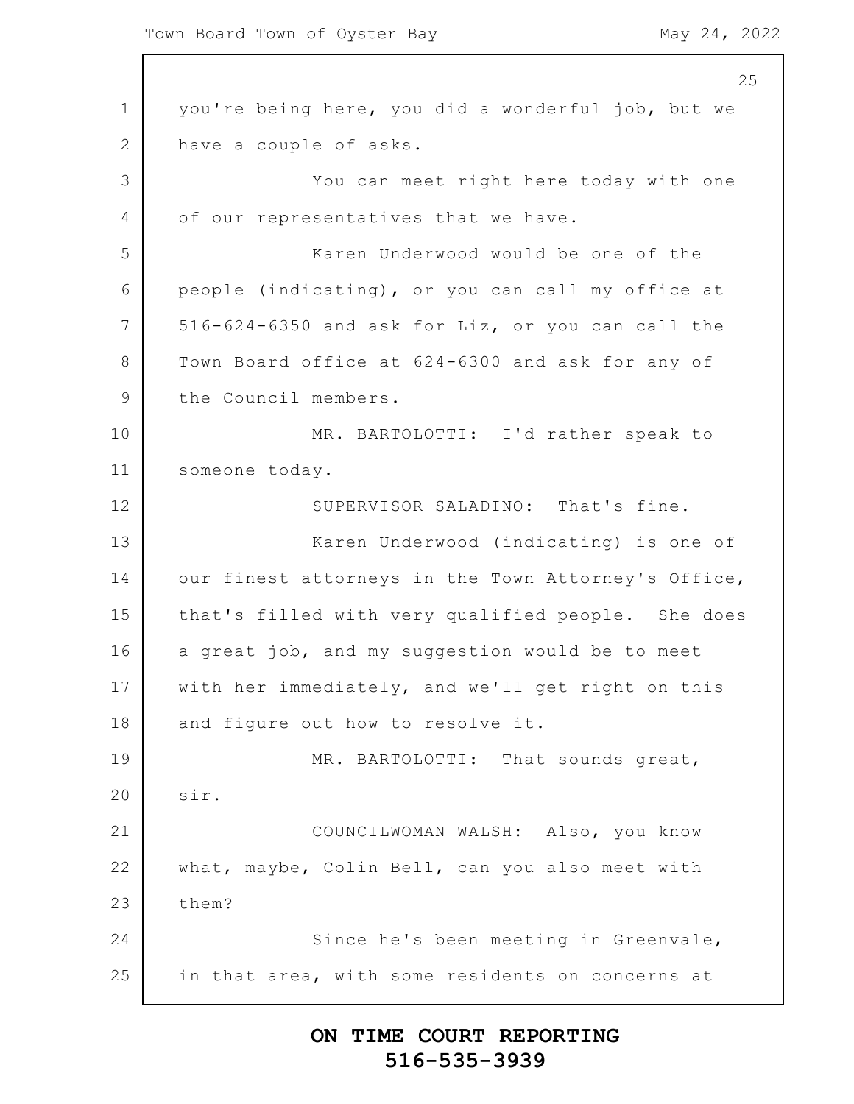1 2 3 4 5 6 7 8 9 10 11 12 13 14 15 16 17 18 19 20 21 22 23 24 25 25 you're being here, you did a wonderful job, but we have a couple of asks. You can meet right here today with one of our representatives that we have. Karen Underwood would be one of the people (indicating), or you can call my office at 516-624-6350 and ask for Liz, or you can call the Town Board office at 624-6300 and ask for any of the Council members. MR. BARTOLOTTI: I'd rather speak to someone today. SUPERVISOR SALADINO: That's fine. Karen Underwood (indicating) is one of our finest attorneys in the Town Attorney's Office, that's filled with very qualified people. She does a great job, and my suggestion would be to meet with her immediately, and we'll get right on this and figure out how to resolve it. MR. BARTOLOTTI: That sounds great, sir. COUNCILWOMAN WALSH: Also, you know what, maybe, Colin Bell, can you also meet with them? Since he's been meeting in Greenvale, in that area, with some residents on concerns at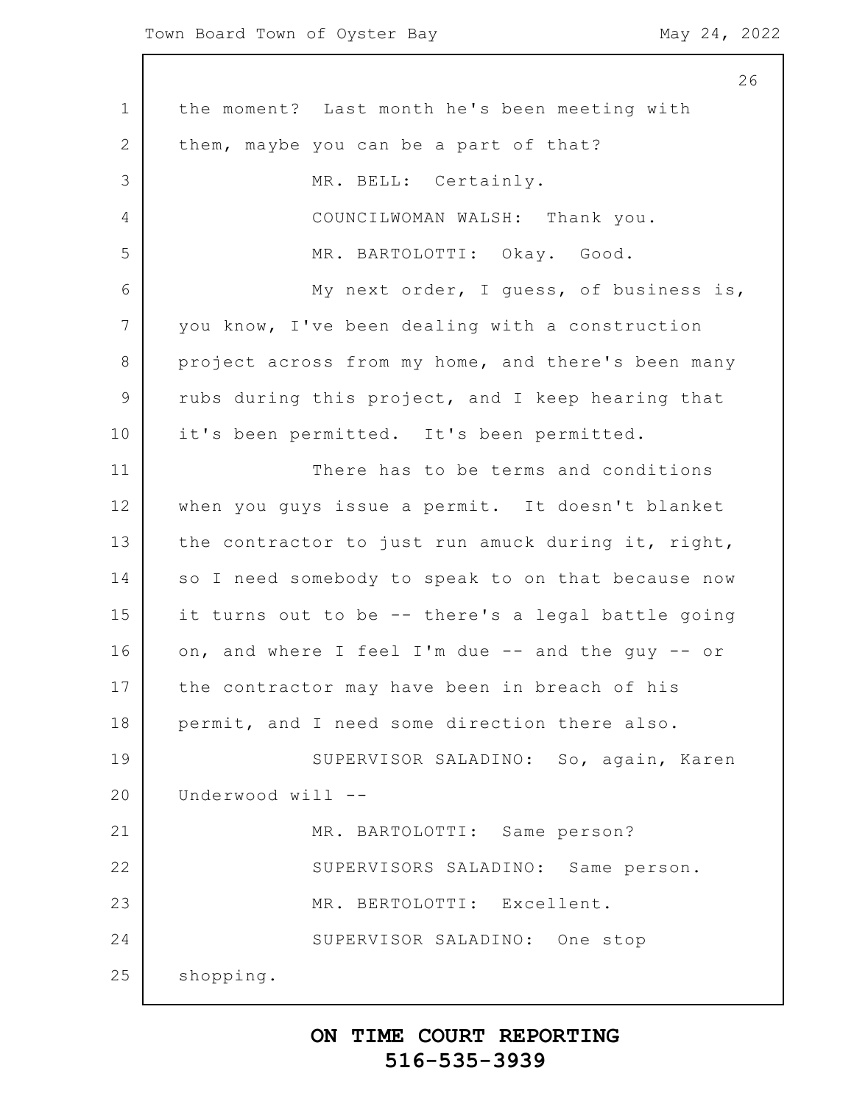|             | 26                                                 |
|-------------|----------------------------------------------------|
| $\mathbf 1$ | the moment? Last month he's been meeting with      |
| 2           | them, maybe you can be a part of that?             |
| 3           | MR. BELL: Certainly.                               |
| 4           | COUNCILWOMAN WALSH: Thank you.                     |
| 5           | MR. BARTOLOTTI: Okay. Good.                        |
| 6           | My next order, I guess, of business is,            |
| 7           | you know, I've been dealing with a construction    |
| 8           | project across from my home, and there's been many |
| $\mathsf 9$ | rubs during this project, and I keep hearing that  |
| 10          | it's been permitted. It's been permitted.          |
| 11          | There has to be terms and conditions               |
| 12          | when you guys issue a permit. It doesn't blanket   |
| 13          | the contractor to just run amuck during it, right, |
| 14          | so I need somebody to speak to on that because now |
| 15          | it turns out to be -- there's a legal battle going |
| 16          | on, and where I feel I'm due -- and the guy -- or  |
| 17          | the contractor may have been in breach of his      |
| 18          | permit, and I need some direction there also.      |
| 19          | SUPERVISOR SALADINO: So, again, Karen              |
| 20          | Underwood will --                                  |
| 21          | MR. BARTOLOTTI: Same person?                       |
| 22          | SUPERVISORS SALADINO: Same person.                 |
| 23          | MR. BERTOLOTTI: Excellent.                         |
| 24          | SUPERVISOR SALADINO: One stop                      |
| 25          | shopping.                                          |
|             |                                                    |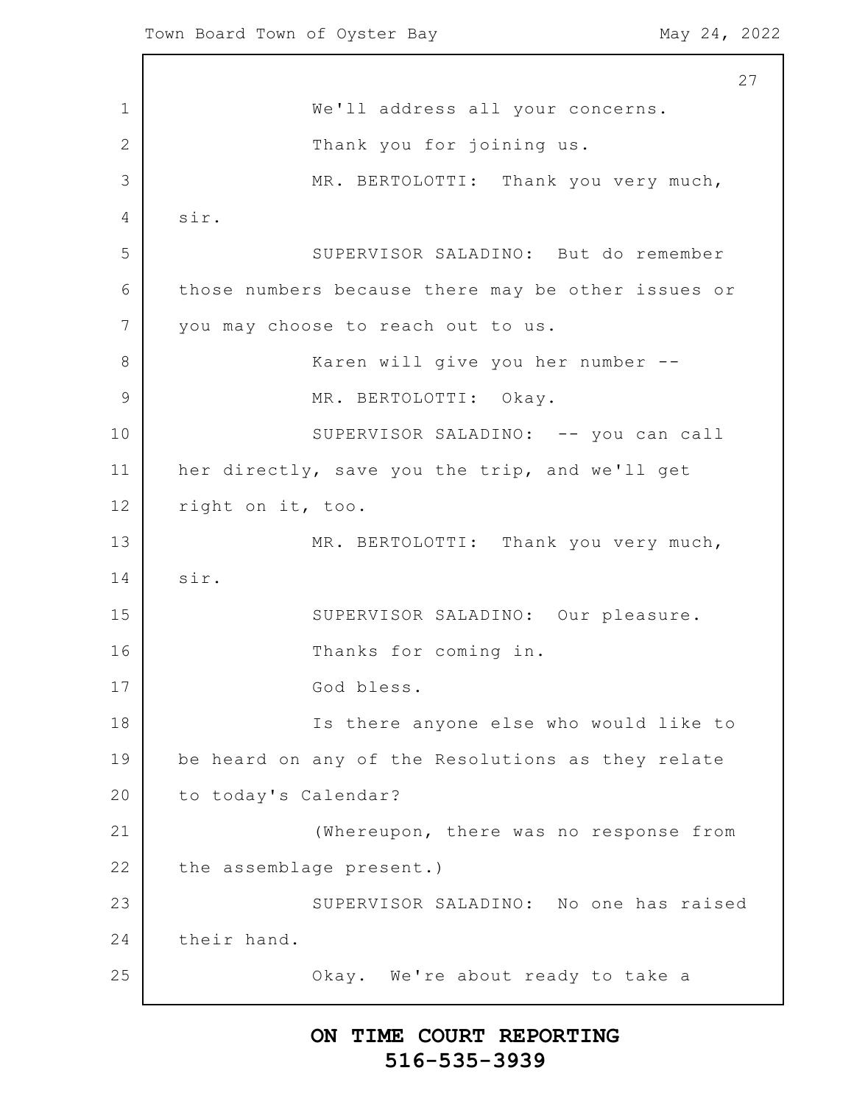1 2 3 4 5 6 7 8 9 10 11 12 13 14 15 16 17 18 19 20 21 22 23 24 25 27 We'll address all your concerns. Thank you for joining us. MR. BERTOLOTTI: Thank you very much, sir. SUPERVISOR SALADINO: But do remember those numbers because there may be other issues or you may choose to reach out to us. Karen will give you her number -- MR. BERTOLOTTI: Okay. SUPERVISOR SALADINO: -- you can call her directly, save you the trip, and we'll get right on it, too. MR. BERTOLOTTI: Thank you very much, sir. SUPERVISOR SALADINO: Our pleasure. Thanks for coming in. God bless. Is there anyone else who would like to be heard on any of the Resolutions as they relate to today's Calendar? (Whereupon, there was no response from the assemblage present.) SUPERVISOR SALADINO: No one has raised their hand. Okay. We're about ready to take a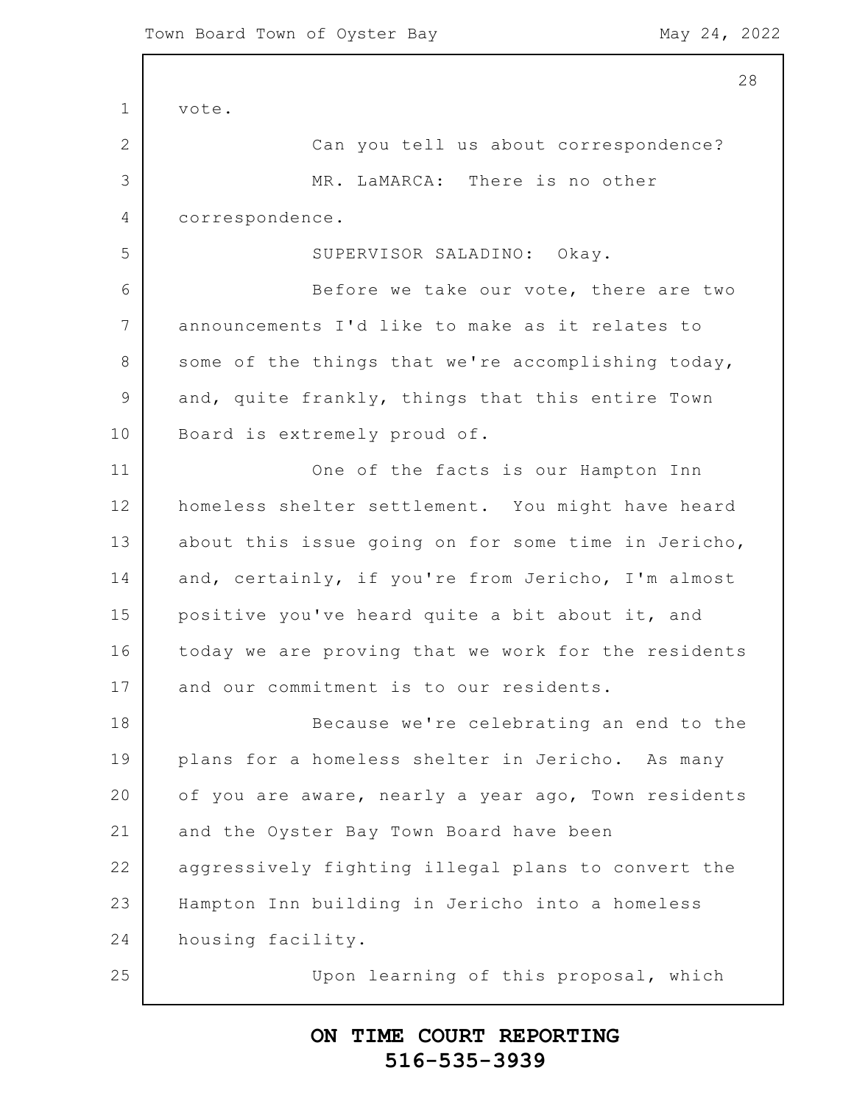1 2 3 4 5 6 7 8 9 10 11 12 13 14 15 16 17 18 19 20 21 22 23 24 25 28 vote. Can you tell us about correspondence? MR. LaMARCA: There is no other correspondence. SUPERVISOR SALADINO: Okay. Before we take our vote, there are two announcements I'd like to make as it relates to some of the things that we're accomplishing today, and, quite frankly, things that this entire Town Board is extremely proud of. One of the facts is our Hampton Inn homeless shelter settlement. You might have heard about this issue going on for some time in Jericho, and, certainly, if you're from Jericho, I'm almost positive you've heard quite a bit about it, and today we are proving that we work for the residents and our commitment is to our residents. Because we're celebrating an end to the plans for a homeless shelter in Jericho. As many of you are aware, nearly a year ago, Town residents and the Oyster Bay Town Board have been aggressively fighting illegal plans to convert the Hampton Inn building in Jericho into a homeless housing facility. Upon learning of this proposal, which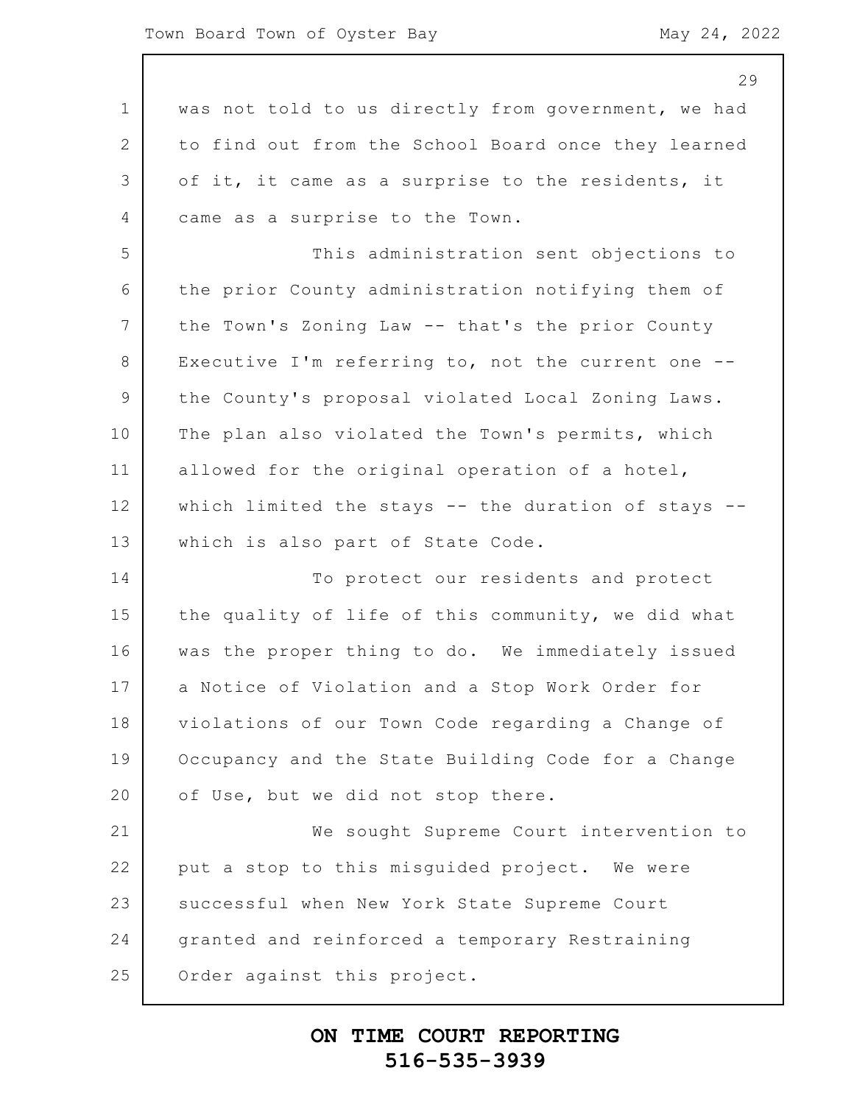|                 | 29                                                  |
|-----------------|-----------------------------------------------------|
| $\mathbf 1$     | was not told to us directly from government, we had |
| $\mathbf{2}$    | to find out from the School Board once they learned |
| 3               | of it, it came as a surprise to the residents, it   |
| 4               | came as a surprise to the Town.                     |
| 5               | This administration sent objections to              |
| 6               | the prior County administration notifying them of   |
| $7\phantom{.0}$ | the Town's Zoning Law -- that's the prior County    |
| 8               | Executive I'm referring to, not the current one --  |
| $\mathsf 9$     | the County's proposal violated Local Zoning Laws.   |
| 10              | The plan also violated the Town's permits, which    |
| 11              | allowed for the original operation of a hotel,      |
| 12              | which limited the stays -- the duration of stays -- |
| 13              | which is also part of State Code.                   |
| 14              | To protect our residents and protect                |
| 15              | the quality of life of this community, we did what  |
| 16              | was the proper thing to do. We immediately issued   |
| 17              | a Notice of Violation and a Stop Work Order for     |
| 18              | violations of our Town Code regarding a Change of   |
| 19              | Occupancy and the State Building Code for a Change  |
| 20              | of Use, but we did not stop there.                  |
| 21              | We sought Supreme Court intervention to             |
| 22              | put a stop to this misguided project. We were       |
| 23              | successful when New York State Supreme Court        |
| 24              | granted and reinforced a temporary Restraining      |
| 25              | Order against this project.                         |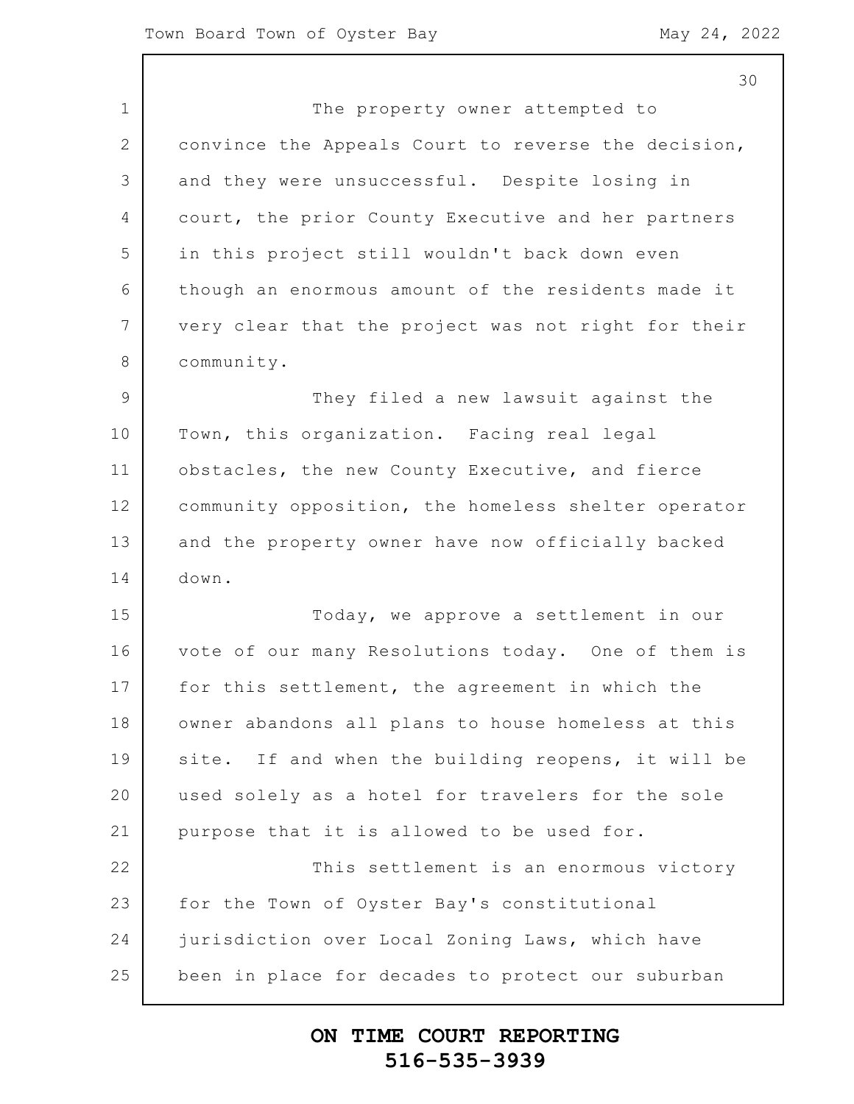30

1 2 3 4 5 6 7 8 9 10 11 12 13 14 15 16 17 18 19 20 21 22 23 24 25 The property owner attempted to convince the Appeals Court to reverse the decision, and they were unsuccessful. Despite losing in court, the prior County Executive and her partners in this project still wouldn't back down even though an enormous amount of the residents made it very clear that the project was not right for their community. They filed a new lawsuit against the Town, this organization. Facing real legal obstacles, the new County Executive, and fierce community opposition, the homeless shelter operator and the property owner have now officially backed down. Today, we approve a settlement in our vote of our many Resolutions today. One of them is for this settlement, the agreement in which the owner abandons all plans to house homeless at this site. If and when the building reopens, it will be used solely as a hotel for travelers for the sole purpose that it is allowed to be used for. This settlement is an enormous victory for the Town of Oyster Bay's constitutional jurisdiction over Local Zoning Laws, which have been in place for decades to protect our suburban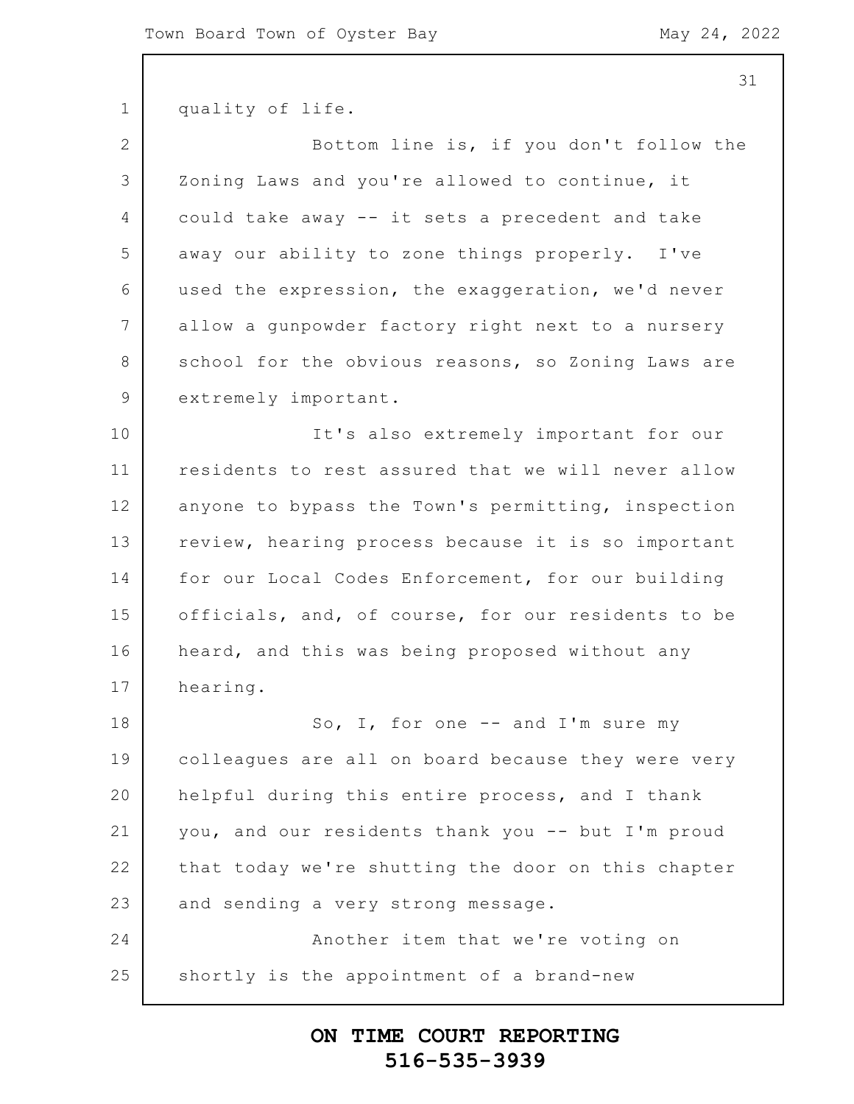1 2 3 4 5 6 7 8 9 10 11 12 13 14 15 16 17 18 19 20 21 22 23 24 25 quality of life. Bottom line is, if you don't follow the Zoning Laws and you're allowed to continue, it could take away -- it sets a precedent and take away our ability to zone things properly. I've used the expression, the exaggeration, we'd never allow a gunpowder factory right next to a nursery school for the obvious reasons, so Zoning Laws are extremely important. It's also extremely important for our residents to rest assured that we will never allow anyone to bypass the Town's permitting, inspection review, hearing process because it is so important for our Local Codes Enforcement, for our building officials, and, of course, for our residents to be heard, and this was being proposed without any hearing. So, I, for one -- and I'm sure my colleagues are all on board because they were very helpful during this entire process, and I thank you, and our residents thank you -- but I'm proud that today we're shutting the door on this chapter and sending a very strong message. Another item that we're voting on shortly is the appointment of a brand-new

> **ON TIME COURT REPORTING 516-535-3939**

31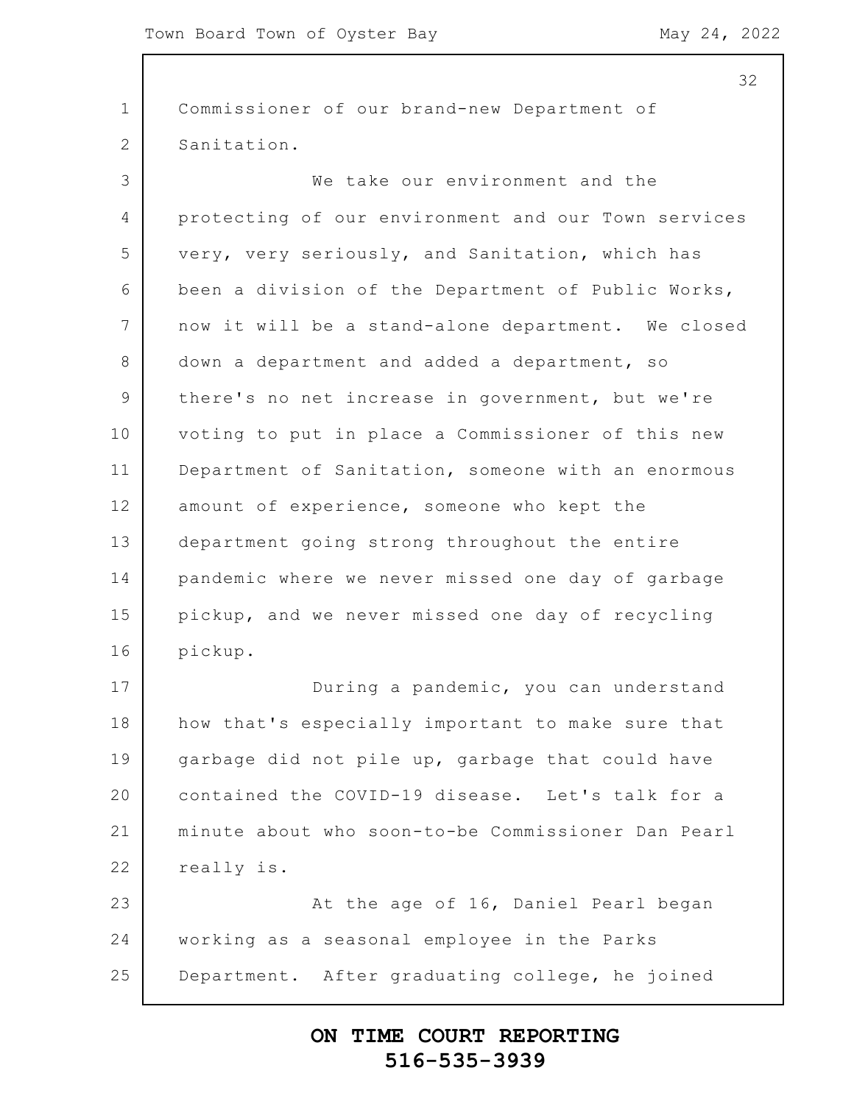1 2 3 4 5 6 7 8 9 10 11 12 13 14 15 16 17 18 19 20 21 22 23 24 25 32 Commissioner of our brand-new Department of Sanitation. We take our environment and the protecting of our environment and our Town services very, very seriously, and Sanitation, which has been a division of the Department of Public Works, now it will be a stand-alone department. We closed down a department and added a department, so there's no net increase in government, but we're voting to put in place a Commissioner of this new Department of Sanitation, someone with an enormous amount of experience, someone who kept the department going strong throughout the entire pandemic where we never missed one day of garbage pickup, and we never missed one day of recycling pickup. During a pandemic, you can understand how that's especially important to make sure that garbage did not pile up, garbage that could have contained the COVID-19 disease. Let's talk for a minute about who soon-to-be Commissioner Dan Pearl really is. At the age of 16, Daniel Pearl began working as a seasonal employee in the Parks Department. After graduating college, he joined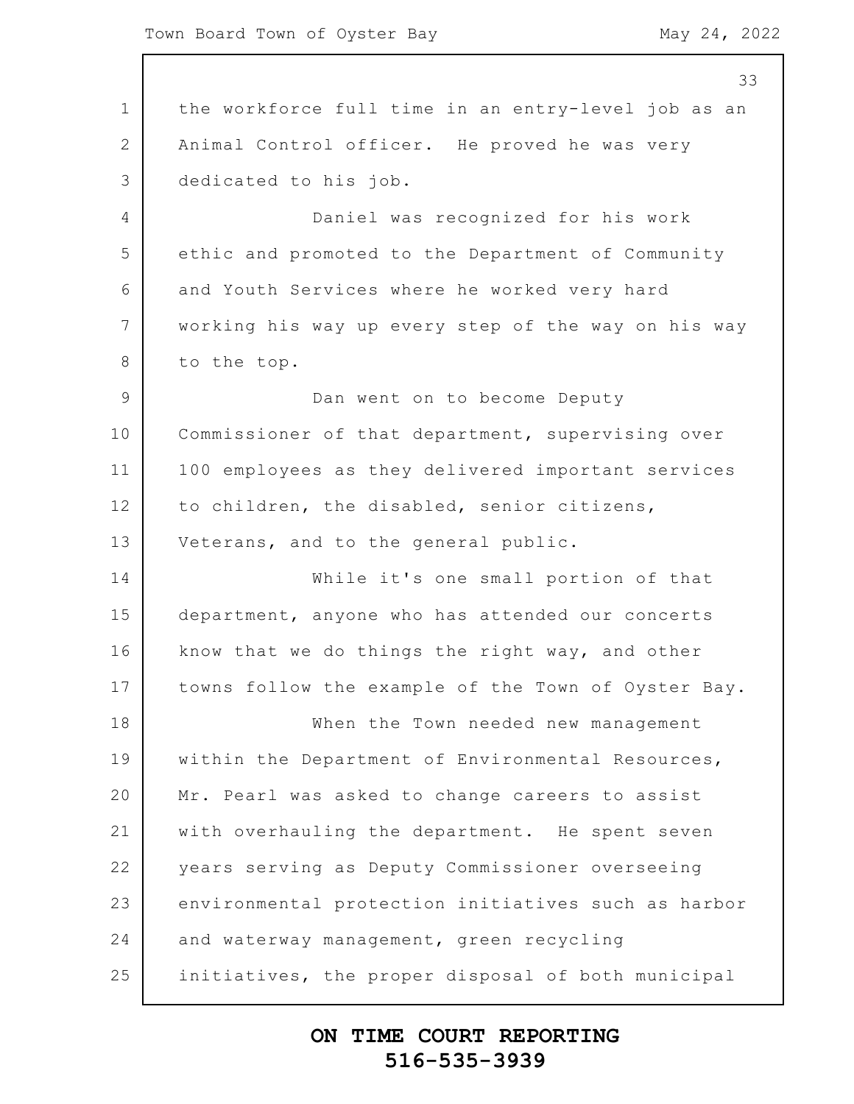1 2 3 4 5 6 7 8 9 10 11 12 13 14 15 16 17 18 19 20 21 22 23 24 25 33 the workforce full time in an entry-level job as an Animal Control officer. He proved he was very dedicated to his job. Daniel was recognized for his work ethic and promoted to the Department of Community and Youth Services where he worked very hard working his way up every step of the way on his way to the top. Dan went on to become Deputy Commissioner of that department, supervising over 100 employees as they delivered important services to children, the disabled, senior citizens, Veterans, and to the general public. While it's one small portion of that department, anyone who has attended our concerts know that we do things the right way, and other towns follow the example of the Town of Oyster Bay. When the Town needed new management within the Department of Environmental Resources, Mr. Pearl was asked to change careers to assist with overhauling the department. He spent seven years serving as Deputy Commissioner overseeing environmental protection initiatives such as harbor and waterway management, green recycling initiatives, the proper disposal of both municipal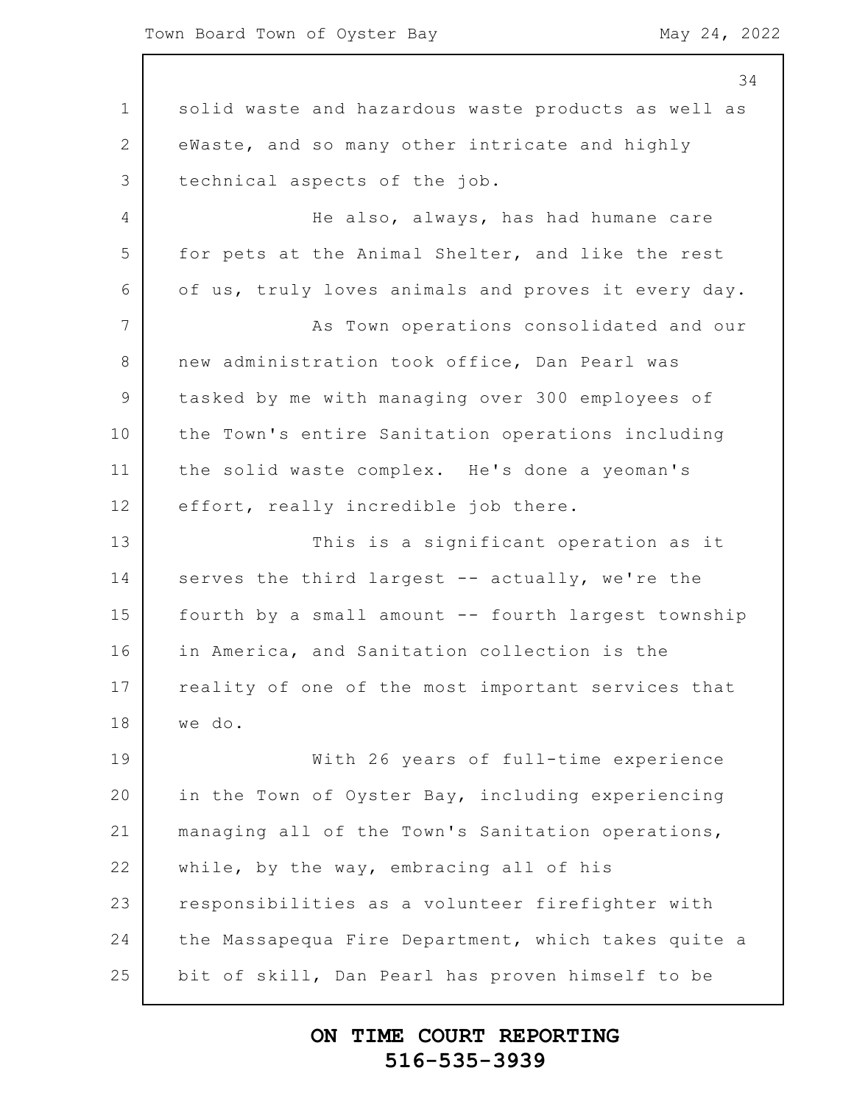Town Board Town of Oyster Bay May 24, 2022

1 2 3 4 5 6 7 8 9 10 11 12 13 14 15 16 17 18 19 20 21 22 23 24 25 34 solid waste and hazardous waste products as well as eWaste, and so many other intricate and highly technical aspects of the job. He also, always, has had humane care for pets at the Animal Shelter, and like the rest of us, truly loves animals and proves it every day. As Town operations consolidated and our new administration took office, Dan Pearl was tasked by me with managing over 300 employees of the Town's entire Sanitation operations including the solid waste complex. He's done a yeoman's effort, really incredible job there. This is a significant operation as it serves the third largest -- actually, we're the fourth by a small amount -- fourth largest township in America, and Sanitation collection is the reality of one of the most important services that we do. With 26 years of full-time experience in the Town of Oyster Bay, including experiencing managing all of the Town's Sanitation operations, while, by the way, embracing all of his responsibilities as a volunteer firefighter with the Massapequa Fire Department, which takes quite a bit of skill, Dan Pearl has proven himself to be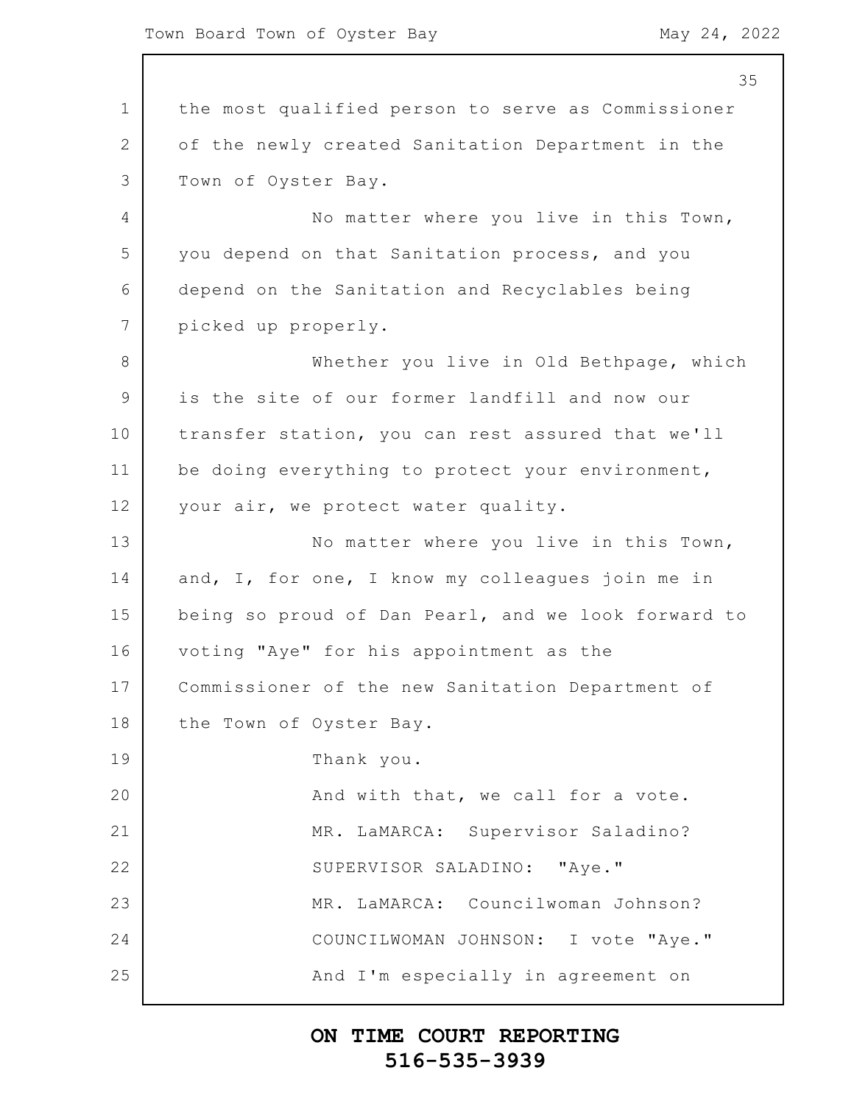1 2 3 4 5 6 7 8 9 10 11 12 13 14 15 16 17 18 19 20 21 22 23 24 25 35 the most qualified person to serve as Commissioner of the newly created Sanitation Department in the Town of Oyster Bay. No matter where you live in this Town, you depend on that Sanitation process, and you depend on the Sanitation and Recyclables being picked up properly. Whether you live in Old Bethpage, which is the site of our former landfill and now our transfer station, you can rest assured that we'll be doing everything to protect your environment, your air, we protect water quality. No matter where you live in this Town, and, I, for one, I know my colleagues join me in being so proud of Dan Pearl, and we look forward to voting "Aye" for his appointment as the Commissioner of the new Sanitation Department of the Town of Oyster Bay. Thank you. And with that, we call for a vote. MR. LaMARCA: Supervisor Saladino? SUPERVISOR SALADINO: "Aye." MR. LaMARCA: Councilwoman Johnson? COUNCILWOMAN JOHNSON: I vote "Aye." And I'm especially in agreement on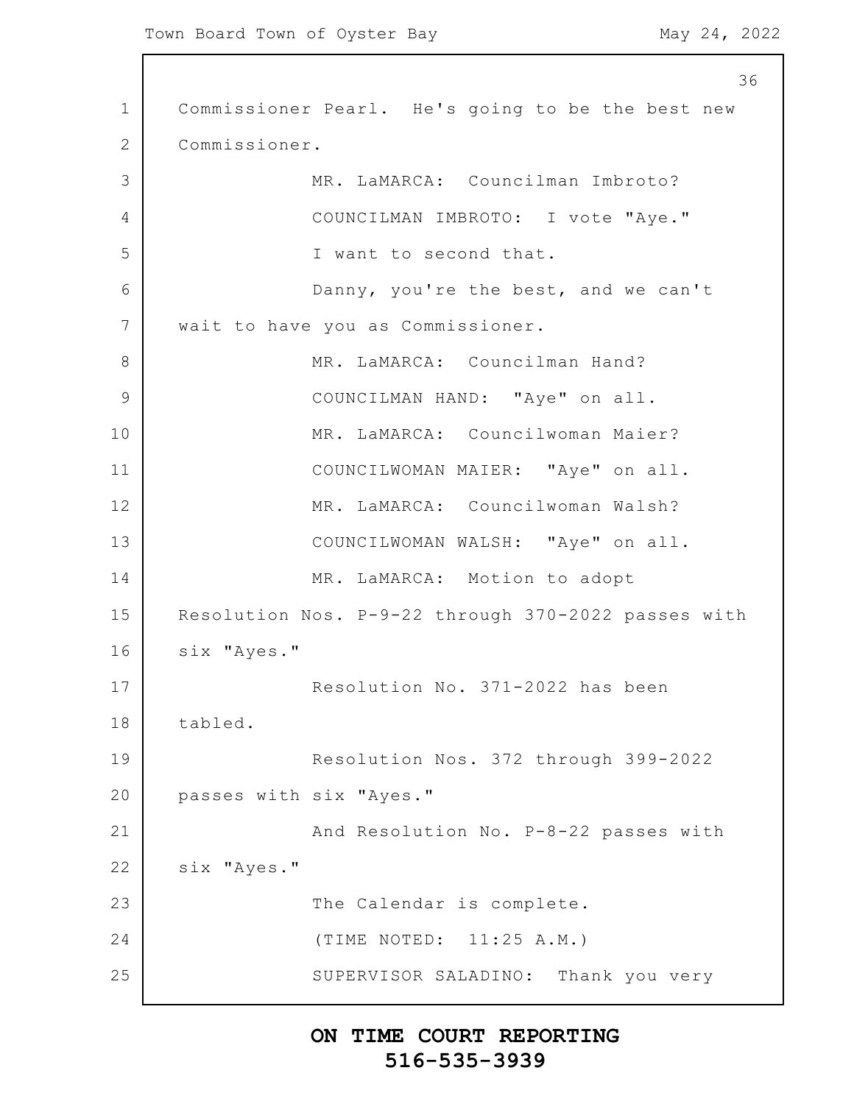1 2 3 4 5 6 7 8 9 10 11 12 13 14 15 16 17 18 19 20 21 22 23 24 25 36 Commissioner Pearl. He's going to be the best new Commissioner. MR. LaMARCA: Councilman Imbroto? COUNCILMAN IMBROTO: I vote "Aye." I want to second that. Danny, you're the best, and we can't wait to have you as Commissioner. MR. LaMARCA: Councilman Hand? COUNCILMAN HAND: "Aye" on all. MR. LaMARCA: Councilwoman Maier? COUNCILWOMAN MAIER: "Aye" on all. MR. LaMARCA: Councilwoman Walsh? COUNCILWOMAN WALSH: "Aye" on all. MR. LaMARCA: Motion to adopt Resolution Nos. P-9-22 through 370-2022 passes with six "Ayes." Resolution No. 371-2022 has been tabled. Resolution Nos. 372 through 399-2022 passes with six "Ayes." And Resolution No. P-8-22 passes with six "Ayes." The Calendar is complete. (TIME NOTED: 11:25 A.M.) SUPERVISOR SALADINO: Thank you very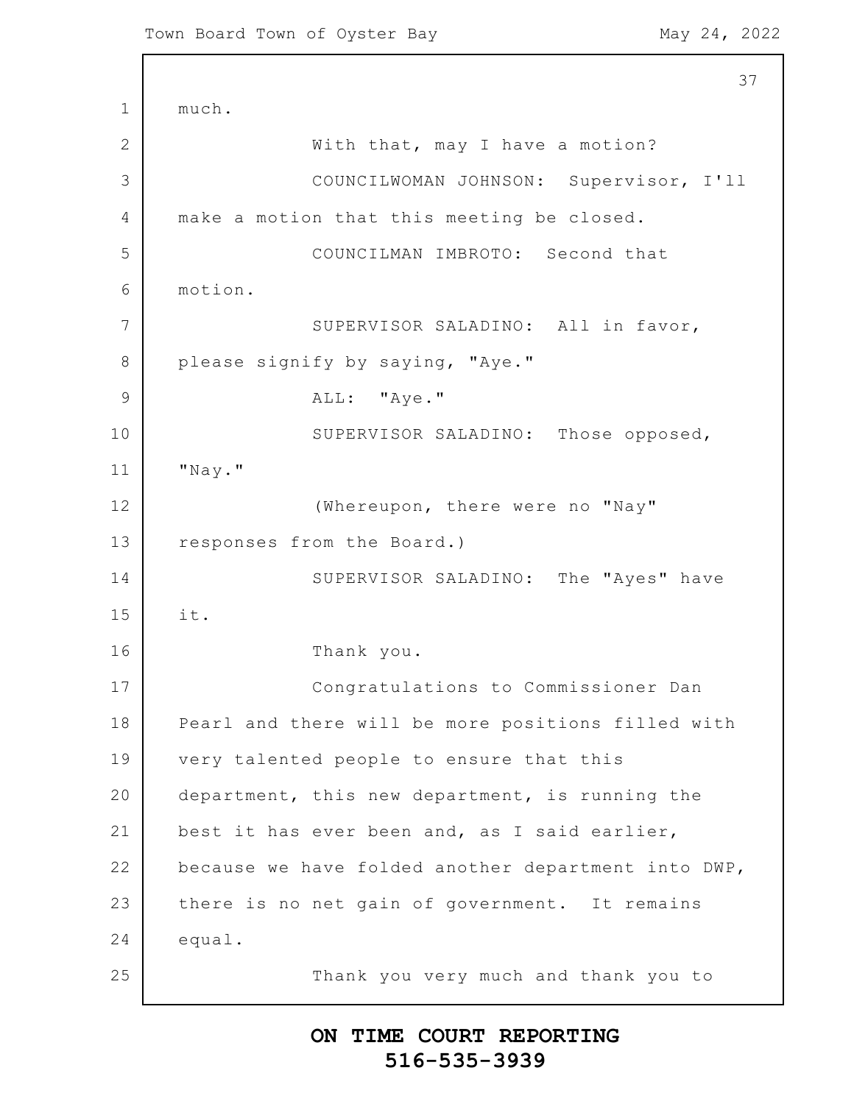1 2 3 4 5 6 7 8 9 10 11 12 13 14 15 16 17 18 19 20 21 22 23 24 25 37 much. With that, may I have a motion? COUNCILWOMAN JOHNSON: Supervisor, I'll make a motion that this meeting be closed. COUNCILMAN IMBROTO: Second that motion. SUPERVISOR SALADINO: All in favor, please signify by saying, "Aye." ALL: "Aye." SUPERVISOR SALADINO: Those opposed, "Nay." (Whereupon, there were no "Nay" responses from the Board.) SUPERVISOR SALADINO: The "Ayes" have it. Thank you. Congratulations to Commissioner Dan Pearl and there will be more positions filled with very talented people to ensure that this department, this new department, is running the best it has ever been and, as I said earlier, because we have folded another department into DWP, there is no net gain of government. It remains equal. Thank you very much and thank you to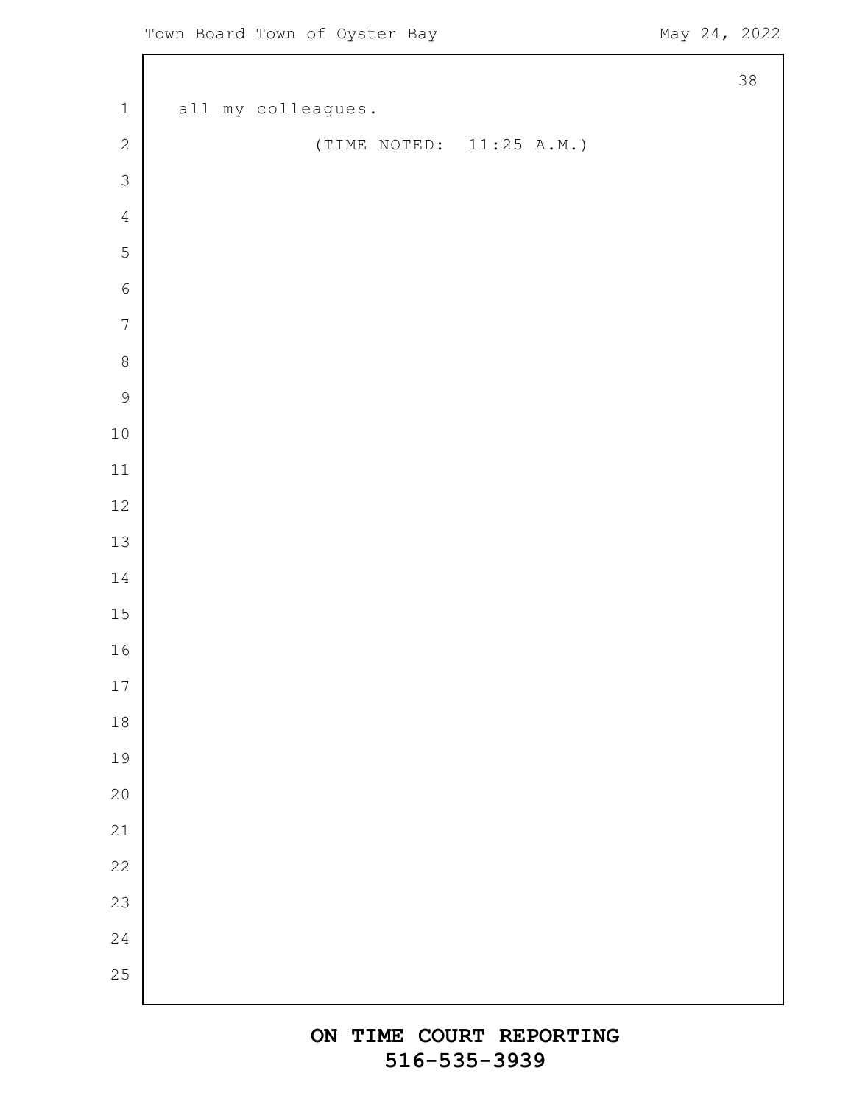$\Gamma$ 

|                            |                          | 38 |
|----------------------------|--------------------------|----|
| $\ensuremath{\mathbbm{1}}$ | all my colleagues.       |    |
| $\sqrt{2}$                 | (TIME NOTED: 11:25 A.M.) |    |
| $\mathfrak{Z}$             |                          |    |
| $\sqrt{4}$                 |                          |    |
| $\mathbf 5$                |                          |    |
| $\epsilon$                 |                          |    |
| $\sqrt{ }$                 |                          |    |
| $\,8\,$                    |                          |    |
| $\overline{9}$             |                          |    |
| 10                         |                          |    |
| 11                         |                          |    |
| 12                         |                          |    |
| 13                         |                          |    |
| 14                         |                          |    |
| 15                         |                          |    |
| 16                         |                          |    |
| 17                         |                          |    |
| 18                         |                          |    |
| 19                         |                          |    |
| 20                         |                          |    |
| 21                         |                          |    |
| $\overline{22}$            |                          |    |
| 23                         |                          |    |
| 24                         |                          |    |
| 25                         |                          |    |
|                            |                          |    |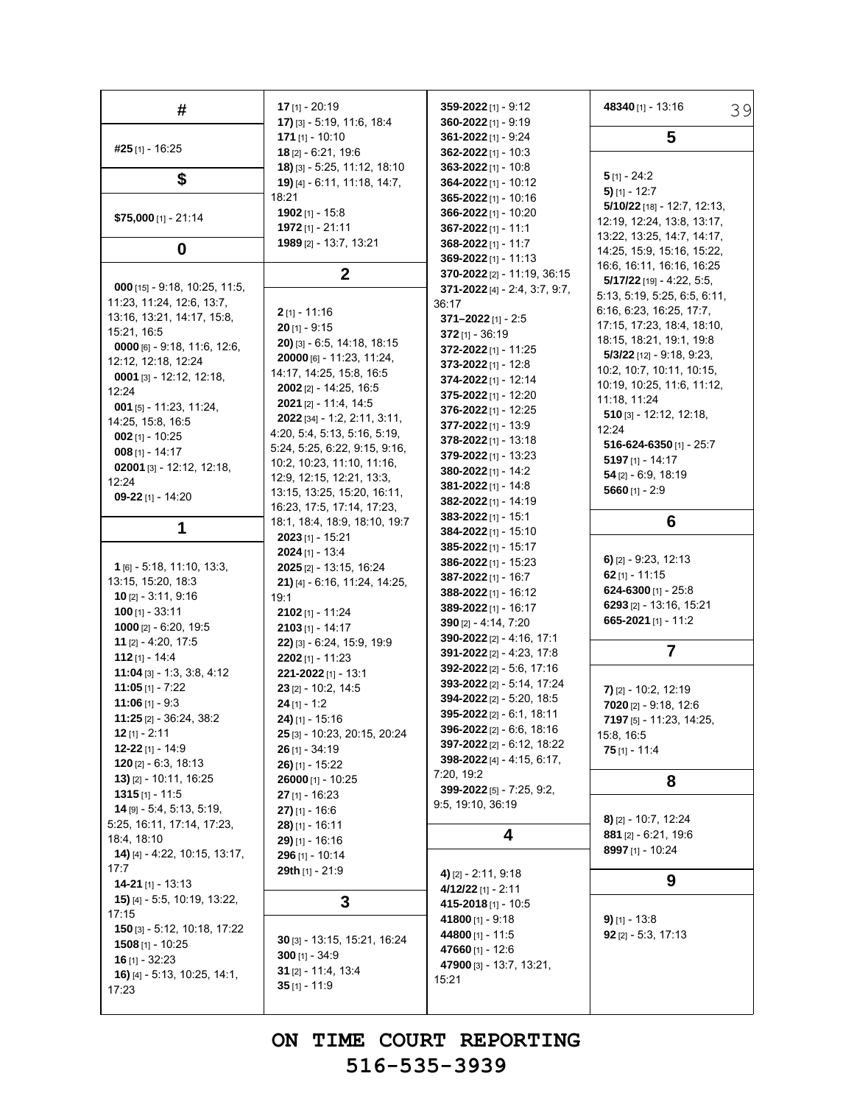| #                                                     | 17 [1] - 20:19<br>17) [3] - 5:19, 11:6, 18:4     | 359-2022 [1] - 9:12<br>360-2022 [1] - 9:19          | 48340 [1] - 13:16<br>39                                     |
|-------------------------------------------------------|--------------------------------------------------|-----------------------------------------------------|-------------------------------------------------------------|
|                                                       | <b>171</b> [1] - 10:10                           | 361-2022 [1] - 9:24                                 | 5                                                           |
| #25 [1] - 16:25                                       | <b>18</b> [2] - 6:21, 19:6                       | 362-2022 [1] - 10:3                                 |                                                             |
|                                                       | 18) [3] - 5:25, 11:12, 18:10                     | 363-2022 [1] - 10:8                                 |                                                             |
| \$                                                    | 19) [4] - 6:11, 11:18, 14:7,                     | 364-2022 [1] - 10:12                                | $5$ [1] - 24:2                                              |
|                                                       | 18:21                                            | 365-2022 [1] - 10:16                                | 5) $[1] - 12.7$                                             |
|                                                       | 1902 $[1]$ - 15:8                                | 366-2022 [1] - 10:20                                | $5/10/22$ [18] - 12:7, 12:13,                               |
| \$75,000 [1] - 21:14                                  | 1972 $[1] - 21:11$                               | 367-2022 [1] - 11:1                                 | 12:19, 12:24, 13:8, 13:17,                                  |
| 0                                                     | 1989 [2] - 13:7, 13:21                           | 368-2022 [1] - 11:7                                 | 13.22, 13.25, 14.7, 14.17,                                  |
|                                                       |                                                  | 369-2022 [1] - 11:13                                | 14:25, 15:9, 15:16, 15:22,                                  |
|                                                       | $\mathbf 2$                                      | 370-2022 [2] - 11:19, 36:15                         | 16:6, 16:11, 16:16, 16:25                                   |
| <b>000</b> [15] - 9:18, 10:25, 11:5,                  |                                                  | 371-2022 [4] - 2:4, 3:7, 9:7,                       | $5/17/22$ [19] - 4:22, 5:5,<br>5:13, 5:19, 5:25, 6:5, 6:11, |
| 11:23, 11:24, 12:6, 13:7,                             |                                                  | 36:17                                               | 6:16, 6:23, 16:25, 17:7,                                    |
| 13:16, 13:21, 14:17, 15:8,                            | $2$ [1] - 11:16<br>$20$ [1] - 9:15               | 371-2022 [1] - $2:5$                                | 17:15, 17:23, 18:4, 18:10,                                  |
| 15:21, 16:5                                           | <b>20)</b> [3] $-6.5$ , 14:18, 18:15             | $372$ [1] - 36:19                                   | 18:15, 18:21, 19:1, 19:8                                    |
| 0000 [6] - 9:18, 11:6, 12:6,                          | 20000 [6] - 11:23, 11:24,                        | 372-2022 [1] - 11:25                                | $5/3/22$ [12] - 9:18, 9:23,                                 |
| 12:12, 12:18, 12:24                                   | 14:17, 14:25, 15:8, 16:5                         | 373-2022 [1] - 12:8                                 | 10.2, 10.7, 10.11, 10.15,                                   |
| <b>0001</b> [3] - 12:12, 12:18,                       | 2002 [2] - 14:25, 16:5                           | $374 - 2022$ [1] - 12:14                            | 10:19, 10:25, 11:6, 11:12,                                  |
| 12:24                                                 | <b>2021</b> [2] - 11:4, 14:5                     | 375-2022 [1] - 12:20                                | 11:18, 11:24                                                |
| $001$ [5] - 11:23, 11:24,                             | 2022 [34] - 1:2, 2:11, 3:11,                     | 376-2022 [1] - 12:25                                | $510$ [3] - 12:12, 12:18,                                   |
| 14:25, 15:8, 16:5<br>002 $[1]$ - 10:25                | 4.20, 5.4, 5.13, 5.16, 5.19,                     | 377-2022 [1] - 13:9                                 | 12:24                                                       |
| $008$ [1] - 14:17                                     | 5:24, 5:25, 6:22, 9:15, 9:16,                    | 378-2022 [1] - 13:18                                | 516-624-6350 [1] - 25:7                                     |
| 02001 $[3] - 12:12, 12:18,$                           | 10.2, 10:23, 11:10, 11:16,                       | 379-2022 [1] - 13:23                                | 5197 [1] - 14:17                                            |
| 12:24                                                 | 12.9, 12:15, 12:21, 13:3,                        | 380-2022 [1] - 14:2                                 | 54 [2] - 6.9, 18:19                                         |
| 09-22 $[1]$ - 14:20                                   | 13:15, 13:25, 15:20, 16:11,                      | 381-2022 [1] - 14:8                                 | 5660 $[1] - 2:9$                                            |
|                                                       | 16.23, 17:5, 17:14, 17:23,                       | 382-2022 [1] - 14:19                                |                                                             |
| 1                                                     | 18:1, 18:4, 18:9, 18:10, 19:7                    | 383-2022 [1] - 15:1                                 | 6                                                           |
|                                                       | <b>2023</b> [1] - 15:21                          | <b>384-2022</b> [1] - 15:10<br>385-2022 [1] - 15:17 |                                                             |
|                                                       | $2024$ [1] - 13:4                                | 386-2022 [1] - 15:23                                | 6) $[2] - 9.23, 12.13$                                      |
| $1$ [6] - 5:18, 11:10, 13:3,                          | 2025 [2] - 13:15, 16:24                          | 387-2022 [1] - 16:7                                 | 62 $[1] - 11:15$                                            |
| 13:15, 15:20, 18:3                                    | 21) [4] - 6:16, 11:24, 14:25,                    | 388-2022 [1] - 16:12                                | 624-6300 $[1]$ - 25:8                                       |
| $10$ [2] - 3:11, 9:16                                 | 19:1                                             | 389-2022 [1] - 16:17                                | 6293 [2] - 13:16, 15:21                                     |
| $100$ [1] - 33:11                                     | $2102$ [1] - 11:24                               | <b>390</b> [2] - 4:14, 7:20                         | 665-2021 [1] - 11:2                                         |
| <b>1000</b> [2] - 6:20, 19:5<br>11 $[2] - 4.20, 17.5$ | $2103$ [1] - 14:17                               | 390-2022 [2] - 4:16, 17:1                           |                                                             |
| 112 $[1] - 14.4$                                      | 22) [3] - 6:24, 15:9, 19:9<br>$2202$ [1] - 11:23 | 391-2022 [2] - 4:23, 17:8                           | 7                                                           |
| <b>11:04</b> [3] - 1:3, 3:8, 4:12                     | 221-2022 [1] - 13:1                              | 392-2022 [2] - 5:6, 17:16                           |                                                             |
| 11:05 [1] - 7:22                                      | $23$ [2] - 10:2, 14:5                            | 393-2022 [2] - 5:14, 17:24                          | $7)$ [2] - 10:2, 12:19                                      |
| 11:06 [1] - 9:3                                       | $24$ [1] - 1:2                                   | 394-2022 [2] - 5:20, 18:5                           | 7020 [2] - 9:18, 12:6                                       |
| 11:25 [2] - 36:24, 38:2                               | 24) [1] - 15:16                                  | <b>395-2022</b> [2] - 6:1, 18:11                    | 7197 [5] - 11:23, 14:25,                                    |
| $12$ [1] - 2:11                                       | 25 [3] - 10:23, 20:15, 20:24                     | 396-2022 [2] - 6:6, 18:16                           | 15:8, 16:5                                                  |
| 12-22 $[1]$ - 14:9                                    | $26$ [1] - 34:19                                 | 397-2022 [2] - 6:12, 18:22                          | $75$ [1] - 11:4                                             |
| $120$ [2] - 6:3, 18:13                                | $26$ ) [1] - 15:22                               | 398-2022 [4] - 4:15, 6:17,                          |                                                             |
| 13) [2] - 10:11, 16:25                                | $26000$ [1] - 10:25                              | 7:20, 19:2                                          | 8                                                           |
| $1315$ [1] - 11:5                                     | $27$ [1] - 16:23                                 | $399 - 2022$ [5] - 7:25, 9:2,                       |                                                             |
| 14 [9] - 5:4, 5:13, 5:19,                             | $27$ ) [1] - 16:6                                | 9:5, 19:10, 36:19                                   |                                                             |
| 5.25, 16:11, 17:14, 17:23,                            | $28$ ) [1] - 16:11                               |                                                     | $8)$ [2] - 10:7, 12:24                                      |
| 18:4, 18:10                                           | $29$ ) [1] - 16:16                               | 4                                                   | 881 [2] - 6:21, 19:6                                        |
| <b>14)</b> [4] - 4:22, 10:15, 13:17,                  | $296$ [1] - 10:14                                |                                                     | 8997 [1] - 10:24                                            |
| 17:7                                                  | 29th [1] - 21:9                                  | 4) $[2] - 2.11, 9.18$                               | 9                                                           |
| <b>14-21</b> [1] - 13:13                              |                                                  | $4/12/22$ [1] - 2:11                                |                                                             |
| <b>15)</b> [4] $-$ 5:5, 10:19, 13:22,                 | 3                                                | 415-2018 [1] - 10:5                                 |                                                             |
| 17:15                                                 |                                                  | 41800 $[1] - 9.18$                                  | $9)$ [1] - 13:8                                             |
| 150 [3] - 5:12, 10:18, 17:22                          | 30 [3] - 13:15, 15:21, 16:24                     | 44800 [1] - 11:5                                    | $92$ [2] - 5:3, 17:13                                       |
| <b>1508</b> [1] - 10:25<br>$16$ [1] - 32:23           | 300 $[1] - 34.9$                                 | 47660 [1] - 12:6                                    |                                                             |
| 16) [4] - 5:13, 10:25, 14:1,                          | $31$ [2] - 11:4, 13:4                            | 47900 [3] - 13:7, 13:21,                            |                                                             |
| 17:23                                                 | $35$ [1] - 11:9                                  | 15:21                                               |                                                             |
|                                                       |                                                  |                                                     |                                                             |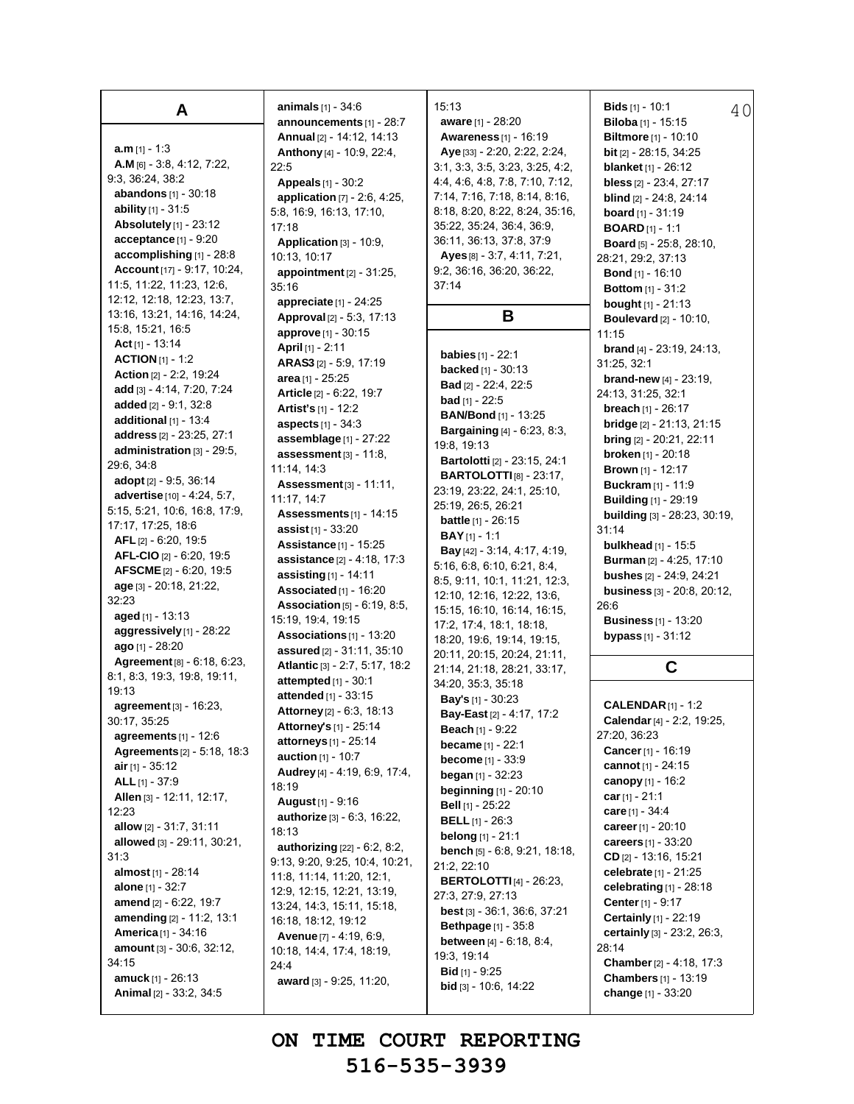| А                                                       |
|---------------------------------------------------------|
|                                                         |
| <b>a.m</b> [1] - 1:3<br>A.M [6] - 3:8, 4:12, 7:22,      |
| 9:3, 36:24, 38:2                                        |
| <b>abandons</b> [1] - 30:18                             |
| ability [1] - 31:5                                      |
| Absolutely [1] - 23:12                                  |
| $acceptance$ [1] - 9:20                                 |
| accomplishing [1] - 28:8                                |
| Account [17] - 9:17, 10:24,                             |
| 11:5, 11:22, 11:23, 12:6,<br>12:12, 12:18, 12:23, 13:7, |
| 13.16, 13:21, 14:16, 14:24,                             |
| 15:8, 15:21, 16:5                                       |
| Act $[1]$ - 13:14                                       |
| <b>ACTION</b> $[1]$ - 1:2                               |
| Action [2] - 2:2, 19:24                                 |
| add [3] - 4:14, 7:20, 7:24                              |
| added [2] - 9:1, 32:8<br>additional $[1]$ - 13:4        |
| address [2] - 23:25, 27:1                               |
| administration $[3]$ - 29:5,                            |
| 29:6, 34:8                                              |
| adopt [2] - 9:5, 36:14                                  |
| advertise [10] - 4:24, 5:7,                             |
| 5:15, 5:21, 10:6, 16:8, 17:9,                           |
| 17:17, 17:25, 18:6                                      |
| $AFL$ [2] - 6:20, 19:5                                  |
| AFL-CIO [2] - 6:20, 19:5<br>AFSCME [2] - 6:20, 19:5     |
| age [3] - 20:18, 21:22,                                 |
| 32:23                                                   |
| <b>aged</b> [1] - 13:13                                 |
| aggressively [1] - 28:22                                |
| ago [1] - 28:20                                         |
| <b>Agreement</b> [8] - 6:18, 6:23,                      |
| 8.1, 8.3, 19.3, 19.8, 19.11,                            |
| 19:13<br>agreement [3] - 16:23,                         |
| 30:17.35:25                                             |
| agreements [1] - 12:6                                   |
| Agreements [2] - 5:18, 18:3                             |
| air $[1] - 35:12$                                       |
| ALL [1] - 37:9                                          |
| Allen [3] - 12:11, 12:17,                               |
| 12:23                                                   |
| allow [2] - 31:7, 31:11                                 |
| allowed [3] - 29:11, 30:21,<br>31:3                     |
| almost [1] - 28:14                                      |
| alone [1] - 32:7                                        |
| amend [2] - 6:22, 19:7                                  |
| amending [2] - 11:2, 13:1                               |
| America <sup>[1]</sup> - 34:16                          |
| amount [3] - 30:6, 32:12,                               |
| 34:15                                                   |
| <b>amuck</b> [1] - 26:13                                |
| Animal [2] - 33:2, 34:5                                 |

**animals** [1] - 34:6 **announcements** [1] - 28:7 **Annual** [2] - 14:12, 14:13 **Anthony** [4] - 10:9, 22:4, 22:5 **Appeals** [1] - 30:2 **application** [7] - 2:6, 4:25, 5:8, 16:9, 16:13, 17:10, 17:18 **Application** [3] - 10:9, 10:13, 10:17 **appointment** [2] - 31:25, 35:16 **appreciate** [1] - 24:25 **Approval** [2] - 5:3, 17:13 **approve** [1] - 30:15 **April** [1] - 2:11 **ARAS3** [2] - 5:9, 17:19 **area** [1] - 25:25 **Article** [2] - 6:22, 19:7 **Artist's** [1] - 12:2 **aspects** [1] - 34:3 **assemblage** [1] - 27:22 **assessment**[3] - 11:8, 11:14, 14:3 **Assessment**[3] - 11:11, 11:17, 14:7 **Assessments**[1] - 14:15 **assist** [1] - 33:20 **Assistance** [1] - 15:25 **assistance** [2] - 4:18, 17:3 **assisting** [1] - 14:11 **Associated**[1] - 16:20 **Association** [5] - 6:19, 8:5, 15:19, 19:4, 19:15 **Associations** [1] - 13:20 **assured** [2] - 31:11, 35:10 **Atlantic** [3] - 2:7, 5:17, 18:2 **attempted** [1] - 30:1 **attended** [1] - 33:15 **Attorney**[2] - 6:3, 18:13 **Attorney's** [1] - 25:14 **attorneys** [1] - 25:14 **auction** [1] - 10:7 **Audrey** [4] - 4:19, 6:9, 17:4, 18:19 **August** [1] - 9:16 **authorize** [3] - 6:3, 16:22, 18:13 **authorizing** [22] - 6:2, 8:2, 9:13, 9:20, 9:25, 10:4, 10:21, 11:8, 11:14, 11:20, 12:1, 12:9, 12:15, 12:21, 13:19, 13:24, 14:3, 15:11, 15:18, 16:18, 18:12, 19:12 **Avenue** [7] - 4:19, 6:9, 10:18, 14:4, 17:4, 18:19, 24:4 **award** [3] - 9:25, 11:20,

#### 15:13 **aware** [1] - 28:20 **Awareness** [1] - 16:19 **Aye** [33] - 2:20, 2:22, 2:24, 3:1, 3:3, 3:5, 3:23, 3:25, 4:2, 4:4, 4:6, 4:8, 7:8, 7:10, 7:12, 7:14, 7:16, 7:18, 8:14, 8:16, 8:18, 8:20, 8:22, 8:24, 35:16, 35:22, 35:24, 36:4, 36:9, 36:11, 36:13, 37:8, 37:9 **Ayes** [8] - 3:7, 4:11, 7:21, 9:2, 36:16, 36:20, 36:22, 37:14

**B**

**babies** [1] - 22:1 **backed** [1] - 30:13 **Bad** [2] - 22:4, 22:5 **bad** [1] - 22:5 **BAN/Bond** [1] - 13:25 **Bargaining** [4] - 6:23, 8:3, 19:8, 19:13 **Bartolotti** [2] - 23:15, 24:1 **BARTOLOTTI**[8] - 23:17, 23:19, 23:22, 24:1, 25:10, 25:19, 26:5, 26:21 **battle** [1] - 26:15 **BAY**[1] - 1:1 **Bay** [42] - 3:14, 4:17, 4:19, 5:16, 6:8, 6:10, 6:21, 8:4, 8:5, 9:11, 10:1, 11:21, 12:3, 12:10, 12:16, 12:22, 13:6, 15:15, 16:10, 16:14, 16:15, 17:2, 17:4, 18:1, 18:18, 18:20, 19:6, 19:14, 19:15, 20:11, 20:15, 20:24, 21:11, 21:14, 21:18, 28:21, 33:17, 34:20, 35:3, 35:18 **Bay's** [1] - 30:23 **Bay-East** [2] - 4:17, 17:2 **Beach** [1] - 9:22 **became** [1] - 22:1 **become** [1] - 33:9 **began** [1] - 32:23 **beginning** [1] - 20:10 **Bell** [1] - 25:22 **BELL** [1] - 26:3 **belong** [1] - 21:1 **bench** [5] - 6:8, 9:21, 18:18, 21:2, 22:10 **BERTOLOTTI** [4] - 26:23, 27:3, 27:9, 27:13 **best** [3] - 36:1, 36:6, 37:21 **Bethpage** [1] - 35:8 **between** [4] - 6:18, 8:4, 19:3, 19:14 **Bid** [1] - 9:25 **bid** [3] - 10:6, 14:22

**Bids**  $[1]$  - 10:1 4 0 **Biloba** [1] - 15:15 **Biltmore** [1] - 10:10 **bit** [2] - 28:15, 34:25 **blanket** [1] - 26:12 **bless** [2] - 23:4, 27:17 **blind** [2] - 24:8, 24:14 **board** [1] - 31:19 **BOARD** [1] - 1:1 **Board** [5] - 25:8, 28:10, 28:21, 29:2, 37:13 **Bond** [1] - 16:10 **Bottom** [1] - 31:2 **bought** [1] - 21:13 **Boulevard** [2] - 10:10, 11:15 **brand** [4] - 23:19, 24:13, 31:25, 32:1 **brand-new** [4] - 23:19, 24:13, 31:25, 32:1 **breach** [1] - 26:17 **bridge** [2] - 21:13, 21:15 **bring** [2] - 20:21, 22:11 **broken** [1] - 20:18 **Brown** [1] - 12:17 **Buckram** [1] - 11:9 **Building** [1] - 29:19 **building** [3] - 28:23, 30:19, 31:14 **bulkhead** [1] - 15:5 **Burman** [2] - 4:25, 17:10 **bushes** [2] - 24:9, 24:21 **business** [3] - 20:8, 20:12, 26:6 **Business** [1] - 13:20 **bypass** [1] - 31:12

#### **C**

**CALENDAR**[1] - 1:2 **Calendar**[4] - 2:2, 19:25, 27:20, 36:23 **Cancer**[1] - 16:19 **cannot** [1] - 24:15 **canopy** [1] - 16:2 **car**[1] - 21:1 **care** [1] - 34:4 **career**[1] - 20:10 **careers** [1] - 33:20 **CD** [2] - 13:16, 15:21 **celebrate** [1] - 21:25 **celebrating** [1] - 28:18 **Center**[1] - 9:17 **Certainly** [1] - 22:19 **certainly** [3] - 23:2, 26:3, 28:14 **Chamber**[2] - 4:18, 17:3 **Chambers** [1] - 13:19 **change** [1] - 33:20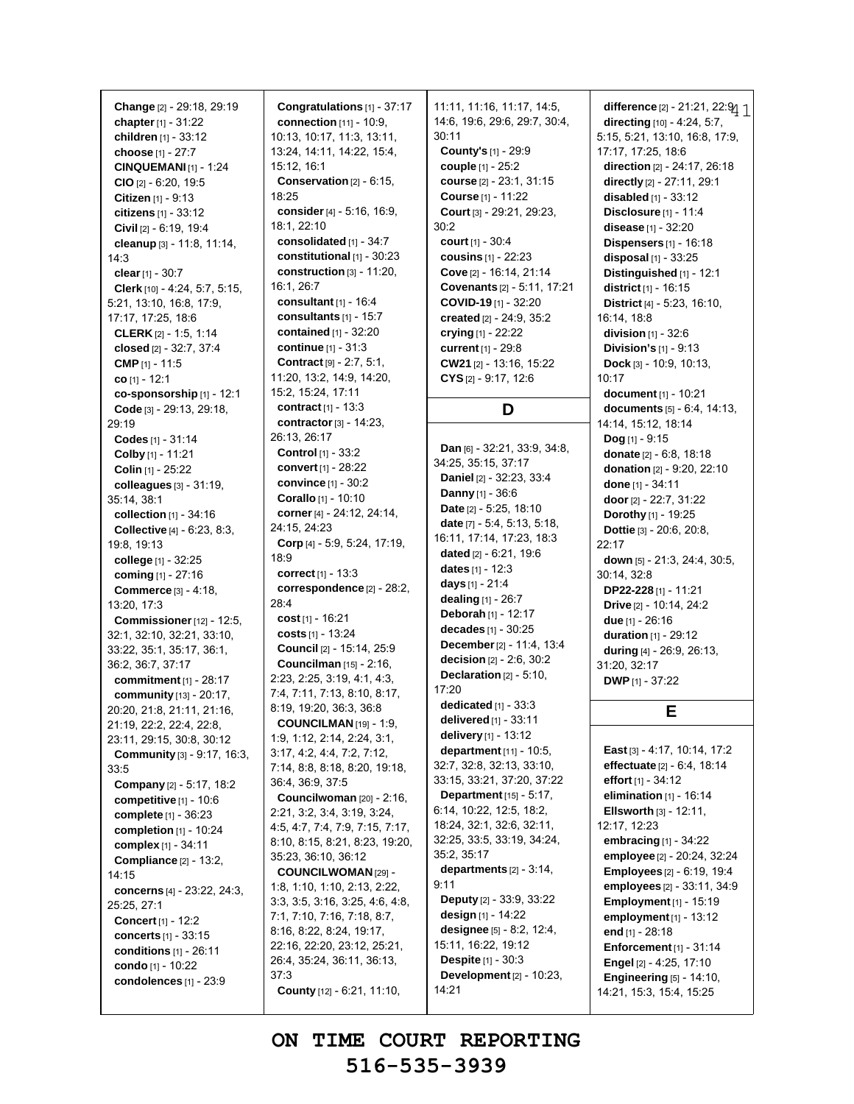**Change** [2] - 29:18, 29:19 **chapter**[1] - 31:22 **children** [1] - 33:12 **choose** [1] - 27:7 **CINQUEMANI** [1] - 1:24 **CIO** [2] - 6:20, 19:5 **Citizen** [1] - 9:13 **citizens** [1] - 33:12 **Civil** [2] - 6:19, 19:4 **cleanup** [3] - 11:8, 11:14, 14:3 **clear**[1] - 30:7 **Clerk** [10] - 4:24, 5:7, 5:15, 5:21, 13:10, 16:8, 17:9, 17:17, 17:25, 18:6 **CLERK** [2] - 1:5, 1:14 **closed** [2] - 32:7, 37:4 **CMP** [1] - 11:5 **co** [1] - 12:1 **co-sponsorship** [1] - 12:1 **Code** [3] - 29:13, 29:18, 29:19 **Codes** [1] - 31:14 **Colby** [1] - 11:21 **Colin** [1] - 25:22 **colleagues** [3] - 31:19, 35:14, 38:1 **collection** [1] - 34:16 **Collective** [4] - 6:23, 8:3, 19:8, 19:13 **college** [1] - 32:25 **coming** [1] - 27:16 **Commerce** [3] - 4:18, 13:20, 17:3 **Commissioner**[12] - 12:5, 32:1, 32:10, 32:21, 33:10, 33:22, 35:1, 35:17, 36:1, 36:2, 36:7, 37:17 **commitment** [1] - 28:17 **community** [13] - 20:17, 20:20, 21:8, 21:11, 21:16, 21:19, 22:2, 22:4, 22:8, 23:11, 29:15, 30:8, 30:12 **Community** [3] - 9:17, 16:3, 33:5 **Company** [2] - 5:17, 18:2 **competitive** [1] - 10:6 **complete** [1] - 36:23 **completion** [1] - 10:24 **complex** [1] - 34:11 **Compliance** [2] - 13:2, 14:15 **concerns** [4] - 23:22, 24:3, 25:25, 27:1 **Concert** [1] - 12:2 **concerts** [1] - 33:15 **conditions** [1] - 26:11 **condo** [1] - 10:22 **condolences** [1] - 23:9

**Congratulations** [1] - 37:17 **connection** [11] - 10:9, 10:13, 10:17, 11:3, 13:11, 13:24, 14:11, 14:22, 15:4, 15:12, 16:1 **Conservation** [2] - 6:15, 18:25 **consider**[4] - 5:16, 16:9, 18:1, 22:10 **consolidated** [1] - 34:7 **constitutional** [1] - 30:23 **construction** [3] - 11:20, 16:1, 26:7 **consultant** [1] - 16:4 **consultants** [1] - 15:7 **contained** [1] - 32:20 **continue** [1] - 31:3 **Contract** [9] - 2:7, 5:1, 11:20, 13:2, 14:9, 14:20, 15:2, 15:24, 17:11 **contract** [1] - 13:3 **contractor**[3] - 14:23, 26:13, 26:17 **Control** [1] - 33:2 **convert** [1] - 28:22 **convince** [1] - 30:2 **Corallo** [1] - 10:10 **corner**[4] - 24:12, 24:14, 24:15, 24:23 **Corp** [4] - 5:9, 5:24, 17:19, 18:9 **correct** [1] - 13:3 **correspondence** [2] - 28:2, 28:4 **cost** [1] - 16:21 **costs** [1] - 13:24 **Council** [2] - 15:14, 25:9 **Councilman** [15] - 2:16, 2:23, 2:25, 3:19, 4:1, 4:3, 7:4, 7:11, 7:13, 8:10, 8:17, 8:19, 19:20, 36:3, 36:8 **COUNCILMAN** [19] - 1:9, 1:9, 1:12, 2:14, 2:24, 3:1, 3:17, 4:2, 4:4, 7:2, 7:12, 7:14, 8:8, 8:18, 8:20, 19:18, 36:4, 36:9, 37:5 **Councilwoman** [20] - 2:16, 2:21, 3:2, 3:4, 3:19, 3:24, 4:5, 4:7, 7:4, 7:9, 7:15, 7:17, 8:10, 8:15, 8:21, 8:23, 19:20, 35:23, 36:10, 36:12 **COUNCILWOMAN** [29] - 1:8, 1:10, 1:10, 2:13, 2:22, 3:3, 3:5, 3:16, 3:25, 4:6, 4:8, 7:1, 7:10, 7:16, 7:18, 8:7, 8:16, 8:22, 8:24, 19:17, 22:16, 22:20, 23:12, 25:21, 26:4, 35:24, 36:11, 36:13, 37:3 **County** [12] - 6:21, 11:10,

11:11, 11:16, 11:17, 14:5, 14:6, 19:6, 29:6, 29:7, 30:4, 30:11 **County's** [1] - 29:9 **couple** [1] - 25:2 **course** [2] - 23:1, 31:15 **Course** [1] - 11:22 **Court** [3] - 29:21, 29:23, 30:2 **court** [1] - 30:4 **cousins** [1] - 22:23 **Cove** [2] - 16:14, 21:14 **Covenants** [2] - 5:11, 17:21 **COVID-19** [1] - 32:20 **created** [2] - 24:9, 35:2 **crying** [1] - 22:22 **current** [1] - 29:8 **CW21** [2] - 13:16, 15:22 **CYS** [2] - 9:17, 12:6

#### **D**

**Dan** [6] - 32:21, 33:9, 34:8, 34:25, 35:15, 37:17 **Daniel** [2] - 32:23, 33:4 **Danny** [1] - 36:6 **Date** [2] - 5:25, 18:10 **date** [7] - 5:4, 5:13, 5:18, 16:11, 17:14, 17:23, 18:3 **dated** [2] - 6:21, 19:6 **dates** [1] - 12:3 **days** [1] - 21:4 **dealing** [1] - 26:7 **Deborah** [1] - 12:17 **decades** [1] - 30:25 **December**[2] - 11:4, 13:4 **decision** [2] - 2:6, 30:2 **Declaration** [2] - 5:10, 17:20 **dedicated** [1] - 33:3 **delivered** [1] - 33:11 **delivery** [1] - 13:12 **department** [11] - 10:5, 32:7, 32:8, 32:13, 33:10, 33:15, 33:21, 37:20, 37:22 **Department** [15] - 5:17, 6:14, 10:22, 12:5, 18:2, 18:24, 32:1, 32:6, 32:11, 32:25, 33:5, 33:19, 34:24, 35:2, 35:17 **departments** [2] - 3:14, 9:11 **Deputy** [2] - 33:9, 33:22 **design** [1] - 14:22 **designee** [5] - 8:2, 12:4, 15:11, 16:22, 19:12 **Despite** [1] - 30:3 **Development**[2] - 10:23, 14:21

**difference** [2] - 21:21, 22:94 1 **directing** [10] - 4:24, 5:7, 5:15, 5:21, 13:10, 16:8, 17:9, 17:17, 17:25, 18:6 **direction** [2] - 24:17, 26:18 **directly** [2] - 27:11, 29:1 **disabled** [1] - 33:12 **Disclosure** [1] - 11:4 **disease** [1] - 32:20 **Dispensers** [1] - 16:18 **disposal** [1] - 33:25 **Distinguished** [1] - 12:1 **district** [1] - 16:15 **District** [4] - 5:23, 16:10, 16:14, 18:8 **division** [1] - 32:6 **Division's** [1] - 9:13 **Dock** [3] - 10:9, 10:13, 10:17 **document** [1] - 10:21 **documents** [5] - 6:4, 14:13, 14:14, 15:12, 18:14 **Dog** [1] - 9:15 **donate** [2] - 6:8, 18:18 **donation** [2] - 9:20, 22:10 **done** [1] - 34:11 **door** [2] - 22:7, 31:22 **Dorothy** [1] - 19:25 **Dottie** [3] - 20:6, 20:8,  $22.17$ **down** [5] - 21:3, 24:4, 30:5, 30:14, 32:8 **DP22-228** [1] - 11:21 **Drive** [2] - 10:14, 24:2 **due** [1] - 26:16 **duration** [1] - 29:12 **during** [4] - 26:9, 26:13, 31:20, 32:17 **DWP** [1] - 37:22

#### **E**

**East** [3] - 4:17, 10:14, 17:2 **effectuate** [2] - 6:4, 18:14 **effort** [1] - 34:12 **elimination** [1] - 16:14 **Ellsworth** [3] - 12:11, 12:17, 12:23 **embracing** [1] - 34:22 **employee** [2] - 20:24, 32:24 **Employees** [2] - 6:19, 19:4 **employees** [2] - 33:11, 34:9 **Employment**[1] - 15:19 **employment**[1] - 13:12 **end** [1] - 28:18 **Enforcement** [1] - 31:14 **Engel** [2] - 4:25, 17:10 **Engineering** [5] - 14:10, 14:21, 15:3, 15:4, 15:25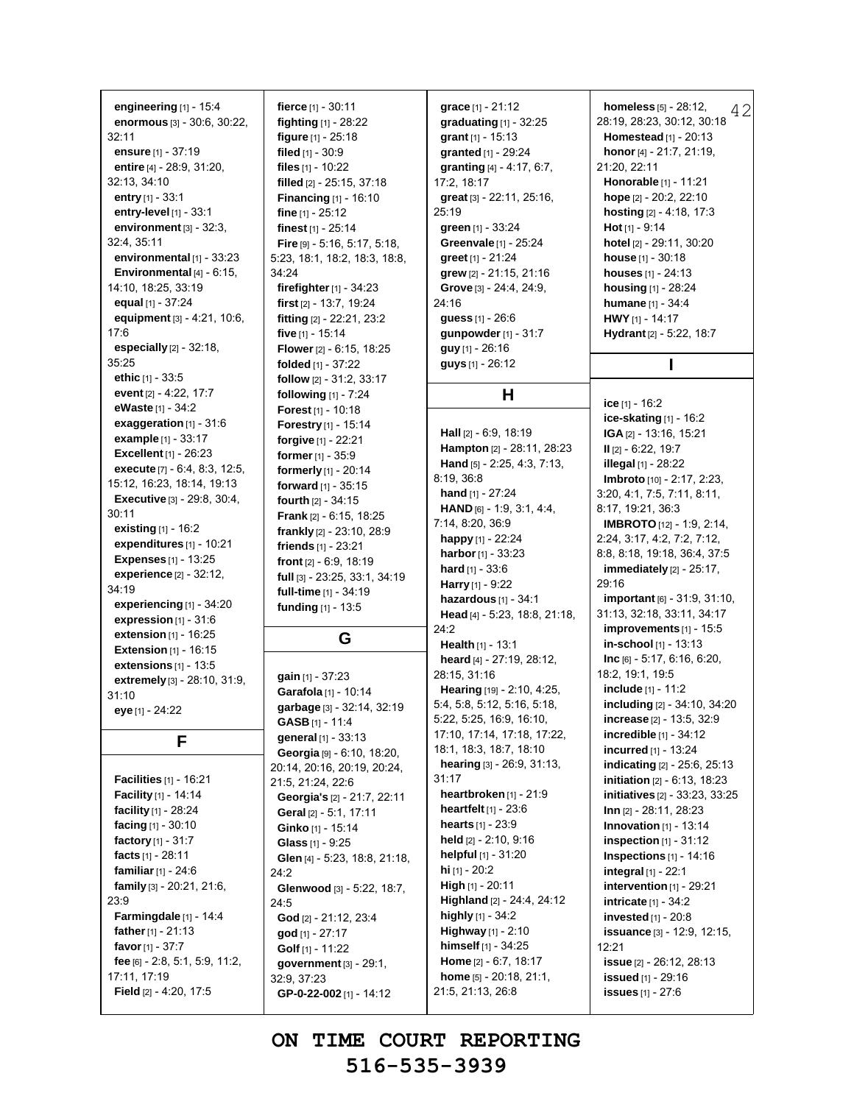**engineering** [1] - 15:4 **enormous** [3] - 30:6, 30:22, 32:11 **ensure** [1] - 37:19 **entire** [4] - 28:9, 31:20, 32:13, 34:10 **entry** [1] - 33:1 **entry-level** [1] - 33:1 **environment** [3] - 32:3, 32:4, 35:11 **environmental** [1] - 33:23 **Environmental** [4] - 6:15, 14:10, 18:25, 33:19 **equal** [1] - 37:24 **equipment** [3] - 4:21, 10:6, 17:6 **especially** [2] - 32:18, 35:25 **ethic** [1] - 33:5 **event** [2] - 4:22, 17:7 **eWaste** [1] - 34:2 **exaggeration** [1] - 31:6 **example** [1] - 33:17 **Excellent** [1] - 26:23 **execute** [7] - 6:4, 8:3, 12:5, 15:12, 16:23, 18:14, 19:13 **Executive** [3] - 29:8, 30:4, 30:11 **existing** [1] - 16:2 **expenditures** [1] - 10:21 **Expenses** [1] - 13:25 **experience** [2] - 32:12, 34:19 **experiencing** [1] - 34:20 **expression** [1] - 31:6 **extension** [1] - 16:25 **Extension** [1] - 16:15 **extensions** [1] - 13:5 **extremely** [3] - 28:10, 31:9, 31:10 **eye** [1] - 24:22 **F Facilities** [1] - 16:21 **Facility** [1] - 14:14 **facility** [1] - 28:24 **facing** [1] - 30:10 **factory** [1] - 31:7 **facts** [1] - 28:11 **familiar**[1] - 24:6 **family** [3] - 20:21, 21:6, 23:9 **Farmingdale** [1] - 14:4 **father**[1] - 21:13 **favor**[1] - 37:7 **fee** [6] - 2:8, 5:1, 5:9, 11:2, 17:11, 17:19 **Field** [2] - 4:20, 17:5

**fierce** [1] - 30:11 **fighting** [1] - 28:22 **figure** [1] - 25:18 **filed** [1] - 30:9 **files** [1] - 10:22 **filled** [2] - 25:15, 37:18 **Financing** [1] - 16:10 **fine** [1] - 25:12 **finest** [1] - 25:14 **Fire** [9] - 5:16, 5:17, 5:18, 5:23, 18:1, 18:2, 18:3, 18:8, 34:24 **firefighter**[1] - 34:23 **first** [2] - 13:7, 19:24 **fitting** [2] - 22:21, 23:2 **five** [1] - 15:14 **Flower** [2] - 6:15, 18:25 **folded** [1] - 37:22 **follow** [2] - 31:2, 33:17 **following** [1] - 7:24 **Forest** [1] - 10:18 **Forestry** [1] - 15:14 **forgive** [1] - 22:21 **former**[1] - 35:9 **formerly** [1] - 20:14 **forward** [1] - 35:15 **fourth** [2] - 34:15 **Frank** [2] - 6:15, 18:25 **frankly** [2] - 23:10, 28:9 **friends** [1] - 23:21 **front** [2] - 6:9, 18:19 **full** [3] - 23:25, 33:1, 34:19 **full-time** [1] - 34:19 **funding** [1] - 13:5 **G gain** [1] - 37:23 **Garafola** [1] - 10:14 **garbage** [3] - 32:14, 32:19 **GASB** [1] - 11:4 **general** [1] - 33:13 **Georgia** [9] - 6:10, 18:20, 20:14, 20:16, 20:19, 20:24, 21:5, 21:24, 22:6 **Georgia's** [2] - 21:7, 22:11 **Geral** [2] - 5:1, 17:11 **Ginko** [1] - 15:14 **Glass** [1] - 9:25 **Glen** [4] - 5:23, 18:8, 21:18,  $24.2$ **Glenwood** [3] - 5:22, 18:7, 24:5 **God** [2] - 21:12, 23:4 **god** [1] - 27:17 **Golf** [1] - 11:22

**government**[3] - 29:1,

**GP-0-22-002** [1] - 14:12

32:9, 37:23

**grace** [1] - 21:12 **graduating** [1] - 32:25 **grant** [1] - 15:13 **granted** [1] - 29:24 **granting** [4] - 4:17, 6:7, 17:2, 18:17 **great** [3] - 22:11, 25:16, 25:19 **green** [1] - 33:24 **Greenvale** [1] - 25:24 **greet** [1] - 21:24 **grew** [2] - 21:15, 21:16 **Grove** [3] - 24:4, 24:9, 24:16 **guess** [1] - 26:6 **gunpowder** [1] - 31:7 **guy** [1] - 26:16 **guys** [1] - 26:12 **H Hall** [2] - 6:9, 18:19 **Hampton** [2] - 28:11, 28:23 **Hand** [5] - 2:25, 4:3, 7:13, 8:19, 36:8 **hand** [1] - 27:24 **HAND** [6] - 1:9, 3:1, 4:4, 7:14, 8:20, 36:9 **happy** [1] - 22:24 **harbor**[1] - 33:23 **hard** [1] - 33:6 **Harry** [1] - 9:22 **hazardous** [1] - 34:1 **Head** [4] - 5:23, 18:8, 21:18, 24:2 **Health** [1] - 13:1 **heard** [4] - 27:19, 28:12, 28:15, 31:16 **Hearing** [19] - 2:10, 4:25, 5:4, 5:8, 5:12, 5:16, 5:18, 5:22, 5:25, 16:9, 16:10, 17:10, 17:14, 17:18, 17:22, 18:1, 18:3, 18:7, 18:10 **hearing** [3] - 26:9, 31:13, 31:17 **heartbroken** [1] - 21:9 **heartfelt** [1] - 23:6 **hearts** [1] - 23:9 **held** [2] - 2:10, 9:16 **helpful** [1] - 31:20 **hi** [1] - 20:2 **High** [1] - 20:11 **Highland** [2] - 24:4, 24:12 **highly** [1] - 34:2 **Highway** [1] - 2:10 **himself** [1] - 34:25 **Home** [2] - 6:7, 18:17 **home** [5] - 20:18, 21:1, 21:5, 21:13, 26:8 **homeless** [5] - 28:12,  $42$ 28:19, 28:23, 30:12, 30:18 **Homestead** [1] - 20:13 **honor** [4] - 21:7, 21:19, 21:20, 22:11 **Honorable** [1] - 11:21 **hope** [2] - 20:2, 22:10 **hosting** [2] - 4:18, 17:3 **Hot** [1] - 9:14 **hotel** [2] - 29:11, 30:20 **house** [1] - 30:18 **houses** [1] - 24:13 **housing** [1] - 28:24 **humane** [1] - 34:4 **HWY** [1] - 14:17 **Hydrant**[2] - 5:22, 18:7 **I ice** [1] - 16:2 **ice-skating** [1] - 16:2 **IGA** [2] - 13:16, 15:21 **II** [2] - 6:22, 19:7 **illegal** [1] - 28:22 **Imbroto** [10] - 2:17, 2:23, 3:20, 4:1, 7:5, 7:11, 8:11, 8:17, 19:21, 36:3 **IMBROTO** [12] - 1:9, 2:14, 2:24, 3:17, 4:2, 7:2, 7:12, 8:8, 8:18, 19:18, 36:4, 37:5 **immediately** [2] - 25:17, 29:16 **important** [6] - 31:9, 31:10, 31:13, 32:18, 33:11, 34:17 **improvements** [1] - 15:5 **in-school** [1] - 13:13 **Inc** [6] - 5:17, 6:16, 6:20, 18:2, 19:1, 19:5 **include** [1] - 11:2 **including** [2] - 34:10, 34:20 **increase** [2] - 13:5, 32:9 **incredible** [1] - 34:12 **incurred** [1] - 13:24 **indicating** [2] - 25:6, 25:13 **initiation** [2] - 6:13, 18:23 **initiatives** [2] - 33:23, 33:25 **Inn** [2] - 28:11, 28:23 **Innovation** [1] - 13:14 **inspection** [1] - 31:12 **Inspections** [1] - 14:16 **integral** [1] - 22:1 **intervention** [1] - 29:21 **intricate** [1] - 34:2 **invested** [1] - 20:8 **issuance** [3] - 12:9, 12:15, 12:21 **issue** [2] - 26:12, 28:13 **issued** [1] - 29:16 **issues** [1] - 27:6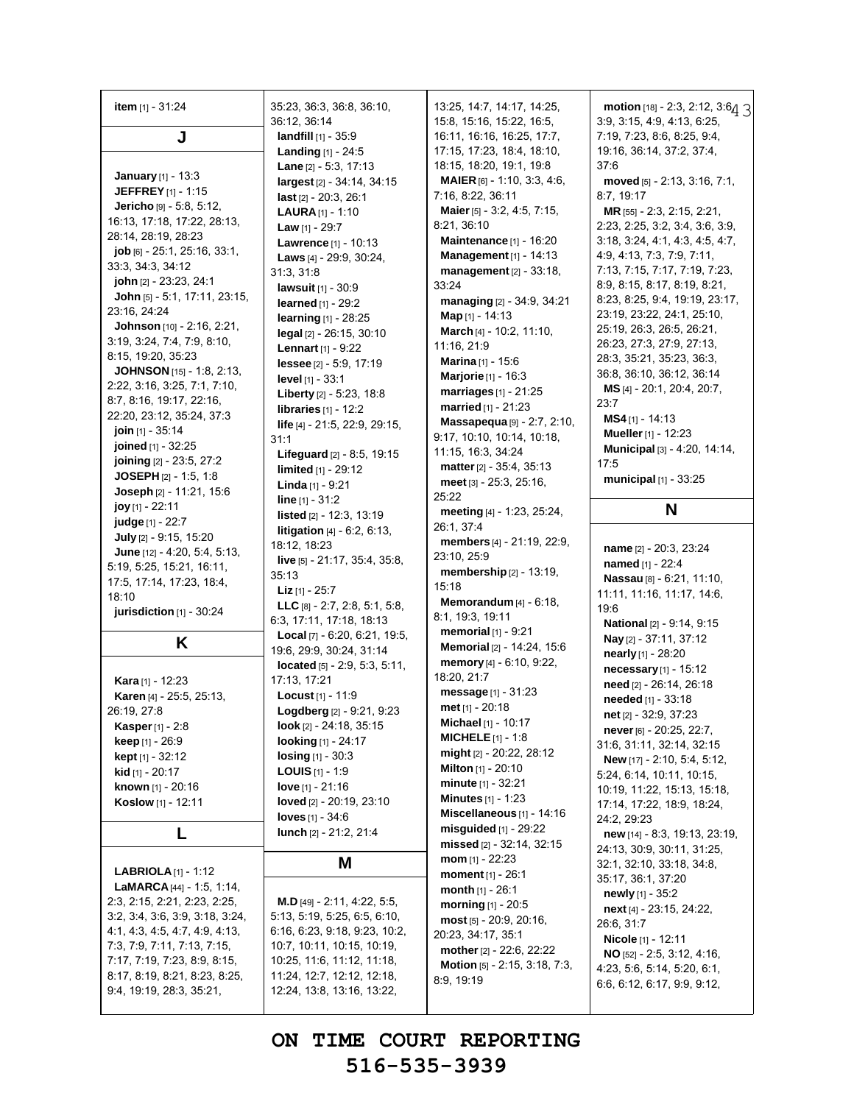| item [1] - 31:24                                          | 35.23, 36.3, 36.8, 36.10,<br>36:12, 36:14                | 13.25, 14.7, 14.17, 14.25,<br>15.8, 15:16, 15:22, 16:5, | motion [18] - 2:3, 2:12, 3:64 3<br>3.9, 3.15, 4.9, 4.13, 6.25, |
|-----------------------------------------------------------|----------------------------------------------------------|---------------------------------------------------------|----------------------------------------------------------------|
| J                                                         | <b>landfill</b> $[1]$ - 35:9                             | 16:11, 16:16, 16:25, 17:7,                              | 7:19, 7:23, 8:6, 8:25, 9:4,                                    |
|                                                           | <b>Landing</b> [1] - 24:5                                | 17:15, 17:23, 18:4, 18:10,                              | 19:16, 36:14, 37:2, 37:4,                                      |
|                                                           | <b>Lane</b> $[2] - 5.3, 17.13$                           | 18:15, 18:20, 19:1, 19:8                                | 37:6                                                           |
| <b>January</b> [1] - 13:3                                 | $largest$ [2] $-34.14$ , 34:15                           | <b>MAIER</b> [6] - 1:10, 3:3, 4:6,                      | moved $[5] - 2:13$ , $3:16$ , $7:1$ ,                          |
| <b>JEFFREY</b> [1] - 1:15                                 | last [2] - 20:3, 26:1                                    | 7:16, 8:22, 36:11                                       | 8:7, 19:17                                                     |
| Jericho [9] - 5:8, 5:12,                                  | <b>LAURA</b> $[1]$ - 1:10                                | Maier [5] - 3:2, 4:5, 7:15,                             | MR [55] - 2:3, 2:15, 2:21,                                     |
| 16:13, 17:18, 17:22, 28:13,                               | <b>Law</b> $[1]$ - 29:7                                  | 8:21, 36:10                                             | 2.23, 2.25, 3.2, 3.4, 3.6, 3.9,                                |
| 28:14, 28:19, 28:23                                       | Lawrence [1] - 10:13                                     | Maintenance <sup>[1]</sup> - 16:20                      | 3.18, 3.24, 4.1, 4.3, 4.5, 4.7,                                |
| job [6] - 25:1, 25:16, 33:1,                              | Laws [4] - 29:9, 30:24,                                  | Management $[1]$ - 14:13                                | 4.9, 4.13, 7.3, 7.9, 7.11,                                     |
| 33:3, 34:3, 34:12                                         | 31:3, 31:8                                               | management [2] - 33:18,                                 | 7:13, 7:15, 7:17, 7:19, 7:23,                                  |
| john [2] - 23:23, 24:1                                    | <b>lawsuit</b> [1] - 30:9                                | 33:24                                                   | 8.9, 8:15, 8:17, 8:19, 8:21,                                   |
| John [5] - 5:1, 17:11, 23:15,                             | learned [1] - 29:2                                       | managing [2] - 34:9, 34:21                              | 8:23, 8:25, 9:4, 19:19, 23:17,                                 |
| 23.16, 24.24                                              | learning $[1] - 28.25$                                   | <b>Map</b> $[1]$ - 14:13                                | 23:19, 23:22, 24:1, 25:10,                                     |
| Johnson [10] - 2:16, 2:21,                                | legal [2] - 26:15, 30:10                                 | March [4] - 10:2, 11:10,                                | 25:19, 26:3, 26:5, 26:21,                                      |
| 3.19, 3.24, 7.4, 7.9, 8.10,                               | <b>Lennart</b> $[1] - 9:22$                              | 11:16, 21:9                                             | 26:23, 27:3, 27:9, 27:13,                                      |
| 8:15, 19:20, 35:23                                        | lessee [2] - 5:9, 17:19                                  | <b>Marina</b> $[1]$ - 15:6                              | 28:3, 35:21, 35:23, 36:3,                                      |
| JOHNSON [15] - 1:8, 2:13,                                 | level $[1] - 33:1$                                       | Marjorie [1] - 16:3                                     | 36.8, 36:10, 36:12, 36:14                                      |
| 2.22, 3.16, 3.25, 7:1, 7:10,                              | Liberty [2] - 5:23, 18:8                                 | marriages [1] - 21:25                                   | $MS$ <sub>[4]</sub> - 20:1, 20:4, 20:7,                        |
| 8:7, 8:16, 19:17, 22:16,                                  | libraries $[1]$ - 12:2                                   | married [1] - 21:23                                     | 23:7                                                           |
| 22:20, 23:12, 35:24, 37:3                                 | life [4] - 21:5, 22:9, 29:15,                            | Massapequa [9] - 2:7, 2:10,                             | <b>MS4</b> [1] - 14:13                                         |
| join [1] - 35:14                                          | 31:1                                                     | 9:17, 10:10, 10:14, 10:18,                              | Mueller [1] - 12:23                                            |
| joined [1] - 32:25                                        | Lifeguard [2] - 8:5, 19:15                               | 11:15, 16:3, 34:24                                      | Municipal [3] - 4:20, 14:14,                                   |
| joining [2] - 23:5, 27:2                                  | limited [1] - 29:12                                      | matter [2] - 35:4, 35:13                                | 17:5                                                           |
| JOSEPH $[2] - 1:5, 1:8$                                   | <b>Linda</b> $[1]$ - 9:21                                | meet [3] - 25:3, 25:16,                                 | municipal $[1]$ - 33:25                                        |
| <b>Joseph</b> $[2] - 11:21, 15:6$                         | line $[1] - 31:2$                                        | 25:22                                                   |                                                                |
| joy $[1] - 22:11$                                         | listed [2] - 12:3, 13:19                                 | meeting [4] - 1.23, 25:24,                              | N                                                              |
| <b>judge</b> [1] - 22:7                                   | litigation [4] - 6:2, 6:13,                              | 26:1, 37:4                                              |                                                                |
| July [2] - 9:15, 15:20                                    | 18:12, 18:23                                             | <b>members</b> $[4] - 21:19$ , 22:9,                    | name [2] - 20:3, 23:24                                         |
| June [12] - 4:20, 5:4, 5:13,                              | live [5] - 21:17, 35:4, 35:8,                            | 23:10, 25:9                                             | named [1] - 22:4                                               |
| 5:19, 5:25, 15:21, 16:11,                                 | 35:13                                                    | membership [2] - 13:19,                                 | Nassau [8] - 6.21, 11:10,                                      |
| 17:5, 17:14, 17:23, 18:4,<br>18:10                        | <b>Liz</b> $[1]$ - 25:7                                  | 15:18                                                   | 11:11, 11:16, 11:17, 14:6,                                     |
|                                                           | LLC $[8] - 2.7, 2.8, 5.1, 5.8$                           | Memorandum $[4] - 6:18$ ,                               | 19:6                                                           |
| jurisdiction $[1]$ - 30:24                                | 6:3, 17:11, 17:18, 18:13                                 | 8:1, 19:3, 19:11                                        | <b>National</b> [2] - 9:14, 9:15                               |
| K                                                         | Local [7] - 6:20, 6:21, 19:5,                            | <b>memorial</b> $[1]$ - 9:21                            | Nay [2] - 37:11, 37:12                                         |
|                                                           | 19.6, 29.9, 30.24, 31.14                                 | Memorial [2] - 14:24, 15:6                              | nearly [1] - 28:20                                             |
|                                                           | located $[5] - 2.9, 5.3, 5.11,$                          | memory [4] - 6:10, 9:22,                                | necessary [1] - 15:12                                          |
| Kara [1] - 12:23                                          | 17:13, 17:21                                             | 18:20, 21:7                                             | need [2] - 26:14, 26:18                                        |
| Karen [4] - 25:5, 25:13,                                  | Locust [1] - 11:9                                        | message $[1] - 31.23$                                   | needed [1] - 33:18                                             |
| 26:19, 27:8                                               | Logdberg [2] - 9:21, 9:23                                | met $[1] - 20.18$                                       | net [2] - 32.9, 37:23                                          |
| <b>Kasper</b> [1] - 2:8                                   | look $[2] - 24:18, 35:15$                                | <b>Michael</b> [1] - 10:17                              | never [6] - 20:25, 22:7,                                       |
| <b>keep</b> $[1]$ - 26:9                                  | <b>looking</b> [1] - 24:17                               | <b>MICHELE</b> $[1] - 1.8$                              | 31.6, 31.11, 32.14, 32.15                                      |
| <b>kept</b> $[1] - 32:12$                                 | <b>losing</b> $[1]$ - 30:3                               | might [2] - 20:22, 28:12                                | New [17] - 2:10, 5:4, 5:12,                                    |
| <b>kid</b> [1] - 20:17                                    | <b>LOUIS</b> $[1] - 1.9$                                 | <b>Milton</b> $[1]$ - 20:10                             | 5:24, 6:14, 10:11, 10:15,                                      |
| known [1] - 20:16                                         | love $[1] - 21:16$                                       | minute [1] - 32:21                                      | 10:19, 11:22, 15:13, 15:18,                                    |
| Koslow [1] - 12:11                                        | loved [2] - 20:19, 23:10                                 | <b>Minutes</b> $[1] - 1:23$                             | 17:14, 17:22, 18.9, 18:24,                                     |
|                                                           |                                                          | Miscellaneous [1] - 14:16                               | 24:2, 29:23                                                    |
| L                                                         | loves $[1] - 34.6$                                       |                                                         |                                                                |
|                                                           | lunch [2] - 21:2, 21:4                                   | misquided [1] - 29:22                                   | new [14] - 8:3, 19:13, 23:19,                                  |
|                                                           |                                                          | missed $[2] - 32.14$ , $32.15$                          | 24:13, 30:9, 30:11, 31:25,                                     |
|                                                           | M                                                        | <b>mom</b> $[1]$ - 22:23                                | 32:1, 32:10, 33:18, 34:8,                                      |
| <b>LABRIOLA</b> $[1]$ - 1:12                              |                                                          | moment $[1] - 26:1$                                     | 35:17, 36:1, 37:20                                             |
| <b>LaMARCA</b> $[44] - 1.5, 1.14,$                        |                                                          | month $[1] - 26:1$                                      | <b>newly</b> $[1]$ - 35:2                                      |
| 2.3, 2.15, 2.21, 2.23, 2.25,                              | <b>M.D</b> $[49] - 2.11$ , 4.22, 5.5,                    | morning [1] - 20:5                                      | next [4] - 23:15, 24:22,                                       |
| 3.2, 3.4, 3.6, 3.9, 3.18, 3.24,                           | 5:13, 5:19, 5:25, 6:5, 6:10,                             | most [5] - 20:9, 20:16,                                 | 26.6, 31:7                                                     |
| 4.1, 4.3, 4.5, 4.7, 4.9, 4.13,                            | 6.16, 6.23, 9.18, 9.23, 10.2,                            | 20:23, 34:17, 35:1                                      | Nicole [1] - 12:11                                             |
| 7.3, 7.9, 7.11, 7.13, 7.15,                               | 10.7, 10:11, 10:15, 10:19,                               | mother [2] - 22:6, 22:22                                | NO [52] - 2:5, 3:12, 4:16,                                     |
| 7:17, 7:19, 7:23, 8:9, 8:15,                              | 10.25, 11:6, 11:12, 11:18,                               | Motion [5] - 2:15, 3:18, 7:3,                           | 4:23, 5:6, 5:14, 5:20, 6:1,                                    |
| 8:17, 8:19, 8:21, 8:23, 8:25,<br>9:4, 19:19, 28:3, 35:21, | 11:24, 12:7, 12:12, 12:18,<br>12.24, 13.8, 13.16, 13.22, | 8.9, 19.19                                              | 6.6, 6.12, 6.17, 9.9, 9.12,                                    |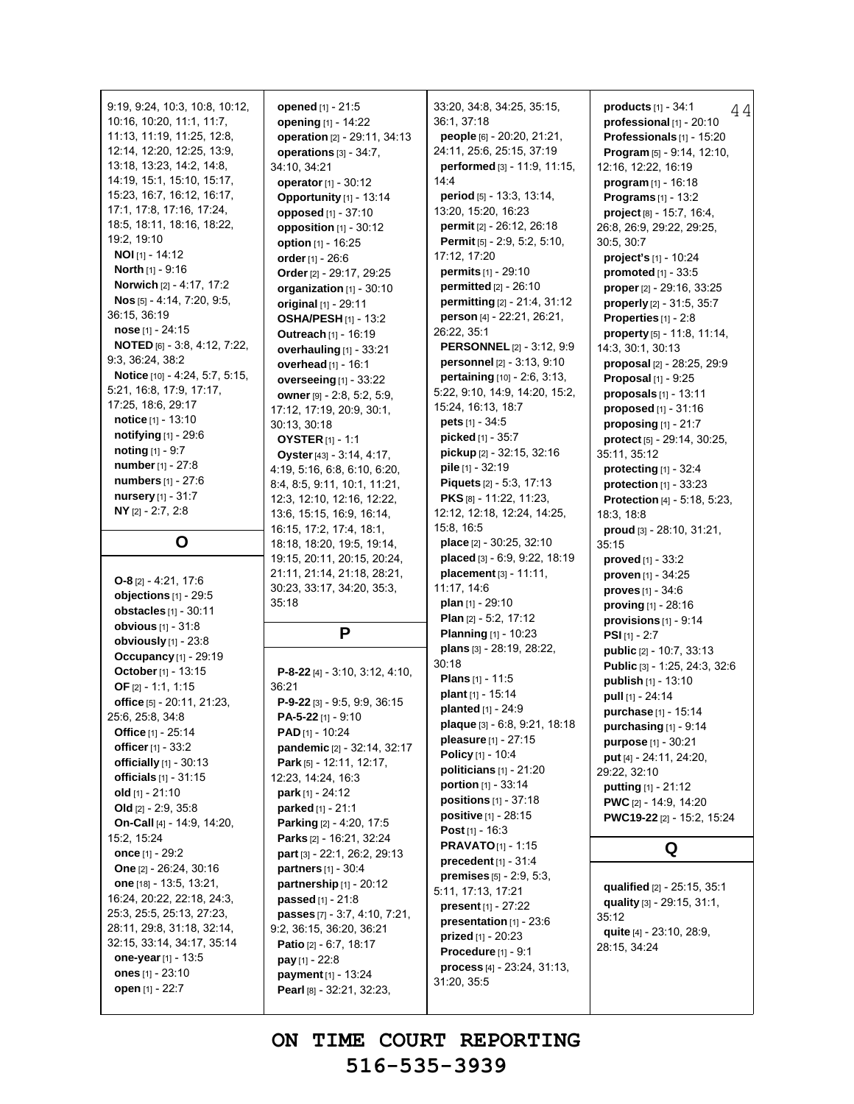9:19, 9:24, 10:3, 10:8, 10:12, 10:16, 10:20, 11:1, 11:7, 11:13, 11:19, 11:25, 12:8, 12:14, 12:20, 12:25, 13:9, 13:18, 13:23, 14:2, 14:8, 14:19, 15:1, 15:10, 15:17, 15:23, 16:7, 16:12, 16:17, 17:1, 17:8, 17:16, 17:24, 18:5, 18:11, 18:16, 18:22, 19:2, 19:10 **NOI** [1] - 14:12 **North** [1] - 9:16 **Norwich** [2] - 4:17, 17:2 **Nos** [5] - 4:14, 7:20, 9:5, 36:15, 36:19 **nose** [1] - 24:15 **NOTED** [6] - 3:8, 4:12, 7:22, 9:3, 36:24, 38:2 **Notice** [10] - 4:24, 5:7, 5:15, 5:21, 16:8, 17:9, 17:17, 17:25, 18:6, 29:17 **notice** [1] - 13:10 **notifying** [1] - 29:6 **noting** [1] - 9:7 **number**[1] - 27:8 **numbers** [1] - 27:6 **nursery** [1] - 31:7 **NY** [2] - 2:7, 2:8 **O O-8** [2] - 4:21, 17:6 **objections** [1] - 29:5 **obstacles** [1] - 30:11 **obvious** [1] - 31:8 **obviously** [1] - 23:8 **Occupancy** [1] - 29:19 **October**[1] - 13:15 **OF** [2] - 1:1, 1:15 **office** [5] - 20:11, 21:23, 25:6, 25:8, 34:8 **Office** [1] - 25:14 **officer**[1] - 33:2 **officially** [1] - 30:13 **officials** [1] - 31:15 **old** [1] - 21:10 **Old** [2] - 2:9, 35:8 **On-Call** [4] - 14:9, 14:20, 15:2, 15:24 **once** [1] - 29:2 **One** [2] - 26:24, 30:16 **one** [18] - 13:5, 13:21, 16:24, 20:22, 22:18, 24:3, 25:3, 25:5, 25:13, 27:23, 28:11, 29:8, 31:18, 32:14, 32:15, 33:14, 34:17, 35:14 **one-year**[1] - 13:5 **ones** [1] - 23:10

**open** [1] - 22:7

**opened** [1] - 21:5 **opening** [1] - 14:22 **operation** [2] - 29:11, 34:13 **operations** [3] - 34:7, 34:10, 34:21 **operator**[1] - 30:12 **Opportunity** [1] - 13:14 **opposed** [1] - 37:10 **opposition** [1] - 30:12 **option** [1] - 16:25 **order**[1] - 26:6 **Order**[2] - 29:17, 29:25 **organization** [1] - 30:10 **original** [1] - 29:11 **OSHA/PESH** [1] - 13:2 **Outreach** [1] - 16:19 **overhauling** [1] - 33:21 **overhead** [1] - 16:1 **overseeing** [1] - 33:22 **owner** [9] - 2:8, 5:2, 5:9, 17:12, 17:19, 20:9, 30:1, 30:13, 30:18 **OYSTER** [1] - 1:1 **Oyster**[43] - 3:14, 4:17, 4:19, 5:16, 6:8, 6:10, 6:20, 8:4, 8:5, 9:11, 10:1, 11:21, 12:3, 12:10, 12:16, 12:22, 13:6, 15:15, 16:9, 16:14, 16:15, 17:2, 17:4, 18:1, 18:18, 18:20, 19:5, 19:14, 19:15, 20:11, 20:15, 20:24, 21:11, 21:14, 21:18, 28:21, 30:23, 33:17, 34:20, 35:3, 35:18 **P P-8-22** [4] - 3:10, 3:12, 4:10, 36:21 **P-9-22** [3] - 9:5, 9:9, 36:15 **PA-5-22** [1] - 9:10 **PAD** [1] - 10:24 **pandemic** [2] - 32:14, 32:17 **Park** [5] - 12:11, 12:17, 12:23, 14:24, 16:3

**park** [1] - 24:12 **parked** [1] - 21:1 **Parking** [2] - 4:20, 17:5 **Parks** [2] - 16:21, 32:24 **part** [3] - 22:1, 26:2, 29:13 **partners** [1] - 30:4 **partnership** [1] - 20:12 **passed** [1] - 21:8

**passes** [7] - 3:7, 4:10, 7:21, 9:2, 36:15, 36:20, 36:21 **Patio** [2] - 6:7, 18:17 **pay** [1] - 22:8 **payment**[1] - 13:24 **Pearl** [8] - 32:21, 32:23,

33:20, 34:8, 34:25, 35:15, 36:1, 37:18 **people** [6] - 20:20, 21:21, 24:11, 25:6, 25:15, 37:19 **performed** [3] - 11:9, 11:15, 14:4 **period** [5] - 13:3, 13:14, 13:20, 15:20, 16:23 **permit** [2] - 26:12, 26:18 **Permit** [5] - 2:9, 5:2, 5:10, 17:12, 17:20 **permits** [1] - 29:10 **permitted** [2] - 26:10 **permitting** [2] - 21:4, 31:12 **person** [4] - 22:21, 26:21, 26:22, 35:1 **PERSONNEL** [2] - 3:12, 9:9 **personnel** [2] - 3:13, 9:10 **pertaining** [10] - 2:6, 3:13, 5:22, 9:10, 14:9, 14:20, 15:2, 15:24, 16:13, 18:7 **pets** [1] - 34:5 **picked** [1] - 35:7 **pickup** [2] - 32:15, 32:16 **pile** [1] - 32:19 **Piquets** [2] - 5:3, 17:13 **PKS** [8] - 11:22, 11:23, 12:12, 12:18, 12:24, 14:25, 15:8, 16:5 **place** [2] - 30:25, 32:10 **placed** [3] - 6:9, 9:22, 18:19 **placement** [3] - 11:11, 11:17, 14:6 **plan** [1] - 29:10 **Plan** [2] - 5:2, 17:12 **Planning** [1] - 10:23 **plans** [3] - 28:19, 28:22, 30:18 **Plans** [1] - 11:5 **plant** [1] - 15:14 **planted** [1] - 24:9 **plaque** [3] - 6:8, 9:21, 18:18 **pleasure** [1] - 27:15 **Policy** [1] - 10:4 **politicians** [1] - 21:20 **portion** [1] - 33:14 **positions** [1] - 37:18 **positive** [1] - 28:15 **Post** [1] - 16:3 **PRAVATO**[1] - 1:15 **precedent** [1] - 31:4 **premises** [5] - 2:9, 5:3, 5:11, 17:13, 17:21 **present** [1] - 27:22 **presentation** [1] - 23:6 **prized** [1] - 20:23 **Procedure** [1] - 9:1 **process** [4] - 23:24, 31:13, 31:20, 35:5

44 **products** [1] - 34:1 **professional** [1] - 20:10 **Professionals** [1] - 15:20 **Program** [5] - 9:14, 12:10, 12:16, 12:22, 16:19 **program** [1] - 16:18 **Programs** [1] - 13:2 **project** [8] - 15:7, 16:4, 26:8, 26:9, 29:22, 29:25, 30:5, 30:7 **project's** [1] - 10:24 **promoted** [1] - 33:5 **proper**[2] - 29:16, 33:25 **properly** [2] - 31:5, 35:7 **Properties** [1] - 2:8 **property** [5] - 11:8, 11:14, 14:3, 30:1, 30:13 **proposal** [2] - 28:25, 29:9 **Proposal** [1] - 9:25 **proposals** [1] - 13:11 **proposed** [1] - 31:16 **proposing** [1] - 21:7 **protect** [5] - 29:14, 30:25, 35:11, 35:12 **protecting** [1] - 32:4 **protection** [1] - 33:23 **Protection** [4] - 5:18, 5:23, 18:3, 18:8 **proud** [3] - 28:10, 31:21, 35:15 **proved** [1] - 33:2 **proven** [1] - 34:25 **proves** [1] - 34:6 **proving** [1] - 28:16 **provisions** [1] - 9:14 **PSI** [1] - 2:7 **public** [2] - 10:7, 33:13 **Public** [3] - 1:25, 24:3, 32:6 **publish** [1] - 13:10 **pull** [1] - 24:14 **purchase** [1] - 15:14 **purchasing** [1] - 9:14 **purpose** [1] - 30:21 **put** [4] - 24:11, 24:20, 29:22, 32:10 **putting** [1] - 21:12 **PWC** [2] - 14:9, 14:20 **PWC19-22** [2] - 15:2, 15:24 **Q qualified** [2] - 25:15, 35:1

**quality** [3] - 29:15, 31:1, 35:12 **quite** [4] - 23:10, 28:9, 28:15, 34:24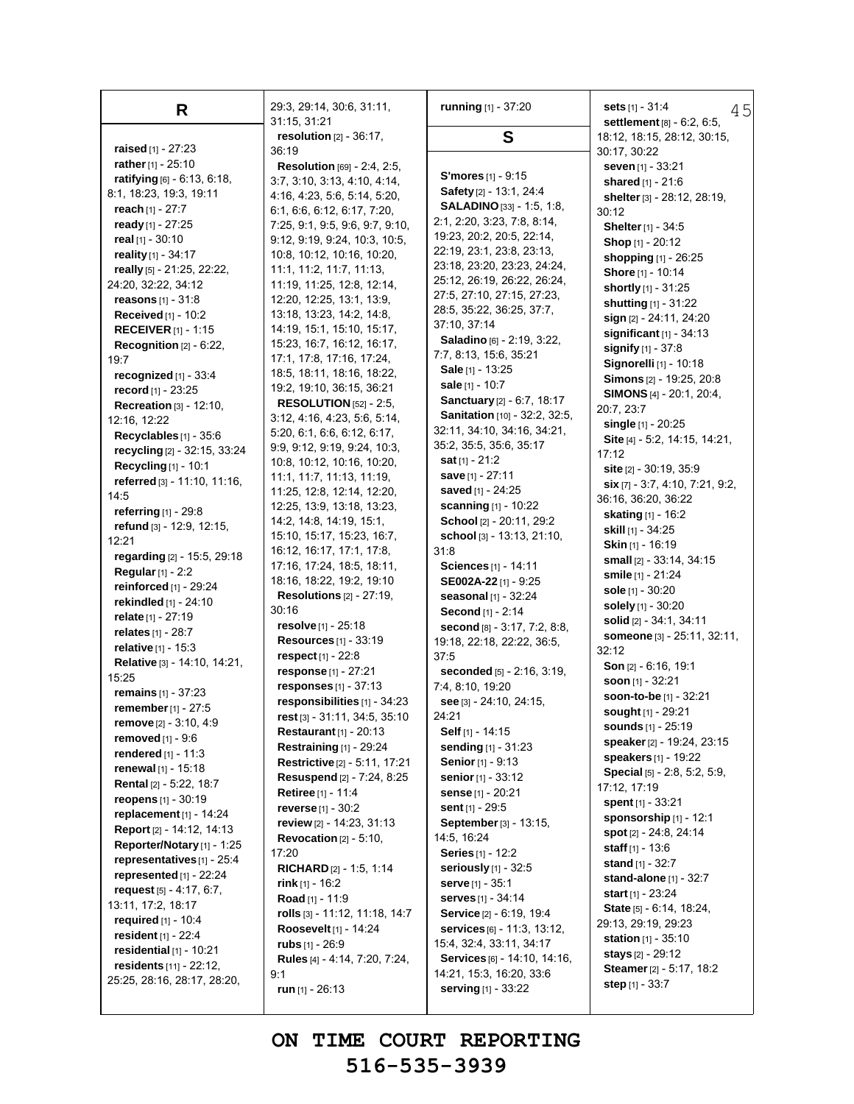| R                              | 29:3, 29:14, 30:6, 31:11,<br>31:15, 31:21 | <b>running</b> [1] - 37:20         | <b>sets</b> $[1] - 31.4$<br>45<br>settlement [8] - 6:2, 6:5, |
|--------------------------------|-------------------------------------------|------------------------------------|--------------------------------------------------------------|
|                                | resolution $[2] - 36:17$ ,                | S                                  | 18:12, 18:15, 28:12, 30:15,                                  |
| <b>raised</b> [1] - $27:23$    | 36:19                                     |                                    | 30:17, 30:22                                                 |
| rather [1] - 25:10             | Resolution [69] - 2:4, 2:5,               |                                    | seven [1] - 33:21                                            |
| ratifying [6] - 6:13, 6:18,    | 3.7, 3.10, 3.13, 4.10, 4.14,              | <b>S'mores</b> $[1]$ - 9:15        | shared [1] - 21:6                                            |
| 8:1, 18:23, 19:3, 19:11        | 4:16, 4:23, 5:6, 5:14, 5:20,              | Safety [2] - 13:1, 24:4            | shelter [3] - 28:12, 28:19,                                  |
| reach [1] - 27:7               | 6.1, 6.6, 6.12, 6.17, 7.20,               | SALADINO [33] - 1:5, 1:8,          | 30:12                                                        |
| ready $[1] - 27:25$            | 7:25, 9:1, 9:5, 9:6, 9:7, 9:10,           | 2.1, 2.20, 3.23, 7.8, 8.14,        | Shelter [1] - 34:5                                           |
| real [1] - 30:10               | 9:12, 9:19, 9:24, 10:3, 10:5,             | 19:23, 20:2, 20:5, 22:14,          | Shop [1] - 20:12                                             |
| reality [1] - 34:17            | 10.8, 10:12, 10:16, 10:20,                | 22:19, 23:1, 23:8, 23:13,          | shopping [1] - 26:25                                         |
| really [5] - 21:25, 22:22,     | 11:1, 11:2, 11:7, 11:13,                  | 23.18, 23.20, 23.23, 24.24,        | Shore [1] - 10:14                                            |
| 24:20, 32:22, 34:12            | 11:19, 11:25, 12:8, 12:14,                | 25:12, 26:19, 26:22, 26:24,        | shortly [1] - 31:25                                          |
| <b>reasons</b> $[1] - 31:8$    | 12:20, 12:25, 13:1, 13:9,                 | 27:5, 27:10, 27:15, 27:23,         | <b>shutting</b> [1] - 31:22                                  |
| <b>Received</b> [1] - 10:2     | 13.18, 13:23, 14.2, 14:8,                 | 28:5, 35:22, 36:25, 37:7,          | sign [2] - 24:11, 24:20                                      |
| <b>RECEIVER</b> $[1]$ - 1:15   | 14:19, 15:1, 15:10, 15:17,                | 37:10, 37:14                       |                                                              |
| Recognition $[2] - 6:22$ ,     | 15:23, 16:7, 16:12, 16:17,                | Saladino [6] - 2:19, 3:22,         | significant $[1]$ - 34:13                                    |
| 19:7                           | 17:1, 17:8, 17:16, 17:24,                 | 7:7, 8:13, 15:6, 35:21             | <b>signify</b> $[1] - 37.8$                                  |
| recognized [1] - 33:4          | 18.5, 18:11, 18:16, 18:22,                | <b>Sale</b> [1] - $13:25$          | Signorelli [1] - 10:18                                       |
| record [1] - 23:25             | 19:2, 19:10, 36:15, 36:21                 | sale [1] - 10:7                    | Simons [2] - 19:25, 20:8                                     |
| Recreation [3] - 12:10,        | <b>RESOLUTION</b> [52] - 2:5,             | Sanctuary [2] - 6:7, 18:17         | <b>SIMONS</b> [4] - 20:1, 20:4,                              |
| 12:16, 12:22                   | 3.12, 4.16, 4.23, 5.6, 5.14,              | Sanitation [10] - 32:2, 32:5,      | 20.7, 23.7                                                   |
| Recyclables [1] - 35:6         | 5.20, 6.1, 6.6, 6.12, 6.17,               | 32:11, 34:10, 34:16, 34:21,        | single [1] - 20:25                                           |
| recycling [2] - 32:15, 33:24   | 9.9, 9.12, 9.19, 9.24, 10.3,              | 35:2, 35:5, 35:6, 35:17            | Site [4] - 5:2, 14:15, 14:21,                                |
|                                | 10.8, 10.12, 10.16, 10.20,                | sat $[1] - 21:2$                   | 17:12                                                        |
| Recycling [1] - 10:1           | 11:1, 11:7, 11:13, 11:19,                 | save [1] - 27:11                   | site [2] - 30:19, 35:9                                       |
| referred [3] - 11:10, 11:16,   | 11:25, 12:8, 12:14, 12:20,                | <b>saved</b> [1] - 24:25           | $\textsf{six}[7] - 3.7, 4.10, 7.21, 9.2,$                    |
| 14:5                           | 12.25, 13:9, 13:18, 13:23,                | scanning [1] - 10:22               | 36:16, 36:20, 36:22                                          |
| referring $[1]$ - 29:8         | 14:2, 14:8, 14:19, 15:1,                  | School [2] - 20:11, 29:2           | <b>skating</b> [1] - 16:2                                    |
| refund [3] - 12:9, 12:15,      | 15:10, 15:17, 15:23, 16:7,                | school [3] - 13:13, 21:10,         | <b>skill</b> [1] - 34:25                                     |
| 12:21                          | 16:12, 16:17, 17:1, 17:8,                 | 31:8                               | <b>Skin</b> $[1]$ - 16:19                                    |
| regarding [2] - 15:5, 29:18    | 17:16, 17:24, 18:5, 18:11,                | <b>Sciences</b> [1] - 14:11        | small [2] - 33:14, 34:15                                     |
| Regular [1] - 2:2              | 18:16, 18:22, 19:2, 19:10                 | <b>SE002A-22</b> [1] - 9:25        | smile $[1] - 21:24$                                          |
| reinforced [1] - 29:24         | Resolutions $[2] - 27:19$ ,               | seasonal [1] - 32:24               | sole [1] - 30:20                                             |
| rekindled [1] - 24:10          | 30:16                                     | Second [1] - 2:14                  | solely [1] - 30:20                                           |
| relate $[1] - 27:19$           | resolve $[1]$ - 25:18                     | second $[8] - 3.17, 7.2, 8.8$ ,    | solid [2] - 34:1, 34:11                                      |
| relates $[1] - 28:7$           | Resources $[1]$ - 33:19                   | 19:18, 22:18, 22:22, 36:5,         | someone [3] - 25:11, 32:11,                                  |
| relative $[1] - 15.3$          | respect $[1] - 22.8$                      | 37:5                               | 32:12                                                        |
| Relative [3] - 14:10, 14:21,   | response $[1] - 27:21$                    | seconded [5] - 2:16, 3:19,         | Son [2] - 6:16, 19:1                                         |
| 15:25                          | responses $[1] - 37:13$                   | 7:4, 8:10, 19:20                   | soon $[1]$ - 32:21                                           |
| <b>remains</b> $[1] - 37:23$   | responsibilities [1] - 34:23              | see [3] - 24:10, 24:15,            | soon-to-be [1] - 32:21                                       |
| remember [1] - 27:5            | rest [3] - 31:11, 34:5, 35:10             | 24.21                              | sought [1] - 29:21                                           |
| remove [2] - 3:10, 4:9         | <b>Restaurant</b> $[1] - 20:13$           | <b>Self</b> [1] - 14:15            | sounds [1] - 25:19                                           |
| removed [1] - 9:6              | Restraining [1] - 29:24                   | sending [1] - 31:23                | speaker [2] - 19:24, 23:15                                   |
| rendered $[1] - 11:3$          | Restrictive <sup>[2]</sup> - 5:11, 17:21  | Senior [1] - 9:13                  | speakers [1] - 19:22                                         |
| renewal $[1]$ - 15:18          | <b>Resuspend</b> [2] - 7:24, 8:25         | <b>senior</b> [1] - 33:12          | Special [5] - 2:8, 5:2, 5:9,                                 |
| <b>Rental [2] - 5:22, 18:7</b> | <b>Retiree</b> [1] - 11:4                 | <b>sense</b> [1] - 20:21           | 17:12, 17:19                                                 |
| reopens $[1] - 30:19$          | <b>reverse</b> $[1] - 30:2$               | sent [1] - 29:5                    | <b>spent</b> [1] - $33:21$                                   |
| replacement $[1]$ - 14:24      | review [2] - 14:23, 31:13                 | September [3] - 13:15,             | sponsorship [1] - 12:1                                       |
| Report [2] - 14:12, 14:13      | Revocation $[2] - 5:10$ ,                 | 14.5, 16.24                        | spot [2] - 24:8, 24:14                                       |
| Reporter/Notary [1] - 1:25     | 17:20                                     | <b>Series</b> [1] - 12:2           | staff $[1] - 13.6$                                           |
| representatives [1] - 25:4     | <b>RICHARD</b> [2] - 1:5, 1:14            | <b>seriously</b> $[1]$ - 32:5      | <b>stand</b> $[1] - 32:7$                                    |
| represented $[1]$ - 22:24      | <b>rink</b> $[1]$ - 16:2                  | <b>serve</b> [1] - $35:1$          | stand-alone [1] - 32:7                                       |
| request $[5] - 4:17, 6:7$ ,    | <b>Road</b> [1] - 11:9                    | serves [1] - 34:14                 | start $[1] - 23:24$                                          |
| 13:11, 17:2, 18:17             | rolls [3] - 11:12, 11:18, 14:7            | <b>Service</b> [2] - 6:19, 19:4    | State [5] - 6:14, 18:24,                                     |
| <b>required</b> $[1] - 10.4$   | Roosevelt [1] - 14:24                     | <b>services</b> [6] - 11:3, 13:12, | 29:13, 29:19, 29:23                                          |
| resident $[1]$ - 22:4          | rubs $[1] - 26:9$                         | 15.4, 32.4, 33.11, 34:17           | <b>station</b> $[1] - 35:10$                                 |
| residential $[1]$ - 10:21      | Rules [4] - 4:14, 7:20, 7:24,             | Services [6] - 14:10, 14:16,       | <b>stays</b> $[2] - 29.12$                                   |
| residents [11] - 22:12,        | 9:1                                       | 14:21, 15:3, 16:20, 33:6           | Steamer [2] - 5:17, 18:2                                     |
| 25:25, 28:16, 28:17, 28:20,    | run $[1] - 26:13$                         | <b>serving</b> $[1] - 33:22$       | step $[1] - 33.7$                                            |
|                                |                                           |                                    |                                                              |